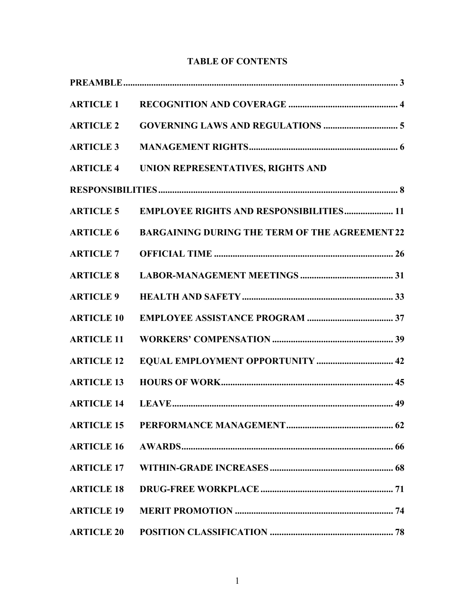# **TABLE OF CONTENTS**

| <b>ARTICLE 2</b>  |                                                          |  |
|-------------------|----------------------------------------------------------|--|
| <b>ARTICLE 3</b>  |                                                          |  |
|                   | <b>ARTICLE 4 UNION REPRESENTATIVES, RIGHTS AND</b>       |  |
|                   |                                                          |  |
|                   | <b>ARTICLE 5 EMPLOYEE RIGHTS AND RESPONSIBILITIES 11</b> |  |
| <b>ARTICLE 6</b>  | <b>BARGAINING DURING THE TERM OF THE AGREEMENT 22</b>    |  |
| <b>ARTICLE 7</b>  |                                                          |  |
| <b>ARTICLE 8</b>  |                                                          |  |
| <b>ARTICLE 9</b>  |                                                          |  |
| <b>ARTICLE 10</b> |                                                          |  |
| <b>ARTICLE 11</b> |                                                          |  |
| <b>ARTICLE 12</b> |                                                          |  |
| <b>ARTICLE 13</b> |                                                          |  |
|                   |                                                          |  |
|                   |                                                          |  |
| <b>ARTICLE 16</b> |                                                          |  |
| <b>ARTICLE 17</b> |                                                          |  |
| <b>ARTICLE 18</b> |                                                          |  |
| <b>ARTICLE 19</b> |                                                          |  |
|                   |                                                          |  |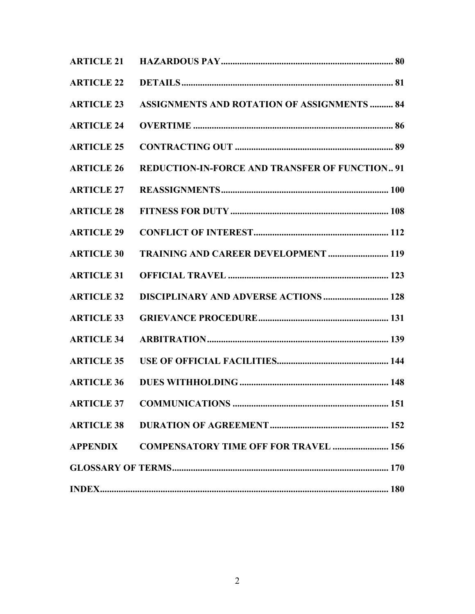| <b>ARTICLE 22</b> |                                                    |  |
|-------------------|----------------------------------------------------|--|
| <b>ARTICLE 23</b> | <b>ASSIGNMENTS AND ROTATION OF ASSIGNMENTS  84</b> |  |
| <b>ARTICLE 24</b> |                                                    |  |
| <b>ARTICLE 25</b> |                                                    |  |
| <b>ARTICLE 26</b> | REDUCTION-IN-FORCE AND TRANSFER OF FUNCTION 91     |  |
| <b>ARTICLE 27</b> |                                                    |  |
| <b>ARTICLE 28</b> |                                                    |  |
| <b>ARTICLE 29</b> |                                                    |  |
| <b>ARTICLE 30</b> | TRAINING AND CAREER DEVELOPMENT  119               |  |
| <b>ARTICLE 31</b> |                                                    |  |
| <b>ARTICLE 32</b> | <b>DISCIPLINARY AND ADVERSE ACTIONS  128</b>       |  |
| <b>ARTICLE 33</b> |                                                    |  |
| <b>ARTICLE 34</b> |                                                    |  |
| <b>ARTICLE 35</b> |                                                    |  |
| <b>ARTICLE 36</b> |                                                    |  |
|                   |                                                    |  |
|                   |                                                    |  |
|                   | APPENDIX COMPENSATORY TIME OFF FOR TRAVEL  156     |  |
|                   |                                                    |  |
|                   |                                                    |  |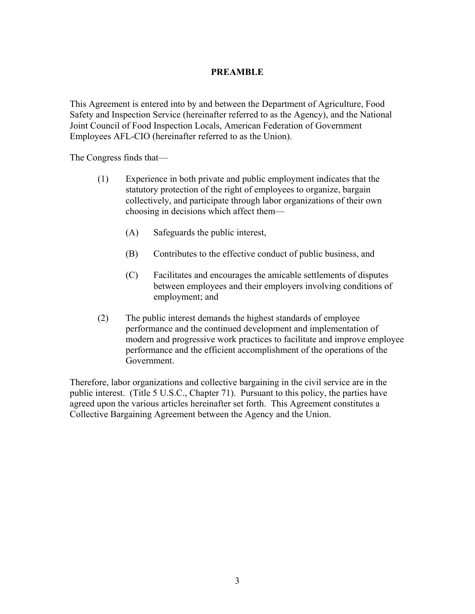## **PREAMBLE**

This Agreement is entered into by and between the Department of Agriculture, Food Safety and Inspection Service (hereinafter referred to as the Agency), and the National Joint Council of Food Inspection Locals, American Federation of Government Employees AFL-CIO (hereinafter referred to as the Union).

The Congress finds that—

- (1) Experience in both private and public employment indicates that the statutory protection of the right of employees to organize, bargain collectively, and participate through labor organizations of their own choosing in decisions which affect them—
	- (A) Safeguards the public interest,
	- (B) Contributes to the effective conduct of public business, and
	- (C) Facilitates and encourages the amicable settlements of disputes between employees and their employers involving conditions of employment; and
- (2) The public interest demands the highest standards of employee performance and the continued development and implementation of modern and progressive work practices to facilitate and improve employee performance and the efficient accomplishment of the operations of the Government.

Therefore, labor organizations and collective bargaining in the civil service are in the public interest. (Title 5 U.S.C., Chapter 71). Pursuant to this policy, the parties have agreed upon the various articles hereinafter set forth. This Agreement constitutes a Collective Bargaining Agreement between the Agency and the Union.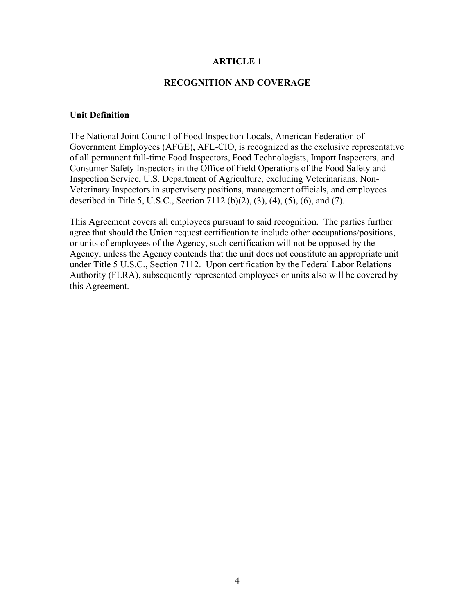#### **RECOGNITION AND COVERAGE**

#### **Unit Definition**

The National Joint Council of Food Inspection Locals, American Federation of Government Employees (AFGE), AFL-CIO, is recognized as the exclusive representative of all permanent full-time Food Inspectors, Food Technologists, Import Inspectors, and Consumer Safety Inspectors in the Office of Field Operations of the Food Safety and Inspection Service, U.S. Department of Agriculture, excluding Veterinarians, Non-Veterinary Inspectors in supervisory positions, management officials, and employees described in Title 5, U.S.C., Section 7112 (b)(2), (3), (4), (5), (6), and (7).

This Agreement covers all employees pursuant to said recognition. The parties further agree that should the Union request certification to include other occupations/positions, or units of employees of the Agency, such certification will not be opposed by the Agency, unless the Agency contends that the unit does not constitute an appropriate unit under Title 5 U.S.C., Section 7112. Upon certification by the Federal Labor Relations Authority (FLRA), subsequently represented employees or units also will be covered by this Agreement.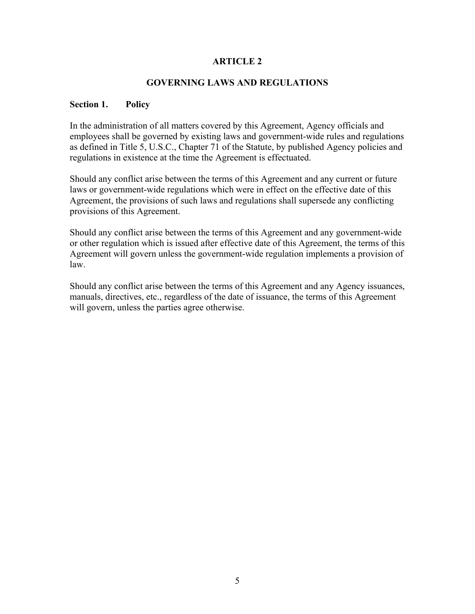#### **GOVERNING LAWS AND REGULATIONS**

#### **Section 1. Policy**

In the administration of all matters covered by this Agreement, Agency officials and employees shall be governed by existing laws and government-wide rules and regulations as defined in Title 5, U.S.C., Chapter 71 of the Statute, by published Agency policies and regulations in existence at the time the Agreement is effectuated.

Should any conflict arise between the terms of this Agreement and any current or future laws or government-wide regulations which were in effect on the effective date of this Agreement, the provisions of such laws and regulations shall supersede any conflicting provisions of this Agreement.

Should any conflict arise between the terms of this Agreement and any government-wide or other regulation which is issued after effective date of this Agreement, the terms of this Agreement will govern unless the government-wide regulation implements a provision of law.

Should any conflict arise between the terms of this Agreement and any Agency issuances, manuals, directives, etc., regardless of the date of issuance, the terms of this Agreement will govern, unless the parties agree otherwise.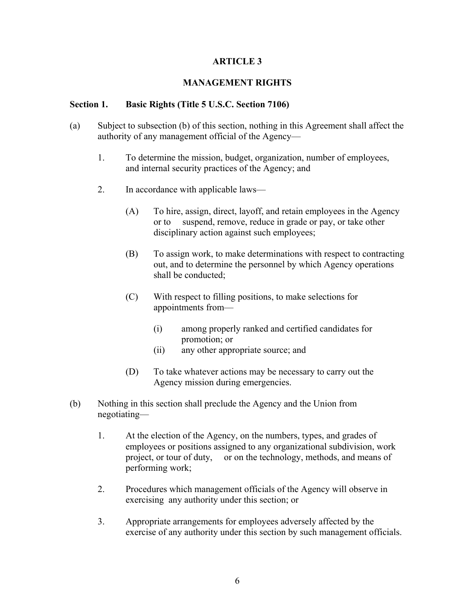#### **MANAGEMENT RIGHTS**

#### **Section 1. Basic Rights (Title 5 U.S.C. Section 7106)**

- (a) Subject to subsection (b) of this section, nothing in this Agreement shall affect the authority of any management official of the Agency—
	- 1. To determine the mission, budget, organization, number of employees, and internal security practices of the Agency; and
	- 2. In accordance with applicable laws—
		- (A) To hire, assign, direct, layoff, and retain employees in the Agency or to suspend, remove, reduce in grade or pay, or take other disciplinary action against such employees;
		- (B) To assign work, to make determinations with respect to contracting out, and to determine the personnel by which Agency operations shall be conducted;
		- (C) With respect to filling positions, to make selections for appointments from—
			- (i) among properly ranked and certified candidates for promotion; or
			- (ii) any other appropriate source; and
		- (D) To take whatever actions may be necessary to carry out the Agency mission during emergencies.
- (b) Nothing in this section shall preclude the Agency and the Union from negotiating—
	- 1. At the election of the Agency, on the numbers, types, and grades of employees or positions assigned to any organizational subdivision, work project, or tour of duty, or on the technology, methods, and means of performing work;
	- 2. Procedures which management officials of the Agency will observe in exercising any authority under this section; or
	- 3. Appropriate arrangements for employees adversely affected by the exercise of any authority under this section by such management officials.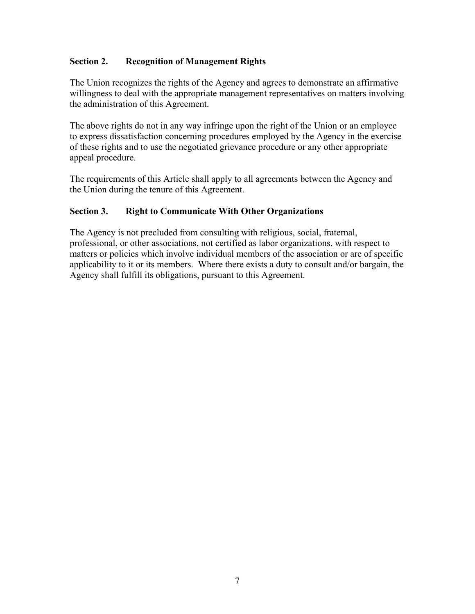## **Section 2. Recognition of Management Rights**

The Union recognizes the rights of the Agency and agrees to demonstrate an affirmative willingness to deal with the appropriate management representatives on matters involving the administration of this Agreement.

The above rights do not in any way infringe upon the right of the Union or an employee to express dissatisfaction concerning procedures employed by the Agency in the exercise of these rights and to use the negotiated grievance procedure or any other appropriate appeal procedure.

The requirements of this Article shall apply to all agreements between the Agency and the Union during the tenure of this Agreement.

# **Section 3. Right to Communicate With Other Organizations**

The Agency is not precluded from consulting with religious, social, fraternal, professional, or other associations, not certified as labor organizations, with respect to matters or policies which involve individual members of the association or are of specific applicability to it or its members. Where there exists a duty to consult and/or bargain, the Agency shall fulfill its obligations, pursuant to this Agreement.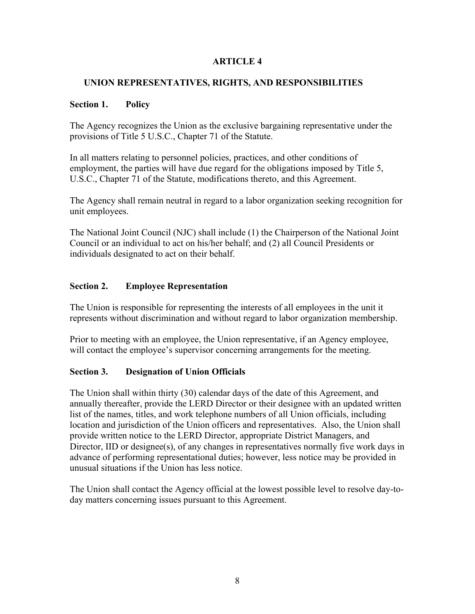## **UNION REPRESENTATIVES, RIGHTS, AND RESPONSIBILITIES**

### **Section 1. Policy**

The Agency recognizes the Union as the exclusive bargaining representative under the provisions of Title 5 U.S.C., Chapter 71 of the Statute.

In all matters relating to personnel policies, practices, and other conditions of employment, the parties will have due regard for the obligations imposed by Title 5, U.S.C., Chapter 71 of the Statute, modifications thereto, and this Agreement.

The Agency shall remain neutral in regard to a labor organization seeking recognition for unit employees.

The National Joint Council (NJC) shall include (1) the Chairperson of the National Joint Council or an individual to act on his/her behalf; and (2) all Council Presidents or individuals designated to act on their behalf.

## **Section 2. Employee Representation**

The Union is responsible for representing the interests of all employees in the unit it represents without discrimination and without regard to labor organization membership.

Prior to meeting with an employee, the Union representative, if an Agency employee, will contact the employee's supervisor concerning arrangements for the meeting.

# **Section 3. Designation of Union Officials**

The Union shall within thirty (30) calendar days of the date of this Agreement, and annually thereafter, provide the LERD Director or their designee with an updated written list of the names, titles, and work telephone numbers of all Union officials, including location and jurisdiction of the Union officers and representatives. Also, the Union shall provide written notice to the LERD Director, appropriate District Managers, and Director, IID or designee(s), of any changes in representatives normally five work days in advance of performing representational duties; however, less notice may be provided in unusual situations if the Union has less notice.

The Union shall contact the Agency official at the lowest possible level to resolve day-today matters concerning issues pursuant to this Agreement.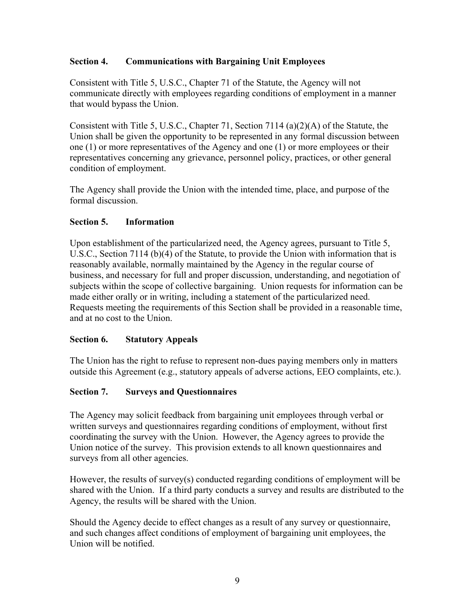## **Section 4. Communications with Bargaining Unit Employees**

Consistent with Title 5, U.S.C., Chapter 71 of the Statute, the Agency will not communicate directly with employees regarding conditions of employment in a manner that would bypass the Union.

Consistent with Title 5, U.S.C., Chapter 71, Section 7114 (a)(2)(A) of the Statute, the Union shall be given the opportunity to be represented in any formal discussion between one (1) or more representatives of the Agency and one (1) or more employees or their representatives concerning any grievance, personnel policy, practices, or other general condition of employment.

The Agency shall provide the Union with the intended time, place, and purpose of the formal discussion.

# **Section 5. Information**

Upon establishment of the particularized need, the Agency agrees, pursuant to Title 5, U.S.C., Section 7114 (b)(4) of the Statute, to provide the Union with information that is reasonably available, normally maintained by the Agency in the regular course of business, and necessary for full and proper discussion, understanding, and negotiation of subjects within the scope of collective bargaining. Union requests for information can be made either orally or in writing, including a statement of the particularized need. Requests meeting the requirements of this Section shall be provided in a reasonable time, and at no cost to the Union.

## **Section 6. Statutory Appeals**

The Union has the right to refuse to represent non-dues paying members only in matters outside this Agreement (e.g., statutory appeals of adverse actions, EEO complaints, etc.).

# **Section 7. Surveys and Questionnaires**

The Agency may solicit feedback from bargaining unit employees through verbal or written surveys and questionnaires regarding conditions of employment, without first coordinating the survey with the Union. However, the Agency agrees to provide the Union notice of the survey. This provision extends to all known questionnaires and surveys from all other agencies.

However, the results of survey(s) conducted regarding conditions of employment will be shared with the Union. If a third party conducts a survey and results are distributed to the Agency, the results will be shared with the Union.

Should the Agency decide to effect changes as a result of any survey or questionnaire, and such changes affect conditions of employment of bargaining unit employees, the Union will be notified.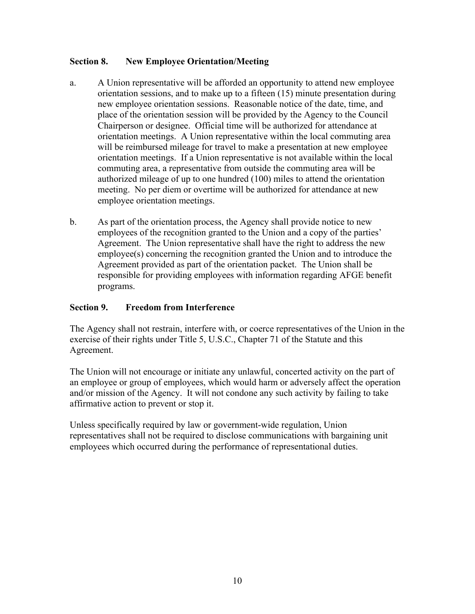## **Section 8. New Employee Orientation/Meeting**

- a. A Union representative will be afforded an opportunity to attend new employee orientation sessions, and to make up to a fifteen (15) minute presentation during new employee orientation sessions. Reasonable notice of the date, time, and place of the orientation session will be provided by the Agency to the Council Chairperson or designee. Official time will be authorized for attendance at orientation meetings. A Union representative within the local commuting area will be reimbursed mileage for travel to make a presentation at new employee orientation meetings. If a Union representative is not available within the local commuting area, a representative from outside the commuting area will be authorized mileage of up to one hundred (100) miles to attend the orientation meeting. No per diem or overtime will be authorized for attendance at new employee orientation meetings.
- b. As part of the orientation process, the Agency shall provide notice to new employees of the recognition granted to the Union and a copy of the parties' Agreement. The Union representative shall have the right to address the new employee(s) concerning the recognition granted the Union and to introduce the Agreement provided as part of the orientation packet. The Union shall be responsible for providing employees with information regarding AFGE benefit programs.

## **Section 9. Freedom from Interference**

The Agency shall not restrain, interfere with, or coerce representatives of the Union in the exercise of their rights under Title 5, U.S.C., Chapter 71 of the Statute and this Agreement.

The Union will not encourage or initiate any unlawful, concerted activity on the part of an employee or group of employees, which would harm or adversely affect the operation and/or mission of the Agency. It will not condone any such activity by failing to take affirmative action to prevent or stop it.

Unless specifically required by law or government-wide regulation, Union representatives shall not be required to disclose communications with bargaining unit employees which occurred during the performance of representational duties.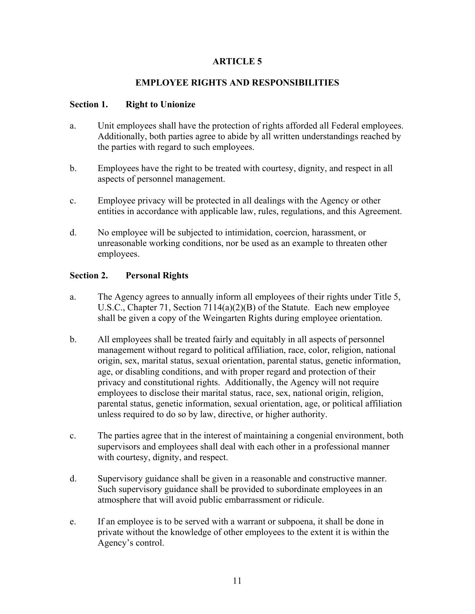### **EMPLOYEE RIGHTS AND RESPONSIBILITIES**

#### **Section 1. Right to Unionize**

- a. Unit employees shall have the protection of rights afforded all Federal employees. Additionally, both parties agree to abide by all written understandings reached by the parties with regard to such employees.
- b. Employees have the right to be treated with courtesy, dignity, and respect in all aspects of personnel management.
- c. Employee privacy will be protected in all dealings with the Agency or other entities in accordance with applicable law, rules, regulations, and this Agreement.
- d. No employee will be subjected to intimidation, coercion, harassment, or unreasonable working conditions, nor be used as an example to threaten other employees.

#### **Section 2. Personal Rights**

- a. The Agency agrees to annually inform all employees of their rights under Title 5, U.S.C., Chapter 71, Section 7114(a)(2)(B) of the Statute. Each new employee shall be given a copy of the Weingarten Rights during employee orientation.
- b. All employees shall be treated fairly and equitably in all aspects of personnel management without regard to political affiliation, race, color, religion, national origin, sex, marital status, sexual orientation, parental status, genetic information, age, or disabling conditions, and with proper regard and protection of their privacy and constitutional rights. Additionally, the Agency will not require employees to disclose their marital status, race, sex, national origin, religion, parental status, genetic information, sexual orientation, age, or political affiliation unless required to do so by law, directive, or higher authority.
- c. The parties agree that in the interest of maintaining a congenial environment, both supervisors and employees shall deal with each other in a professional manner with courtesy, dignity, and respect.
- d. Supervisory guidance shall be given in a reasonable and constructive manner. Such supervisory guidance shall be provided to subordinate employees in an atmosphere that will avoid public embarrassment or ridicule.
- e. If an employee is to be served with a warrant or subpoena, it shall be done in private without the knowledge of other employees to the extent it is within the Agency's control.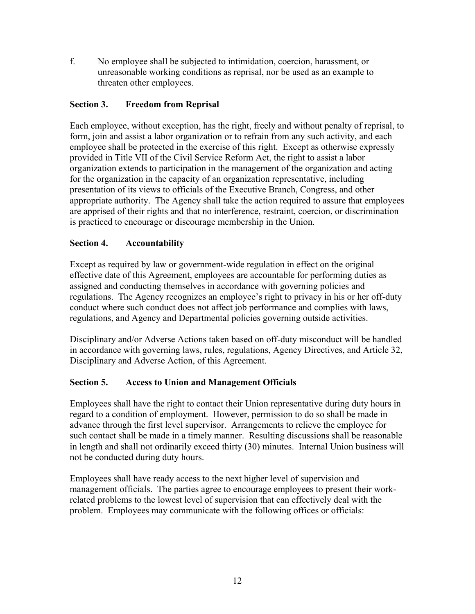f. No employee shall be subjected to intimidation, coercion, harassment, or unreasonable working conditions as reprisal, nor be used as an example to threaten other employees.

# **Section 3. Freedom from Reprisal**

Each employee, without exception, has the right, freely and without penalty of reprisal, to form, join and assist a labor organization or to refrain from any such activity, and each employee shall be protected in the exercise of this right. Except as otherwise expressly provided in Title VII of the Civil Service Reform Act, the right to assist a labor organization extends to participation in the management of the organization and acting for the organization in the capacity of an organization representative, including presentation of its views to officials of the Executive Branch, Congress, and other appropriate authority. The Agency shall take the action required to assure that employees are apprised of their rights and that no interference, restraint, coercion, or discrimination is practiced to encourage or discourage membership in the Union.

# **Section 4. Accountability**

Except as required by law or government-wide regulation in effect on the original effective date of this Agreement, employees are accountable for performing duties as assigned and conducting themselves in accordance with governing policies and regulations. The Agency recognizes an employee's right to privacy in his or her off-duty conduct where such conduct does not affect job performance and complies with laws, regulations, and Agency and Departmental policies governing outside activities.

Disciplinary and/or Adverse Actions taken based on off-duty misconduct will be handled in accordance with governing laws, rules, regulations, Agency Directives, and Article 32, Disciplinary and Adverse Action, of this Agreement.

## **Section 5. Access to Union and Management Officials**

Employees shall have the right to contact their Union representative during duty hours in regard to a condition of employment. However, permission to do so shall be made in advance through the first level supervisor. Arrangements to relieve the employee for such contact shall be made in a timely manner. Resulting discussions shall be reasonable in length and shall not ordinarily exceed thirty (30) minutes. Internal Union business will not be conducted during duty hours.

Employees shall have ready access to the next higher level of supervision and management officials. The parties agree to encourage employees to present their workrelated problems to the lowest level of supervision that can effectively deal with the problem. Employees may communicate with the following offices or officials: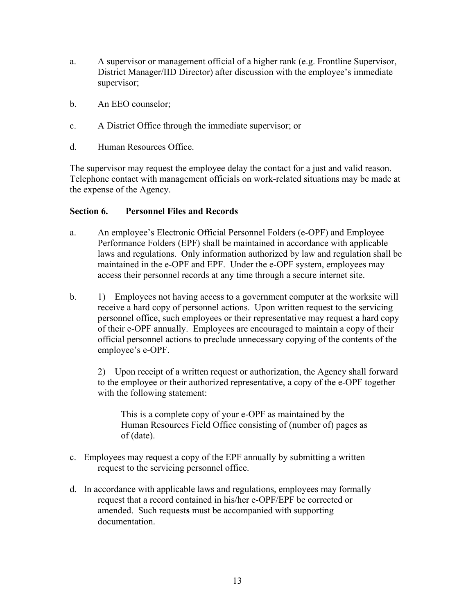- a. A supervisor or management official of a higher rank (e.g. Frontline Supervisor, District Manager/IID Director) after discussion with the employee's immediate supervisor;
- b. An EEO counselor;
- c. A District Office through the immediate supervisor; or
- d. Human Resources Office.

The supervisor may request the employee delay the contact for a just and valid reason. Telephone contact with management officials on work-related situations may be made at the expense of the Agency.

# **Section 6. Personnel Files and Records**

- a. An employee's Electronic Official Personnel Folders (e-OPF) and Employee Performance Folders (EPF) shall be maintained in accordance with applicable laws and regulations.Only information authorized by law and regulation shall be maintained in the e-OPF and EPF.Under the e-OPF system, employees may access their personnel records at any time through a secure internet site.
- b. 1) Employees not having access to a government computer at the worksite will receive a hard copy of personnel actions.Upon written request to the servicing personnel office, such employees or their representative may request a hard copy of their e-OPF annually. Employees are encouraged to maintain a copy of their official personnel actions to preclude unnecessary copying of the contents of the employee's e-OPF.

2) Upon receipt of a written request or authorization, the Agency shall forward to the employee or their authorized representative, a copy of the e-OPF together with the following statement:

 This is a complete copy of your e-OPF as maintained by the Human Resources Field Office consisting of (number of) pages as of (date).

- c. Employees may request a copy of the EPF annually by submitting a written request to the servicing personnel office.
- d. In accordance with applicable laws and regulations, employees may formally request that a record contained in his/her e-OPF/EPF be corrected or amended. Such request**s** must be accompanied with supporting documentation.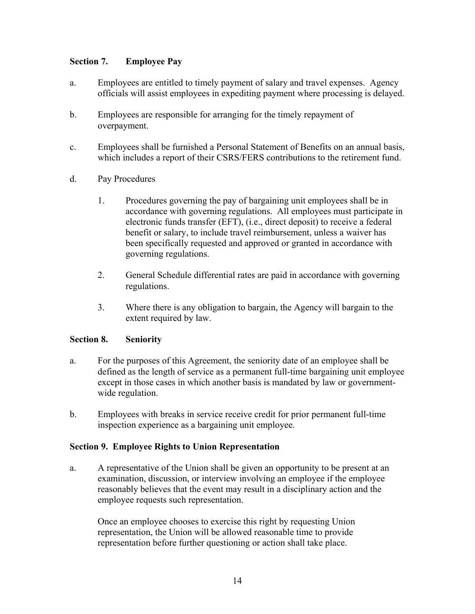## **Section 7. Employee Pay**

- a. Employees are entitled to timely payment of salary and travel expenses. Agency officials will assist employees in expediting payment where processing is delayed.
- b. Employees are responsible for arranging for the timely repayment of overpayment.
- c. Employees shall be furnished a Personal Statement of Benefits on an annual basis, which includes a report of their CSRS/FERS contributions to the retirement fund.
- d. Pay Procedures
	- 1. Procedures governing the pay of bargaining unit employees shall be in accordance with governing regulations. All employees must participate in electronic funds transfer (EFT), (i.e., direct deposit) to receive a federal benefit or salary, to include travel reimbursement, unless a waiver has been specifically requested and approved or granted in accordance with governing regulations.
	- 2. General Schedule differential rates are paid in accordance with governing regulations.
	- 3. Where there is any obligation to bargain, the Agency will bargain to the extent required by law.

## **Section 8. Seniority**

- a. For the purposes of this Agreement, the seniority date of an employee shall be defined as the length of service as a permanent full-time bargaining unit employee except in those cases in which another basis is mandated by law or governmentwide regulation.
- b. Employees with breaks in service receive credit for prior permanent full-time inspection experience as a bargaining unit employee.

## **Section 9. Employee Rights to Union Representation**

a. A representative of the Union shall be given an opportunity to be present at an examination, discussion, or interview involving an employee if the employee reasonably believes that the event may result in a disciplinary action and the employee requests such representation.

Once an employee chooses to exercise this right by requesting Union representation, the Union will be allowed reasonable time to provide representation before further questioning or action shall take place.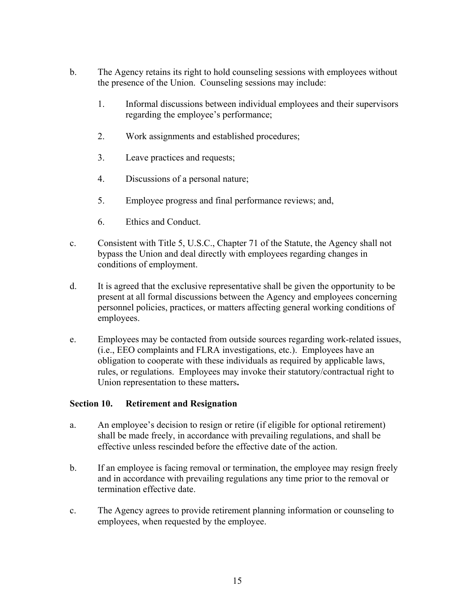- b. The Agency retains its right to hold counseling sessions with employees without the presence of the Union. Counseling sessions may include:
	- 1. Informal discussions between individual employees and their supervisors regarding the employee's performance;
	- 2. Work assignments and established procedures;
	- 3. Leave practices and requests;
	- 4. Discussions of a personal nature;
	- 5. Employee progress and final performance reviews; and,
	- 6. Ethics and Conduct.
- c. Consistent with Title 5, U.S.C., Chapter 71 of the Statute, the Agency shall not bypass the Union and deal directly with employees regarding changes in conditions of employment.
- d. It is agreed that the exclusive representative shall be given the opportunity to be present at all formal discussions between the Agency and employees concerning personnel policies, practices, or matters affecting general working conditions of employees.
- e. Employees may be contacted from outside sources regarding work-related issues, (i.e., EEO complaints and FLRA investigations, etc.). Employees have an obligation to cooperate with these individuals as required by applicable laws, rules, or regulations. Employees may invoke their statutory/contractual right to Union representation to these matters**.**

## **Section 10. Retirement and Resignation**

- a. An employee's decision to resign or retire (if eligible for optional retirement) shall be made freely, in accordance with prevailing regulations, and shall be effective unless rescinded before the effective date of the action.
- b. If an employee is facing removal or termination, the employee may resign freely and in accordance with prevailing regulations any time prior to the removal or termination effective date.
- c. The Agency agrees to provide retirement planning information or counseling to employees, when requested by the employee.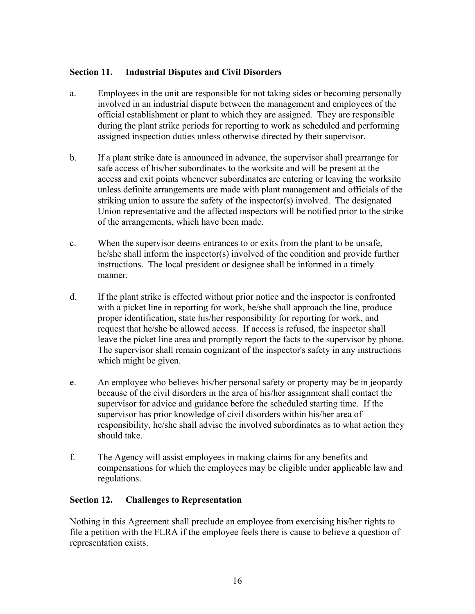## **Section 11. Industrial Disputes and Civil Disorders**

- a. Employees in the unit are responsible for not taking sides or becoming personally involved in an industrial dispute between the management and employees of the official establishment or plant to which they are assigned. They are responsible during the plant strike periods for reporting to work as scheduled and performing assigned inspection duties unless otherwise directed by their supervisor.
- b. If a plant strike date is announced in advance, the supervisor shall prearrange for safe access of his/her subordinates to the worksite and will be present at the access and exit points whenever subordinates are entering or leaving the worksite unless definite arrangements are made with plant management and officials of the striking union to assure the safety of the inspector(s) involved. The designated Union representative and the affected inspectors will be notified prior to the strike of the arrangements, which have been made.
- c. When the supervisor deems entrances to or exits from the plant to be unsafe, he/she shall inform the inspector(s) involved of the condition and provide further instructions. The local president or designee shall be informed in a timely manner.
- d. If the plant strike is effected without prior notice and the inspector is confronted with a picket line in reporting for work, he/she shall approach the line, produce proper identification, state his/her responsibility for reporting for work, and request that he/she be allowed access. If access is refused, the inspector shall leave the picket line area and promptly report the facts to the supervisor by phone. The supervisor shall remain cognizant of the inspector's safety in any instructions which might be given.
- e. An employee who believes his/her personal safety or property may be in jeopardy because of the civil disorders in the area of his/her assignment shall contact the supervisor for advice and guidance before the scheduled starting time. If the supervisor has prior knowledge of civil disorders within his/her area of responsibility, he/she shall advise the involved subordinates as to what action they should take.
- f. The Agency will assist employees in making claims for any benefits and compensations for which the employees may be eligible under applicable law and regulations.

## **Section 12. Challenges to Representation**

Nothing in this Agreement shall preclude an employee from exercising his/her rights to file a petition with the FLRA if the employee feels there is cause to believe a question of representation exists.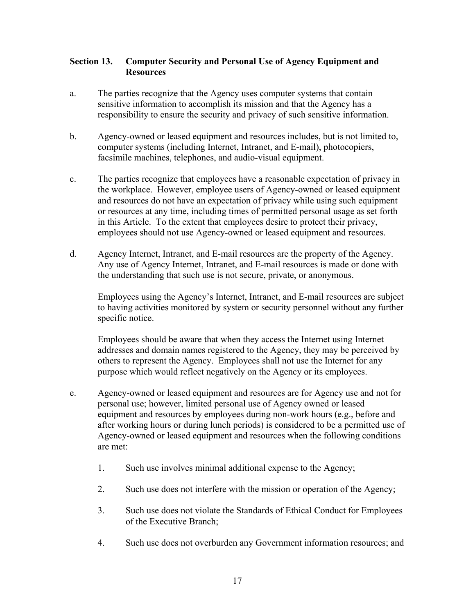## **Section 13. Computer Security and Personal Use of Agency Equipment and Resources**

- a. The parties recognize that the Agency uses computer systems that contain sensitive information to accomplish its mission and that the Agency has a responsibility to ensure the security and privacy of such sensitive information.
- b. Agency-owned or leased equipment and resources includes, but is not limited to, computer systems (including Internet, Intranet, and E-mail), photocopiers, facsimile machines, telephones, and audio-visual equipment.
- c. The parties recognize that employees have a reasonable expectation of privacy in the workplace. However, employee users of Agency-owned or leased equipment and resources do not have an expectation of privacy while using such equipment or resources at any time, including times of permitted personal usage as set forth in this Article. To the extent that employees desire to protect their privacy, employees should not use Agency-owned or leased equipment and resources.
- d. Agency Internet, Intranet, and E-mail resources are the property of the Agency. Any use of Agency Internet, Intranet, and E-mail resources is made or done with the understanding that such use is not secure, private, or anonymous.

Employees using the Agency's Internet, Intranet, and E-mail resources are subject to having activities monitored by system or security personnel without any further specific notice.

Employees should be aware that when they access the Internet using Internet addresses and domain names registered to the Agency, they may be perceived by others to represent the Agency. Employees shall not use the Internet for any purpose which would reflect negatively on the Agency or its employees.

- e. Agency-owned or leased equipment and resources are for Agency use and not for personal use; however, limited personal use of Agency owned or leased equipment and resources by employees during non-work hours (e.g., before and after working hours or during lunch periods) is considered to be a permitted use of Agency-owned or leased equipment and resources when the following conditions are met:
	- 1. Such use involves minimal additional expense to the Agency;
	- 2. Such use does not interfere with the mission or operation of the Agency;
	- 3. Such use does not violate the Standards of Ethical Conduct for Employees of the Executive Branch;
	- 4. Such use does not overburden any Government information resources; and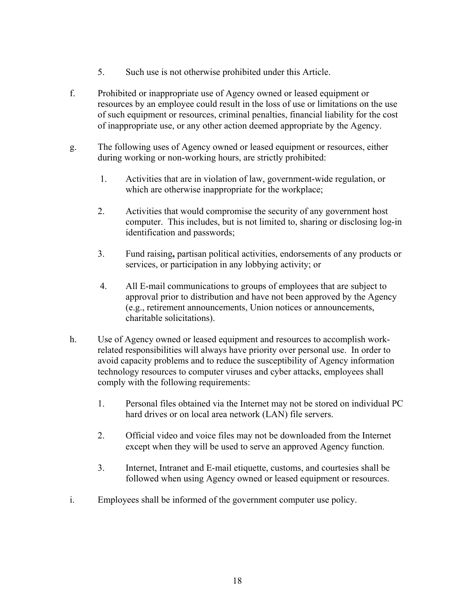- 5. Such use is not otherwise prohibited under this Article.
- f. Prohibited or inappropriate use of Agency owned or leased equipment or resources by an employee could result in the loss of use or limitations on the use of such equipment or resources, criminal penalties, financial liability for the cost of inappropriate use, or any other action deemed appropriate by the Agency.
- g. The following uses of Agency owned or leased equipment or resources, either during working or non-working hours, are strictly prohibited:
	- 1. Activities that are in violation of law, government-wide regulation, or which are otherwise inappropriate for the workplace;
	- 2. Activities that would compromise the security of any government host computer. This includes, but is not limited to, sharing or disclosing log-in identification and passwords;
	- 3. Fund raising**,** partisan political activities, endorsements of any products or services, or participation in any lobbying activity; or
	- 4. All E-mail communications to groups of employees that are subject to approval prior to distribution and have not been approved by the Agency (e.g., retirement announcements, Union notices or announcements, charitable solicitations).
- h. Use of Agency owned or leased equipment and resources to accomplish workrelated responsibilities will always have priority over personal use. In order to avoid capacity problems and to reduce the susceptibility of Agency information technology resources to computer viruses and cyber attacks, employees shall comply with the following requirements:
	- 1. Personal files obtained via the Internet may not be stored on individual PC hard drives or on local area network (LAN) file servers.
	- 2. Official video and voice files may not be downloaded from the Internet except when they will be used to serve an approved Agency function.
	- 3. Internet, Intranet and E-mail etiquette, customs, and courtesies shall be followed when using Agency owned or leased equipment or resources.
- i. Employees shall be informed of the government computer use policy.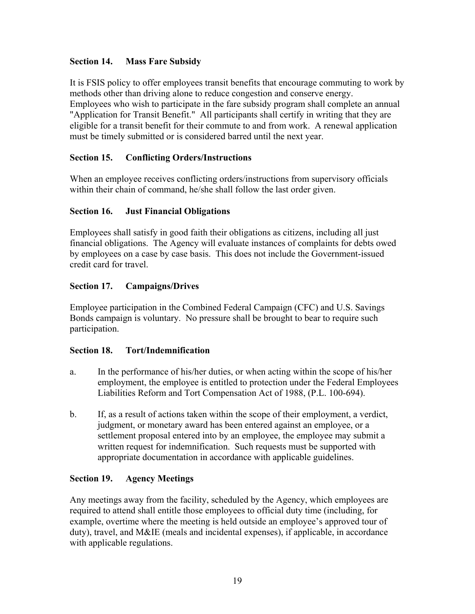# **Section 14. Mass Fare Subsidy**

It is FSIS policy to offer employees transit benefits that encourage commuting to work by methods other than driving alone to reduce congestion and conserve energy. Employees who wish to participate in the fare subsidy program shall complete an annual "Application for Transit Benefit." All participants shall certify in writing that they are eligible for a transit benefit for their commute to and from work. A renewal application must be timely submitted or is considered barred until the next year.

# **Section 15. Conflicting Orders/Instructions**

When an employee receives conflicting orders/instructions from supervisory officials within their chain of command, he/she shall follow the last order given.

# **Section 16. Just Financial Obligations**

Employees shall satisfy in good faith their obligations as citizens, including all just financial obligations. The Agency will evaluate instances of complaints for debts owed by employees on a case by case basis. This does not include the Government-issued credit card for travel.

# **Section 17. Campaigns/Drives**

Employee participation in the Combined Federal Campaign (CFC) and U.S. Savings Bonds campaign is voluntary. No pressure shall be brought to bear to require such participation.

## **Section 18. Tort/Indemnification**

- a. In the performance of his/her duties, or when acting within the scope of his/her employment, the employee is entitled to protection under the Federal Employees Liabilities Reform and Tort Compensation Act of 1988, (P.L. 100-694).
- b. If, as a result of actions taken within the scope of their employment, a verdict, judgment, or monetary award has been entered against an employee, or a settlement proposal entered into by an employee, the employee may submit a written request for indemnification. Such requests must be supported with appropriate documentation in accordance with applicable guidelines.

## **Section 19. Agency Meetings**

Any meetings away from the facility, scheduled by the Agency, which employees are required to attend shall entitle those employees to official duty time (including, for example, overtime where the meeting is held outside an employee's approved tour of duty), travel, and M&IE (meals and incidental expenses), if applicable, in accordance with applicable regulations.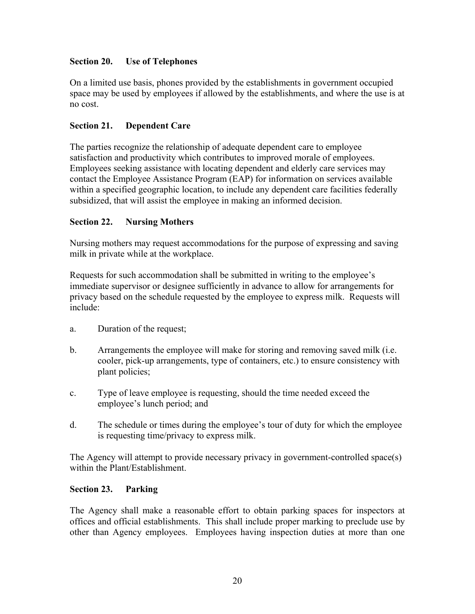## **Section 20. Use of Telephones**

On a limited use basis, phones provided by the establishments in government occupied space may be used by employees if allowed by the establishments, and where the use is at no cost.

# **Section 21. Dependent Care**

The parties recognize the relationship of adequate dependent care to employee satisfaction and productivity which contributes to improved morale of employees. Employees seeking assistance with locating dependent and elderly care services may contact the Employee Assistance Program (EAP) for information on services available within a specified geographic location, to include any dependent care facilities federally subsidized, that will assist the employee in making an informed decision.

# **Section 22. Nursing Mothers**

Nursing mothers may request accommodations for the purpose of expressing and saving milk in private while at the workplace.

Requests for such accommodation shall be submitted in writing to the employee's immediate supervisor or designee sufficiently in advance to allow for arrangements for privacy based on the schedule requested by the employee to express milk. Requests will include:

- a. Duration of the request;
- b. Arrangements the employee will make for storing and removing saved milk (i.e. cooler, pick-up arrangements, type of containers, etc.) to ensure consistency with plant policies;
- c. Type of leave employee is requesting, should the time needed exceed the employee's lunch period; and
- d. The schedule or times during the employee's tour of duty for which the employee is requesting time/privacy to express milk.

The Agency will attempt to provide necessary privacy in government-controlled space(s) within the Plant/Establishment.

## **Section 23. Parking**

The Agency shall make a reasonable effort to obtain parking spaces for inspectors at offices and official establishments. This shall include proper marking to preclude use by other than Agency employees. Employees having inspection duties at more than one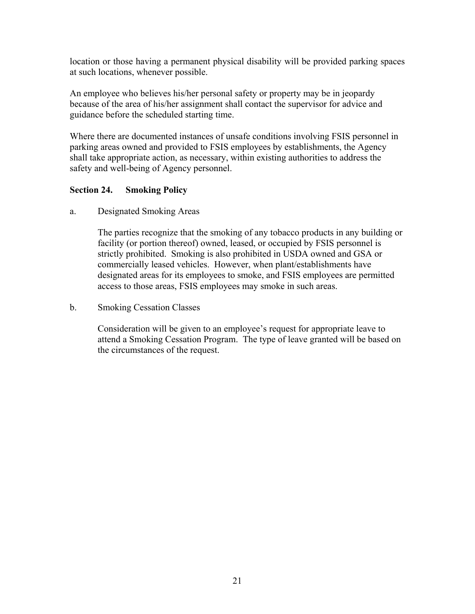location or those having a permanent physical disability will be provided parking spaces at such locations, whenever possible.

An employee who believes his/her personal safety or property may be in jeopardy because of the area of his/her assignment shall contact the supervisor for advice and guidance before the scheduled starting time.

Where there are documented instances of unsafe conditions involving FSIS personnel in parking areas owned and provided to FSIS employees by establishments, the Agency shall take appropriate action, as necessary, within existing authorities to address the safety and well-being of Agency personnel.

#### **Section 24. Smoking Policy**

a. Designated Smoking Areas

The parties recognize that the smoking of any tobacco products in any building or facility (or portion thereof) owned, leased, or occupied by FSIS personnel is strictly prohibited. Smoking is also prohibited in USDA owned and GSA or commercially leased vehicles. However, when plant/establishments have designated areas for its employees to smoke, and FSIS employees are permitted access to those areas, FSIS employees may smoke in such areas.

b. Smoking Cessation Classes

Consideration will be given to an employee's request for appropriate leave to attend a Smoking Cessation Program. The type of leave granted will be based on the circumstances of the request.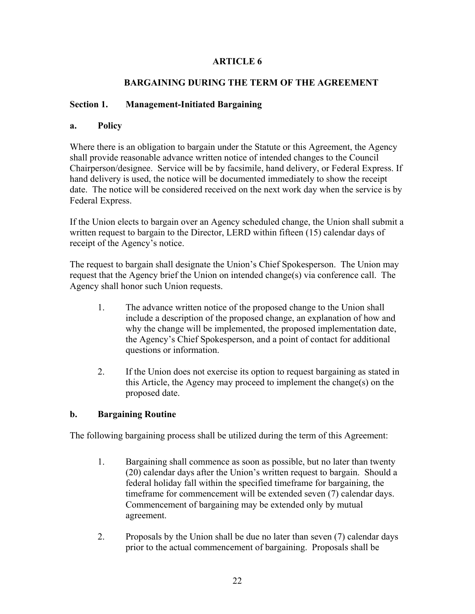# **BARGAINING DURING THE TERM OF THE AGREEMENT**

## **Section 1. Management-Initiated Bargaining**

### **a. Policy**

Where there is an obligation to bargain under the Statute or this Agreement, the Agency shall provide reasonable advance written notice of intended changes to the Council Chairperson/designee. Service will be by facsimile, hand delivery, or Federal Express. If hand delivery is used, the notice will be documented immediately to show the receipt date. The notice will be considered received on the next work day when the service is by Federal Express.

If the Union elects to bargain over an Agency scheduled change, the Union shall submit a written request to bargain to the Director, LERD within fifteen (15) calendar days of receipt of the Agency's notice.

The request to bargain shall designate the Union's Chief Spokesperson. The Union may request that the Agency brief the Union on intended change(s) via conference call. The Agency shall honor such Union requests.

- 1.The advance written notice of the proposed change to the Union shall include a description of the proposed change, an explanation of how and why the change will be implemented, the proposed implementation date, the Agency's Chief Spokesperson, and a point of contact for additional questions or information.
- 2. If the Union does not exercise its option to request bargaining as stated in this Article, the Agency may proceed to implement the change(s) on the proposed date.

## **b. Bargaining Routine**

The following bargaining process shall be utilized during the term of this Agreement:

- 1.Bargaining shall commence as soon as possible, but no later than twenty (20) calendar days after the Union's written request to bargain. Should a federal holiday fall within the specified timeframe for bargaining, the timeframe for commencement will be extended seven (7) calendar days. Commencement of bargaining may be extended only by mutual agreement.
- 2. Proposals by the Union shall be due no later than seven (7) calendar days prior to the actual commencement of bargaining. Proposals shall be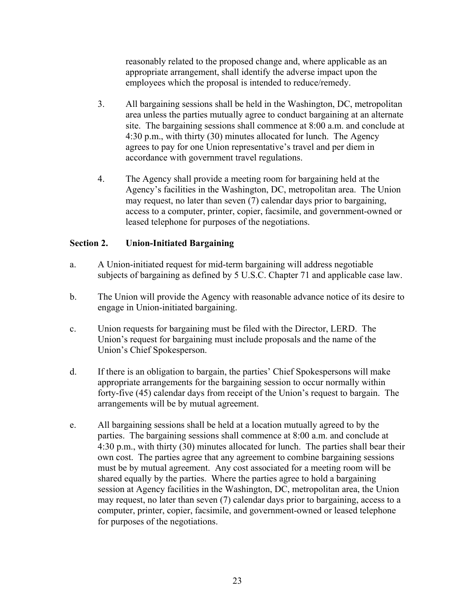reasonably related to the proposed change and, where applicable as an appropriate arrangement, shall identify the adverse impact upon the employees which the proposal is intended to reduce/remedy.

- 3. All bargaining sessions shall be held in the Washington, DC, metropolitan area unless the parties mutually agree to conduct bargaining at an alternate site. The bargaining sessions shall commence at 8:00 a.m. and conclude at 4:30 p.m., with thirty (30) minutes allocated for lunch. The Agency agrees to pay for one Union representative's travel and per diem in accordance with government travel regulations.
- 4. The Agency shall provide a meeting room for bargaining held at the Agency's facilities in the Washington, DC, metropolitan area. The Union may request, no later than seven (7) calendar days prior to bargaining, access to a computer, printer, copier, facsimile, and government-owned or leased telephone for purposes of the negotiations.

# **Section 2. Union-Initiated Bargaining**

- a. A Union-initiated request for mid-term bargaining will address negotiable subjects of bargaining as defined by 5 U.S.C. Chapter 71 and applicable case law.
- b. The Union will provide the Agency with reasonable advance notice of its desire to engage in Union-initiated bargaining.
- c. Union requests for bargaining must be filed with the Director, LERD. The Union's request for bargaining must include proposals and the name of the Union's Chief Spokesperson.
- d. If there is an obligation to bargain, the parties' Chief Spokespersons will make appropriate arrangements for the bargaining session to occur normally within forty-five (45) calendar days from receipt of the Union's request to bargain. The arrangements will be by mutual agreement.
- e. All bargaining sessions shall be held at a location mutually agreed to by the parties. The bargaining sessions shall commence at 8:00 a.m. and conclude at 4:30 p.m., with thirty (30) minutes allocated for lunch. The parties shall bear their own cost. The parties agree that any agreement to combine bargaining sessions must be by mutual agreement. Any cost associated for a meeting room will be shared equally by the parties. Where the parties agree to hold a bargaining session at Agency facilities in the Washington, DC, metropolitan area, the Union may request, no later than seven (7) calendar days prior to bargaining, access to a computer, printer, copier, facsimile, and government-owned or leased telephone for purposes of the negotiations.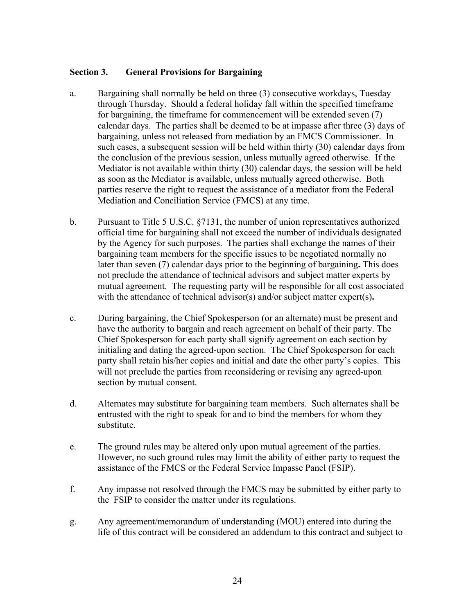#### **Section 3. General Provisions for Bargaining**

- a. Bargaining shall normally be held on three (3) consecutive workdays, Tuesday through Thursday.Should a federal holiday fall within the specified timeframe for bargaining, the timeframe for commencement will be extended seven (7) calendar days.The parties shall be deemed to be at impasse after three (3) days of bargaining, unless not released from mediation by an FMCS Commissioner.In such cases, a subsequent session will be held within thirty (30) calendar days from the conclusion of the previous session, unless mutually agreed otherwise. If the Mediator is not available within thirty (30) calendar days, the session will be held as soon as the Mediator is available, unless mutually agreed otherwise. Both parties reserve the right to request the assistance of a mediator from the Federal Mediation and Conciliation Service (FMCS) at any time.
- b. Pursuant to Title 5 U.S.C. §7131, the number of union representatives authorized official time for bargaining shall not exceed the number of individuals designated by the Agency for such purposes.The parties shall exchange the names of their bargaining team members for the specific issues to be negotiated normally no later than seven (7) calendar days prior to the beginning of bargaining**.** This does not preclude the attendance of technical advisors and subject matter experts by mutual agreement.The requesting party will be responsible for all cost associated with the attendance of technical advisor(s) and/or subject matter expert(s)**.**
- c. During bargaining, the Chief Spokesperson (or an alternate) must be present and have the authority to bargain and reach agreement on behalf of their party. The Chief Spokesperson for each party shall signify agreement on each section by initialing and dating the agreed-upon section. The Chief Spokesperson for each party shall retain his/her copies and initial and date the other party's copies. This will not preclude the parties from reconsidering or revising any agreed-upon section by mutual consent.
- d. Alternates may substitute for bargaining team members. Such alternates shall be entrusted with the right to speak for and to bind the members for whom they substitute.
- e.The ground rules may be altered only upon mutual agreement of the parties. However, no such ground rules may limit the ability of either party to request the assistance of the FMCS or the Federal Service Impasse Panel (FSIP).
- f. Any impasse not resolved through the FMCS may be submitted by either party to the FSIP to consider the matter under its regulations.
- g. Any agreement/memorandum of understanding (MOU) entered into during the life of this contract will be considered an addendum to this contract and subject to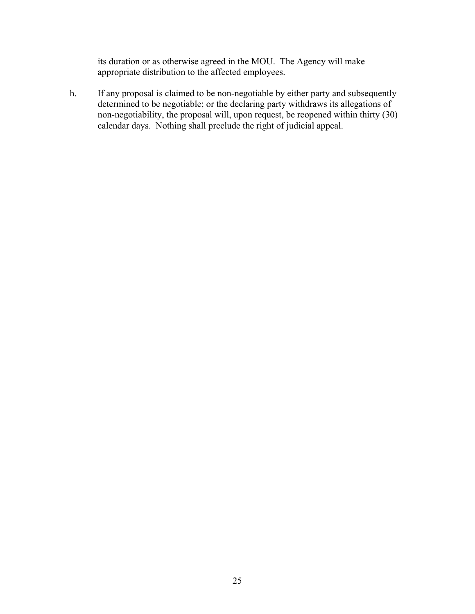its duration or as otherwise agreed in the MOU. The Agency will make appropriate distribution to the affected employees.

h. If any proposal is claimed to be non-negotiable by either party and subsequently determined to be negotiable; or the declaring party withdraws its allegations of non-negotiability, the proposal will, upon request, be reopened within thirty (30) calendar days. Nothing shall preclude the right of judicial appeal.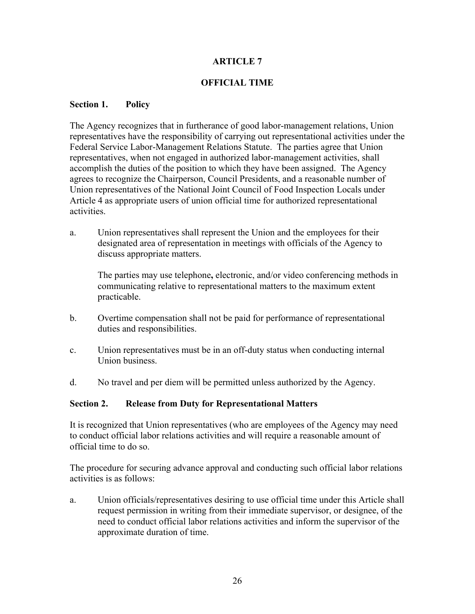## **OFFICIAL TIME**

#### **Section 1. Policy**

The Agency recognizes that in furtherance of good labor-management relations, Union representatives have the responsibility of carrying out representational activities under the Federal Service Labor-Management Relations Statute. The parties agree that Union representatives, when not engaged in authorized labor-management activities, shall accomplish the duties of the position to which they have been assigned. The Agency agrees to recognize the Chairperson, Council Presidents, and a reasonable number of Union representatives of the National Joint Council of Food Inspection Locals under Article 4 as appropriate users of union official time for authorized representational activities.

a. Union representatives shall represent the Union and the employees for their designated area of representation in meetings with officials of the Agency to discuss appropriate matters.

The parties may use telephone**,** electronic, and/or video conferencing methods in communicating relative to representational matters to the maximum extent practicable.

- b. Overtime compensation shall not be paid for performance of representational duties and responsibilities.
- c. Union representatives must be in an off-duty status when conducting internal Union business.
- d. No travel and per diem will be permitted unless authorized by the Agency.

## **Section 2. Release from Duty for Representational Matters**

It is recognized that Union representatives (who are employees of the Agency may need to conduct official labor relations activities and will require a reasonable amount of official time to do so.

The procedure for securing advance approval and conducting such official labor relations activities is as follows:

a. Union officials/representatives desiring to use official time under this Article shall request permission in writing from their immediate supervisor, or designee, of the need to conduct official labor relations activities and inform the supervisor of the approximate duration of time.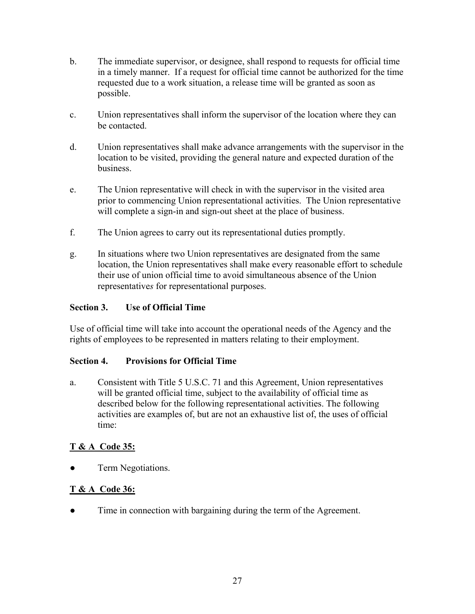- b. The immediate supervisor, or designee, shall respond to requests for official time in a timely manner. If a request for official time cannot be authorized for the time requested due to a work situation, a release time will be granted as soon as possible.
- c. Union representatives shall inform the supervisor of the location where they can be contacted.
- d. Union representatives shall make advance arrangements with the supervisor in the location to be visited, providing the general nature and expected duration of the business.
- e. The Union representative will check in with the supervisor in the visited area prior to commencing Union representational activities. The Union representative will complete a sign-in and sign-out sheet at the place of business.
- f. The Union agrees to carry out its representational duties promptly.
- g. In situations where two Union representatives are designated from the same location, the Union representatives shall make every reasonable effort to schedule their use of union official time to avoid simultaneous absence of the Union representative*s* for representational purposes.

## **Section 3. Use of Official Time**

Use of official time will take into account the operational needs of the Agency and the rights of employees to be represented in matters relating to their employment.

## **Section 4. Provisions for Official Time**

a. Consistent with Title 5 U.S.C. 71 and this Agreement, Union representatives will be granted official time, subject to the availability of official time as described below for the following representational activities. The following activities are examples of, but are not an exhaustive list of, the uses of official time:

# **T & A Code 35:**

**●** Term Negotiations.

# **T & A Code 36:**

Time in connection with bargaining during the term of the Agreement.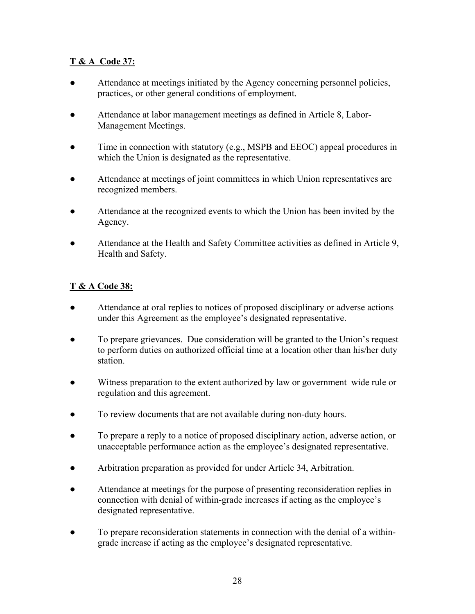# **T & A Code 37:**

- **●** Attendance at meetings initiated by the Agency concerning personnel policies, practices, or other general conditions of employment.
- Attendance at labor management meetings as defined in Article 8, Labor-Management Meetings.
- Time in connection with statutory (e.g., MSPB and EEOC) appeal procedures in which the Union is designated as the representative.
- Attendance at meetings of joint committees in which Union representatives are recognized members.
- Attendance at the recognized events to which the Union has been invited by the Agency.
- Attendance at the Health and Safety Committee activities as defined in Article 9, Health and Safety.

# **T & A Code 38:**

- Attendance at oral replies to notices of proposed disciplinary or adverse actions under this Agreement as the employee's designated representative.
- To prepare grievances. Due consideration will be granted to the Union's request to perform duties on authorized official time at a location other than his/her duty station.
- Witness preparation to the extent authorized by law or government–wide rule or regulation and this agreement.
- To review documents that are not available during non-duty hours.
- To prepare a reply to a notice of proposed disciplinary action, adverse action, or unacceptable performance action as the employee's designated representative.
- Arbitration preparation as provided for under Article 34, Arbitration.
- Attendance at meetings for the purpose of presenting reconsideration replies in connection with denial of within-grade increases if acting as the employee's designated representative.
- To prepare reconsideration statements in connection with the denial of a withingrade increase if acting as the employee's designated representative.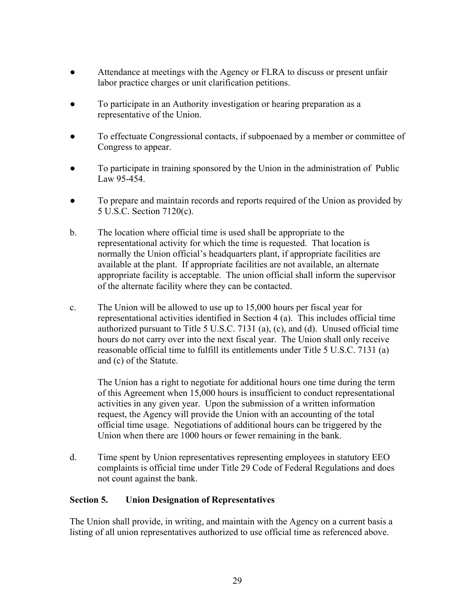- Attendance at meetings with the Agency or FLRA to discuss or present unfair labor practice charges or unit clarification petitions.
- To participate in an Authority investigation or hearing preparation as a representative of the Union.
- To effectuate Congressional contacts, if subpoenaed by a member or committee of Congress to appear.
- To participate in training sponsored by the Union in the administration of Public Law 95-454.
- To prepare and maintain records and reports required of the Union as provided by 5 U.S.C. Section 7120(c).
- b. The location where official time is used shall be appropriate to the representational activity for which the time is requested. That location is normally the Union official's headquarters plant, if appropriate facilities are available at the plant. If appropriate facilities are not available, an alternate appropriate facility is acceptable. The union official shall inform the supervisor of the alternate facility where they can be contacted.
- c. The Union will be allowed to use up to 15,000 hours per fiscal year for representational activities identified in Section 4 (a).This includes official time authorized pursuant to Title 5 U.S.C. 7131 (a), (c), and (d). Unused official time hours do not carry over into the next fiscal year. The Union shall only receive reasonable official time to fulfill its entitlements under Title 5 U.S.C. 7131 (a) and (c) of the Statute.

The Union has a right to negotiate for additional hours one time during the term of this Agreement when 15,000 hours is insufficient to conduct representational activities in any given year. Upon the submission of a written information request, the Agency will provide the Union with an accounting of the total official time usage. Negotiations of additional hours can be triggered by the Union when there are 1000 hours or fewer remaining in the bank.

d. Time spent by Union representatives representing employees in statutory EEO complaints is official time under Title 29 Code of Federal Regulations and does not count against the bank.

## **Section 5. Union Designation of Representatives**

The Union shall provide, in writing, and maintain with the Agency on a current basis a listing of all union representatives authorized to use official time as referenced above.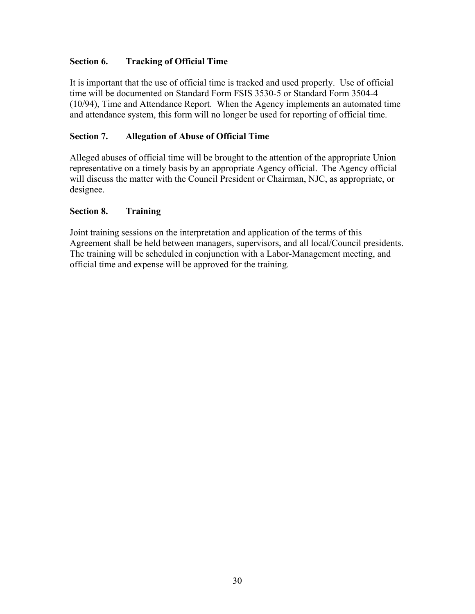# **Section 6. Tracking of Official Time**

It is important that the use of official time is tracked and used properly.Use of official time will be documented on Standard Form FSIS 3530-5 or Standard Form 3504-4 (10/94), Time and Attendance Report.When the Agency implements an automated time and attendance system, this form will no longer be used for reporting of official time.

# **Section 7. Allegation of Abuse of Official Time**

Alleged abuses of official time will be brought to the attention of the appropriate Union representative on a timely basis by an appropriate Agency official. The Agency official will discuss the matter with the Council President or Chairman, NJC, as appropriate, or designee.

## **Section 8. Training**

Joint training sessions on the interpretation and application of the terms of this Agreement shall be held between managers, supervisors, and all local/Council presidents. The training will be scheduled in conjunction with a Labor-Management meeting, and official time and expense will be approved for the training.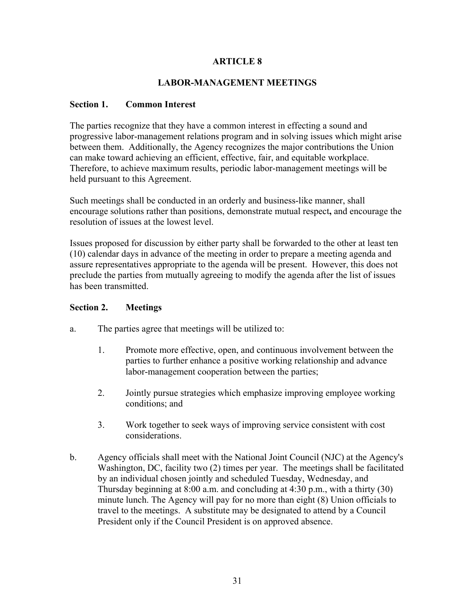## **LABOR-MANAGEMENT MEETINGS**

### **Section 1. Common Interest**

The parties recognize that they have a common interest in effecting a sound and progressive labor-management relations program and in solving issues which might arise between them. Additionally, the Agency recognizes the major contributions the Union can make toward achieving an efficient, effective, fair, and equitable workplace. Therefore, to achieve maximum results, periodic labor-management meetings will be held pursuant to this Agreement.

Such meetings shall be conducted in an orderly and business-like manner, shall encourage solutions rather than positions, demonstrate mutual respect**,** and encourage the resolution of issues at the lowest level.

Issues proposed for discussion by either party shall be forwarded to the other at least ten (10) calendar days in advance of the meeting in order to prepare a meeting agenda and assure representatives appropriate to the agenda will be present. However, this does not preclude the parties from mutually agreeing to modify the agenda after the list of issues has been transmitted.

#### **Section 2. Meetings**

- a. The parties agree that meetings will be utilized to:
	- 1. Promote more effective, open, and continuous involvement between the parties to further enhance a positive working relationship and advance labor-management cooperation between the parties;
	- 2. Jointly pursue strategies which emphasize improving employee working conditions; and
	- 3. Work together to seek ways of improving service consistent with cost considerations.
- b. Agency officials shall meet with the National Joint Council (NJC) at the Agency's Washington, DC, facility two (2) times per year. The meetings shall be facilitated by an individual chosen jointly and scheduled Tuesday, Wednesday, and Thursday beginning at 8:00 a.m. and concluding at 4:30 p.m., with a thirty (30) minute lunch. The Agency will pay for no more than eight (8) Union officials to travel to the meetings. A substitute may be designated to attend by a Council President only if the Council President is on approved absence.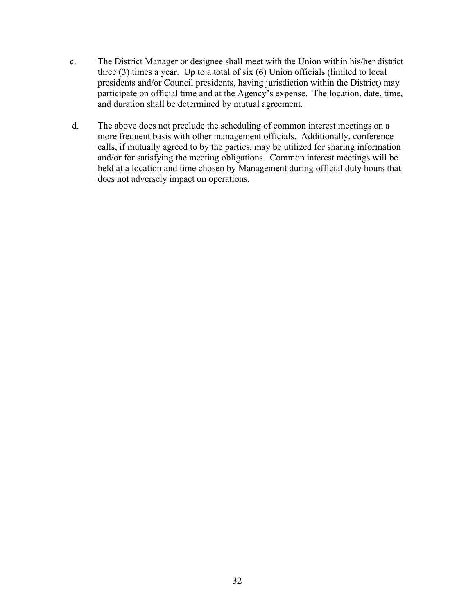- c. The District Manager or designee shall meet with the Union within his/her district three (3) times a year. Up to a total of six (6) Union officials (limited to local presidents and/or Council presidents, having jurisdiction within the District) may participate on official time and at the Agency's expense. The location, date, time, and duration shall be determined by mutual agreement.
- d. The above does not preclude the scheduling of common interest meetings on a more frequent basis with other management officials. Additionally, conference calls, if mutually agreed to by the parties, may be utilized for sharing information and/or for satisfying the meeting obligations. Common interest meetings will be held at a location and time chosen by Management during official duty hours that does not adversely impact on operations.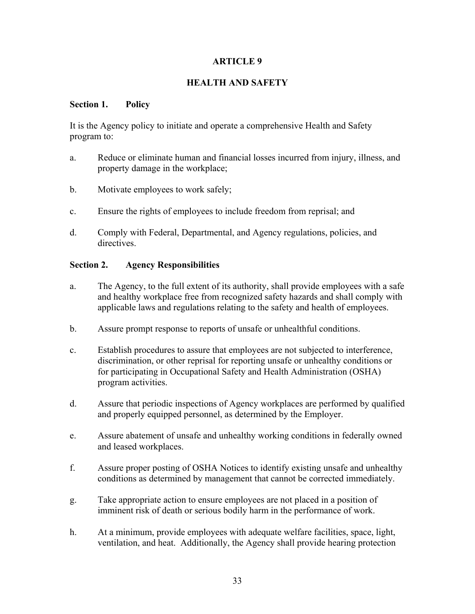# **HEALTH AND SAFETY**

### **Section 1. Policy**

It is the Agency policy to initiate and operate a comprehensive Health and Safety program to:

- a. Reduce or eliminate human and financial losses incurred from injury, illness, and property damage in the workplace;
- b. Motivate employees to work safely;
- c. Ensure the rights of employees to include freedom from reprisal; and
- d. Comply with Federal, Departmental, and Agency regulations, policies, and directives.

## **Section 2. Agency Responsibilities**

- a. The Agency, to the full extent of its authority, shall provide employees with a safe and healthy workplace free from recognized safety hazards and shall comply with applicable laws and regulations relating to the safety and health of employees.
- b. Assure prompt response to reports of unsafe or unhealthful conditions.
- c. Establish procedures to assure that employees are not subjected to interference, discrimination, or other reprisal for reporting unsafe or unhealthy conditions or for participating in Occupational Safety and Health Administration (OSHA) program activities.
- d. Assure that periodic inspections of Agency workplaces are performed by qualified and properly equipped personnel, as determined by the Employer.
- e. Assure abatement of unsafe and unhealthy working conditions in federally owned and leased workplaces.
- f. Assure proper posting of OSHA Notices to identify existing unsafe and unhealthy conditions as determined by management that cannot be corrected immediately.
- g. Take appropriate action to ensure employees are not placed in a position of imminent risk of death or serious bodily harm in the performance of work.
- h. At a minimum, provide employees with adequate welfare facilities, space, light, ventilation, and heat. Additionally, the Agency shall provide hearing protection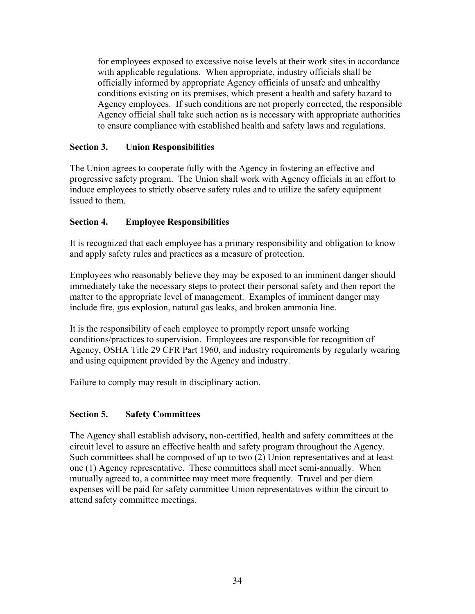for employees exposed to excessive noise levels at their work sites in accordance with applicable regulations. When appropriate, industry officials shall be officially informed by appropriate Agency officials of unsafe and unhealthy conditions existing on its premises, which present a health and safety hazard to Agency employees. If such conditions are not properly corrected, the responsible Agency official shall take such action as is necessary with appropriate authorities to ensure compliance with established health and safety laws and regulations.

## **Section 3. Union Responsibilities**

The Union agrees to cooperate fully with the Agency in fostering an effective and progressive safety program. The Union shall work with Agency officials in an effort to induce employees to strictly observe safety rules and to utilize the safety equipment issued to them.

# **Section 4. Employee Responsibilities**

It is recognized that each employee has a primary responsibility and obligation to know and apply safety rules and practices as a measure of protection.

Employees who reasonably believe they may be exposed to an imminent danger should immediately take the necessary steps to protect their personal safety and then report the matter to the appropriate level of management. Examples of imminent danger may include fire, gas explosion, natural gas leaks, and broken ammonia line.

It is the responsibility of each employee to promptly report unsafe working conditions/practices to supervision. Employees are responsible for recognition of Agency, OSHA Title 29 CFR Part 1960, and industry requirements by regularly wearing and using equipment provided by the Agency and industry.

Failure to comply may result in disciplinary action.

# **Section 5. Safety Committees**

The Agency shall establish advisory**,** non-certified, health and safety committees at the circuit level to assure an effective health and safety program throughout the Agency. Such committees shall be composed of up to two (2) Union representatives and at least one (1) Agency representative. These committees shall meet semi-annually. When mutually agreed to, a committee may meet more frequently. Travel and per diem expenses will be paid for safety committee Union representatives within the circuit to attend safety committee meetings.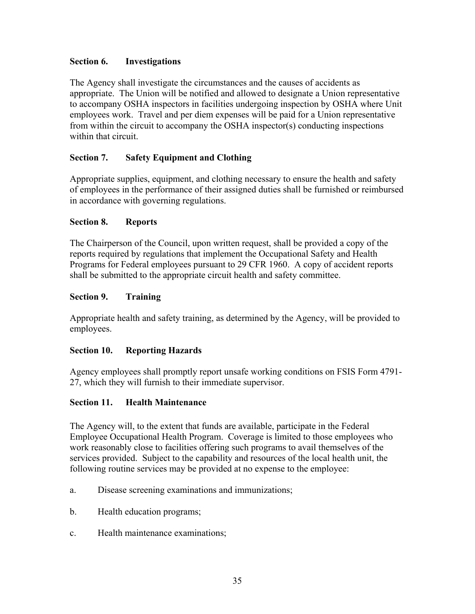# **Section 6. Investigations**

The Agency shall investigate the circumstances and the causes of accidents as appropriate. The Union will be notified and allowed to designate a Union representative to accompany OSHA inspectors in facilities undergoing inspection by OSHA where Unit employees work. Travel and per diem expenses will be paid for a Union representative from within the circuit to accompany the OSHA inspector(s) conducting inspections within that circuit.

# **Section 7. Safety Equipment and Clothing**

Appropriate supplies, equipment, and clothing necessary to ensure the health and safety of employees in the performance of their assigned duties shall be furnished or reimbursed in accordance with governing regulations.

## **Section 8. Reports**

The Chairperson of the Council, upon written request, shall be provided a copy of the reports required by regulations that implement the Occupational Safety and Health Programs for Federal employees pursuant to 29 CFR 1960. A copy of accident reports shall be submitted to the appropriate circuit health and safety committee.

## **Section 9. Training**

Appropriate health and safety training, as determined by the Agency, will be provided to employees.

## **Section 10. Reporting Hazards**

Agency employees shall promptly report unsafe working conditions on FSIS Form 4791- 27, which they will furnish to their immediate supervisor.

## **Section 11. Health Maintenance**

The Agency will, to the extent that funds are available, participate in the Federal Employee Occupational Health Program. Coverage is limited to those employees who work reasonably close to facilities offering such programs to avail themselves of the services provided. Subject to the capability and resources of the local health unit, the following routine services may be provided at no expense to the employee:

- a. Disease screening examinations and immunizations;
- b. Health education programs;
- c. Health maintenance examinations;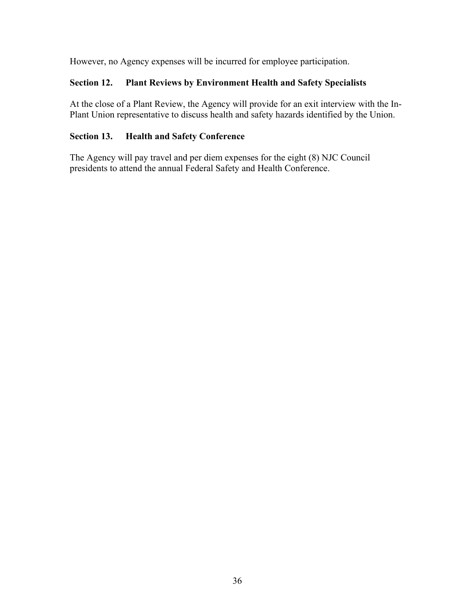However, no Agency expenses will be incurred for employee participation.

## **Section 12. Plant Reviews by Environment Health and Safety Specialists**

At the close of a Plant Review, the Agency will provide for an exit interview with the In-Plant Union representative to discuss health and safety hazards identified by the Union.

## **Section 13. Health and Safety Conference**

The Agency will pay travel and per diem expenses for the eight (8) NJC Council presidents to attend the annual Federal Safety and Health Conference.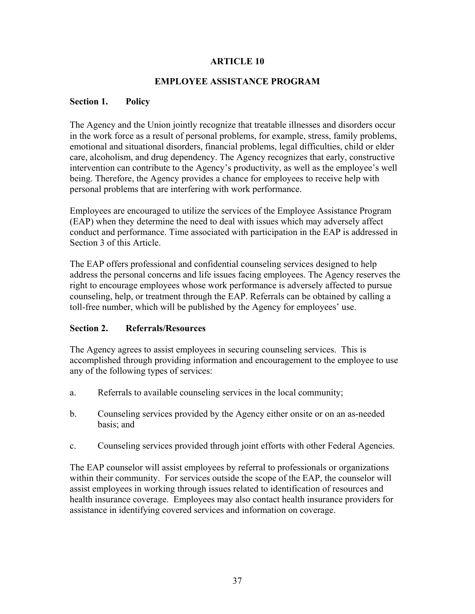#### **EMPLOYEE ASSISTANCE PROGRAM**

#### **Section 1. Policy**

The Agency and the Union jointly recognize that treatable illnesses and disorders occur in the work force as a result of personal problems, for example, stress, family problems, emotional and situational disorders, financial problems, legal difficulties, child or elder care, alcoholism, and drug dependency. The Agency recognizes that early, constructive intervention can contribute to the Agency's productivity, as well as the employee's well being. Therefore, the Agency provides a chance for employees to receive help with personal problems that are interfering with work performance.

Employees are encouraged to utilize the services of the Employee Assistance Program (EAP) when they determine the need to deal with issues which may adversely affect conduct and performance. Time associated with participation in the EAP is addressed in Section 3 of this Article.

The EAP offers professional and confidential counseling services designed to help address the personal concerns and life issues facing employees. The Agency reserves the right to encourage employees whose work performance is adversely affected to pursue counseling, help, or treatment through the EAP. Referrals can be obtained by calling a toll-free number, which will be published by the Agency for employees' use.

#### **Section 2. Referrals/Resources**

The Agency agrees to assist employees in securing counseling services. This is accomplished through providing information and encouragement to the employee to use any of the following types of services:

- a. Referrals to available counseling services in the local community;
- b. Counseling services provided by the Agency either onsite or on an as-needed basis; and
- c. Counseling services provided through joint efforts with other Federal Agencies.

The EAP counselor will assist employees by referral to professionals or organizations within their community. For services outside the scope of the EAP, the counselor will assist employees in working through issues related to identification of resources and health insurance coverage. Employees may also contact health insurance providers for assistance in identifying covered services and information on coverage.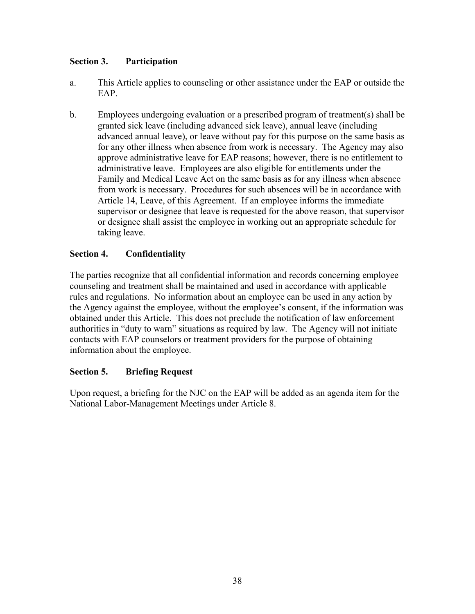## **Section 3. Participation**

- a. This Article applies to counseling or other assistance under the EAP or outside the EAP.
- b. Employees undergoing evaluation or a prescribed program of treatment(s) shall be granted sick leave (including advanced sick leave), annual leave (including advanced annual leave), or leave without pay for this purpose on the same basis as for any other illness when absence from work is necessary. The Agency may also approve administrative leave for EAP reasons; however, there is no entitlement to administrative leave. Employees are also eligible for entitlements under the Family and Medical Leave Act on the same basis as for any illness when absence from work is necessary. Procedures for such absences will be in accordance with Article 14, Leave, of this Agreement. If an employee informs the immediate supervisor or designee that leave is requested for the above reason, that supervisor or designee shall assist the employee in working out an appropriate schedule for taking leave.

## **Section 4. Confidentiality**

The parties recognize that all confidential information and records concerning employee counseling and treatment shall be maintained and used in accordance with applicable rules and regulations. No information about an employee can be used in any action by the Agency against the employee, without the employee's consent, if the information was obtained under this Article. This does not preclude the notification of law enforcement authorities in "duty to warn" situations as required by law. The Agency will not initiate contacts with EAP counselors or treatment providers for the purpose of obtaining information about the employee.

## **Section 5. Briefing Request**

Upon request, a briefing for the NJC on the EAP will be added as an agenda item for the National Labor-Management Meetings under Article 8.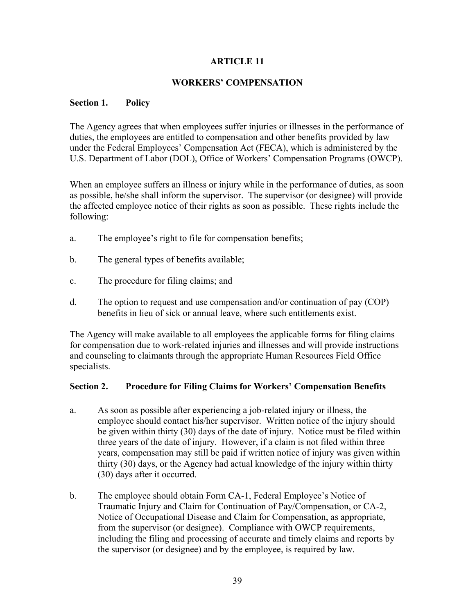#### **WORKERS' COMPENSATION**

#### **Section 1. Policy**

The Agency agrees that when employees suffer injuries or illnesses in the performance of duties, the employees are entitled to compensation and other benefits provided by law under the Federal Employees' Compensation Act (FECA), which is administered by the U.S. Department of Labor (DOL), Office of Workers' Compensation Programs (OWCP).

When an employee suffers an illness or injury while in the performance of duties, as soon as possible, he/she shall inform the supervisor. The supervisor (or designee) will provide the affected employee notice of their rights as soon as possible. These rights include the following:

- a. The employee's right to file for compensation benefits;
- b. The general types of benefits available;
- c. The procedure for filing claims; and
- d. The option to request and use compensation and/or continuation of pay (COP) benefits in lieu of sick or annual leave, where such entitlements exist.

The Agency will make available to all employees the applicable forms for filing claims for compensation due to work-related injuries and illnesses and will provide instructions and counseling to claimants through the appropriate Human Resources Field Office specialists.

#### **Section 2. Procedure for Filing Claims for Workers' Compensation Benefits**

- a. As soon as possible after experiencing a job-related injury or illness, the employee should contact his/her supervisor. Written notice of the injury should be given within thirty (30) days of the date of injury. Notice must be filed within three years of the date of injury. However, if a claim is not filed within three years, compensation may still be paid if written notice of injury was given within thirty (30) days, or the Agency had actual knowledge of the injury within thirty (30) days after it occurred.
- b. The employee should obtain Form CA-1, Federal Employee's Notice of Traumatic Injury and Claim for Continuation of Pay/Compensation, or CA-2, Notice of Occupational Disease and Claim for Compensation, as appropriate, from the supervisor (or designee). Compliance with OWCP requirements, including the filing and processing of accurate and timely claims and reports by the supervisor (or designee) and by the employee, is required by law.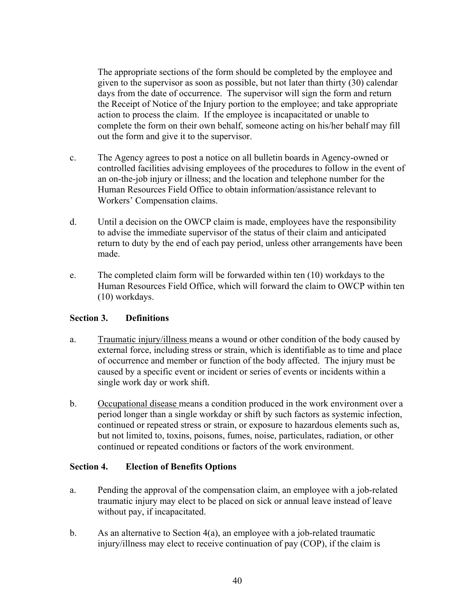The appropriate sections of the form should be completed by the employee and given to the supervisor as soon as possible, but not later than thirty (30) calendar days from the date of occurrence. The supervisor will sign the form and return the Receipt of Notice of the Injury portion to the employee; and take appropriate action to process the claim. If the employee is incapacitated or unable to complete the form on their own behalf, someone acting on his/her behalf may fill out the form and give it to the supervisor.

- c. The Agency agrees to post a notice on all bulletin boards in Agency-owned or controlled facilities advising employees of the procedures to follow in the event of an on-the-job injury or illness; and the location and telephone number for the Human Resources Field Office to obtain information/assistance relevant to Workers' Compensation claims.
- d. Until a decision on the OWCP claim is made, employees have the responsibility to advise the immediate supervisor of the status of their claim and anticipated return to duty by the end of each pay period, unless other arrangements have been made.
- e. The completed claim form will be forwarded within ten (10) workdays to the Human Resources Field Office, which will forward the claim to OWCP within ten (10) workdays.

## **Section 3. Definitions**

- a. Traumatic injury/illness means a wound or other condition of the body caused by external force, including stress or strain, which is identifiable as to time and place of occurrence and member or function of the body affected. The injury must be caused by a specific event or incident or series of events or incidents within a single work day or work shift.
- b. Occupational disease means a condition produced in the work environment over a period longer than a single workday or shift by such factors as systemic infection, continued or repeated stress or strain, or exposure to hazardous elements such as, but not limited to, toxins, poisons, fumes, noise, particulates, radiation, or other continued or repeated conditions or factors of the work environment.

## **Section 4. Election of Benefits Options**

- a. Pending the approval of the compensation claim, an employee with a job-related traumatic injury may elect to be placed on sick or annual leave instead of leave without pay, if incapacitated.
- b. As an alternative to Section 4(a), an employee with a job-related traumatic injury/illness may elect to receive continuation of pay (COP), if the claim is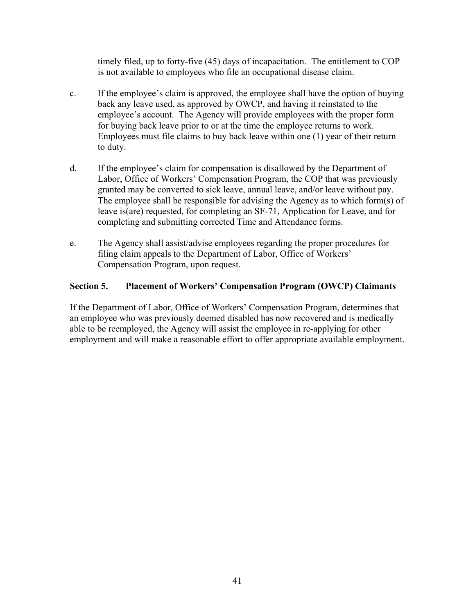timely filed, up to forty-five (45) days of incapacitation. The entitlement to COP is not available to employees who file an occupational disease claim.

- c. If the employee's claim is approved, the employee shall have the option of buying back any leave used, as approved by OWCP, and having it reinstated to the employee's account. The Agency will provide employees with the proper form for buying back leave prior to or at the time the employee returns to work. Employees must file claims to buy back leave within one (1) year of their return to duty.
- d. If the employee's claim for compensation is disallowed by the Department of Labor, Office of Workers' Compensation Program, the COP that was previously granted may be converted to sick leave, annual leave, and/or leave without pay. The employee shall be responsible for advising the Agency as to which form(s) of leave is(are) requested, for completing an SF-71, Application for Leave, and for completing and submitting corrected Time and Attendance forms.
- e. The Agency shall assist/advise employees regarding the proper procedures for filing claim appeals to the Department of Labor, Office of Workers' Compensation Program, upon request.

#### **Section 5. Placement of Workers' Compensation Program (OWCP) Claimants**

If the Department of Labor, Office of Workers' Compensation Program, determines that an employee who was previously deemed disabled has now recovered and is medically able to be reemployed, the Agency will assist the employee in re-applying for other employment and will make a reasonable effort to offer appropriate available employment.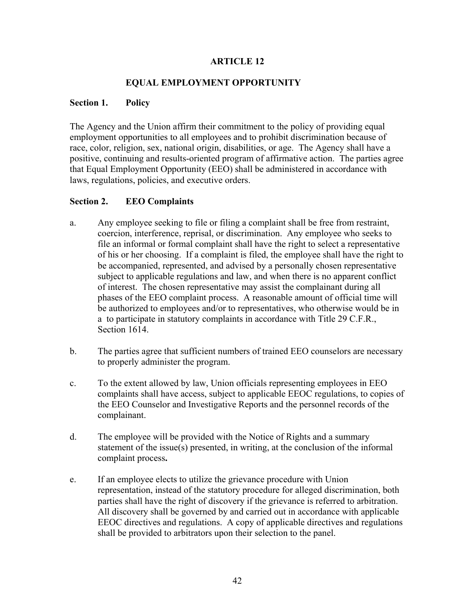## **EQUAL EMPLOYMENT OPPORTUNITY**

#### **Section 1. Policy**

The Agency and the Union affirm their commitment to the policy of providing equal employment opportunities to all employees and to prohibit discrimination because of race, color, religion, sex, national origin, disabilities, or age. The Agency shall have a positive, continuing and results-oriented program of affirmative action. The parties agree that Equal Employment Opportunity (EEO) shall be administered in accordance with laws, regulations, policies, and executive orders.

#### **Section 2. EEO Complaints**

- a. Any employee seeking to file or filing a complaint shall be free from restraint, coercion, interference, reprisal, or discrimination. Any employee who seeks to file an informal or formal complaint shall have the right to select a representative of his or her choosing. If a complaint is filed, the employee shall have the right to be accompanied, represented, and advised by a personally chosen representative subject to applicable regulations and law, and when there is no apparent conflict of interest. The chosen representative may assist the complainant during all phases of the EEO complaint process. A reasonable amount of official time will be authorized to employees and/or to representatives, who otherwise would be in a to participate in statutory complaints in accordance with Title 29 C.F.R., Section 1614.
- b. The parties agree that sufficient numbers of trained EEO counselors are necessary to properly administer the program.
- c. To the extent allowed by law, Union officials representing employees in EEO complaints shall have access, subject to applicable EEOC regulations, to copies of the EEO Counselor and Investigative Reports and the personnel records of the complainant.
- d. The employee will be provided with the Notice of Rights and a summary statement of the issue(s) presented, in writing, at the conclusion of the informal complaint process**.**
- e. If an employee elects to utilize the grievance procedure with Union representation, instead of the statutory procedure for alleged discrimination, both parties shall have the right of discovery if the grievance is referred to arbitration. All discovery shall be governed by and carried out in accordance with applicable EEOC directives and regulations. A copy of applicable directives and regulations shall be provided to arbitrators upon their selection to the panel.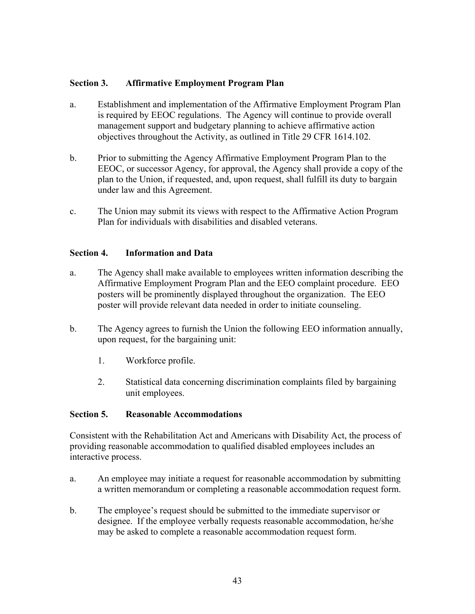## **Section 3. Affirmative Employment Program Plan**

- a. Establishment and implementation of the Affirmative Employment Program Plan is required by EEOC regulations. The Agency will continue to provide overall management support and budgetary planning to achieve affirmative action objectives throughout the Activity, as outlined in Title 29 CFR 1614.102.
- b. Prior to submitting the Agency Affirmative Employment Program Plan to the EEOC, or successor Agency, for approval, the Agency shall provide a copy of the plan to the Union, if requested, and, upon request, shall fulfill its duty to bargain under law and this Agreement.
- c. The Union may submit its views with respect to the Affirmative Action Program Plan for individuals with disabilities and disabled veterans.

#### **Section 4. Information and Data**

- a. The Agency shall make available to employees written information describing the Affirmative Employment Program Plan and the EEO complaint procedure. EEO posters will be prominently displayed throughout the organization. The EEO poster will provide relevant data needed in order to initiate counseling.
- b. The Agency agrees to furnish the Union the following EEO information annually, upon request, for the bargaining unit:
	- 1. Workforce profile.
	- 2. Statistical data concerning discrimination complaints filed by bargaining unit employees.

#### **Section 5. Reasonable Accommodations**

Consistent with the Rehabilitation Act and Americans with Disability Act, the process of providing reasonable accommodation to qualified disabled employees includes an interactive process.

- a. An employee may initiate a request for reasonable accommodation by submitting a written memorandum or completing a reasonable accommodation request form.
- b. The employee's request should be submitted to the immediate supervisor or designee. If the employee verbally requests reasonable accommodation, he/she may be asked to complete a reasonable accommodation request form.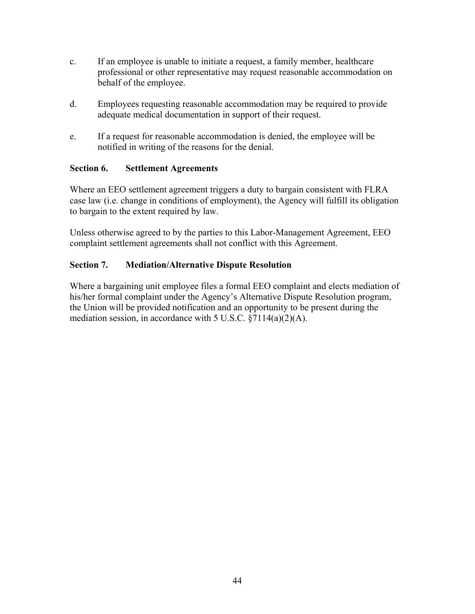- c. If an employee is unable to initiate a request, a family member, healthcare professional or other representative may request reasonable accommodation on behalf of the employee.
- d. Employees requesting reasonable accommodation may be required to provide adequate medical documentation in support of their request.
- e. If a request for reasonable accommodation is denied, the employee will be notified in writing of the reasons for the denial.

## **Section 6. Settlement Agreements**

Where an EEO settlement agreement triggers a duty to bargain consistent with FLRA case law (i.e. change in conditions of employment), the Agency will fulfill its obligation to bargain to the extent required by law.

Unless otherwise agreed to by the parties to this Labor-Management Agreement, EEO complaint settlement agreements shall not conflict with this Agreement.

## **Section 7. Mediation/Alternative Dispute Resolution**

Where a bargaining unit employee files a formal EEO complaint and elects mediation of his/her formal complaint under the Agency's Alternative Dispute Resolution program, the Union will be provided notification and an opportunity to be present during the mediation session, in accordance with 5 U.S.C.  $\S7114(a)(2)(A)$ .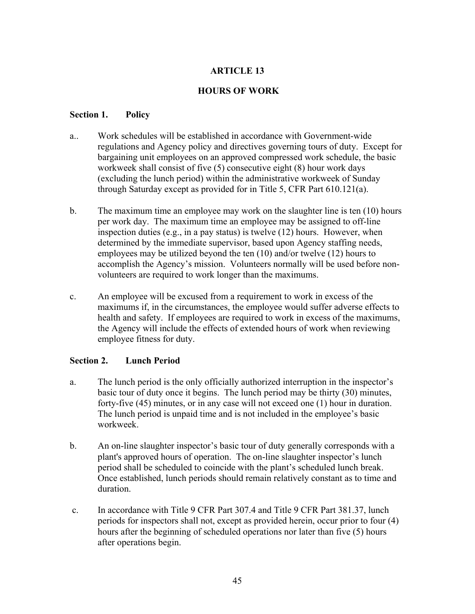#### **HOURS OF WORK**

#### **Section 1. Policy**

- a.. Work schedules will be established in accordance with Government-wide regulations and Agency policy and directives governing tours of duty. Except for bargaining unit employees on an approved compressed work schedule, the basic workweek shall consist of five (5) consecutive eight (8) hour work days (excluding the lunch period) within the administrative workweek of Sunday through Saturday except as provided for in Title 5, CFR Part 610.121(a).
- b. The maximum time an employee may work on the slaughter line is ten (10) hours per work day. The maximum time an employee may be assigned to off-line inspection duties (e.g., in a pay status) is twelve (12) hours. However, when determined by the immediate supervisor, based upon Agency staffing needs, employees may be utilized beyond the ten (10) and/or twelve (12) hours to accomplish the Agency's mission. Volunteers normally will be used before nonvolunteers are required to work longer than the maximums.
- c. An employee will be excused from a requirement to work in excess of the maximums if, in the circumstances, the employee would suffer adverse effects to health and safety. If employees are required to work in excess of the maximums, the Agency will include the effects of extended hours of work when reviewing employee fitness for duty.

#### **Section 2. Lunch Period**

- a. The lunch period is the only officially authorized interruption in the inspector's basic tour of duty once it begins. The lunch period may be thirty (30) minutes, forty-five (45) minutes, or in any case will not exceed one (1) hour in duration. The lunch period is unpaid time and is not included in the employee's basic workweek.
- b. An on-line slaughter inspector's basic tour of duty generally corresponds with a plant's approved hours of operation. The on-line slaughter inspector's lunch period shall be scheduled to coincide with the plant's scheduled lunch break. Once established, lunch periods should remain relatively constant as to time and duration.
- c. In accordance with Title 9 CFR Part 307.4 and Title 9 CFR Part 381.37, lunch periods for inspectors shall not, except as provided herein, occur prior to four (4) hours after the beginning of scheduled operations nor later than five (5) hours after operations begin.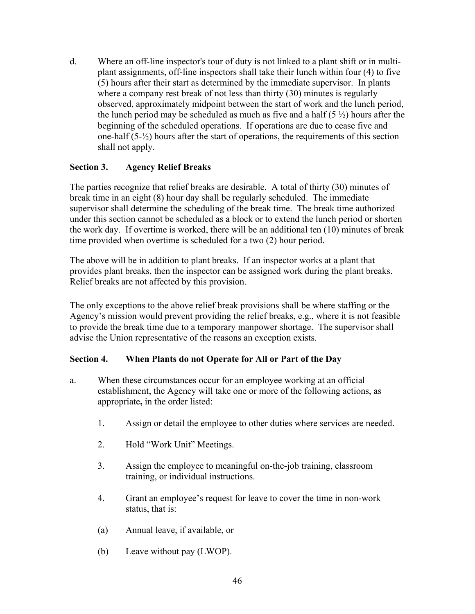d. Where an off-line inspector's tour of duty is not linked to a plant shift or in multiplant assignments, off-line inspectors shall take their lunch within four (4) to five (5) hours after their start as determined by the immediate supervisor. In plants where a company rest break of not less than thirty (30) minutes is regularly observed, approximately midpoint between the start of work and the lunch period, the lunch period may be scheduled as much as five and a half  $(5 \frac{1}{2})$  hours after the beginning of the scheduled operations. If operations are due to cease five and one-half (5-½) hours after the start of operations, the requirements of this section shall not apply.

## **Section 3. Agency Relief Breaks**

The parties recognize that relief breaks are desirable. A total of thirty (30) minutes of break time in an eight (8) hour day shall be regularly scheduled. The immediate supervisor shall determine the scheduling of the break time. The break time authorized under this section cannot be scheduled as a block or to extend the lunch period or shorten the work day. If overtime is worked, there will be an additional ten (10) minutes of break time provided when overtime is scheduled for a two (2) hour period.

The above will be in addition to plant breaks. If an inspector works at a plant that provides plant breaks, then the inspector can be assigned work during the plant breaks. Relief breaks are not affected by this provision.

The only exceptions to the above relief break provisions shall be where staffing or the Agency's mission would prevent providing the relief breaks, e.g., where it is not feasible to provide the break time due to a temporary manpower shortage. The supervisor shall advise the Union representative of the reasons an exception exists.

## **Section 4. When Plants do not Operate for All or Part of the Day**

- a. When these circumstances occur for an employee working at an official establishment, the Agency will take one or more of the following actions, as appropriate**,** in the order listed:
	- 1. Assign or detail the employee to other duties where services are needed.
	- 2. Hold "Work Unit" Meetings.
	- 3. Assign the employee to meaningful on-the-job training, classroom training, or individual instructions.
	- 4.Grant an employee's request for leave to cover the time in non-work status, that is:
	- (a) Annual leave, if available, or
	- (b) Leave without pay (LWOP).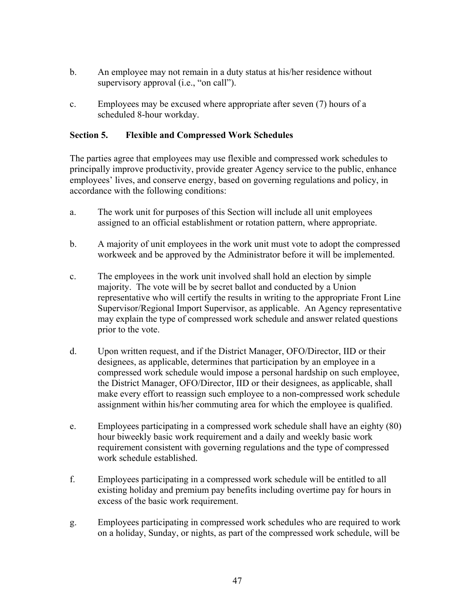- b. An employee may not remain in a duty status at his/her residence without supervisory approval (i.e., "on call").
- c. Employees may be excused where appropriate after seven (7) hours of a scheduled 8-hour workday.

### **Section 5. Flexible and Compressed Work Schedules**

The parties agree that employees may use flexible and compressed work schedules to principally improve productivity, provide greater Agency service to the public, enhance employees' lives, and conserve energy, based on governing regulations and policy, in accordance with the following conditions:

- a. The work unit for purposes of this Section will include all unit employees assigned to an official establishment or rotation pattern, where appropriate.
- b. A majority of unit employees in the work unit must vote to adopt the compressed workweek and be approved by the Administrator before it will be implemented.
- c. The employees in the work unit involved shall hold an election by simple majority. The vote will be by secret ballot and conducted by a Union representative who will certify the results in writing to the appropriate Front Line Supervisor/Regional Import Supervisor, as applicable. An Agency representative may explain the type of compressed work schedule and answer related questions prior to the vote.
- d. Upon written request, and if the District Manager, OFO/Director, IID or their designees, as applicable, determines that participation by an employee in a compressed work schedule would impose a personal hardship on such employee, the District Manager, OFO/Director, IID or their designees, as applicable, shall make every effort to reassign such employee to a non-compressed work schedule assignment within his/her commuting area for which the employee is qualified.
- e. Employees participating in a compressed work schedule shall have an eighty (80) hour biweekly basic work requirement and a daily and weekly basic work requirement consistent with governing regulations and the type of compressed work schedule established.
- f. Employees participating in a compressed work schedule will be entitled to all existing holiday and premium pay benefits including overtime pay for hours in excess of the basic work requirement.
- g. Employees participating in compressed work schedules who are required to work on a holiday, Sunday, or nights, as part of the compressed work schedule, will be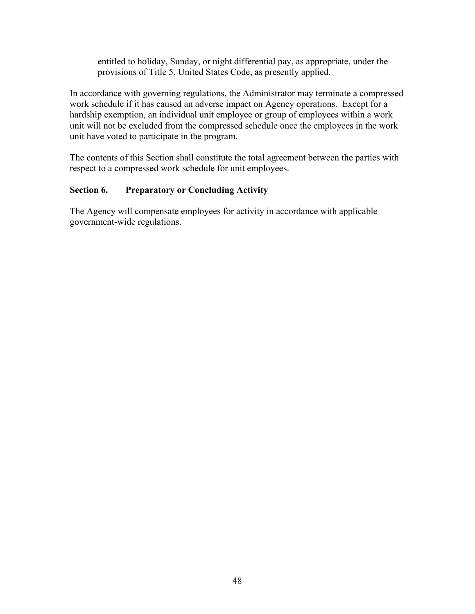entitled to holiday, Sunday, or night differential pay, as appropriate, under the provisions of Title 5, United States Code, as presently applied.

In accordance with governing regulations, the Administrator may terminate a compressed work schedule if it has caused an adverse impact on Agency operations. Except for a hardship exemption, an individual unit employee or group of employees within a work unit will not be excluded from the compressed schedule once the employees in the work unit have voted to participate in the program.

The contents of this Section shall constitute the total agreement between the parties with respect to a compressed work schedule for unit employees.

## **Section 6. Preparatory or Concluding Activity**

The Agency will compensate employees for activity in accordance with applicable government-wide regulations.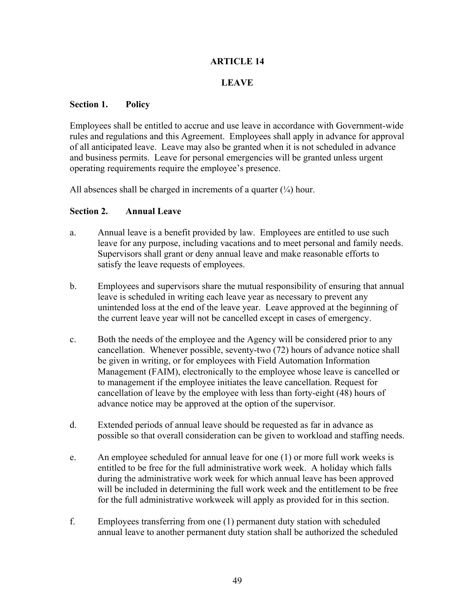## **LEAVE**

### **Section 1. Policy**

Employees shall be entitled to accrue and use leave in accordance with Government-wide rules and regulations and this Agreement. Employees shall apply in advance for approval of all anticipated leave. Leave may also be granted when it is not scheduled in advance and business permits. Leave for personal emergencies will be granted unless urgent operating requirements require the employee's presence.

All absences shall be charged in increments of a quarter  $(\frac{1}{4})$  hour.

## **Section 2. Annual Leave**

- a. Annual leave is a benefit provided by law. Employees are entitled to use such leave for any purpose, including vacations and to meet personal and family needs. Supervisors shall grant or deny annual leave and make reasonable efforts to satisfy the leave requests of employees.
- b. Employees and supervisors share the mutual responsibility of ensuring that annual leave is scheduled in writing each leave year as necessary to prevent any unintended loss at the end of the leave year. Leave approved at the beginning of the current leave year will not be cancelled except in cases of emergency.
- c. Both the needs of the employee and the Agency will be considered prior to any cancellation. Whenever possible, seventy-two (72) hours of advance notice shall be given in writing, or for employees with Field Automation Information Management (FAIM), electronically to the employee whose leave is cancelled or to management if the employee initiates the leave cancellation. Request for cancellation of leave by the employee with less than forty-eight (48) hours of advance notice may be approved at the option of the supervisor.
- d. Extended periods of annual leave should be requested as far in advance as possible so that overall consideration can be given to workload and staffing needs.
- e. An employee scheduled for annual leave for one (1) or more full work weeks is entitled to be free for the full administrative work week. A holiday which falls during the administrative work week for which annual leave has been approved will be included in determining the full work week and the entitlement to be free for the full administrative workweek will apply as provided for in this section.
- f. Employees transferring from one (1) permanent duty station with scheduled annual leave to another permanent duty station shall be authorized the scheduled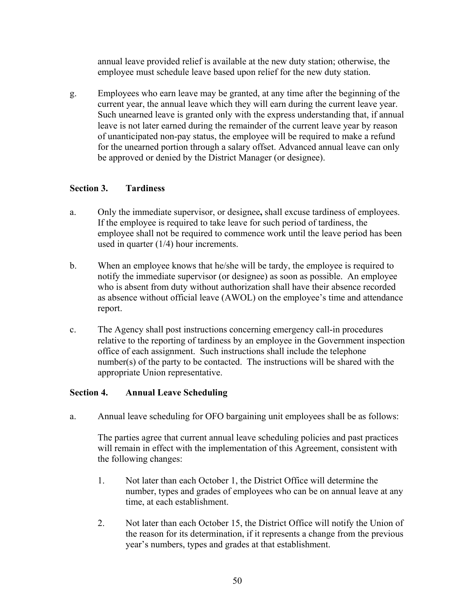annual leave provided relief is available at the new duty station; otherwise, the employee must schedule leave based upon relief for the new duty station.

g. Employees who earn leave may be granted, at any time after the beginning of the current year, the annual leave which they will earn during the current leave year. Such unearned leave is granted only with the express understanding that, if annual leave is not later earned during the remainder of the current leave year by reason of unanticipated non-pay status, the employee will be required to make a refund for the unearned portion through a salary offset. Advanced annual leave can only be approved or denied by the District Manager (or designee).

## **Section 3. Tardiness**

- a. Only the immediate supervisor, or designee**,** shall excuse tardiness of employees. If the employee is required to take leave for such period of tardiness, the employee shall not be required to commence work until the leave period has been used in quarter (1/4) hour increments.
- b. When an employee knows that he/she will be tardy, the employee is required to notify the immediate supervisor (or designee) as soon as possible. An employee who is absent from duty without authorization shall have their absence recorded as absence without official leave (AWOL) on the employee's time and attendance report.
- c. The Agency shall post instructions concerning emergency call-in procedures relative to the reporting of tardiness by an employee in the Government inspection office of each assignment. Such instructions shall include the telephone number(s) of the party to be contacted. The instructions will be shared with the appropriate Union representative.

## **Section 4. Annual Leave Scheduling**

a. Annual leave scheduling for OFO bargaining unit employees shall be as follows:

The parties agree that current annual leave scheduling policies and past practices will remain in effect with the implementation of this Agreement, consistent with the following changes:

- 1. Not later than each October 1, the District Office will determine the number, types and grades of employees who can be on annual leave at any time, at each establishment.
- 2. Not later than each October 15, the District Office will notify the Union of the reason for its determination, if it represents a change from the previous year's numbers, types and grades at that establishment.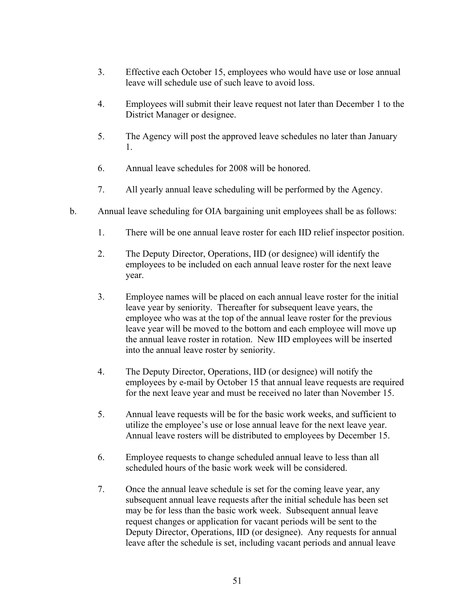- 3. Effective each October 15, employees who would have use or lose annual leave will schedule use of such leave to avoid loss.
- 4. Employees will submit their leave request not later than December 1 to the District Manager or designee.
- 5. The Agency will post the approved leave schedules no later than January 1.
- 6. Annual leave schedules for 2008 will be honored.
- 7. All yearly annual leave scheduling will be performed by the Agency.
- b. Annual leave scheduling for OIA bargaining unit employees shall be as follows:
	- 1. There will be one annual leave roster for each IID relief inspector position.
	- 2. The Deputy Director, Operations, IID (or designee) will identify the employees to be included on each annual leave roster for the next leave year.
	- 3. Employee names will be placed on each annual leave roster for the initial leave year by seniority. Thereafter for subsequent leave years, the employee who was at the top of the annual leave roster for the previous leave year will be moved to the bottom and each employee will move up the annual leave roster in rotation. New IID employees will be inserted into the annual leave roster by seniority.
	- 4. The Deputy Director, Operations, IID (or designee) will notify the employees by e-mail by October 15 that annual leave requests are required for the next leave year and must be received no later than November 15.
	- 5. Annual leave requests will be for the basic work weeks, and sufficient to utilize the employee's use or lose annual leave for the next leave year. Annual leave rosters will be distributed to employees by December 15.
	- 6. Employee requests to change scheduled annual leave to less than all scheduled hours of the basic work week will be considered.
	- 7. Once the annual leave schedule is set for the coming leave year, any subsequent annual leave requests after the initial schedule has been set may be for less than the basic work week. Subsequent annual leave request changes or application for vacant periods will be sent to the Deputy Director, Operations, IID (or designee). Any requests for annual leave after the schedule is set, including vacant periods and annual leave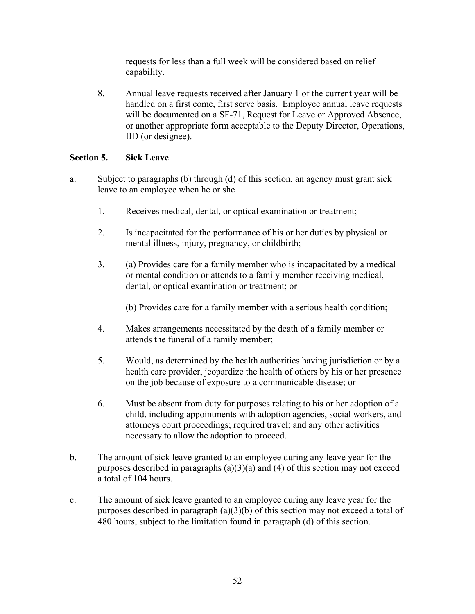requests for less than a full week will be considered based on relief capability.

8. Annual leave requests received after January 1 of the current year will be handled on a first come, first serve basis. Employee annual leave requests will be documented on a SF-71, Request for Leave or Approved Absence, or another appropriate form acceptable to the Deputy Director, Operations, IID (or designee).

## **Section 5. Sick Leave**

- a. Subject to paragraphs (b) through (d) of this section, an agency must grant sick leave to an employee when he or she—
	- 1. Receives medical, dental, or optical examination or treatment;
	- 2. Is incapacitated for the performance of his or her duties by physical or mental illness, injury, pregnancy, or childbirth;
	- 3. (a) Provides care for a family member who is incapacitated by a medical or mental condition or attends to a family member receiving medical, dental, or optical examination or treatment; or

(b) Provides care for a family member with a serious health condition;

- 4. Makes arrangements necessitated by the death of a family member or attends the funeral of a family member;
- 5. Would, as determined by the health authorities having jurisdiction or by a health care provider, jeopardize the health of others by his or her presence on the job because of exposure to a communicable disease; or
- 6. Must be absent from duty for purposes relating to his or her adoption of a child, including appointments with adoption agencies, social workers, and attorneys court proceedings; required travel; and any other activities necessary to allow the adoption to proceed.
- b. The amount of sick leave granted to an employee during any leave year for the purposes described in paragraphs  $(a)(3)(a)$  and  $(4)$  of this section may not exceed a total of 104 hours.
- c. The amount of sick leave granted to an employee during any leave year for the purposes described in paragraph (a)(3)(b) of this section may not exceed a total of 480 hours, subject to the limitation found in paragraph (d) of this section.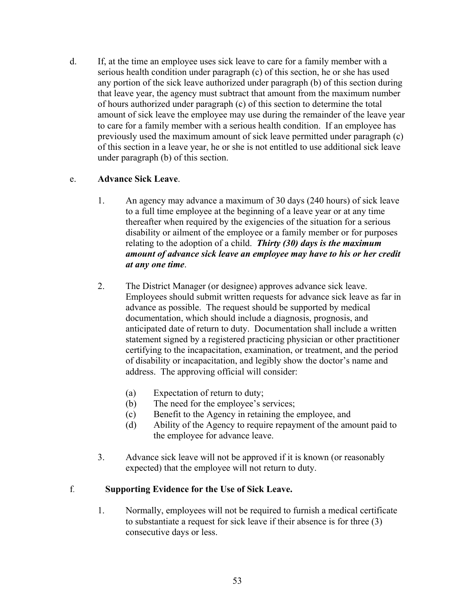d. If, at the time an employee uses sick leave to care for a family member with a serious health condition under paragraph (c) of this section, he or she has used any portion of the sick leave authorized under paragraph (b) of this section during that leave year, the agency must subtract that amount from the maximum number of hours authorized under paragraph (c) of this section to determine the total amount of sick leave the employee may use during the remainder of the leave year to care for a family member with a serious health condition. If an employee has previously used the maximum amount of sick leave permitted under paragraph (c) of this section in a leave year, he or she is not entitled to use additional sick leave under paragraph (b) of this section.

## e. **Advance Sick Leave**.

- 1. An agency may advance a maximum of 30 days (240 hours) of sick leave to a full time employee at the beginning of a leave year or at any time thereafter when required by the exigencies of the situation for a serious disability or ailment of the employee or a family member or for purposes relating to the adoption of a child. *Thirty (30) days is the maximum amount of advance sick leave an employee may have to his or her credit at any one time*.
- 2. The District Manager (or designee) approves advance sick leave. Employees should submit written requests for advance sick leave as far in advance as possible. The request should be supported by medical documentation, which should include a diagnosis, prognosis, and anticipated date of return to duty. Documentation shall include a written statement signed by a registered practicing physician or other practitioner certifying to the incapacitation, examination, or treatment, and the period of disability or incapacitation, and legibly show the doctor's name and address. The approving official will consider:
	- (a) Expectation of return to duty;
	- (b) The need for the employee's services;
	- (c) Benefit to the Agency in retaining the employee, and
	- (d) Ability of the Agency to require repayment of the amount paid to the employee for advance leave.
- 3. Advance sick leave will not be approved if it is known (or reasonably expected) that the employee will not return to duty.

## f. **Supporting Evidence for the Use of Sick Leave.**

1. Normally, employees will not be required to furnish a medical certificate to substantiate a request for sick leave if their absence is for three (3) consecutive days or less.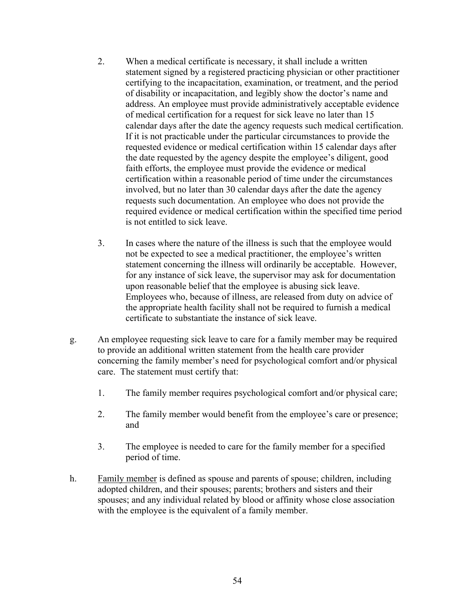- 2. When a medical certificate is necessary, it shall include a written statement signed by a registered practicing physician or other practitioner certifying to the incapacitation, examination, or treatment, and the period of disability or incapacitation, and legibly show the doctor's name and address. An employee must provide administratively acceptable evidence of medical certification for a request for sick leave no later than 15 calendar days after the date the agency requests such medical certification. If it is not practicable under the particular circumstances to provide the requested evidence or medical certification within 15 calendar days after the date requested by the agency despite the employee's diligent, good faith efforts, the employee must provide the evidence or medical certification within a reasonable period of time under the circumstances involved, but no later than 30 calendar days after the date the agency requests such documentation. An employee who does not provide the required evidence or medical certification within the specified time period is not entitled to sick leave.
- 3. In cases where the nature of the illness is such that the employee would not be expected to see a medical practitioner, the employee's written statement concerning the illness will ordinarily be acceptable. However, for any instance of sick leave, the supervisor may ask for documentation upon reasonable belief that the employee is abusing sick leave. Employees who, because of illness, are released from duty on advice of the appropriate health facility shall not be required to furnish a medical certificate to substantiate the instance of sick leave.
- g. An employee requesting sick leave to care for a family member may be required to provide an additional written statement from the health care provider concerning the family member's need for psychological comfort and/or physical care. The statement must certify that:
	- 1. The family member requires psychological comfort and/or physical care;
	- 2. The family member would benefit from the employee's care or presence; and
	- 3. The employee is needed to care for the family member for a specified period of time.
- h. Family member is defined as spouse and parents of spouse; children, including adopted children, and their spouses; parents; brothers and sisters and their spouses; and any individual related by blood or affinity whose close association with the employee is the equivalent of a family member.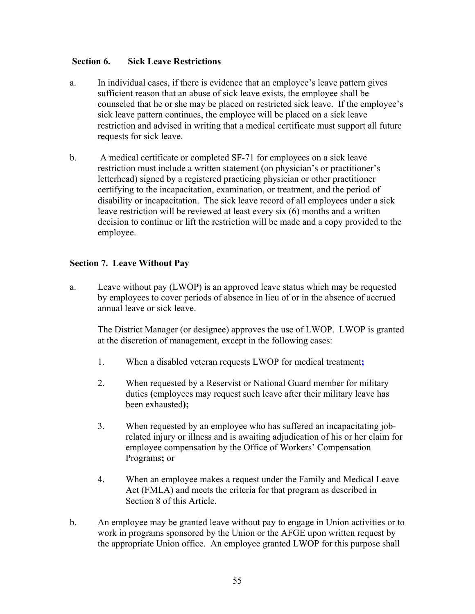#### **Section 6. Sick Leave Restrictions**

- a. In individual cases, if there is evidence that an employee's leave pattern gives sufficient reason that an abuse of sick leave exists, the employee shall be counseled that he or she may be placed on restricted sick leave. If the employee's sick leave pattern continues, the employee will be placed on a sick leave restriction and advised in writing that a medical certificate must support all future requests for sick leave.
- b. A medical certificate or completed SF-71 for employees on a sick leave restriction must include a written statement (on physician's or practitioner's letterhead) signed by a registered practicing physician or other practitioner certifying to the incapacitation, examination, or treatment, and the period of disability or incapacitation. The sick leave record of all employees under a sick leave restriction will be reviewed at least every six (6) months and a written decision to continue or lift the restriction will be made and a copy provided to the employee.

## **Section 7. Leave Without Pay**

a. Leave without pay (LWOP) is an approved leave status which may be requested by employees to cover periods of absence in lieu of or in the absence of accrued annual leave or sick leave.

 The District Manager (or designee) approves the use of LWOP. LWOP is granted at the discretion of management, except in the following cases:

- 1. When a disabled veteran requests LWOP for medical treatment**;**
- 2. When requested by a Reservist or National Guard member for military duties **(**employees may request such leave after their military leave has been exhausted**);**
- 3. When requested by an employee who has suffered an incapacitating jobrelated injury or illness and is awaiting adjudication of his or her claim for employee compensation by the Office of Workers' Compensation Programs**;** or
- 4. When an employee makes a request under the Family and Medical Leave Act (FMLA) and meets the criteria for that program as described in Section 8 of this Article.
- b. An employee may be granted leave without pay to engage in Union activities or to work in programs sponsored by the Union or the AFGE upon written request by the appropriate Union office. An employee granted LWOP for this purpose shall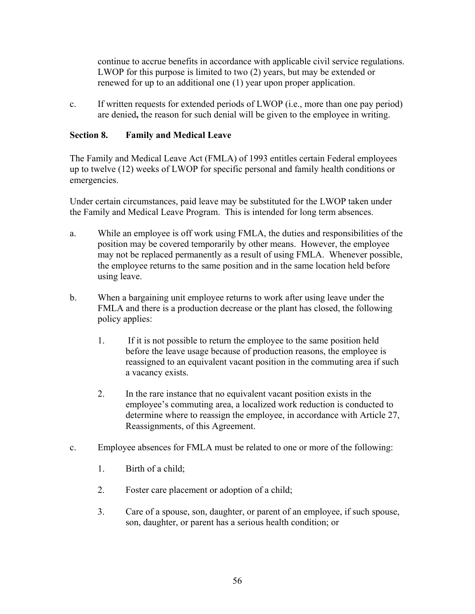continue to accrue benefits in accordance with applicable civil service regulations. LWOP for this purpose is limited to two (2) years, but may be extended or renewed for up to an additional one (1) year upon proper application.

c. If written requests for extended periods of LWOP (i.e., more than one pay period) are denied**,** the reason for such denial will be given to the employee in writing.

## **Section 8. Family and Medical Leave**

The Family and Medical Leave Act (FMLA) of 1993 entitles certain Federal employees up to twelve (12) weeks of LWOP for specific personal and family health conditions or emergencies.

Under certain circumstances, paid leave may be substituted for the LWOP taken under the Family and Medical Leave Program. This is intended for long term absences.

- a. While an employee is off work using FMLA, the duties and responsibilities of the position may be covered temporarily by other means. However, the employee may not be replaced permanently as a result of using FMLA. Whenever possible, the employee returns to the same position and in the same location held before using leave.
- b. When a bargaining unit employee returns to work after using leave under the FMLA and there is a production decrease or the plant has closed, the following policy applies:
	- 1. If it is not possible to return the employee to the same position held before the leave usage because of production reasons, the employee is reassigned to an equivalent vacant position in the commuting area if such a vacancy exists.
	- 2. In the rare instance that no equivalent vacant position exists in the employee's commuting area, a localized work reduction is conducted to determine where to reassign the employee, in accordance with Article 27, Reassignments, of this Agreement.
- c. Employee absences for FMLA must be related to one or more of the following:
	- 1. Birth of a child;
	- 2. Foster care placement or adoption of a child;
	- 3. Care of a spouse, son, daughter, or parent of an employee, if such spouse, son, daughter, or parent has a serious health condition; or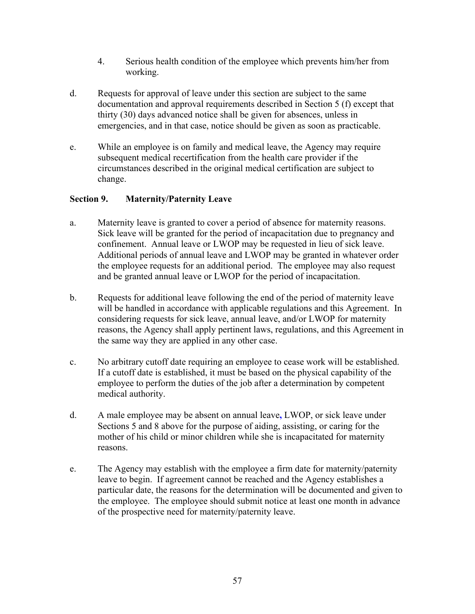- 4. Serious health condition of the employee which prevents him/her from working.
- d. Requests for approval of leave under this section are subject to the same documentation and approval requirements described in Section 5 (f) except that thirty (30) days advanced notice shall be given for absences, unless in emergencies, and in that case, notice should be given as soon as practicable.
- e. While an employee is on family and medical leave, the Agency may require subsequent medical recertification from the health care provider if the circumstances described in the original medical certification are subject to change.

## **Section 9. Maternity/Paternity Leave**

- a. Maternity leave is granted to cover a period of absence for maternity reasons. Sick leave will be granted for the period of incapacitation due to pregnancy and confinement. Annual leave or LWOP may be requested in lieu of sick leave. Additional periods of annual leave and LWOP may be granted in whatever order the employee requests for an additional period. The employee may also request and be granted annual leave or LWOP for the period of incapacitation.
- b. Requests for additional leave following the end of the period of maternity leave will be handled in accordance with applicable regulations and this Agreement. In considering requests for sick leave, annual leave, and/or LWOP for maternity reasons, the Agency shall apply pertinent laws, regulations, and this Agreement in the same way they are applied in any other case.
- c. No arbitrary cutoff date requiring an employee to cease work will be established. If a cutoff date is established, it must be based on the physical capability of the employee to perform the duties of the job after a determination by competent medical authority.
- d. A male employee may be absent on annual leave**,** LWOP, or sick leave under Sections 5 and 8 above for the purpose of aiding, assisting, or caring for the mother of his child or minor children while she is incapacitated for maternity reasons.
- e. The Agency may establish with the employee a firm date for maternity/paternity leave to begin. If agreement cannot be reached and the Agency establishes a particular date, the reasons for the determination will be documented and given to the employee. The employee should submit notice at least one month in advance of the prospective need for maternity/paternity leave.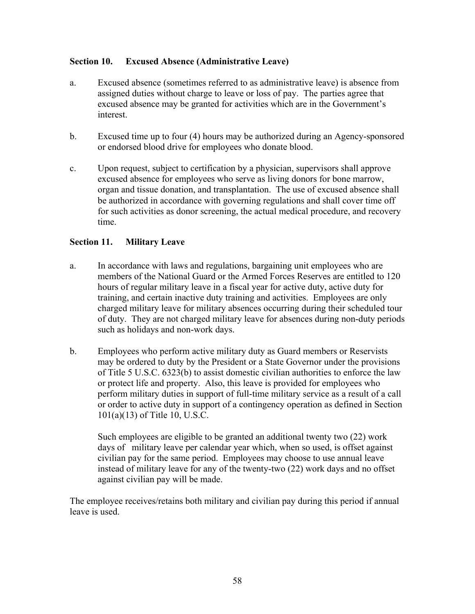### **Section 10. Excused Absence (Administrative Leave)**

- a. Excused absence (sometimes referred to as administrative leave) is absence from assigned duties without charge to leave or loss of pay. The parties agree that excused absence may be granted for activities which are in the Government's interest.
- b. Excused time up to four (4) hours may be authorized during an Agency-sponsored or endorsed blood drive for employees who donate blood.
- c. Upon request, subject to certification by a physician, supervisors shall approve excused absence for employees who serve as living donors for bone marrow, organ and tissue donation, and transplantation. The use of excused absence shall be authorized in accordance with governing regulations and shall cover time off for such activities as donor screening, the actual medical procedure, and recovery time.

#### **Section 11. Military Leave**

- a. In accordance with laws and regulations, bargaining unit employees who are members of the National Guard or the Armed Forces Reserves are entitled to 120 hours of regular military leave in a fiscal year for active duty, active duty for training, and certain inactive duty training and activities. Employees are only charged military leave for military absences occurring during their scheduled tour of duty. They are not charged military leave for absences during non-duty periods such as holidays and non-work days.
- b. Employees who perform active military duty as Guard members or Reservists may be ordered to duty by the President or a State Governor under the provisions of Title 5 U.S.C. 6323(b) to assist domestic civilian authorities to enforce the law or protect life and property. Also, this leave is provided for employees who perform military duties in support of full-time military service as a result of a call or order to active duty in support of a contingency operation as defined in Section 101(a)(13) of Title 10, U.S.C.

Such employees are eligible to be granted an additional twenty two (22) work days of military leave per calendar year which, when so used, is offset against civilian pay for the same period. Employees may choose to use annual leave instead of military leave for any of the twenty-two (22) work days and no offset against civilian pay will be made.

The employee receives/retains both military and civilian pay during this period if annual leave is used.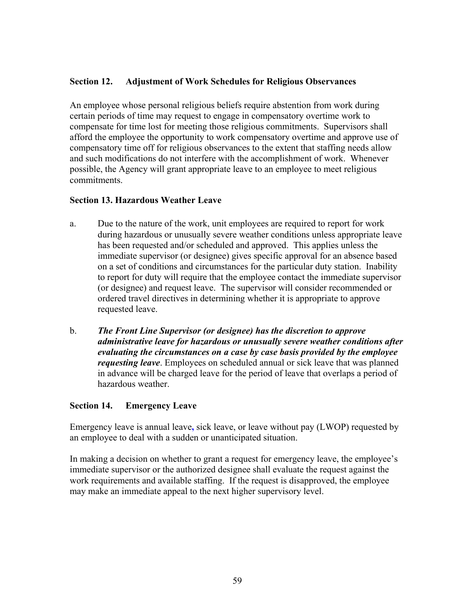## **Section 12. Adjustment of Work Schedules for Religious Observances**

An employee whose personal religious beliefs require abstention from work during certain periods of time may request to engage in compensatory overtime work to compensate for time lost for meeting those religious commitments. Supervisors shall afford the employee the opportunity to work compensatory overtime and approve use of compensatory time off for religious observances to the extent that staffing needs allow and such modifications do not interfere with the accomplishment of work. Whenever possible, the Agency will grant appropriate leave to an employee to meet religious commitments.

#### **Section 13. Hazardous Weather Leave**

- a. Due to the nature of the work, unit employees are required to report for work during hazardous or unusually severe weather conditions unless appropriate leave has been requested and/or scheduled and approved. This applies unless the immediate supervisor (or designee) gives specific approval for an absence based on a set of conditions and circumstances for the particular duty station. Inability to report for duty will require that the employee contact the immediate supervisor (or designee) and request leave. The supervisor will consider recommended or ordered travel directives in determining whether it is appropriate to approve requested leave.
- b. *The Front Line Supervisor (or designee) has the discretion to approve administrative leave for hazardous or unusually severe weather conditions after evaluating the circumstances on a case by case basis provided by the employee requesting leave*. Employees on scheduled annual or sick leave that was planned in advance will be charged leave for the period of leave that overlaps a period of hazardous weather.

#### **Section 14. Emergency Leave**

Emergency leave is annual leave**,** sick leave, or leave without pay (LWOP) requested by an employee to deal with a sudden or unanticipated situation.

In making a decision on whether to grant a request for emergency leave, the employee's immediate supervisor or the authorized designee shall evaluate the request against the work requirements and available staffing. If the request is disapproved, the employee may make an immediate appeal to the next higher supervisory level.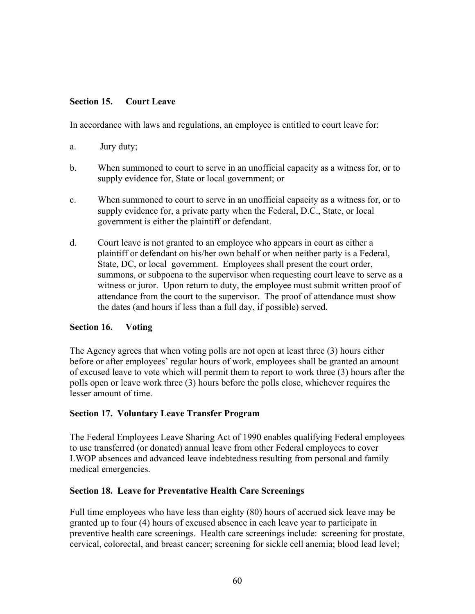## **Section 15. Court Leave**

In accordance with laws and regulations, an employee is entitled to court leave for:

- a. Jury duty;
- b. When summoned to court to serve in an unofficial capacity as a witness for, or to supply evidence for, State or local government; or
- c. When summoned to court to serve in an unofficial capacity as a witness for, or to supply evidence for, a private party when the Federal, D.C., State, or local government is either the plaintiff or defendant.
- d. Court leave is not granted to an employee who appears in court as either a plaintiff or defendant on his/her own behalf or when neither party is a Federal, State, DC, or local government. Employees shall present the court order, summons, or subpoena to the supervisor when requesting court leave to serve as a witness or juror. Upon return to duty, the employee must submit written proof of attendance from the court to the supervisor. The proof of attendance must show the dates (and hours if less than a full day, if possible) served.

## **Section 16. Voting**

The Agency agrees that when voting polls are not open at least three (3) hours either before or after employees' regular hours of work, employees shall be granted an amount of excused leave to vote which will permit them to report to work three (3) hours after the polls open or leave work three (3) hours before the polls close, whichever requires the lesser amount of time.

## **Section 17. Voluntary Leave Transfer Program**

The Federal Employees Leave Sharing Act of 1990 enables qualifying Federal employees to use transferred (or donated) annual leave from other Federal employees to cover LWOP absences and advanced leave indebtedness resulting from personal and family medical emergencies.

#### **Section 18. Leave for Preventative Health Care Screenings**

Full time employees who have less than eighty (80) hours of accrued sick leave may be granted up to four (4) hours of excused absence in each leave year to participate in preventive health care screenings. Health care screenings include: screening for prostate, cervical, colorectal, and breast cancer; screening for sickle cell anemia; blood lead level;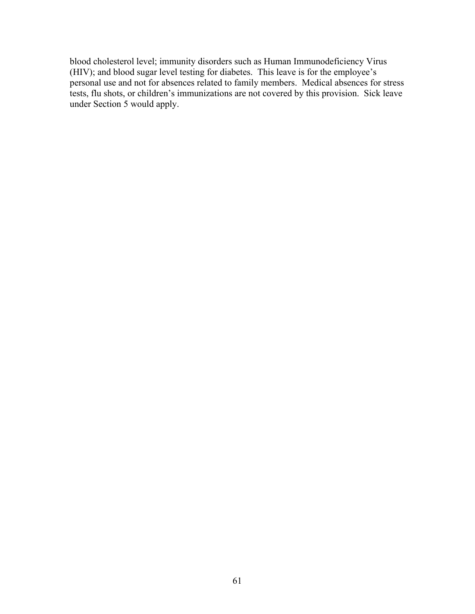blood cholesterol level; immunity disorders such as Human Immunodeficiency Virus (HIV); and blood sugar level testing for diabetes. This leave is for the employee's personal use and not for absences related to family members. Medical absences for stress tests, flu shots, or children's immunizations are not covered by this provision. Sick leave under Section 5 would apply.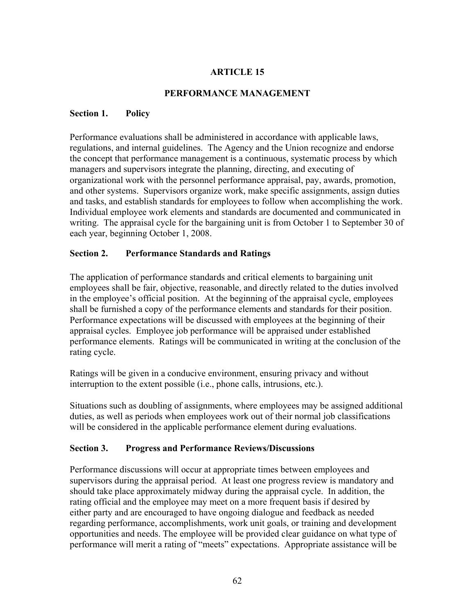#### **PERFORMANCE MANAGEMENT**

#### **Section 1. Policy**

Performance evaluations shall be administered in accordance with applicable laws, regulations, and internal guidelines. The Agency and the Union recognize and endorse the concept that performance management is a continuous, systematic process by which managers and supervisors integrate the planning, directing, and executing of organizational work with the personnel performance appraisal, pay, awards, promotion, and other systems. Supervisors organize work, make specific assignments, assign duties and tasks, and establish standards for employees to follow when accomplishing the work. Individual employee work elements and standards are documented and communicated in writing. The appraisal cycle for the bargaining unit is from October 1 to September 30 of each year, beginning October 1, 2008.

#### **Section 2. Performance Standards and Ratings**

The application of performance standards and critical elements to bargaining unit employees shall be fair, objective, reasonable, and directly related to the duties involved in the employee's official position. At the beginning of the appraisal cycle, employees shall be furnished a copy of the performance elements and standards for their position. Performance expectations will be discussed with employees at the beginning of their appraisal cycles. Employee job performance will be appraised under established performance elements. Ratings will be communicated in writing at the conclusion of the rating cycle.

Ratings will be given in a conducive environment, ensuring privacy and without interruption to the extent possible (i.e., phone calls, intrusions, etc.).

Situations such as doubling of assignments, where employees may be assigned additional duties, as well as periods when employees work out of their normal job classifications will be considered in the applicable performance element during evaluations.

## **Section 3. Progress and Performance Reviews/Discussions**

Performance discussions will occur at appropriate times between employees and supervisors during the appraisal period. At least one progress review is mandatory and should take place approximately midway during the appraisal cycle. In addition, the rating official and the employee may meet on a more frequent basis if desired by either party and are encouraged to have ongoing dialogue and feedback as needed regarding performance, accomplishments, work unit goals, or training and development opportunities and needs. The employee will be provided clear guidance on what type of performance will merit a rating of "meets" expectations. Appropriate assistance will be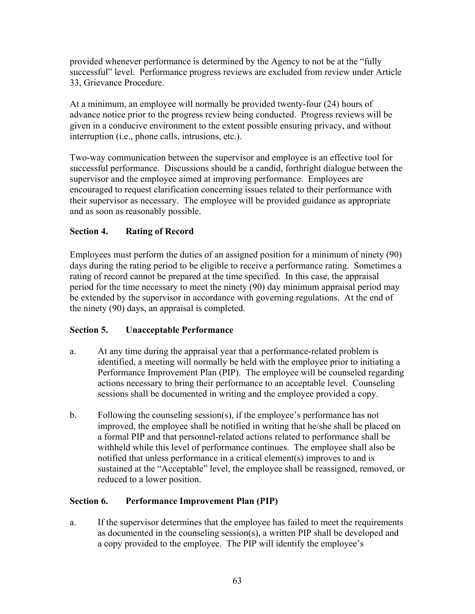provided whenever performance is determined by the Agency to not be at the "fully successful" level. Performance progress reviews are excluded from review under Article 33, Grievance Procedure.

At a minimum, an employee will normally be provided twenty-four (24) hours of advance notice prior to the progress review being conducted. Progress reviews will be given in a conducive environment to the extent possible ensuring privacy, and without interruption (i.e., phone calls, intrusions, etc.).

Two-way communication between the supervisor and employee is an effective tool for successful performance. Discussions should be a candid, forthright dialogue between the supervisor and the employee aimed at improving performance. Employees are encouraged to request clarification concerning issues related to their performance with their supervisor as necessary. The employee will be provided guidance as appropriate and as soon as reasonably possible.

## **Section 4. Rating of Record**

Employees must perform the duties of an assigned position for a minimum of ninety (90) days during the rating period to be eligible to receive a performance rating. Sometimes a rating of record cannot be prepared at the time specified. In this case, the appraisal period for the time necessary to meet the ninety (90) day minimum appraisal period may be extended by the supervisor in accordance with governing regulations. At the end of the ninety (90) days, an appraisal is completed.

## **Section 5. Unacceptable Performance**

- a. At any time during the appraisal year that a performance-related problem is identified, a meeting will normally be held with the employee prior to initiating a Performance Improvement Plan (PIP). The employee will be counseled regarding actions necessary to bring their performance to an acceptable level. Counseling sessions shall be documented in writing and the employee provided a copy.
- b. Following the counseling session(s), if the employee's performance has not improved, the employee shall be notified in writing that he/she shall be placed on a formal PIP and that personnel-related actions related to performance shall be withheld while this level of performance continues. The employee shall also be notified that unless performance in a critical element(s) improves to and is sustained at the "Acceptable" level, the employee shall be reassigned, removed, or reduced to a lower position.

# **Section 6. Performance Improvement Plan (PIP)**

a. If the supervisor determines that the employee has failed to meet the requirements as documented in the counseling session(s), a written PIP shall be developed and a copy provided to the employee. The PIP will identify the employee's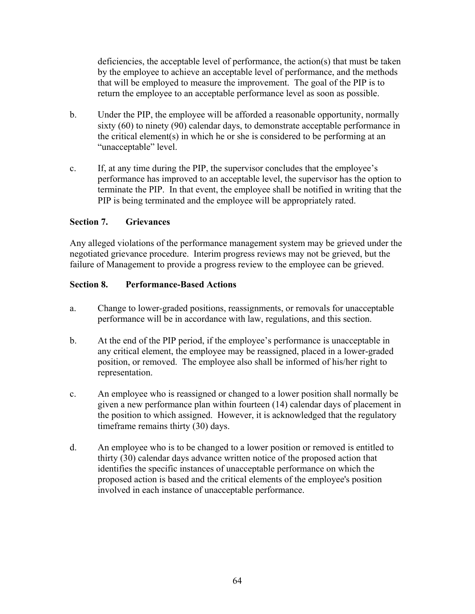deficiencies, the acceptable level of performance, the action(s) that must be taken by the employee to achieve an acceptable level of performance, and the methods that will be employed to measure the improvement. The goal of the PIP is to return the employee to an acceptable performance level as soon as possible.

- b. Under the PIP, the employee will be afforded a reasonable opportunity, normally sixty (60) to ninety (90) calendar days, to demonstrate acceptable performance in the critical element(s) in which he or she is considered to be performing at an "unacceptable" level.
- c. If, at any time during the PIP, the supervisor concludes that the employee's performance has improved to an acceptable level, the supervisor has the option to terminate the PIP. In that event, the employee shall be notified in writing that the PIP is being terminated and the employee will be appropriately rated.

#### **Section 7. Grievances**

Any alleged violations of the performance management system may be grieved under the negotiated grievance procedure. Interim progress reviews may not be grieved, but the failure of Management to provide a progress review to the employee can be grieved.

#### **Section 8. Performance-Based Actions**

- a. Change to lower-graded positions, reassignments, or removals for unacceptable performance will be in accordance with law, regulations, and this section.
- b. At the end of the PIP period, if the employee's performance is unacceptable in any critical element, the employee may be reassigned, placed in a lower-graded position, or removed. The employee also shall be informed of his/her right to representation.
- c. An employee who is reassigned or changed to a lower position shall normally be given a new performance plan within fourteen (14) calendar days of placement in the position to which assigned. However, it is acknowledged that the regulatory timeframe remains thirty (30) days.
- d. An employee who is to be changed to a lower position or removed is entitled to thirty (30) calendar days advance written notice of the proposed action that identifies the specific instances of unacceptable performance on which the proposed action is based and the critical elements of the employee's position involved in each instance of unacceptable performance.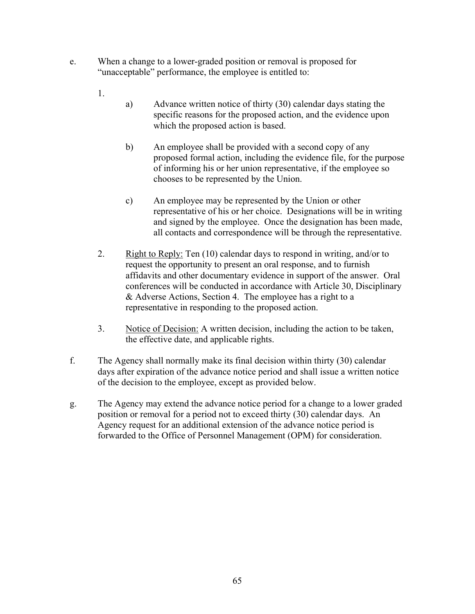- e. When a change to a lower-graded position or removal is proposed for "unacceptable" performance, the employee is entitled to:
	- 1.
- a)Advance written notice of thirty (30) calendar days stating the specific reasons for the proposed action, and the evidence upon which the proposed action is based.
- b) An employee shall be provided with a second copy of any proposed formal action, including the evidence file, for the purpose of informing his or her union representative, if the employee so chooses to be represented by the Union.
- c) An employee may be represented by the Union or other representative of his or her choice. Designations will be in writing and signed by the employee. Once the designation has been made, all contacts and correspondence will be through the representative.
- 2. Right to Reply: Ten (10) calendar days to respond in writing, and/or to request the opportunity to present an oral response, and to furnish affidavits and other documentary evidence in support of the answer. Oral conferences will be conducted in accordance with Article 30, Disciplinary & Adverse Actions, Section 4. The employee has a right to a representative in responding to the proposed action.
- 3. Notice of Decision: A written decision, including the action to be taken, the effective date, and applicable rights.
- f. The Agency shall normally make its final decision within thirty (30) calendar days after expiration of the advance notice period and shall issue a written notice of the decision to the employee, except as provided below.
- g. The Agency may extend the advance notice period for a change to a lower graded position or removal for a period not to exceed thirty (30) calendar days. An Agency request for an additional extension of the advance notice period is forwarded to the Office of Personnel Management (OPM) for consideration.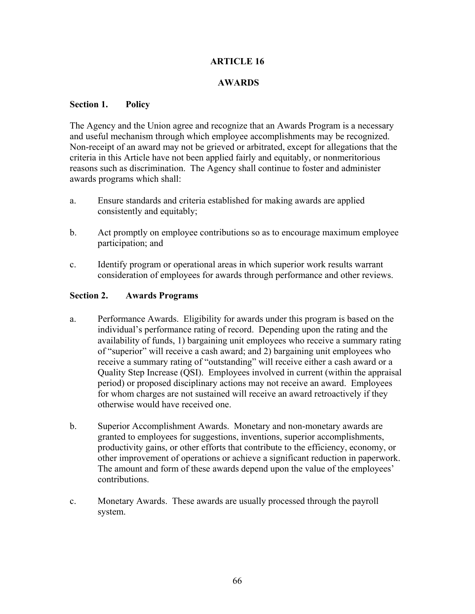#### **AWARDS**

#### **Section 1. Policy**

The Agency and the Union agree and recognize that an Awards Program is a necessary and useful mechanism through which employee accomplishments may be recognized. Non-receipt of an award may not be grieved or arbitrated, except for allegations that the criteria in this Article have not been applied fairly and equitably, or nonmeritorious reasons such as discrimination. The Agency shall continue to foster and administer awards programs which shall:

- a. Ensure standards and criteria established for making awards are applied consistently and equitably;
- b. Act promptly on employee contributions so as to encourage maximum employee participation; and
- c. Identify program or operational areas in which superior work results warrant consideration of employees for awards through performance and other reviews.

#### **Section 2. Awards Programs**

- a. Performance Awards. Eligibility for awards under this program is based on the individual's performance rating of record. Depending upon the rating and the availability of funds, 1) bargaining unit employees who receive a summary rating of "superior" will receive a cash award; and 2) bargaining unit employees who receive a summary rating of "outstanding" will receive either a cash award or a Quality Step Increase (QSI). Employees involved in current (within the appraisal period) or proposed disciplinary actions may not receive an award. Employees for whom charges are not sustained will receive an award retroactively if they otherwise would have received one.
- b. Superior Accomplishment Awards. Monetary and non-monetary awards are granted to employees for suggestions, inventions, superior accomplishments, productivity gains, or other efforts that contribute to the efficiency, economy, or other improvement of operations or achieve a significant reduction in paperwork. The amount and form of these awards depend upon the value of the employees' contributions.
- c. Monetary Awards. These awards are usually processed through the payroll system.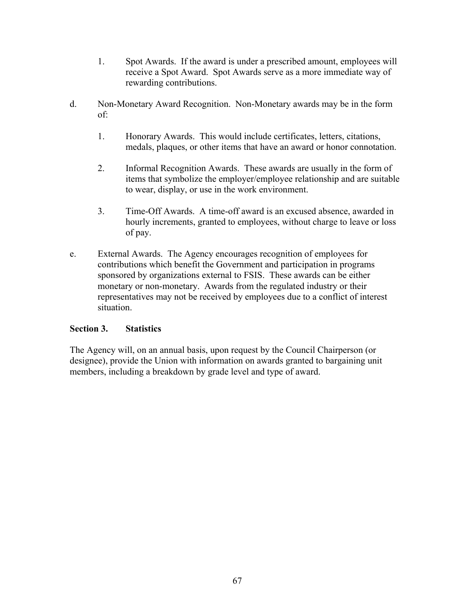- 1. Spot Awards. If the award is under a prescribed amount, employees will receive a Spot Award. Spot Awards serve as a more immediate way of rewarding contributions.
- d. Non-Monetary Award Recognition. Non-Monetary awards may be in the form of:
	- 1. Honorary Awards. This would include certificates, letters, citations, medals, plaques, or other items that have an award or honor connotation.
	- 2. Informal Recognition Awards. These awards are usually in the form of items that symbolize the employer/employee relationship and are suitable to wear, display, or use in the work environment.
	- 3. Time-Off Awards. A time-off award is an excused absence, awarded in hourly increments, granted to employees, without charge to leave or loss of pay.
- e. External Awards. The Agency encourages recognition of employees for contributions which benefit the Government and participation in programs sponsored by organizations external to FSIS. These awards can be either monetary or non-monetary. Awards from the regulated industry or their representatives may not be received by employees due to a conflict of interest situation.

## **Section 3. Statistics**

The Agency will, on an annual basis, upon request by the Council Chairperson (or designee), provide the Union with information on awards granted to bargaining unit members, including a breakdown by grade level and type of award.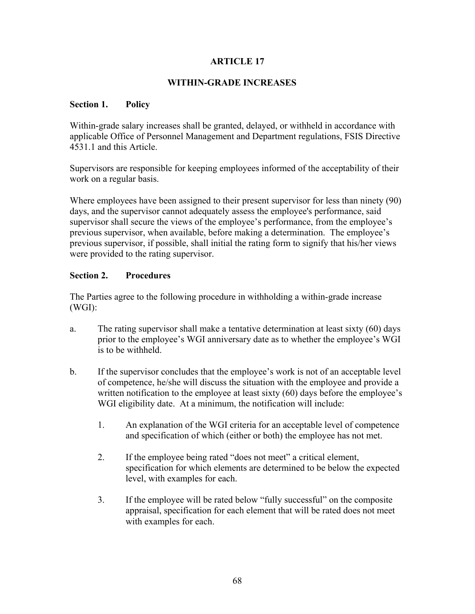## **WITHIN-GRADE INCREASES**

#### **Section 1. Policy**

Within-grade salary increases shall be granted, delayed, or withheld in accordance with applicable Office of Personnel Management and Department regulations, FSIS Directive 4531.1 and this Article.

Supervisors are responsible for keeping employees informed of the acceptability of their work on a regular basis.

Where employees have been assigned to their present supervisor for less than ninety (90) days, and the supervisor cannot adequately assess the employee's performance, said supervisor shall secure the views of the employee's performance, from the employee's previous supervisor, when available, before making a determination. The employee's previous supervisor, if possible, shall initial the rating form to signify that his/her views were provided to the rating supervisor.

#### **Section 2. Procedures**

The Parties agree to the following procedure in withholding a within-grade increase (WGI):

- a. The rating supervisor shall make a tentative determination at least sixty (60) days prior to the employee's WGI anniversary date as to whether the employee's WGI is to be withheld.
- b. If the supervisor concludes that the employee's work is not of an acceptable level of competence, he/she will discuss the situation with the employee and provide a written notification to the employee at least sixty (60) days before the employee's WGI eligibility date. At a minimum, the notification will include:
	- 1. An explanation of the WGI criteria for an acceptable level of competence and specification of which (either or both) the employee has not met.
	- 2. If the employee being rated "does not meet" a critical element, specification for which elements are determined to be below the expected level, with examples for each.
	- 3. If the employee will be rated below "fully successful" on the composite appraisal, specification for each element that will be rated does not meet with examples for each.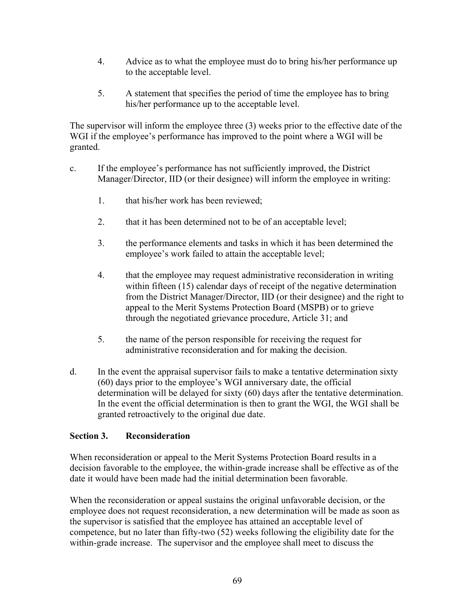- 4. Advice as to what the employee must do to bring his/her performance up to the acceptable level.
- 5. A statement that specifies the period of time the employee has to bring his/her performance up to the acceptable level.

The supervisor will inform the employee three (3) weeks prior to the effective date of the WGI if the employee's performance has improved to the point where a WGI will be granted.

- c. If the employee's performance has not sufficiently improved, the District Manager/Director, IID (or their designee) will inform the employee in writing:
	- 1. that his/her work has been reviewed;
	- 2. that it has been determined not to be of an acceptable level;
	- 3. the performance elements and tasks in which it has been determined the employee's work failed to attain the acceptable level;
	- 4. that the employee may request administrative reconsideration in writing within fifteen (15) calendar days of receipt of the negative determination from the District Manager/Director, IID (or their designee) and the right to appeal to the Merit Systems Protection Board (MSPB) or to grieve through the negotiated grievance procedure, Article 31; and
	- 5. the name of the person responsible for receiving the request for administrative reconsideration and for making the decision.
- d. In the event the appraisal supervisor fails to make a tentative determination sixty (60) days prior to the employee's WGI anniversary date, the official determination will be delayed for sixty (60) days after the tentative determination. In the event the official determination is then to grant the WGI, the WGI shall be granted retroactively to the original due date.

## **Section 3. Reconsideration**

When reconsideration or appeal to the Merit Systems Protection Board results in a decision favorable to the employee, the within-grade increase shall be effective as of the date it would have been made had the initial determination been favorable.

When the reconsideration or appeal sustains the original unfavorable decision, or the employee does not request reconsideration, a new determination will be made as soon as the supervisor is satisfied that the employee has attained an acceptable level of competence, but no later than fifty-two (52) weeks following the eligibility date for the within-grade increase. The supervisor and the employee shall meet to discuss the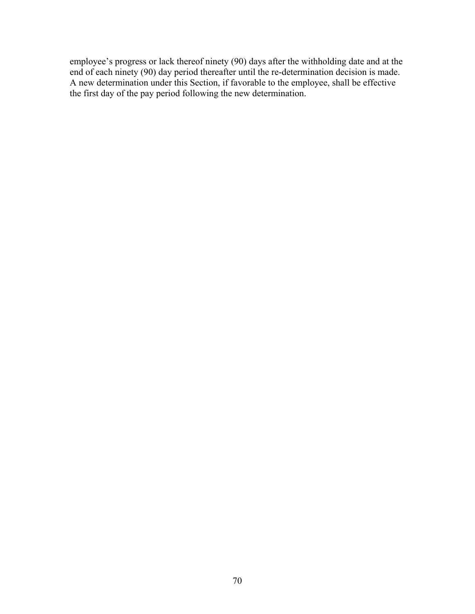employee's progress or lack thereof ninety (90) days after the withholding date and at the end of each ninety (90) day period thereafter until the re-determination decision is made. A new determination under this Section, if favorable to the employee, shall be effective the first day of the pay period following the new determination.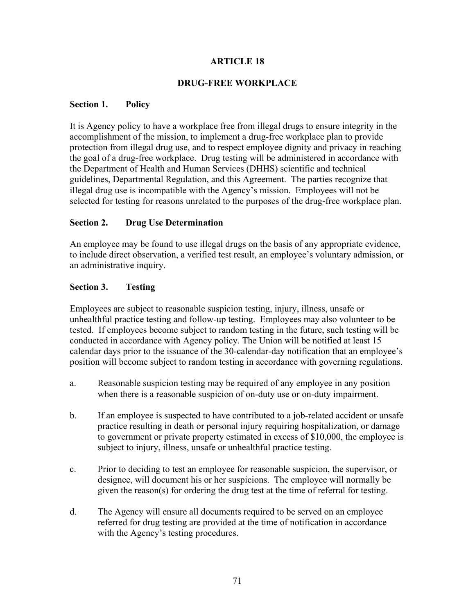#### **DRUG-FREE WORKPLACE**

#### **Section 1. Policy**

It is Agency policy to have a workplace free from illegal drugs to ensure integrity in the accomplishment of the mission, to implement a drug-free workplace plan to provide protection from illegal drug use, and to respect employee dignity and privacy in reaching the goal of a drug-free workplace. Drug testing will be administered in accordance with the Department of Health and Human Services (DHHS) scientific and technical guidelines, Departmental Regulation, and this Agreement. The parties recognize that illegal drug use is incompatible with the Agency's mission. Employees will not be selected for testing for reasons unrelated to the purposes of the drug-free workplace plan.

#### **Section 2. Drug Use Determination**

An employee may be found to use illegal drugs on the basis of any appropriate evidence, to include direct observation, a verified test result, an employee's voluntary admission, or an administrative inquiry.

#### **Section 3. Testing**

Employees are subject to reasonable suspicion testing, injury, illness, unsafe or unhealthful practice testing and follow-up testing.Employees may also volunteer to be tested. If employees become subject to random testing in the future, such testing will be conducted in accordance with Agency policy. The Union will be notified at least 15 calendar days prior to the issuance of the 30-calendar-day notification that an employee's position will become subject to random testing in accordance with governing regulations.

- a. Reasonable suspicion testing may be required of any employee in any position when there is a reasonable suspicion of on-duty use or on-duty impairment.
- b. If an employee is suspected to have contributed to a job-related accident or unsafe practice resulting in death or personal injury requiring hospitalization, or damage to government or private property estimated in excess of \$10,000, the employee is subject to injury, illness, unsafe or unhealthful practice testing.
- c. Prior to deciding to test an employee for reasonable suspicion, the supervisor, or designee, will document his or her suspicions. The employee will normally be given the reason(s) for ordering the drug test at the time of referral for testing.
- d. The Agency will ensure all documents required to be served on an employee referred for drug testing are provided at the time of notification in accordance with the Agency's testing procedures.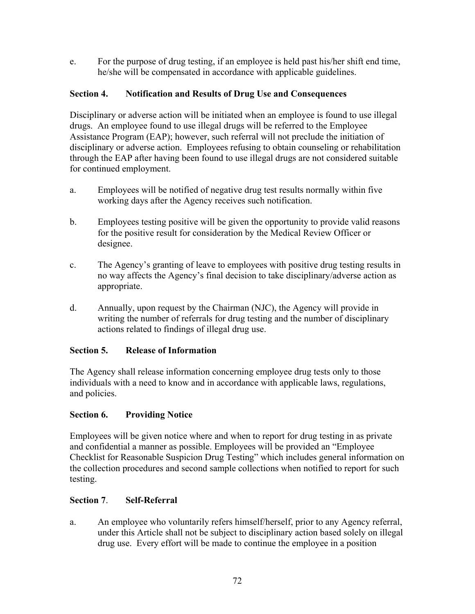e. For the purpose of drug testing, if an employee is held past his/her shift end time, he/she will be compensated in accordance with applicable guidelines.

## **Section 4. Notification and Results of Drug Use and Consequences**

Disciplinary or adverse action will be initiated when an employee is found to use illegal drugs. An employee found to use illegal drugs will be referred to the Employee Assistance Program (EAP); however, such referral will not preclude the initiation of disciplinary or adverse action. Employees refusing to obtain counseling or rehabilitation through the EAP after having been found to use illegal drugs are not considered suitable for continued employment.

- a. Employees will be notified of negative drug test results normally within five working days after the Agency receives such notification.
- b. Employees testing positive will be given the opportunity to provide valid reasons for the positive result for consideration by the Medical Review Officer or designee.
- c. The Agency's granting of leave to employees with positive drug testing results in no way affects the Agency's final decision to take disciplinary/adverse action as appropriate.
- d. Annually, upon request by the Chairman (NJC), the Agency will provide in writing the number of referrals for drug testing and the number of disciplinary actions related to findings of illegal drug use.

# **Section 5. Release of Information**

The Agency shall release information concerning employee drug tests only to those individuals with a need to know and in accordance with applicable laws, regulations, and policies.

# **Section 6. Providing Notice**

Employees will be given notice where and when to report for drug testing in as private and confidential a manner as possible. Employees will be provided an "Employee Checklist for Reasonable Suspicion Drug Testing" which includes general information on the collection procedures and second sample collections when notified to report for such testing.

## **Section 7**. **Self-Referral**

a. An employee who voluntarily refers himself/herself, prior to any Agency referral, under this Article shall not be subject to disciplinary action based solely on illegal drug use. Every effort will be made to continue the employee in a position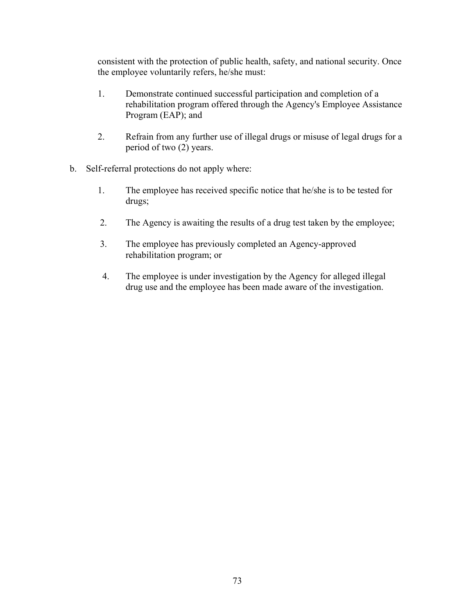consistent with the protection of public health, safety, and national security. Once the employee voluntarily refers, he/she must:

- 1. Demonstrate continued successful participation and completion of a rehabilitation program offered through the Agency's Employee Assistance Program (EAP); and
- 2. Refrain from any further use of illegal drugs or misuse of legal drugs for a period of two (2) years.
- b. Self-referral protections do not apply where:
	- 1. The employee has received specific notice that he/she is to be tested for drugs;
	- 2. The Agency is awaiting the results of a drug test taken by the employee;
	- 3. The employee has previously completed an Agency-approved rehabilitation program; or
	- 4. The employee is under investigation by the Agency for alleged illegal drug use and the employee has been made aware of the investigation.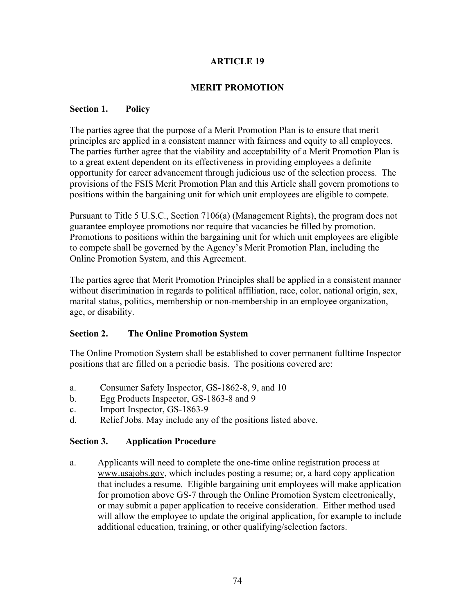### **MERIT PROMOTION**

#### **Section 1. Policy**

The parties agree that the purpose of a Merit Promotion Plan is to ensure that merit principles are applied in a consistent manner with fairness and equity to all employees. The parties further agree that the viability and acceptability of a Merit Promotion Plan is to a great extent dependent on its effectiveness in providing employees a definite opportunity for career advancement through judicious use of the selection process. The provisions of the FSIS Merit Promotion Plan and this Article shall govern promotions to positions within the bargaining unit for which unit employees are eligible to compete.

Pursuant to Title 5 U.S.C., Section 7106(a) (Management Rights), the program does not guarantee employee promotions nor require that vacancies be filled by promotion. Promotions to positions within the bargaining unit for which unit employees are eligible to compete shall be governed by the Agency's Merit Promotion Plan, including the Online Promotion System, and this Agreement.

The parties agree that Merit Promotion Principles shall be applied in a consistent manner without discrimination in regards to political affiliation, race, color, national origin, sex, marital status, politics, membership or non-membership in an employee organization, age, or disability.

## **Section 2.****The Online Promotion System**

The Online Promotion System shall be established to cover permanent fulltime Inspector positions that are filled on a periodic basis. The positions covered are:

- a. Consumer Safety Inspector, GS-1862-8, 9, and 10
- b. Egg Products Inspector, GS-1863-8 and 9
- c. Import Inspector, GS-1863-9
- d. Relief Jobs. May include any of the positions listed above.

## **Section 3. Application Procedure**

a. Applicants will need to complete the one-time online registration process at www.usajobs.gov, which includes posting a resume; or, a hard copy application that includes a resume. Eligible bargaining unit employees will make application for promotion above GS-7 through the Online Promotion System electronically, or may submit a paper application to receive consideration. Either method used will allow the employee to update the original application, for example to include additional education, training, or other qualifying/selection factors.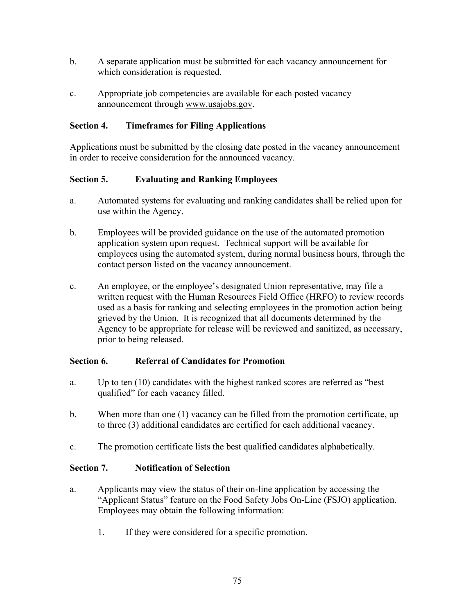- b. A separate application must be submitted for each vacancy announcement for which consideration is requested.
- c. Appropriate job competencies are available for each posted vacancy announcement through www.usajobs.gov.

## **Section 4. Timeframes for Filing Applications**

Applications must be submitted by the closing date posted in the vacancy announcement in order to receive consideration for the announced vacancy.

# **Section 5. Evaluating and Ranking Employees**

- a. Automated systems for evaluating and ranking candidates shall be relied upon for use within the Agency.
- b. Employees will be provided guidance on the use of the automated promotion application system upon request. Technical support will be available for employees using the automated system, during normal business hours, through the contact person listed on the vacancy announcement.
- c. An employee, or the employee's designated Union representative, may file a written request with the Human Resources Field Office (HRFO) to review records used as a basis for ranking and selecting employees in the promotion action being grieved by the Union. It is recognized that all documents determined by the Agency to be appropriate for release will be reviewed and sanitized, as necessary, prior to being released.

## **Section 6. Referral of Candidates for Promotion**

- a. Up to ten (10) candidates with the highest ranked scores are referred as "best qualified" for each vacancy filled.
- b. When more than one (1) vacancy can be filled from the promotion certificate, up to three (3) additional candidates are certified for each additional vacancy.
- c. The promotion certificate lists the best qualified candidates alphabetically.

## **Section 7. Notification of Selection**

- a. Applicants may view the status of their on-line application by accessing the "Applicant Status" feature on the Food Safety Jobs On-Line (FSJO) application. Employees may obtain the following information:
	- 1. If they were considered for a specific promotion.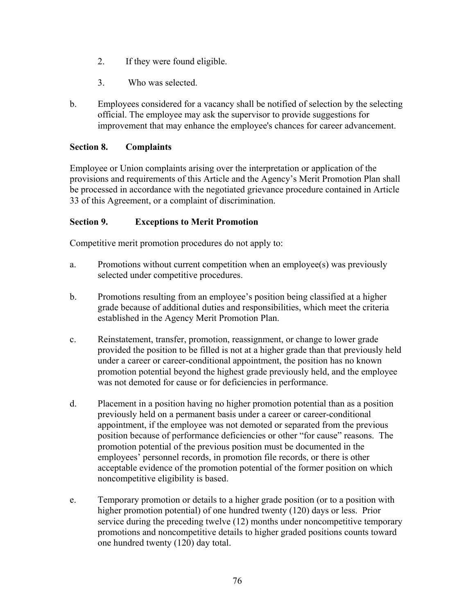- 2. If they were found eligible.
- 3. Who was selected.
- b. Employees considered for a vacancy shall be notified of selection by the selecting official. The employee may ask the supervisor to provide suggestions for improvement that may enhance the employee's chances for career advancement.

### **Section 8. Complaints**

Employee or Union complaints arising over the interpretation or application of the provisions and requirements of this Article and the Agency's Merit Promotion Plan shall be processed in accordance with the negotiated grievance procedure contained in Article 33 of this Agreement, or a complaint of discrimination.

### **Section 9. Exceptions to Merit Promotion**

Competitive merit promotion procedures do not apply to:

- a. Promotions without current competition when an employee(s) was previously selected under competitive procedures.
- b. Promotions resulting from an employee's position being classified at a higher grade because of additional duties and responsibilities, which meet the criteria established in the Agency Merit Promotion Plan.
- c. Reinstatement, transfer, promotion, reassignment, or change to lower grade provided the position to be filled is not at a higher grade than that previously held under a career or career-conditional appointment, the position has no known promotion potential beyond the highest grade previously held, and the employee was not demoted for cause or for deficiencies in performance.
- d. Placement in a position having no higher promotion potential than as a position previously held on a permanent basis under a career or career-conditional appointment, if the employee was not demoted or separated from the previous position because of performance deficiencies or other "for cause" reasons. The promotion potential of the previous position must be documented in the employees' personnel records, in promotion file records, or there is other acceptable evidence of the promotion potential of the former position on which noncompetitive eligibility is based.
- e. Temporary promotion or details to a higher grade position (or to a position with higher promotion potential) of one hundred twenty (120) days or less. Prior service during the preceding twelve (12) months under noncompetitive temporary promotions and noncompetitive details to higher graded positions counts toward one hundred twenty (120) day total.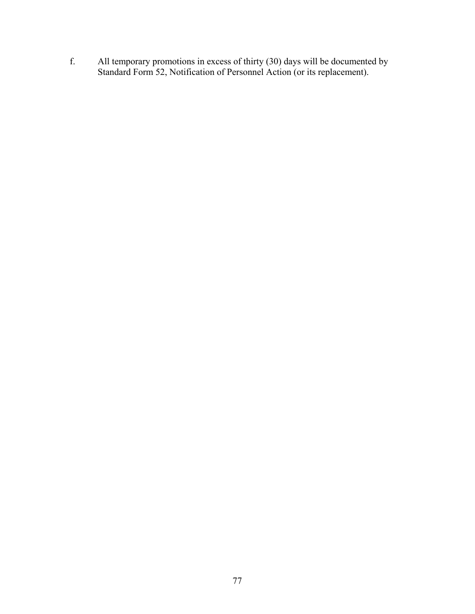f. All temporary promotions in excess of thirty (30) days will be documented by Standard Form 52, Notification of Personnel Action (or its replacement).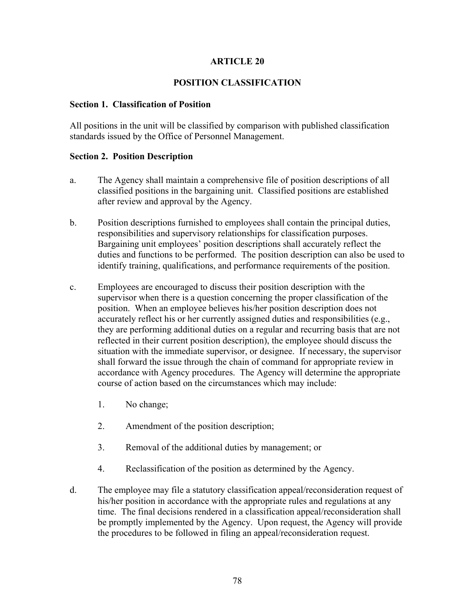### **POSITION CLASSIFICATION**

#### **Section 1. Classification of Position**

All positions in the unit will be classified by comparison with published classification standards issued by the Office of Personnel Management.

#### **Section 2. Position Description**

- a. The Agency shall maintain a comprehensive file of position descriptions of all classified positions in the bargaining unit. Classified positions are established after review and approval by the Agency.
- b. Position descriptions furnished to employees shall contain the principal duties, responsibilities and supervisory relationships for classification purposes. Bargaining unit employees' position descriptions shall accurately reflect the duties and functions to be performed. The position description can also be used to identify training, qualifications, and performance requirements of the position.
- c. Employees are encouraged to discuss their position description with the supervisor when there is a question concerning the proper classification of the position. When an employee believes his/her position description does not accurately reflect his or her currently assigned duties and responsibilities (e.g., they are performing additional duties on a regular and recurring basis that are not reflected in their current position description), the employee should discuss the situation with the immediate supervisor, or designee. If necessary, the supervisor shall forward the issue through the chain of command for appropriate review in accordance with Agency procedures. The Agency will determine the appropriate course of action based on the circumstances which may include:
	- 1. No change;
	- 2. Amendment of the position description;
	- 3. Removal of the additional duties by management; or
	- 4. Reclassification of the position as determined by the Agency.
- d. The employee may file a statutory classification appeal/reconsideration request of his/her position in accordance with the appropriate rules and regulations at any time. The final decisions rendered in a classification appeal/reconsideration shall be promptly implemented by the Agency. Upon request, the Agency will provide the procedures to be followed in filing an appeal/reconsideration request.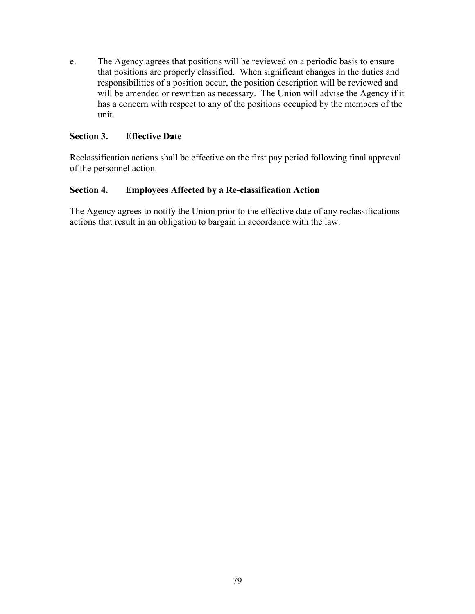e. The Agency agrees that positions will be reviewed on a periodic basis to ensure that positions are properly classified. When significant changes in the duties and responsibilities of a position occur, the position description will be reviewed and will be amended or rewritten as necessary. The Union will advise the Agency if it has a concern with respect to any of the positions occupied by the members of the unit.

### **Section 3. Effective Date**

Reclassification actions shall be effective on the first pay period following final approval of the personnel action.

### **Section 4. Employees Affected by a Re-classification Action**

The Agency agrees to notify the Union prior to the effective date of any reclassifications actions that result in an obligation to bargain in accordance with the law.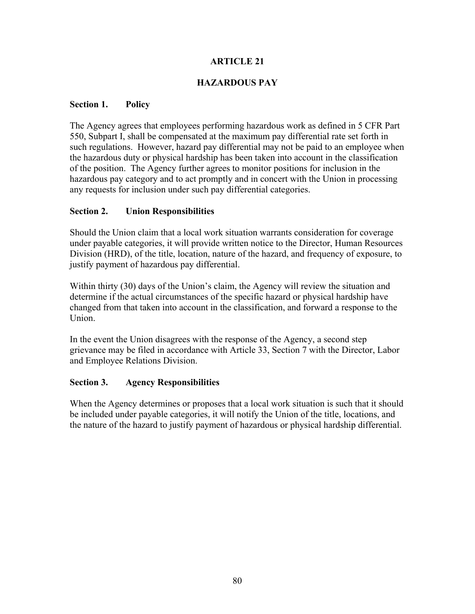## **HAZARDOUS PAY**

### **Section 1. Policy**

The Agency agrees that employees performing hazardous work as defined in 5 CFR Part 550, Subpart I, shall be compensated at the maximum pay differential rate set forth in such regulations. However, hazard pay differential may not be paid to an employee when the hazardous duty or physical hardship has been taken into account in the classification of the position. The Agency further agrees to monitor positions for inclusion in the hazardous pay category and to act promptly and in concert with the Union in processing any requests for inclusion under such pay differential categories.

## **Section 2. Union Responsibilities**

Should the Union claim that a local work situation warrants consideration for coverage under payable categories, it will provide written notice to the Director, Human Resources Division (HRD), of the title, location, nature of the hazard, and frequency of exposure, to justify payment of hazardous pay differential.

Within thirty (30) days of the Union's claim, the Agency will review the situation and determine if the actual circumstances of the specific hazard or physical hardship have changed from that taken into account in the classification, and forward a response to the Union.

In the event the Union disagrees with the response of the Agency, a second step grievance may be filed in accordance with Article 33, Section 7 with the Director, Labor and Employee Relations Division.

## **Section 3. Agency Responsibilities**

When the Agency determines or proposes that a local work situation is such that it should be included under payable categories, it will notify the Union of the title, locations, and the nature of the hazard to justify payment of hazardous or physical hardship differential.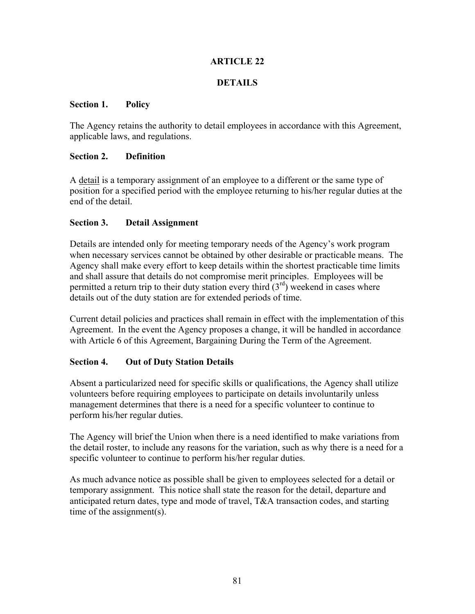# **DETAILS**

### **Section 1. Policy**

The Agency retains the authority to detail employees in accordance with this Agreement, applicable laws, and regulations.

## **Section 2. Definition**

A detail is a temporary assignment of an employee to a different or the same type of position for a specified period with the employee returning to his/her regular duties at the end of the detail.

## **Section 3. Detail Assignment**

Details are intended only for meeting temporary needs of the Agency's work program when necessary services cannot be obtained by other desirable or practicable means. The Agency shall make every effort to keep details within the shortest practicable time limits and shall assure that details do not compromise merit principles. Employees will be permitted a return trip to their duty station every third  $(3<sup>rd</sup>)$  weekend in cases where details out of the duty station are for extended periods of time.

Current detail policies and practices shall remain in effect with the implementation of this Agreement. In the event the Agency proposes a change, it will be handled in accordance with Article 6 of this Agreement, Bargaining During the Term of the Agreement.

## **Section 4. Out of Duty Station Details**

Absent a particularized need for specific skills or qualifications, the Agency shall utilize volunteers before requiring employees to participate on details involuntarily unless management determines that there is a need for a specific volunteer to continue to perform his/her regular duties.

The Agency will brief the Union when there is a need identified to make variations from the detail roster, to include any reasons for the variation, such as why there is a need for a specific volunteer to continue to perform his/her regular duties.

As much advance notice as possible shall be given to employees selected for a detail or temporary assignment. This notice shall state the reason for the detail, departure and anticipated return dates, type and mode of travel, T&A transaction codes, and starting time of the assignment(s).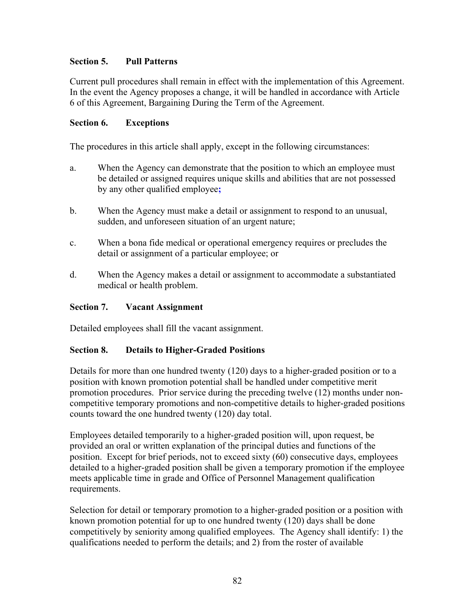# **Section 5. Pull Patterns**

Current pull procedures shall remain in effect with the implementation of this Agreement. In the event the Agency proposes a change, it will be handled in accordance with Article 6 of this Agreement, Bargaining During the Term of the Agreement.

## **Section 6. Exceptions**

The procedures in this article shall apply, except in the following circumstances:

- a. When the Agency can demonstrate that the position to which an employee must be detailed or assigned requires unique skills and abilities that are not possessed by any other qualified employee**;**
- b. When the Agency must make a detail or assignment to respond to an unusual, sudden, and unforeseen situation of an urgent nature;
- c. When a bona fide medical or operational emergency requires or precludes the detail or assignment of a particular employee; or
- d. When the Agency makes a detail or assignment to accommodate a substantiated medical or health problem.

## **Section 7. Vacant Assignment**

Detailed employees shall fill the vacant assignment.

## **Section 8. Details to Higher-Graded Positions**

Details for more than one hundred twenty (120) days to a higher-graded position or to a position with known promotion potential shall be handled under competitive merit promotion procedures. Prior service during the preceding twelve (12) months under noncompetitive temporary promotions and non-competitive details to higher-graded positions counts toward the one hundred twenty (120) day total.

Employees detailed temporarily to a higher-graded position will, upon request, be provided an oral or written explanation of the principal duties and functions of the position. Except for brief periods, not to exceed sixty (60) consecutive days, employees detailed to a higher-graded position shall be given a temporary promotion if the employee meets applicable time in grade and Office of Personnel Management qualification requirements.

Selection for detail or temporary promotion to a higher-graded position or a position with known promotion potential for up to one hundred twenty (120) days shall be done competitively by seniority among qualified employees. The Agency shall identify: 1) the qualifications needed to perform the details; and 2) from the roster of available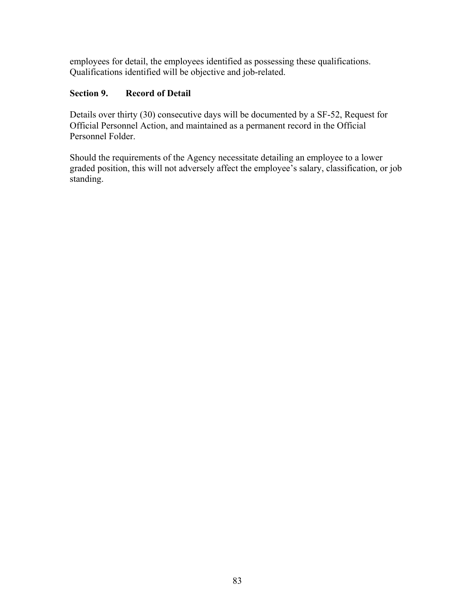employees for detail, the employees identified as possessing these qualifications. Qualifications identified will be objective and job-related.

# **Section 9. Record of Detail**

Details over thirty (30) consecutive days will be documented by a SF-52, Request for Official Personnel Action, and maintained as a permanent record in the Official Personnel Folder.

Should the requirements of the Agency necessitate detailing an employee to a lower graded position, this will not adversely affect the employee's salary, classification, or job standing.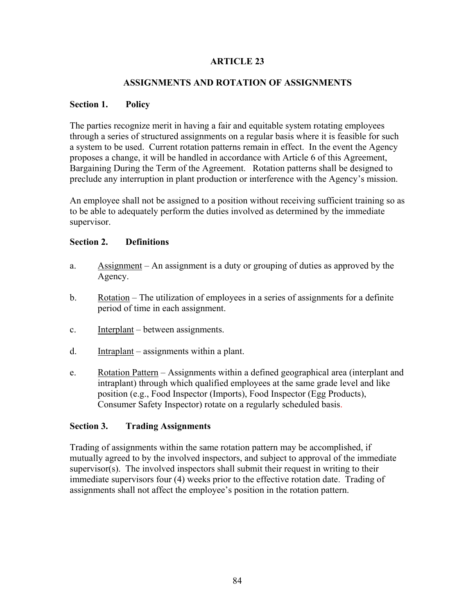# **ASSIGNMENTS AND ROTATION OF ASSIGNMENTS**

### **Section 1. Policy**

The parties recognize merit in having a fair and equitable system rotating employees through a series of structured assignments on a regular basis where it is feasible for such a system to be used. Current rotation patterns remain in effect. In the event the Agency proposes a change, it will be handled in accordance with Article 6 of this Agreement, Bargaining During the Term of the Agreement. Rotation patterns shall be designed to preclude any interruption in plant production or interference with the Agency's mission.

An employee shall not be assigned to a position without receiving sufficient training so as to be able to adequately perform the duties involved as determined by the immediate supervisor.

### **Section 2. Definitions**

- a. Assignment An assignment is a duty or grouping of duties as approved by the Agency.
- b. Rotation The utilization of employees in a series of assignments for a definite period of time in each assignment.
- c. Interplant between assignments.
- d. Intraplant assignments within a plant.
- e. Rotation Pattern Assignments within a defined geographical area (interplant and intraplant) through which qualified employees at the same grade level and like position (e.g., Food Inspector (Imports), Food Inspector (Egg Products), Consumer Safety Inspector) rotate on a regularly scheduled basis.

## **Section 3. Trading Assignments**

Trading of assignments within the same rotation pattern may be accomplished, if mutually agreed to by the involved inspectors, and subject to approval of the immediate supervisor(s). The involved inspectors shall submit their request in writing to their immediate supervisors four (4) weeks prior to the effective rotation date. Trading of assignments shall not affect the employee's position in the rotation pattern.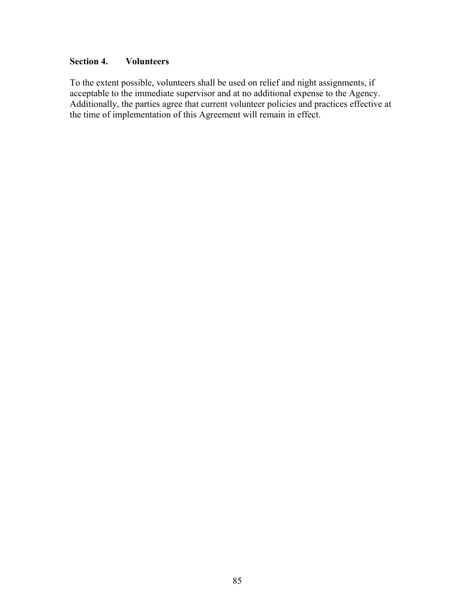### **Section 4. Volunteers**

To the extent possible, volunteers shall be used on relief and night assignments, if acceptable to the immediate supervisor and at no additional expense to the Agency. Additionally, the parties agree that current volunteer policies and practices effective at the time of implementation of this Agreement will remain in effect.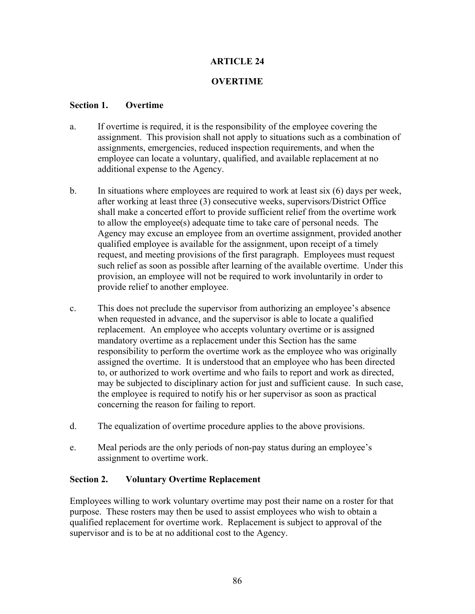#### **OVERTIME**

#### **Section 1. Overtime**

- a. If overtime is required, it is the responsibility of the employee covering the assignment. This provision shall not apply to situations such as a combination of assignments, emergencies, reduced inspection requirements, and when the employee can locate a voluntary, qualified, and available replacement at no additional expense to the Agency.
- b. In situations where employees are required to work at least six (6) days per week, after working at least three (3) consecutive weeks, supervisors/District Office shall make a concerted effort to provide sufficient relief from the overtime work to allow the employee(s) adequate time to take care of personal needs. The Agency may excuse an employee from an overtime assignment, provided another qualified employee is available for the assignment, upon receipt of a timely request, and meeting provisions of the first paragraph. Employees must request such relief as soon as possible after learning of the available overtime. Under this provision, an employee will not be required to work involuntarily in order to provide relief to another employee.
- c. This does not preclude the supervisor from authorizing an employee's absence when requested in advance, and the supervisor is able to locate a qualified replacement. An employee who accepts voluntary overtime or is assigned mandatory overtime as a replacement under this Section has the same responsibility to perform the overtime work as the employee who was originally assigned the overtime. It is understood that an employee who has been directed to, or authorized to work overtime and who fails to report and work as directed, may be subjected to disciplinary action for just and sufficient cause. In such case, the employee is required to notify his or her supervisor as soon as practical concerning the reason for failing to report.
- d. The equalization of overtime procedure applies to the above provisions.
- e. Meal periods are the only periods of non-pay status during an employee's assignment to overtime work.

#### **Section 2. Voluntary Overtime Replacement**

Employees willing to work voluntary overtime may post their name on a roster for that purpose. These rosters may then be used to assist employees who wish to obtain a qualified replacement for overtime work. Replacement is subject to approval of the supervisor and is to be at no additional cost to the Agency.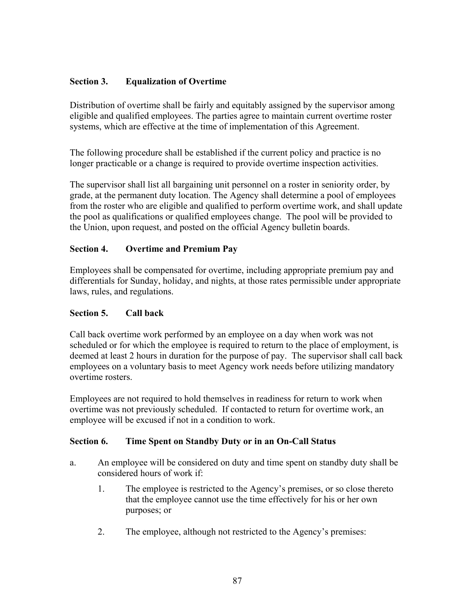# **Section 3. Equalization of Overtime**

Distribution of overtime shall be fairly and equitably assigned by the supervisor among eligible and qualified employees. The parties agree to maintain current overtime roster systems, which are effective at the time of implementation of this Agreement.

The following procedure shall be established if the current policy and practice is no longer practicable or a change is required to provide overtime inspection activities.

The supervisor shall list all bargaining unit personnel on a roster in seniority order, by grade, at the permanent duty location. The Agency shall determine a pool of employees from the roster who are eligible and qualified to perform overtime work, and shall update the pool as qualifications or qualified employees change. The pool will be provided to the Union, upon request, and posted on the official Agency bulletin boards.

## **Section 4. Overtime and Premium Pay**

Employees shall be compensated for overtime, including appropriate premium pay and differentials for Sunday, holiday, and nights, at those rates permissible under appropriate laws, rules, and regulations.

## **Section 5. Call back**

Call back overtime work performed by an employee on a day when work was not scheduled or for which the employee is required to return to the place of employment, is deemed at least 2 hours in duration for the purpose of pay. The supervisor shall call back employees on a voluntary basis to meet Agency work needs before utilizing mandatory overtime rosters.

Employees are not required to hold themselves in readiness for return to work when overtime was not previously scheduled. If contacted to return for overtime work, an employee will be excused if not in a condition to work.

## **Section 6. Time Spent on Standby Duty or in an On-Call Status**

- a. An employee will be considered on duty and time spent on standby duty shall be considered hours of work if:
	- 1. The employee is restricted to the Agency's premises, or so close thereto that the employee cannot use the time effectively for his or her own purposes; or
	- 2. The employee, although not restricted to the Agency's premises: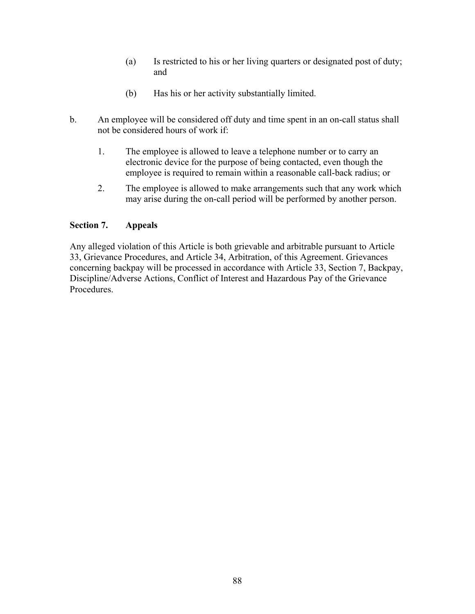- (a) Is restricted to his or her living quarters or designated post of duty; and
- (b) Has his or her activity substantially limited.
- b. An employee will be considered off duty and time spent in an on-call status shall not be considered hours of work if:
	- 1. The employee is allowed to leave a telephone number or to carry an electronic device for the purpose of being contacted, even though the employee is required to remain within a reasonable call-back radius; or
	- 2. The employee is allowed to make arrangements such that any work which may arise during the on-call period will be performed by another person.

### **Section 7. Appeals**

Any alleged violation of this Article is both grievable and arbitrable pursuant to Article 33, Grievance Procedures, and Article 34, Arbitration, of this Agreement. Grievances concerning backpay will be processed in accordance with Article 33, Section 7, Backpay, Discipline/Adverse Actions, Conflict of Interest and Hazardous Pay of the Grievance Procedures.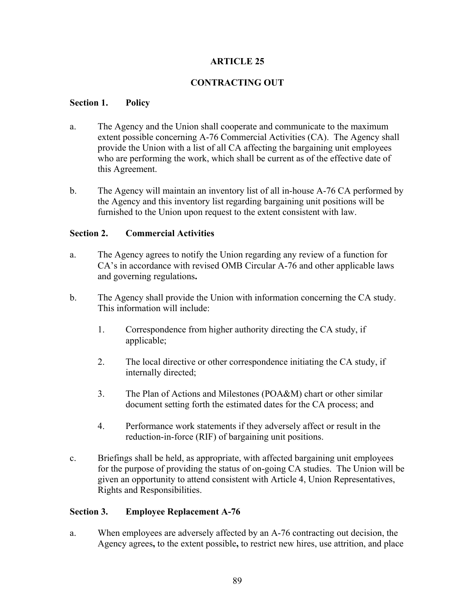## **CONTRACTING OUT**

### **Section 1. Policy**

- a. The Agency and the Union shall cooperate and communicate to the maximum extent possible concerning A-76 Commercial Activities (CA). The Agency shall provide the Union with a list of all CA affecting the bargaining unit employees who are performing the work, which shall be current as of the effective date of this Agreement.
- b. The Agency will maintain an inventory list of all in-house A-76 CA performed by the Agency and this inventory list regarding bargaining unit positions will be furnished to the Union upon request to the extent consistent with law.

### **Section 2. Commercial Activities**

- a. The Agency agrees to notify the Union regarding any review of a function for CA's in accordance with revised OMB Circular A-76 and other applicable laws and governing regulations**.**
- b. The Agency shall provide the Union with information concerning the CA study. This information will include:
	- 1. Correspondence from higher authority directing the CA study, if applicable;
	- 2. The local directive or other correspondence initiating the CA study, if internally directed;
	- 3. The Plan of Actions and Milestones (POA&M) chart or other similar document setting forth the estimated dates for the CA process; and
	- 4. Performance work statements if they adversely affect or result in the reduction-in-force (RIF) of bargaining unit positions.
- c. Briefings shall be held, as appropriate, with affected bargaining unit employees for the purpose of providing the status of on-going CA studies. The Union will be given an opportunity to attend consistent with Article 4, Union Representatives, Rights and Responsibilities.

## **Section 3. Employee Replacement A-76**

a. When employees are adversely affected by an A-76 contracting out decision, the Agency agrees**,** to the extent possible**,** to restrict new hires, use attrition, and place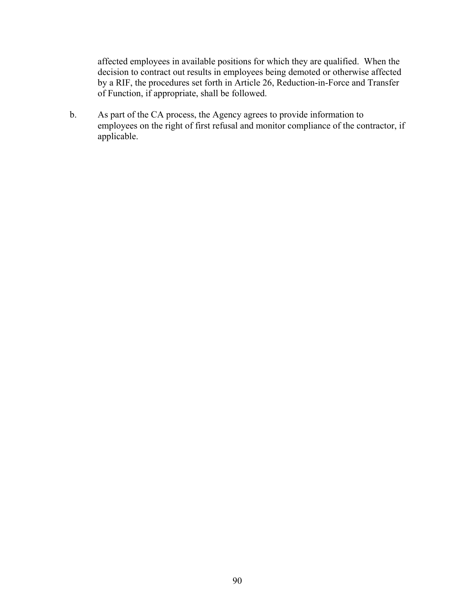affected employees in available positions for which they are qualified. When the decision to contract out results in employees being demoted or otherwise affected by a RIF, the procedures set forth in Article 26, Reduction-in-Force and Transfer of Function, if appropriate, shall be followed.

b. As part of the CA process, the Agency agrees to provide information to employees on the right of first refusal and monitor compliance of the contractor, if applicable.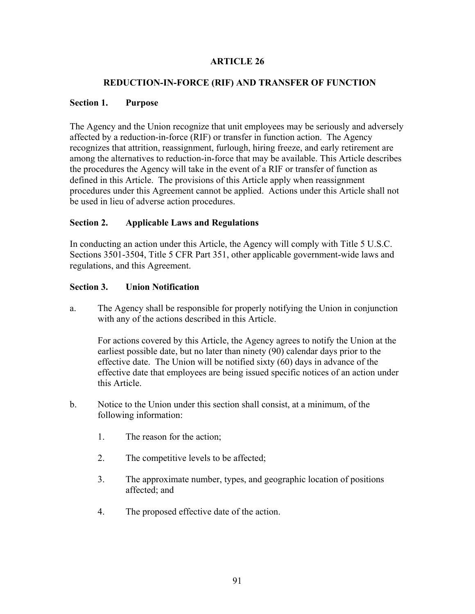### **REDUCTION-IN-FORCE (RIF) AND TRANSFER OF FUNCTION**

#### **Section 1. Purpose**

The Agency and the Union recognize that unit employees may be seriously and adversely affected by a reduction-in-force (RIF) or transfer in function action. The Agency recognizes that attrition, reassignment, furlough, hiring freeze, and early retirement are among the alternatives to reduction-in-force that may be available. This Article describes the procedures the Agency will take in the event of a RIF or transfer of function as defined in this Article. The provisions of this Article apply when reassignment procedures under this Agreement cannot be applied. Actions under this Article shall not be used in lieu of adverse action procedures.

#### **Section 2. Applicable Laws and Regulations**

In conducting an action under this Article, the Agency will comply with Title 5 U.S.C. Sections 3501-3504, Title 5 CFR Part 351, other applicable government-wide laws and regulations, and this Agreement.

#### **Section 3. Union Notification**

a. The Agency shall be responsible for properly notifying the Union in conjunction with any of the actions described in this Article.

 For actions covered by this Article, the Agency agrees to notify the Union at the earliest possible date, but no later than ninety (90) calendar days prior to the effective date. The Union will be notified sixty (60) days in advance of the effective date that employees are being issued specific notices of an action under this Article.

- b. Notice to the Union under this section shall consist, at a minimum, of the following information:
	- 1. The reason for the action;
	- 2. The competitive levels to be affected;
	- 3. The approximate number, types, and geographic location of positions affected; and
	- 4. The proposed effective date of the action.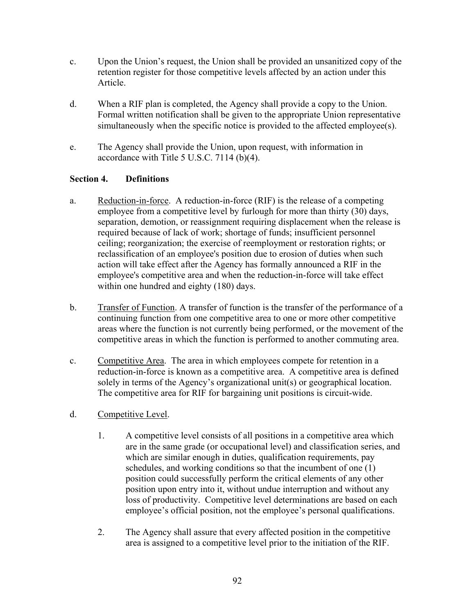- c. Upon the Union's request, the Union shall be provided an unsanitized copy of the retention register for those competitive levels affected by an action under this Article.
- d. When a RIF plan is completed, the Agency shall provide a copy to the Union. Formal written notification shall be given to the appropriate Union representative simultaneously when the specific notice is provided to the affected employee(s).
- e. The Agency shall provide the Union, upon request, with information in accordance with Title 5 U.S.C. 7114 (b)(4).

# **Section 4. Definitions**

- a. Reduction-in-force. A reduction-in-force (RIF) is the release of a competing employee from a competitive level by furlough for more than thirty (30) days, separation, demotion, or reassignment requiring displacement when the release is required because of lack of work; shortage of funds; insufficient personnel ceiling; reorganization; the exercise of reemployment or restoration rights; or reclassification of an employee's position due to erosion of duties when such action will take effect after the Agency has formally announced a RIF in the employee's competitive area and when the reduction-in-force will take effect within one hundred and eighty (180) days.
- b. Transfer of Function. A transfer of function is the transfer of the performance of a continuing function from one competitive area to one or more other competitive areas where the function is not currently being performed, or the movement of the competitive areas in which the function is performed to another commuting area.
- c. Competitive Area. The area in which employees compete for retention in a reduction-in-force is known as a competitive area. A competitive area is defined solely in terms of the Agency's organizational unit(s) or geographical location. The competitive area for RIF for bargaining unit positions is circuit-wide.
- d. Competitive Level.
	- 1. A competitive level consists of all positions in a competitive area which are in the same grade (or occupational level) and classification series, and which are similar enough in duties, qualification requirements, pay schedules, and working conditions so that the incumbent of one (1) position could successfully perform the critical elements of any other position upon entry into it, without undue interruption and without any loss of productivity. Competitive level determinations are based on each employee's official position, not the employee's personal qualifications.
	- 2. The Agency shall assure that every affected position in the competitive area is assigned to a competitive level prior to the initiation of the RIF.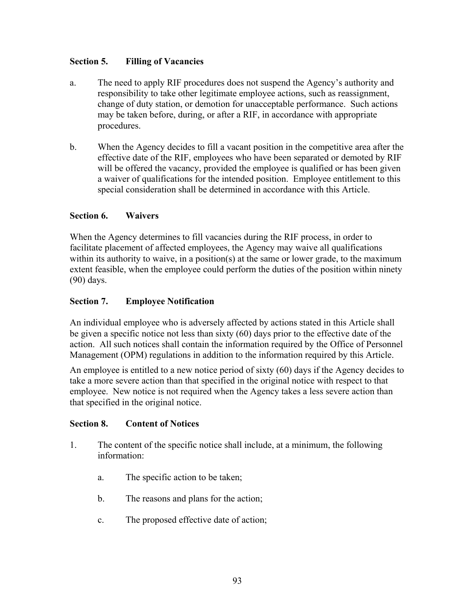# **Section 5. Filling of Vacancies**

- a. The need to apply RIF procedures does not suspend the Agency's authority and responsibility to take other legitimate employee actions, such as reassignment, change of duty station, or demotion for unacceptable performance. Such actions may be taken before, during, or after a RIF, in accordance with appropriate procedures.
- b. When the Agency decides to fill a vacant position in the competitive area after the effective date of the RIF, employees who have been separated or demoted by RIF will be offered the vacancy, provided the employee is qualified or has been given a waiver of qualifications for the intended position. Employee entitlement to this special consideration shall be determined in accordance with this Article.

# **Section 6. Waivers**

When the Agency determines to fill vacancies during the RIF process, in order to facilitate placement of affected employees, the Agency may waive all qualifications within its authority to waive, in a position(s) at the same or lower grade, to the maximum extent feasible, when the employee could perform the duties of the position within ninety (90) days.

# **Section 7. Employee Notification**

An individual employee who is adversely affected by actions stated in this Article shall be given a specific notice not less than sixty (60) days prior to the effective date of the action. All such notices shall contain the information required by the Office of Personnel Management (OPM) regulations in addition to the information required by this Article.

An employee is entitled to a new notice period of sixty (60) days if the Agency decides to take a more severe action than that specified in the original notice with respect to that employee. New notice is not required when the Agency takes a less severe action than that specified in the original notice.

## **Section 8. Content of Notices**

- 1. The content of the specific notice shall include, at a minimum, the following information:
	- a. The specific action to be taken;
	- b. The reasons and plans for the action;
	- c. The proposed effective date of action;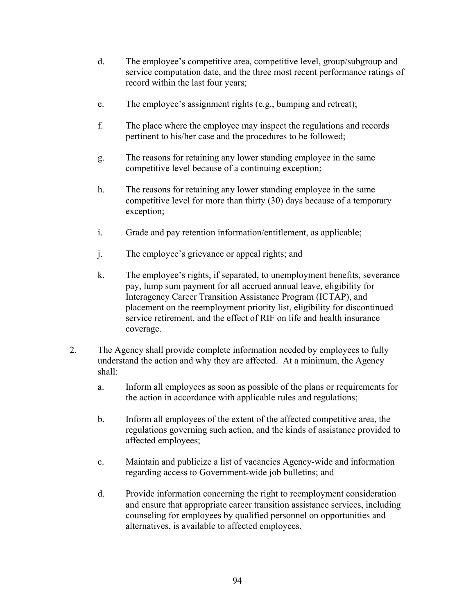- d. The employee's competitive area, competitive level, group/subgroup and service computation date, and the three most recent performance ratings of record within the last four years;
- e. The employee's assignment rights (e.g., bumping and retreat);
- f. The place where the employee may inspect the regulations and records pertinent to his/her case and the procedures to be followed;
- g. The reasons for retaining any lower standing employee in the same competitive level because of a continuing exception;
- h. The reasons for retaining any lower standing employee in the same competitive level for more than thirty (30) days because of a temporary exception;
- i. Grade and pay retention information/entitlement, as applicable;
- j. The employee's grievance or appeal rights; and
- k. The employee's rights, if separated, to unemployment benefits, severance pay, lump sum payment for all accrued annual leave, eligibility for Interagency Career Transition Assistance Program (ICTAP), and placement on the reemployment priority list, eligibility for discontinued service retirement, and the effect of RIF on life and health insurance coverage.
- 2. The Agency shall provide complete information needed by employees to fully understand the action and why they are affected. At a minimum, the Agency shall:
	- a. Inform all employees as soon as possible of the plans or requirements for the action in accordance with applicable rules and regulations;
	- b. Inform all employees of the extent of the affected competitive area, the regulations governing such action, and the kinds of assistance provided to affected employees;
	- c. Maintain and publicize a list of vacancies Agency-wide and information regarding access to Government-wide job bulletins; and
	- d. Provide information concerning the right to reemployment consideration and ensure that appropriate career transition assistance services, including counseling for employees by qualified personnel on opportunities and alternatives, is available to affected employees.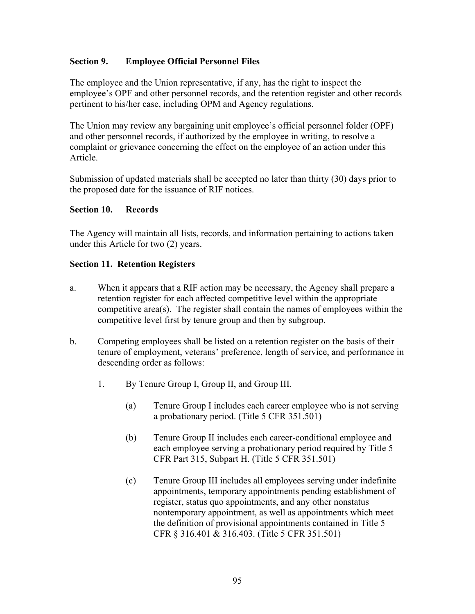# **Section 9. Employee Official Personnel Files**

The employee and the Union representative, if any, has the right to inspect the employee's OPF and other personnel records, and the retention register and other records pertinent to his/her case, including OPM and Agency regulations.

The Union may review any bargaining unit employee's official personnel folder (OPF) and other personnel records, if authorized by the employee in writing, to resolve a complaint or grievance concerning the effect on the employee of an action under this Article.

Submission of updated materials shall be accepted no later than thirty (30) days prior to the proposed date for the issuance of RIF notices.

### **Section 10. Records**

The Agency will maintain all lists, records, and information pertaining to actions taken under this Article for two (2) years.

### **Section 11. Retention Registers**

- a. When it appears that a RIF action may be necessary, the Agency shall prepare a retention register for each affected competitive level within the appropriate competitive area(s). The register shall contain the names of employees within the competitive level first by tenure group and then by subgroup.
- b. Competing employees shall be listed on a retention register on the basis of their tenure of employment, veterans' preference, length of service, and performance in descending order as follows:
	- 1. By Tenure Group I, Group II, and Group III.
		- (a) Tenure Group I includes each career employee who is not serving a probationary period. (Title 5 CFR 351.501)
		- (b) Tenure Group II includes each career-conditional employee and each employee serving a probationary period required by Title 5 CFR Part 315, Subpart H. (Title 5 CFR 351.501)
		- (c) Tenure Group III includes all employees serving under indefinite appointments, temporary appointments pending establishment of register, status quo appointments, and any other nonstatus nontemporary appointment, as well as appointments which meet the definition of provisional appointments contained in Title 5 CFR § 316.401 & 316.403. (Title 5 CFR 351.501)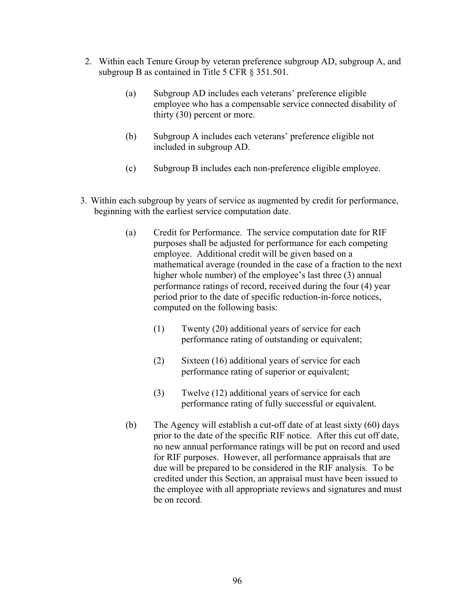- 2. Within each Tenure Group by veteran preference subgroup AD, subgroup A, and subgroup B as contained in Title 5 CFR § 351.501.
	- (a) Subgroup AD includes each veterans' preference eligible employee who has a compensable service connected disability of thirty (30) percent or more.
	- (b) Subgroup A includes each veterans' preference eligible not included in subgroup AD.
	- (c) Subgroup B includes each non-preference eligible employee.
- 3. Within each subgroup by years of service as augmented by credit for performance, beginning with the earliest service computation date.
	- (a) Credit for Performance. The service computation date for RIF purposes shall be adjusted for performance for each competing employee. Additional credit will be given based on a mathematical average (rounded in the case of a fraction to the next higher whole number) of the employee's last three (3) annual performance ratings of record, received during the four (4) year period prior to the date of specific reduction-in-force notices, computed on the following basis:
		- (1) Twenty (20) additional years of service for each performance rating of outstanding or equivalent;
		- (2) Sixteen (16) additional years of service for each performance rating of superior or equivalent;
		- (3) Twelve (12) additional years of service for each performance rating of fully successful or equivalent.
	- (b) The Agency will establish a cut-off date of at least sixty (60) days prior to the date of the specific RIF notice. After this cut off date, no new annual performance ratings will be put on record and used for RIF purposes. However, all performance appraisals that are due will be prepared to be considered in the RIF analysis*.* To be credited under this Section, an appraisal must have been issued to the employee with all appropriate reviews and signatures and must be on record.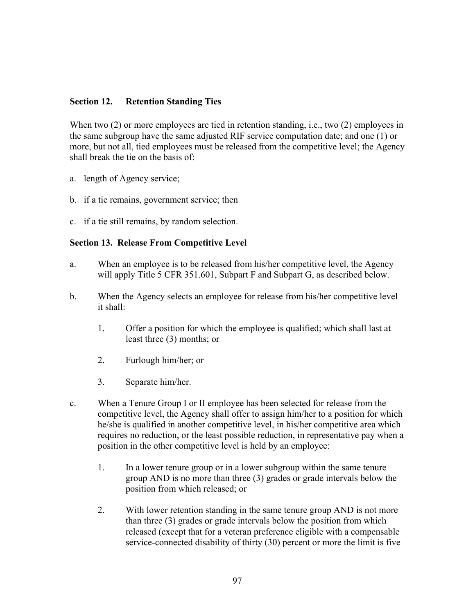### **Section 12. Retention Standing Ties**

When two (2) or more employees are tied in retention standing, i.e., two (2) employees in the same subgroup have the same adjusted RIF service computation date; and one (1) or more, but not all, tied employees must be released from the competitive level; the Agency shall break the tie on the basis of:

- a. length of Agency service;
- b. if a tie remains, government service; then
- c. if a tie still remains, by random selection.

## **Section 13. Release From Competitive Level**

- a. When an employee is to be released from his/her competitive level, the Agency will apply Title 5 CFR 351.601, Subpart F and Subpart G, as described below.
- b. When the Agency selects an employee for release from his/her competitive level it shall:
	- 1. Offer a position for which the employee is qualified; which shall last at least three (3) months; or
	- 2. Furlough him/her; or
	- 3. Separate him/her.
- c. When a Tenure Group I or II employee has been selected for release from the competitive level, the Agency shall offer to assign him/her to a position for which he/she is qualified in another competitive level, in his/her competitive area which requires no reduction, or the least possible reduction, in representative pay when a position in the other competitive level is held by an employee:
	- 1. In a lower tenure group or in a lower subgroup within the same tenure group AND is no more than three (3) grades or grade intervals below the position from which released; or
	- 2. With lower retention standing in the same tenure group AND is not more than three (3) grades or grade intervals below the position from which released (except that for a veteran preference eligible with a compensable service-connected disability of thirty (30) percent or more the limit is five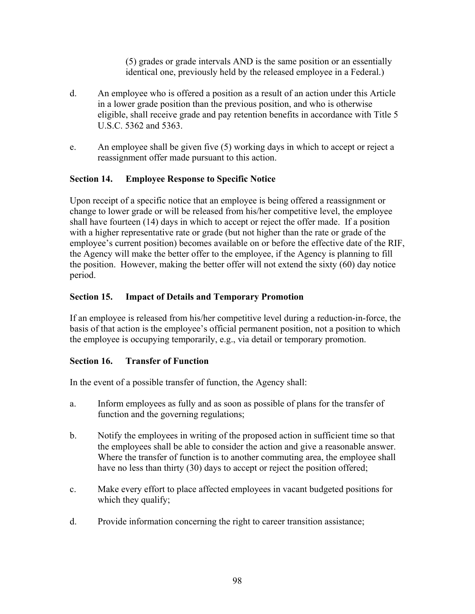(5) grades or grade intervals AND is the same position or an essentially identical one, previously held by the released employee in a Federal.)

- d. An employee who is offered a position as a result of an action under this Article in a lower grade position than the previous position, and who is otherwise eligible, shall receive grade and pay retention benefits in accordance with Title 5 U.S.C. 5362 and 5363.
- e. An employee shall be given five (5) working days in which to accept or reject a reassignment offer made pursuant to this action.

# **Section 14. Employee Response to Specific Notice**

Upon receipt of a specific notice that an employee is being offered a reassignment or change to lower grade or will be released from his/her competitive level, the employee shall have fourteen (14) days in which to accept or reject the offer made. If a position with a higher representative rate or grade (but not higher than the rate or grade of the employee's current position) becomes available on or before the effective date of the RIF, the Agency will make the better offer to the employee, if the Agency is planning to fill the position. However, making the better offer will not extend the sixty (60) day notice period.

# **Section 15. Impact of Details and Temporary Promotion**

If an employee is released from his/her competitive level during a reduction-in-force, the basis of that action is the employee's official permanent position, not a position to which the employee is occupying temporarily, e.g., via detail or temporary promotion.

## **Section 16. Transfer of Function**

In the event of a possible transfer of function, the Agency shall:

- a. Inform employees as fully and as soon as possible of plans for the transfer of function and the governing regulations;
- b. Notify the employees in writing of the proposed action in sufficient time so that the employees shall be able to consider the action and give a reasonable answer. Where the transfer of function is to another commuting area, the employee shall have no less than thirty (30) days to accept or reject the position offered;
- c. Make every effort to place affected employees in vacant budgeted positions for which they qualify;
- d. Provide information concerning the right to career transition assistance;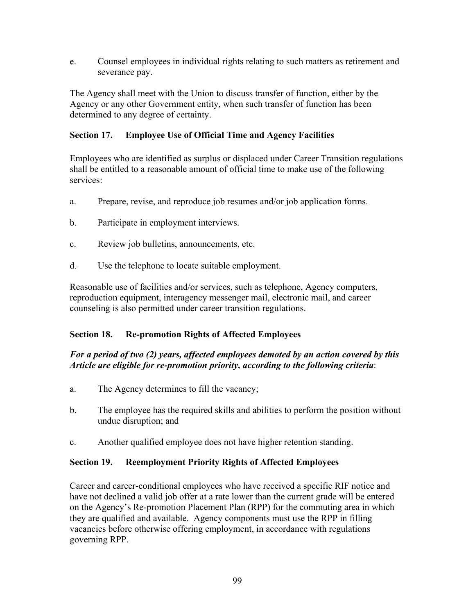e. Counsel employees in individual rights relating to such matters as retirement and severance pay.

The Agency shall meet with the Union to discuss transfer of function, either by the Agency or any other Government entity, when such transfer of function has been determined to any degree of certainty.

# **Section 17. Employee Use of Official Time and Agency Facilities**

Employees who are identified as surplus or displaced under Career Transition regulations shall be entitled to a reasonable amount of official time to make use of the following services:

- a. Prepare, revise, and reproduce job resumes and/or job application forms.
- b. Participate in employment interviews.
- c. Review job bulletins, announcements, etc.
- d. Use the telephone to locate suitable employment.

Reasonable use of facilities and/or services, such as telephone, Agency computers, reproduction equipment, interagency messenger mail, electronic mail, and career counseling is also permitted under career transition regulations.

## **Section 18. Re-promotion Rights of Affected Employees**

## *For a period of two (2) years, affected employees demoted by an action covered by this Article are eligible for re-promotion priority, according to the following criteria*:

- a. The Agency determines to fill the vacancy;
- b. The employee has the required skills and abilities to perform the position without undue disruption; and
- c. Another qualified employee does not have higher retention standing.

## **Section 19. Reemployment Priority Rights of Affected Employees**

Career and career-conditional employees who have received a specific RIF notice and have not declined a valid job offer at a rate lower than the current grade will be entered on the Agency's Re-promotion Placement Plan (RPP) for the commuting area in which they are qualified and available. Agency components must use the RPP in filling vacancies before otherwise offering employment, in accordance with regulations governing RPP.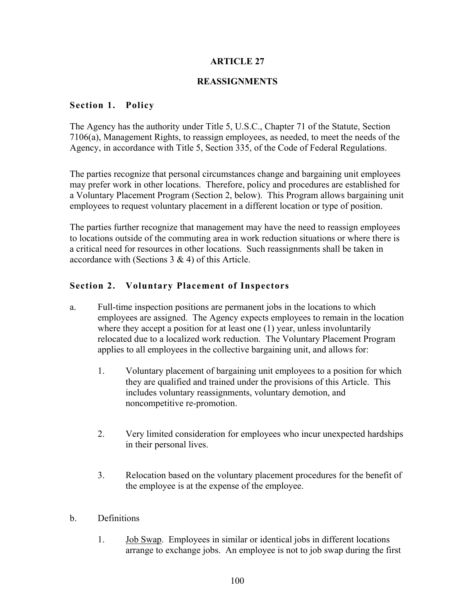### **REASSIGNMENTS**

## **Section 1. Policy**

The Agency has the authority under Title 5, U.S.C., Chapter 71 of the Statute, Section 7106(a), Management Rights, to reassign employees, as needed, to meet the needs of the Agency, in accordance with Title 5, Section 335, of the Code of Federal Regulations.

The parties recognize that personal circumstances change and bargaining unit employees may prefer work in other locations. Therefore, policy and procedures are established for a Voluntary Placement Program (Section 2, below). This Program allows bargaining unit employees to request voluntary placement in a different location or type of position.

The parties further recognize that management may have the need to reassign employees to locations outside of the commuting area in work reduction situations or where there is a critical need for resources in other locations. Such reassignments shall be taken in accordance with (Sections  $3 \& 4$ ) of this Article.

## **Section 2. Voluntary Placement of Inspectors**

- a. Full-time inspection positions are permanent jobs in the locations to which employees are assigned. The Agency expects employees to remain in the location where they accept a position for at least one (1) year, unless involuntarily relocated due to a localized work reduction. The Voluntary Placement Program applies to all employees in the collective bargaining unit, and allows for:
	- 1. Voluntary placement of bargaining unit employees to a position for which they are qualified and trained under the provisions of this Article. This includes voluntary reassignments, voluntary demotion, and noncompetitive re-promotion.
	- 2. Very limited consideration for employees who incur unexpected hardships in their personal lives.
	- 3. Relocation based on the voluntary placement procedures for the benefit of the employee is at the expense of the employee.

## b. Definitions

1. Job Swap. Employees in similar or identical jobs in different locations arrange to exchange jobs. An employee is not to job swap during the first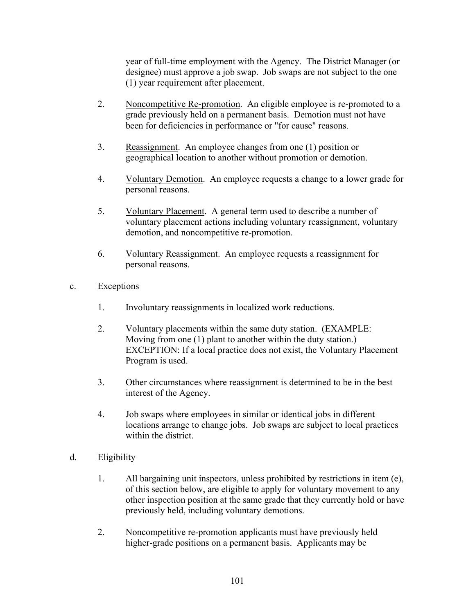year of full-time employment with the Agency. The District Manager (or designee) must approve a job swap. Job swaps are not subject to the one (1) year requirement after placement.

- 2. Noncompetitive Re-promotion. An eligible employee is re-promoted to a grade previously held on a permanent basis. Demotion must not have been for deficiencies in performance or "for cause" reasons.
- 3. Reassignment. An employee changes from one (1) position or geographical location to another without promotion or demotion.
- 4. Voluntary Demotion. An employee requests a change to a lower grade for personal reasons.
- 5. Voluntary Placement. A general term used to describe a number of voluntary placement actions including voluntary reassignment, voluntary demotion, and noncompetitive re-promotion.
- 6. Voluntary Reassignment. An employee requests a reassignment for personal reasons.
- c. Exceptions
	- 1. Involuntary reassignments in localized work reductions.
	- 2. Voluntary placements within the same duty station. (EXAMPLE: Moving from one (1) plant to another within the duty station.) EXCEPTION: If a local practice does not exist, the Voluntary Placement Program is used.
	- 3. Other circumstances where reassignment is determined to be in the best interest of the Agency.
	- 4. Job swaps where employees in similar or identical jobs in different locations arrange to change jobs. Job swaps are subject to local practices within the district.
- d. Eligibility
	- 1. All bargaining unit inspectors, unless prohibited by restrictions in item (e), of this section below, are eligible to apply for voluntary movement to any other inspection position at the same grade that they currently hold or have previously held, including voluntary demotions.
	- 2. Noncompetitive re-promotion applicants must have previously held higher-grade positions on a permanent basis. Applicants may be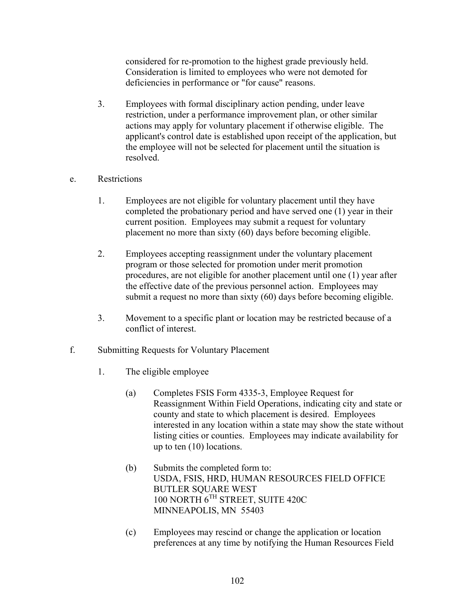considered for re-promotion to the highest grade previously held. Consideration is limited to employees who were not demoted for deficiencies in performance or "for cause" reasons.

- 3. Employees with formal disciplinary action pending, under leave restriction, under a performance improvement plan, or other similar actions may apply for voluntary placement if otherwise eligible. The applicant's control date is established upon receipt of the application, but the employee will not be selected for placement until the situation is resolved.
- e. Restrictions
	- 1. Employees are not eligible for voluntary placement until they have completed the probationary period and have served one (1) year in their current position. Employees may submit a request for voluntary placement no more than sixty (60) days before becoming eligible.
	- 2. Employees accepting reassignment under the voluntary placement program or those selected for promotion under merit promotion procedures, are not eligible for another placement until one (1) year after the effective date of the previous personnel action. Employees may submit a request no more than sixty (60) days before becoming eligible.
	- 3. Movement to a specific plant or location may be restricted because of a conflict of interest.
- f. Submitting Requests for Voluntary Placement
	- 1. The eligible employee
		- (a) Completes FSIS Form 4335-3, Employee Request for Reassignment Within Field Operations, indicating city and state or county and state to which placement is desired. Employees interested in any location within a state may show the state without listing cities or counties. Employees may indicate availability for up to ten (10) locations.
		- (b) Submits the completed form to: USDA, FSIS, HRD, HUMAN RESOURCES FIELD OFFICE BUTLER SQUARE WEST 100 NORTH 6TH STREET, SUITE 420C MINNEAPOLIS, MN 55403
		- (c) Employees may rescind or change the application or location preferences at any time by notifying the Human Resources Field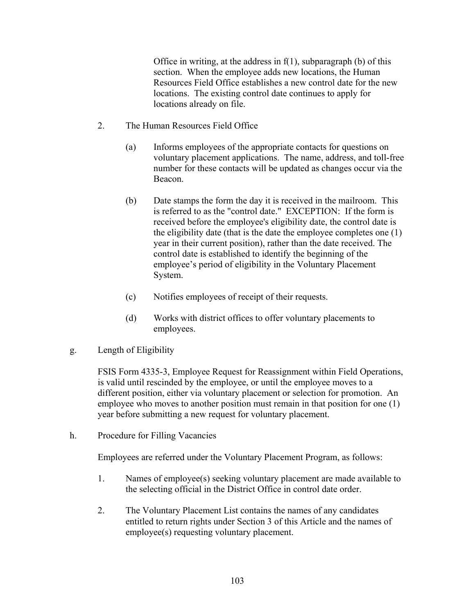Office in writing, at the address in  $f(1)$ , subparagraph (b) of this section. When the employee adds new locations, the Human Resources Field Office establishes a new control date for the new locations. The existing control date continues to apply for locations already on file.

- 2. The Human Resources Field Office
	- (a) Informs employees of the appropriate contacts for questions on voluntary placement applications. The name, address, and toll-free number for these contacts will be updated as changes occur via the Beacon.
	- (b) Date stamps the form the day it is received in the mailroom. This is referred to as the "control date." EXCEPTION: If the form is received before the employee's eligibility date, the control date is the eligibility date (that is the date the employee completes one (1) year in their current position), rather than the date received. The control date is established to identify the beginning of the employee's period of eligibility in the Voluntary Placement System.
	- (c) Notifies employees of receipt of their requests.
	- (d) Works with district offices to offer voluntary placements to employees.
- g. Length of Eligibility

FSIS Form 4335-3, Employee Request for Reassignment within Field Operations, is valid until rescinded by the employee, or until the employee moves to a different position, either via voluntary placement or selection for promotion. An employee who moves to another position must remain in that position for one (1) year before submitting a new request for voluntary placement.

h. Procedure for Filling Vacancies

Employees are referred under the Voluntary Placement Program, as follows:

- 1. Names of employee(s) seeking voluntary placement are made available to the selecting official in the District Office in control date order.
- 2. The Voluntary Placement List contains the names of any candidates entitled to return rights under Section 3 of this Article and the names of employee(s) requesting voluntary placement.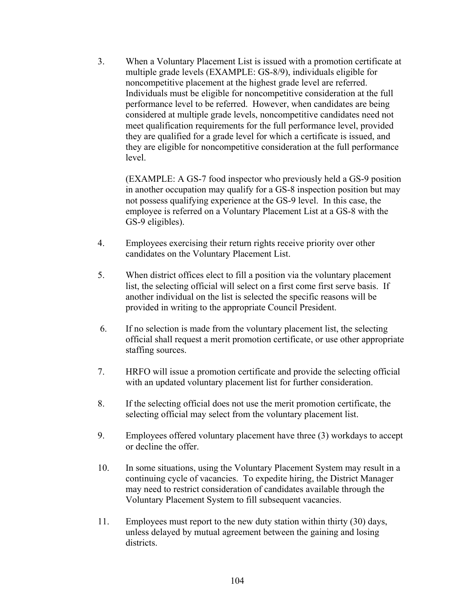3. When a Voluntary Placement List is issued with a promotion certificate at multiple grade levels (EXAMPLE: GS-8/9), individuals eligible for noncompetitive placement at the highest grade level are referred. Individuals must be eligible for noncompetitive consideration at the full performance level to be referred. However, when candidates are being considered at multiple grade levels, noncompetitive candidates need not meet qualification requirements for the full performance level, provided they are qualified for a grade level for which a certificate is issued, and they are eligible for noncompetitive consideration at the full performance level.

(EXAMPLE: A GS-7 food inspector who previously held a GS-9 position in another occupation may qualify for a GS-8 inspection position but may not possess qualifying experience at the GS-9 level. In this case, the employee is referred on a Voluntary Placement List at a GS-8 with the GS-9 eligibles).

- 4. Employees exercising their return rights receive priority over other candidates on the Voluntary Placement List.
- 5. When district offices elect to fill a position via the voluntary placement list, the selecting official will select on a first come first serve basis. If another individual on the list is selected the specific reasons will be provided in writing to the appropriate Council President.
- 6. If no selection is made from the voluntary placement list, the selecting official shall request a merit promotion certificate, or use other appropriate staffing sources.
- 7. HRFO will issue a promotion certificate and provide the selecting official with an updated voluntary placement list for further consideration.
- 8. If the selecting official does not use the merit promotion certificate, the selecting official may select from the voluntary placement list.
- 9. Employees offered voluntary placement have three (3) workdays to accept or decline the offer.
- 10. In some situations, using the Voluntary Placement System may result in a continuing cycle of vacancies. To expedite hiring, the District Manager may need to restrict consideration of candidates available through the Voluntary Placement System to fill subsequent vacancies.
- 11. Employees must report to the new duty station within thirty (30) days, unless delayed by mutual agreement between the gaining and losing districts.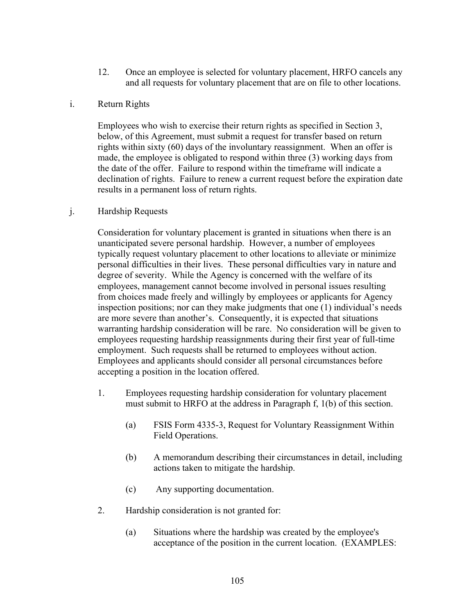- 12. Once an employee is selected for voluntary placement, HRFO cancels any and all requests for voluntary placement that are on file to other locations.
- i. Return Rights

Employees who wish to exercise their return rights as specified in Section 3, below, of this Agreement, must submit a request for transfer based on return rights within sixty (60) days of the involuntary reassignment. When an offer is made, the employee is obligated to respond within three (3) working days from the date of the offer. Failure to respond within the timeframe will indicate a declination of rights. Failure to renew a current request before the expiration date results in a permanent loss of return rights.

j. Hardship Requests

Consideration for voluntary placement is granted in situations when there is an unanticipated severe personal hardship. However, a number of employees typically request voluntary placement to other locations to alleviate or minimize personal difficulties in their lives. These personal difficulties vary in nature and degree of severity. While the Agency is concerned with the welfare of its employees, management cannot become involved in personal issues resulting from choices made freely and willingly by employees or applicants for Agency inspection positions; nor can they make judgments that one (1) individual's needs are more severe than another's. Consequently, it is expected that situations warranting hardship consideration will be rare. No consideration will be given to employees requesting hardship reassignments during their first year of full-time employment. Such requests shall be returned to employees without action. Employees and applicants should consider all personal circumstances before accepting a position in the location offered.

- 1. Employees requesting hardship consideration for voluntary placement must submit to HRFO at the address in Paragraph f, 1(b) of this section.
	- (a) FSIS Form 4335-3, Request for Voluntary Reassignment Within Field Operations.
	- (b) A memorandum describing their circumstances in detail, including actions taken to mitigate the hardship.
	- (c) Any supporting documentation.
- 2. Hardship consideration is not granted for:
	- (a) Situations where the hardship was created by the employee's acceptance of the position in the current location. (EXAMPLES: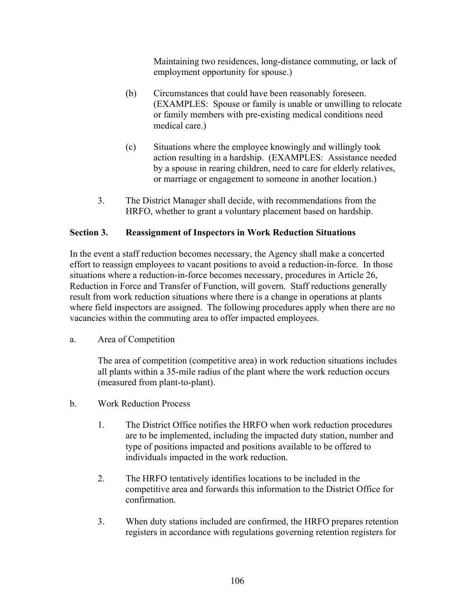Maintaining two residences, long-distance commuting, or lack of employment opportunity for spouse.)

- (b) Circumstances that could have been reasonably foreseen. (EXAMPLES: Spouse or family is unable or unwilling to relocate or family members with pre-existing medical conditions need medical care.)
- (c) Situations where the employee knowingly and willingly took action resulting in a hardship. (EXAMPLES: Assistance needed by a spouse in rearing children, need to care for elderly relatives, or marriage or engagement to someone in another location.)
- 3. The District Manager shall decide, with recommendations from the HRFO, whether to grant a voluntary placement based on hardship.

# **Section 3. Reassignment of Inspectors in Work Reduction Situations**

In the event a staff reduction becomes necessary, the Agency shall make a concerted effort to reassign employees to vacant positions to avoid a reduction-in-force. In those situations where a reduction-in-force becomes necessary, procedures in Article 26, Reduction in Force and Transfer of Function, will govern. Staff reductions generally result from work reduction situations where there is a change in operations at plants where field inspectors are assigned. The following procedures apply when there are no vacancies within the commuting area to offer impacted employees.

a. Area of Competition

The area of competition (competitive area) in work reduction situations includes all plants within a 35-mile radius of the plant where the work reduction occurs (measured from plant-to-plant).

- b. Work Reduction Process
	- 1. The District Office notifies the HRFO when work reduction procedures are to be implemented, including the impacted duty station, number and type of positions impacted and positions available to be offered to individuals impacted in the work reduction.
	- 2. The HRFO tentatively identifies locations to be included in the competitive area and forwards this information to the District Office for confirmation.
	- 3. When duty stations included are confirmed, the HRFO prepares retention registers in accordance with regulations governing retention registers for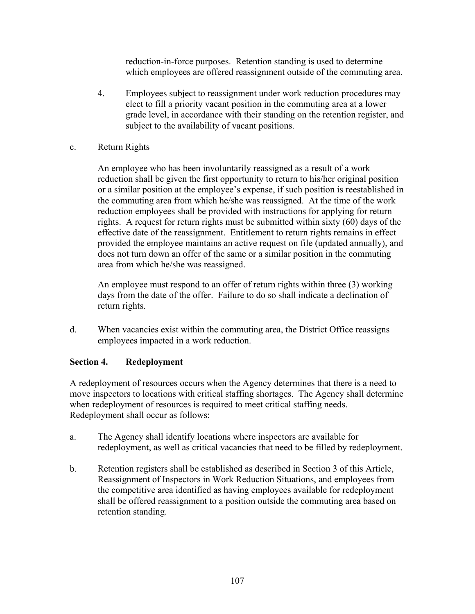reduction-in-force purposes. Retention standing is used to determine which employees are offered reassignment outside of the commuting area.

- 4. Employees subject to reassignment under work reduction procedures may elect to fill a priority vacant position in the commuting area at a lower grade level, in accordance with their standing on the retention register, and subject to the availability of vacant positions.
- c. Return Rights

An employee who has been involuntarily reassigned as a result of a work reduction shall be given the first opportunity to return to his/her original position or a similar position at the employee's expense, if such position is reestablished in the commuting area from which he/she was reassigned. At the time of the work reduction employees shall be provided with instructions for applying for return rights. A request for return rights must be submitted within sixty (60) days of the effective date of the reassignment. Entitlement to return rights remains in effect provided the employee maintains an active request on file (updated annually), and does not turn down an offer of the same or a similar position in the commuting area from which he/she was reassigned.

An employee must respond to an offer of return rights within three (3) working days from the date of the offer. Failure to do so shall indicate a declination of return rights.

d. When vacancies exist within the commuting area, the District Office reassigns employees impacted in a work reduction.

## **Section 4. Redeployment**

A redeployment of resources occurs when the Agency determines that there is a need to move inspectors to locations with critical staffing shortages. The Agency shall determine when redeployment of resources is required to meet critical staffing needs. Redeployment shall occur as follows:

- a. The Agency shall identify locations where inspectors are available for redeployment, as well as critical vacancies that need to be filled by redeployment.
- b. Retention registers shall be established as described in Section 3 of this Article, Reassignment of Inspectors in Work Reduction Situations, and employees from the competitive area identified as having employees available for redeployment shall be offered reassignment to a position outside the commuting area based on retention standing.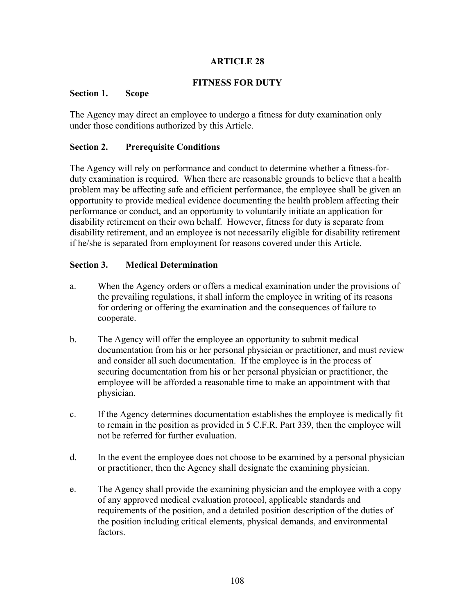# **FITNESS FOR DUTY**

### **Section 1. Scope**

The Agency may direct an employee to undergo a fitness for duty examination only under those conditions authorized by this Article.

# **Section 2. Prerequisite Conditions**

The Agency will rely on performance and conduct to determine whether a fitness-forduty examination is required. When there are reasonable grounds to believe that a health problem may be affecting safe and efficient performance, the employee shall be given an opportunity to provide medical evidence documenting the health problem affecting their performance or conduct, and an opportunity to voluntarily initiate an application for disability retirement on their own behalf. However, fitness for duty is separate from disability retirement, and an employee is not necessarily eligible for disability retirement if he/she is separated from employment for reasons covered under this Article.

## **Section 3. Medical Determination**

- a. When the Agency orders or offers a medical examination under the provisions of the prevailing regulations, it shall inform the employee in writing of its reasons for ordering or offering the examination and the consequences of failure to cooperate.
- b. The Agency will offer the employee an opportunity to submit medical documentation from his or her personal physician or practitioner, and must review and consider all such documentation. If the employee is in the process of securing documentation from his or her personal physician or practitioner, the employee will be afforded a reasonable time to make an appointment with that physician.
- c. If the Agency determines documentation establishes the employee is medically fit to remain in the position as provided in 5 C.F.R. Part 339, then the employee will not be referred for further evaluation.
- d. In the event the employee does not choose to be examined by a personal physician or practitioner, then the Agency shall designate the examining physician.
- e. The Agency shall provide the examining physician and the employee with a copy of any approved medical evaluation protocol, applicable standards and requirements of the position, and a detailed position description of the duties of the position including critical elements, physical demands, and environmental factors.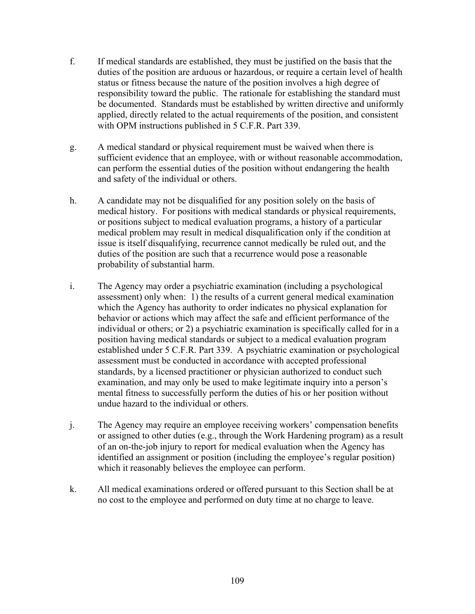- f. If medical standards are established, they must be justified on the basis that the duties of the position are arduous or hazardous, or require a certain level of health status or fitness because the nature of the position involves a high degree of responsibility toward the public. The rationale for establishing the standard must be documented. Standards must be established by written directive and uniformly applied, directly related to the actual requirements of the position, and consistent with OPM instructions published in 5 C.F.R. Part 339.
- g. A medical standard or physical requirement must be waived when there is sufficient evidence that an employee, with or without reasonable accommodation, can perform the essential duties of the position without endangering the health and safety of the individual or others.
- h. A candidate may not be disqualified for any position solely on the basis of medical history. For positions with medical standards or physical requirements, or positions subject to medical evaluation programs, a history of a particular medical problem may result in medical disqualification only if the condition at issue is itself disqualifying, recurrence cannot medically be ruled out, and the duties of the position are such that a recurrence would pose a reasonable probability of substantial harm.
- i. The Agency may order a psychiatric examination (including a psychological assessment) only when: 1) the results of a current general medical examination which the Agency has authority to order indicates no physical explanation for behavior or actions which may affect the safe and efficient performance of the individual or others; or 2) a psychiatric examination is specifically called for in a position having medical standards or subject to a medical evaluation program established under 5 C.F.R. Part 339. A psychiatric examination or psychological assessment must be conducted in accordance with accepted professional standards, by a licensed practitioner or physician authorized to conduct such examination, and may only be used to make legitimate inquiry into a person's mental fitness to successfully perform the duties of his or her position without undue hazard to the individual or others.
- j. The Agency may require an employee receiving workers' compensation benefits or assigned to other duties (e.g., through the Work Hardening program) as a result of an on-the-job injury to report for medical evaluation when the Agency has identified an assignment or position (including the employee's regular position) which it reasonably believes the employee can perform.
- k. All medical examinations ordered or offered pursuant to this Section shall be at no cost to the employee and performed on duty time at no charge to leave.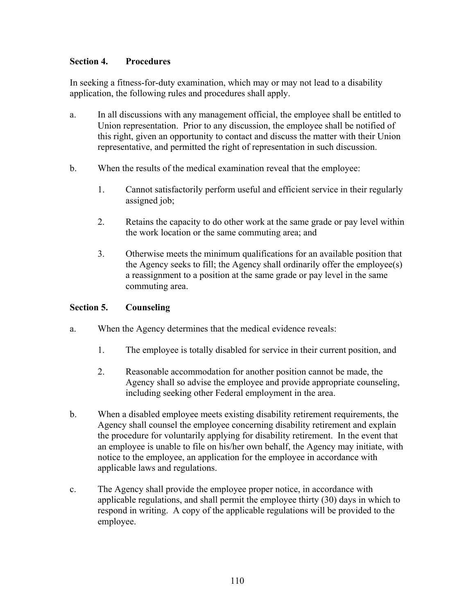# **Section 4. Procedures**

In seeking a fitness-for-duty examination, which may or may not lead to a disability application, the following rules and procedures shall apply.

- a. In all discussions with any management official, the employee shall be entitled to Union representation. Prior to any discussion, the employee shall be notified of this right, given an opportunity to contact and discuss the matter with their Union representative, and permitted the right of representation in such discussion.
- b. When the results of the medical examination reveal that the employee:
	- 1. Cannot satisfactorily perform useful and efficient service in their regularly assigned job;
	- 2. Retains the capacity to do other work at the same grade or pay level within the work location or the same commuting area; and
	- 3. Otherwise meets the minimum qualifications for an available position that the Agency seeks to fill; the Agency shall ordinarily offer the employee(s) a reassignment to a position at the same grade or pay level in the same commuting area.

#### **Section 5. Counseling**

- a. When the Agency determines that the medical evidence reveals:
	- 1. The employee is totally disabled for service in their current position, and
	- 2. Reasonable accommodation for another position cannot be made, the Agency shall so advise the employee and provide appropriate counseling, including seeking other Federal employment in the area.
- b. When a disabled employee meets existing disability retirement requirements, the Agency shall counsel the employee concerning disability retirement and explain the procedure for voluntarily applying for disability retirement. In the event that an employee is unable to file on his/her own behalf, the Agency may initiate, with notice to the employee, an application for the employee in accordance with applicable laws and regulations.
- c. The Agency shall provide the employee proper notice, in accordance with applicable regulations, and shall permit the employee thirty (30) days in which to respond in writing. A copy of the applicable regulations will be provided to the employee.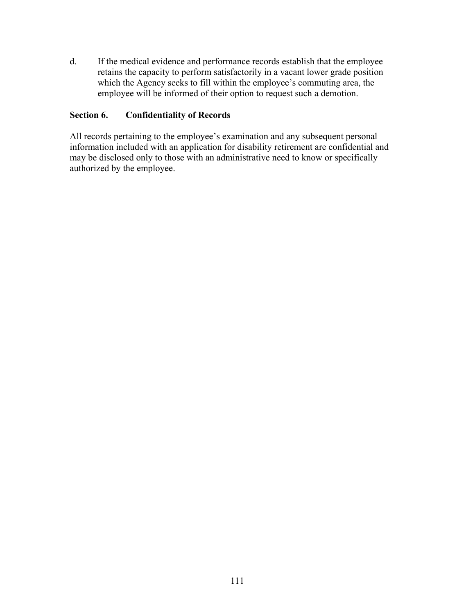d. If the medical evidence and performance records establish that the employee retains the capacity to perform satisfactorily in a vacant lower grade position which the Agency seeks to fill within the employee's commuting area, the employee will be informed of their option to request such a demotion.

# **Section 6. Confidentiality of Records**

All records pertaining to the employee's examination and any subsequent personal information included with an application for disability retirement are confidential and may be disclosed only to those with an administrative need to know or specifically authorized by the employee.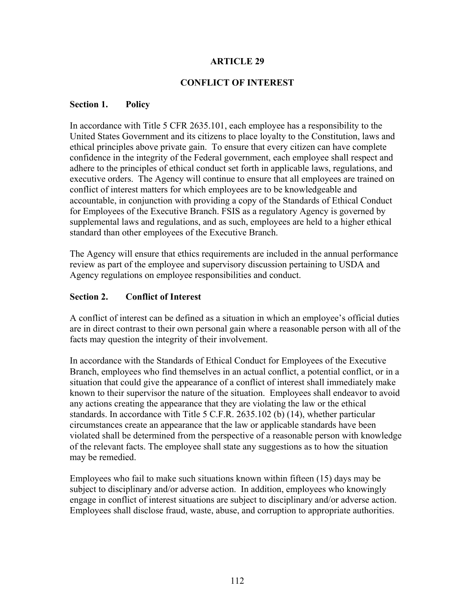# **CONFLICT OF INTEREST**

### **Section 1. Policy**

In accordance with Title 5 CFR 2635.101, each employee has a responsibility to the United States Government and its citizens to place loyalty to the Constitution, laws and ethical principles above private gain. To ensure that every citizen can have complete confidence in the integrity of the Federal government, each employee shall respect and adhere to the principles of ethical conduct set forth in applicable laws, regulations, and executive orders. The Agency will continue to ensure that all employees are trained on conflict of interest matters for which employees are to be knowledgeable and accountable, in conjunction with providing a copy of the Standards of Ethical Conduct for Employees of the Executive Branch. FSIS as a regulatory Agency is governed by supplemental laws and regulations, and as such, employees are held to a higher ethical standard than other employees of the Executive Branch.

The Agency will ensure that ethics requirements are included in the annual performance review as part of the employee and supervisory discussion pertaining to USDA and Agency regulations on employee responsibilities and conduct.

# **Section 2. Conflict of Interest**

A conflict of interest can be defined as a situation in which an employee's official duties are in direct contrast to their own personal gain where a reasonable person with all of the facts may question the integrity of their involvement.

In accordance with the Standards of Ethical Conduct for Employees of the Executive Branch, employees who find themselves in an actual conflict, a potential conflict, or in a situation that could give the appearance of a conflict of interest shall immediately make known to their supervisor the nature of the situation. Employees shall endeavor to avoid any actions creating the appearance that they are violating the law or the ethical standards. In accordance with Title 5 C.F.R. 2635.102 (b) (14), whether particular circumstances create an appearance that the law or applicable standards have been violated shall be determined from the perspective of a reasonable person with knowledge of the relevant facts. The employee shall state any suggestions as to how the situation may be remedied.

Employees who fail to make such situations known within fifteen (15) days may be subject to disciplinary and/or adverse action. In addition, employees who knowingly engage in conflict of interest situations are subject to disciplinary and/or adverse action. Employees shall disclose fraud, waste, abuse, and corruption to appropriate authorities.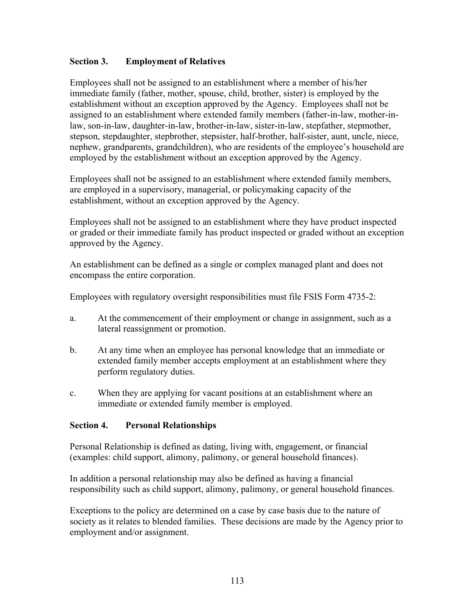# **Section 3. Employment of Relatives**

Employees shall not be assigned to an establishment where a member of his/her immediate family (father, mother, spouse, child, brother, sister) is employed by the establishment without an exception approved by the Agency. Employees shall not be assigned to an establishment where extended family members (father-in-law, mother-inlaw, son-in-law, daughter-in-law, brother-in-law, sister-in-law, stepfather, stepmother, stepson, stepdaughter, stepbrother, stepsister, half-brother, half-sister, aunt, uncle, niece, nephew, grandparents, grandchildren), who are residents of the employee's household are employed by the establishment without an exception approved by the Agency.

Employees shall not be assigned to an establishment where extended family members, are employed in a supervisory, managerial, or policymaking capacity of the establishment, without an exception approved by the Agency.

Employees shall not be assigned to an establishment where they have product inspected or graded or their immediate family has product inspected or graded without an exception approved by the Agency.

An establishment can be defined as a single or complex managed plant and does not encompass the entire corporation.

Employees with regulatory oversight responsibilities must file FSIS Form 4735-2:

- a. At the commencement of their employment or change in assignment, such as a lateral reassignment or promotion.
- b. At any time when an employee has personal knowledge that an immediate or extended family member accepts employment at an establishment where they perform regulatory duties.
- c. When they are applying for vacant positions at an establishment where an immediate or extended family member is employed.

# **Section 4. Personal Relationships**

Personal Relationship is defined as dating, living with, engagement, or financial (examples: child support, alimony, palimony, or general household finances).

In addition a personal relationship may also be defined as having a financial responsibility such as child support, alimony, palimony, or general household finances.

Exceptions to the policy are determined on a case by case basis due to the nature of society as it relates to blended families. These decisions are made by the Agency prior to employment and/or assignment.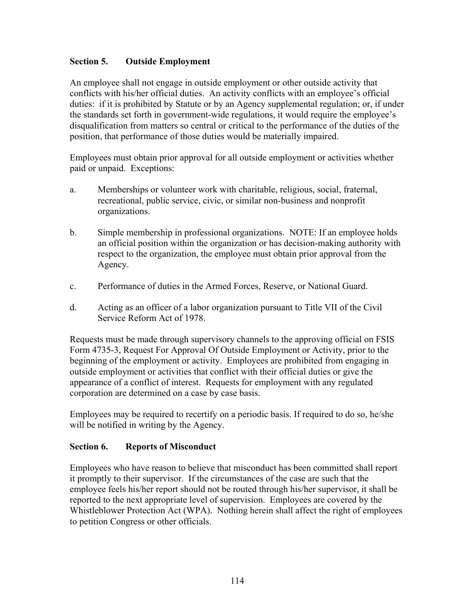# **Section 5. Outside Employment**

An employee shall not engage in outside employment or other outside activity that conflicts with his/her official duties. An activity conflicts with an employee's official duties: if it is prohibited by Statute or by an Agency supplemental regulation; or, if under the standards set forth in government-wide regulations, it would require the employee's disqualification from matters so central or critical to the performance of the duties of the position, that performance of those duties would be materially impaired.

Employees must obtain prior approval for all outside employment or activities whether paid or unpaid. Exceptions:

- a. Memberships or volunteer work with charitable, religious, social, fraternal, recreational, public service, civic, or similar non-business and nonprofit organizations.
- b. Simple membership in professional organizations. NOTE: If an employee holds an official position within the organization or has decision-making authority with respect to the organization, the employee must obtain prior approval from the Agency.
- c. Performance of duties in the Armed Forces, Reserve, or National Guard.
- d. Acting as an officer of a labor organization pursuant to Title VII of the Civil Service Reform Act of 1978.

Requests must be made through supervisory channels to the approving official on FSIS Form 4735-3, Request For Approval Of Outside Employment or Activity, prior to the beginning of the employment or activity. Employees are prohibited from engaging in outside employment or activities that conflict with their official duties or give the appearance of a conflict of interest. Requests for employment with any regulated corporation are determined on a case by case basis.

Employees may be required to recertify on a periodic basis. If required to do so, he/she will be notified in writing by the Agency.

# **Section 6. Reports of Misconduct**

Employees who have reason to believe that misconduct has been committed shall report it promptly to their supervisor. If the circumstances of the case are such that the employee feels his/her report should not be routed through his/her supervisor, it shall be reported to the next appropriate level of supervision. Employees are covered by the Whistleblower Protection Act (WPA). Nothing herein shall affect the right of employees to petition Congress or other officials.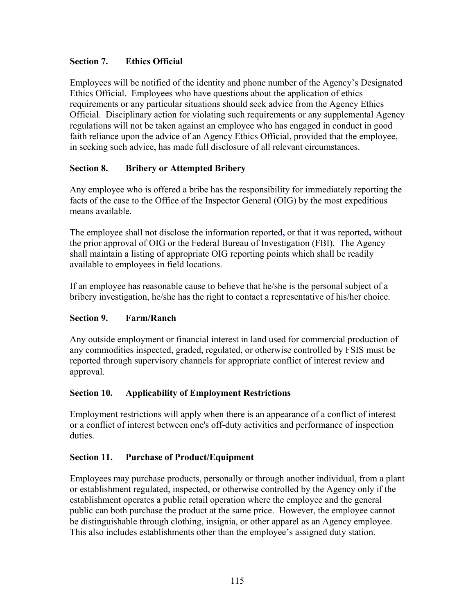# **Section 7. Ethics Official**

Employees will be notified of the identity and phone number of the Agency's Designated Ethics Official. Employees who have questions about the application of ethics requirements or any particular situations should seek advice from the Agency Ethics Official. Disciplinary action for violating such requirements or any supplemental Agency regulations will not be taken against an employee who has engaged in conduct in good faith reliance upon the advice of an Agency Ethics Official, provided that the employee, in seeking such advice, has made full disclosure of all relevant circumstances.

# **Section 8. Bribery or Attempted Bribery**

Any employee who is offered a bribe has the responsibility for immediately reporting the facts of the case to the Office of the Inspector General (OIG) by the most expeditious means available.

The employee shall not disclose the information reported**,** or that it was reported**,** without the prior approval of OIG or the Federal Bureau of Investigation (FBI). The Agency shall maintain a listing of appropriate OIG reporting points which shall be readily available to employees in field locations.

If an employee has reasonable cause to believe that he/she is the personal subject of a bribery investigation, he/she has the right to contact a representative of his/her choice.

# **Section 9. Farm/Ranch**

Any outside employment or financial interest in land used for commercial production of any commodities inspected, graded, regulated, or otherwise controlled by FSIS must be reported through supervisory channels for appropriate conflict of interest review and approval.

# **Section 10. Applicability of Employment Restrictions**

Employment restrictions will apply when there is an appearance of a conflict of interest or a conflict of interest between one's off-duty activities and performance of inspection duties.

# **Section 11. Purchase of Product/Equipment**

Employees may purchase products, personally or through another individual, from a plant or establishment regulated, inspected, or otherwise controlled by the Agency only if the establishment operates a public retail operation where the employee and the general public can both purchase the product at the same price. However, the employee cannot be distinguishable through clothing, insignia, or other apparel as an Agency employee. This also includes establishments other than the employee's assigned duty station.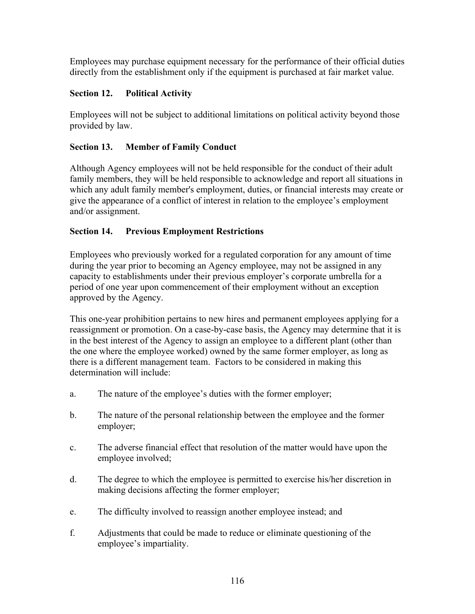Employees may purchase equipment necessary for the performance of their official duties directly from the establishment only if the equipment is purchased at fair market value.

# **Section 12. Political Activity**

Employees will not be subject to additional limitations on political activity beyond those provided by law.

# **Section 13. Member of Family Conduct**

Although Agency employees will not be held responsible for the conduct of their adult family members, they will be held responsible to acknowledge and report all situations in which any adult family member's employment, duties, or financial interests may create or give the appearance of a conflict of interest in relation to the employee's employment and/or assignment.

# **Section 14. Previous Employment Restrictions**

Employees who previously worked for a regulated corporation for any amount of time during the year prior to becoming an Agency employee, may not be assigned in any capacity to establishments under their previous employer's corporate umbrella for a period of one year upon commencement of their employment without an exception approved by the Agency.

This one-year prohibition pertains to new hires and permanent employees applying for a reassignment or promotion. On a case-by-case basis, the Agency may determine that it is in the best interest of the Agency to assign an employee to a different plant (other than the one where the employee worked) owned by the same former employer, as long as there is a different management team. Factors to be considered in making this determination will include:

- a. The nature of the employee's duties with the former employer;
- b. The nature of the personal relationship between the employee and the former employer;
- c. The adverse financial effect that resolution of the matter would have upon the employee involved;
- d. The degree to which the employee is permitted to exercise his/her discretion in making decisions affecting the former employer;
- e. The difficulty involved to reassign another employee instead; and
- f. Adjustments that could be made to reduce or eliminate questioning of the employee's impartiality.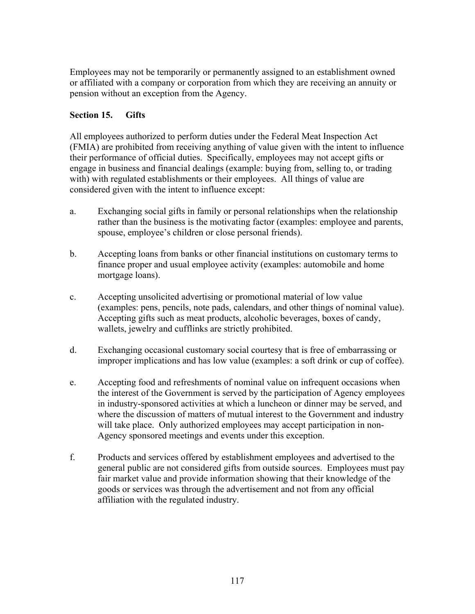Employees may not be temporarily or permanently assigned to an establishment owned or affiliated with a company or corporation from which they are receiving an annuity or pension without an exception from the Agency.

# **Section 15. Gifts**

All employees authorized to perform duties under the Federal Meat Inspection Act (FMIA) are prohibited from receiving anything of value given with the intent to influence their performance of official duties. Specifically, employees may not accept gifts or engage in business and financial dealings (example: buying from, selling to, or trading with) with regulated establishments or their employees. All things of value are considered given with the intent to influence except:

- a. Exchanging social gifts in family or personal relationships when the relationship rather than the business is the motivating factor (examples: employee and parents, spouse, employee's children or close personal friends).
- b. Accepting loans from banks or other financial institutions on customary terms to finance proper and usual employee activity (examples: automobile and home mortgage loans).
- c. Accepting unsolicited advertising or promotional material of low value (examples: pens, pencils, note pads, calendars, and other things of nominal value). Accepting gifts such as meat products, alcoholic beverages, boxes of candy, wallets, jewelry and cufflinks are strictly prohibited.
- d. Exchanging occasional customary social courtesy that is free of embarrassing or improper implications and has low value (examples: a soft drink or cup of coffee).
- e. Accepting food and refreshments of nominal value on infrequent occasions when the interest of the Government is served by the participation of Agency employees in industry-sponsored activities at which a luncheon or dinner may be served, and where the discussion of matters of mutual interest to the Government and industry will take place. Only authorized employees may accept participation in non-Agency sponsored meetings and events under this exception.
- f. Products and services offered by establishment employees and advertised to the general public are not considered gifts from outside sources. Employees must pay fair market value and provide information showing that their knowledge of the goods or services was through the advertisement and not from any official affiliation with the regulated industry.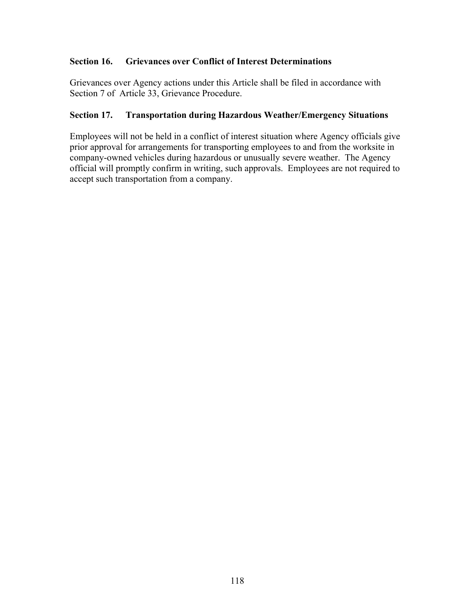### **Section 16. Grievances over Conflict of Interest Determinations**

Grievances over Agency actions under this Article shall be filed in accordance with Section 7 of Article 33, Grievance Procedure.

### **Section 17. Transportation during Hazardous Weather/Emergency Situations**

Employees will not be held in a conflict of interest situation where Agency officials give prior approval for arrangements for transporting employees to and from the worksite in company-owned vehicles during hazardous or unusually severe weather. The Agency official will promptly confirm in writing, such approvals. Employees are not required to accept such transportation from a company.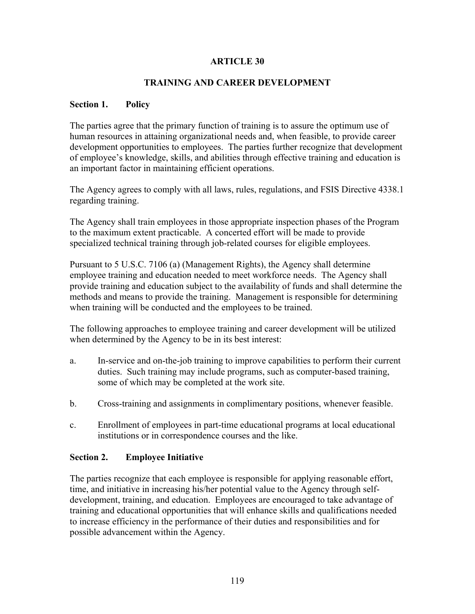### **TRAINING AND CAREER DEVELOPMENT**

#### **Section 1. Policy**

The parties agree that the primary function of training is to assure the optimum use of human resources in attaining organizational needs and, when feasible, to provide career development opportunities to employees. The parties further recognize that development of employee's knowledge, skills, and abilities through effective training and education is an important factor in maintaining efficient operations.

The Agency agrees to comply with all laws, rules, regulations, and FSIS Directive 4338.1 regarding training.

The Agency shall train employees in those appropriate inspection phases of the Program to the maximum extent practicable. A concerted effort will be made to provide specialized technical training through job-related courses for eligible employees.

Pursuant to 5 U.S.C. 7106 (a) (Management Rights), the Agency shall determine employee training and education needed to meet workforce needs. The Agency shall provide training and education subject to the availability of funds and shall determine the methods and means to provide the training. Management is responsible for determining when training will be conducted and the employees to be trained.

The following approaches to employee training and career development will be utilized when determined by the Agency to be in its best interest:

- a. In-service and on-the-job training to improve capabilities to perform their current duties. Such training may include programs, such as computer-based training, some of which may be completed at the work site.
- b. Cross-training and assignments in complimentary positions, whenever feasible.
- c. Enrollment of employees in part-time educational programs at local educational institutions or in correspondence courses and the like.

#### **Section 2. Employee Initiative**

The parties recognize that each employee is responsible for applying reasonable effort, time, and initiative in increasing his/her potential value to the Agency through selfdevelopment, training, and education. Employees are encouraged to take advantage of training and educational opportunities that will enhance skills and qualifications needed to increase efficiency in the performance of their duties and responsibilities and for possible advancement within the Agency.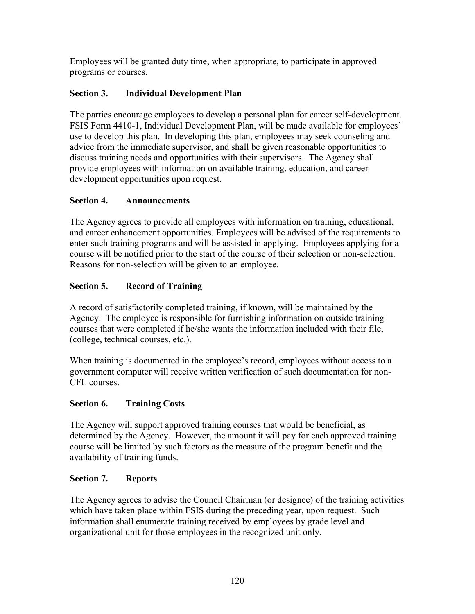Employees will be granted duty time, when appropriate, to participate in approved programs or courses.

# **Section 3. Individual Development Plan**

The parties encourage employees to develop a personal plan for career self-development. FSIS Form 4410-1, Individual Development Plan, will be made available for employees' use to develop this plan. In developing this plan, employees may seek counseling and advice from the immediate supervisor, and shall be given reasonable opportunities to discuss training needs and opportunities with their supervisors. The Agency shall provide employees with information on available training, education, and career development opportunities upon request.

# **Section 4. Announcements**

The Agency agrees to provide all employees with information on training, educational, and career enhancement opportunities. Employees will be advised of the requirements to enter such training programs and will be assisted in applying. Employees applying for a course will be notified prior to the start of the course of their selection or non-selection. Reasons for non-selection will be given to an employee.

# **Section 5. Record of Training**

A record of satisfactorily completed training, if known, will be maintained by the Agency.The employee is responsible for furnishing information on outside training courses that were completed if he/she wants the information included with their file, (college, technical courses, etc.).

When training is documented in the employee's record, employees without access to a government computer will receive written verification of such documentation for non-CFL courses.

# **Section 6. Training Costs**

The Agency will support approved training courses that would be beneficial, as determined by the Agency. However, the amount it will pay for each approved training course will be limited by such factors as the measure of the program benefit and the availability of training funds.

# **Section 7. Reports**

The Agency agrees to advise the Council Chairman (or designee) of the training activities which have taken place within FSIS during the preceding year, upon request. Such information shall enumerate training received by employees by grade level and organizational unit for those employees in the recognized unit only.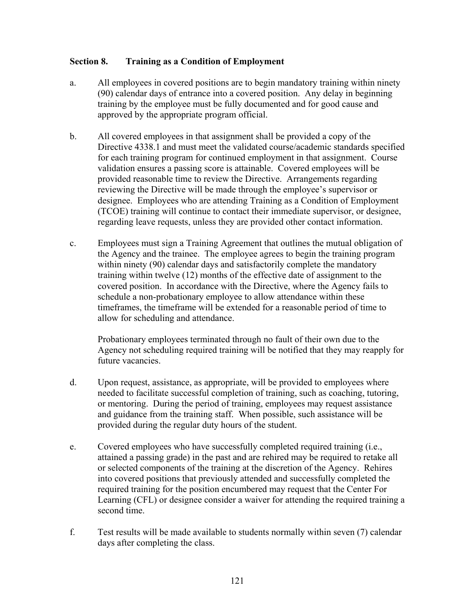# **Section 8. Training as a Condition of Employment**

- a.All employees in covered positions are to begin mandatory training within ninety (90) calendar days of entrance into a covered position. Any delay in beginning training by the employee must be fully documented and for good cause and approved by the appropriate program official.
- b.All covered employees in that assignment shall be provided a copy of the Directive 4338.1 and must meet the validated course/academic standards specified for each training program for continued employment in that assignment. Course validation ensures a passing score is attainable. Covered employees will be provided reasonable time to review the Directive. Arrangements regarding reviewing the Directive will be made through the employee's supervisor or designee. Employees who are attending Training as a Condition of Employment (TCOE) training will continue to contact their immediate supervisor, or designee, regarding leave requests, unless they are provided other contact information.
- c. Employees must sign a Training Agreement that outlines the mutual obligation of the Agency and the trainee. The employee agrees to begin the training program within ninety (90) calendar days and satisfactorily complete the mandatory training within twelve (12) months of the effective date of assignment to the covered position. In accordance with the Directive, where the Agency fails to schedule a non-probationary employee to allow attendance within these timeframes, the timeframe will be extended for a reasonable period of time to allow for scheduling and attendance.

Probationary employees terminated through no fault of their own due to the Agency not scheduling required training will be notified that they may reapply for future vacancies.

- d.Upon request, assistance, as appropriate, will be provided to employees where needed to facilitate successful completion of training, such as coaching, tutoring, or mentoring. During the period of training, employees may request assistance and guidance from the training staff. When possible, such assistance will be provided during the regular duty hours of the student.
- e. Covered employees who have successfully completed required training (i.e., attained a passing grade) in the past and are rehired may be required to retake all or selected components of the training at the discretion of the Agency. Rehires into covered positions that previously attended and successfully completed the required training for the position encumbered may request that the Center For Learning (CFL) or designee consider a waiver for attending the required training a second time.
- f. Test results will be made available to students normally within seven (7) calendar days after completing the class.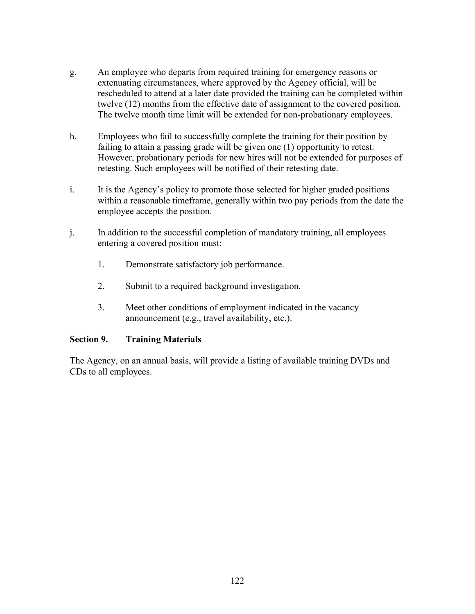- g.An employee who departs from required training for emergency reasons or extenuating circumstances, where approved by the Agency official, will be rescheduled to attend at a later date provided the training can be completed within twelve (12) months from the effective date of assignment to the covered position. The twelve month time limit will be extended for non-probationary employees.
- h. Employees who fail to successfully complete the training for their position by failing to attain a passing grade will be given one (1) opportunity to retest. However, probationary periods for new hires will not be extended for purposes of retesting. Such employees will be notified of their retesting date.
- i.It is the Agency's policy to promote those selected for higher graded positions within a reasonable timeframe, generally within two pay periods from the date the employee accepts the position.
- j.In addition to the successful completion of mandatory training, all employees entering a covered position must:
	- 1. Demonstrate satisfactory job performance.
	- 2. Submit to a required background investigation.
	- 3.Meet other conditions of employment indicated in the vacancy announcement (e.g., travel availability, etc.).

# **Section 9. Training Materials**

The Agency, on an annual basis, will provide a listing of available training DVDs and CDs to all employees.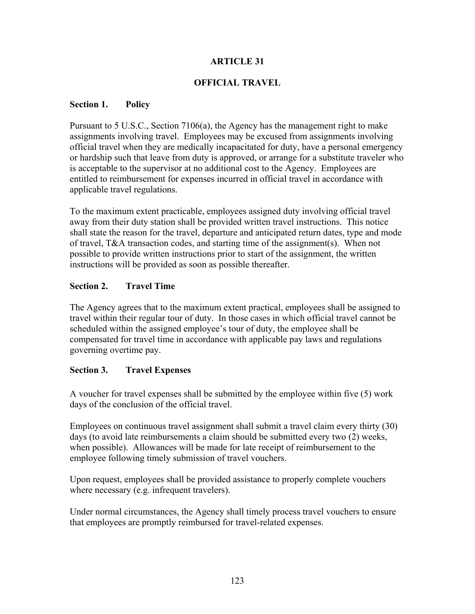# **OFFICIAL TRAVEL**

### **Section 1. Policy**

Pursuant to 5 U.S.C., Section 7106(a), the Agency has the management right to make assignments involving travel. Employees may be excused from assignments involving official travel when they are medically incapacitated for duty, have a personal emergency or hardship such that leave from duty is approved, or arrange for a substitute traveler who is acceptable to the supervisor at no additional cost to the Agency. Employees are entitled to reimbursement for expenses incurred in official travel in accordance with applicable travel regulations.

To the maximum extent practicable, employees assigned duty involving official travel away from their duty station shall be provided written travel instructions. This notice shall state the reason for the travel, departure and anticipated return dates, type and mode of travel, T&A transaction codes, and starting time of the assignment(s). When not possible to provide written instructions prior to start of the assignment, the written instructions will be provided as soon as possible thereafter.

# **Section 2. Travel Time**

The Agency agrees that to the maximum extent practical, employees shall be assigned to travel within their regular tour of duty. In those cases in which official travel cannot be scheduled within the assigned employee's tour of duty, the employee shall be compensated for travel time in accordance with applicable pay laws and regulations governing overtime pay.

# **Section 3. Travel Expenses**

A voucher for travel expenses shall be submitted by the employee within five (5) work days of the conclusion of the official travel.

Employees on continuous travel assignment shall submit a travel claim every thirty (30) days (to avoid late reimbursements a claim should be submitted every two (2) weeks, when possible). Allowances will be made for late receipt of reimbursement to the employee following timely submission of travel vouchers.

Upon request, employees shall be provided assistance to properly complete vouchers where necessary (e.g. infrequent travelers).

Under normal circumstances, the Agency shall timely process travel vouchers to ensure that employees are promptly reimbursed for travel-related expenses.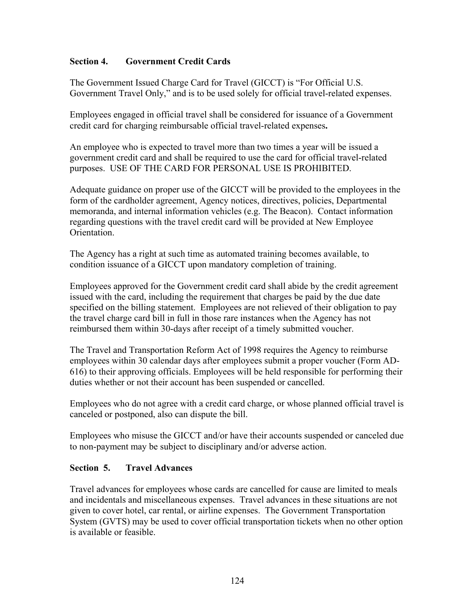# **Section 4. Government Credit Cards**

The Government Issued Charge Card for Travel (GICCT) is "For Official U.S. Government Travel Only," and is to be used solely for official travel-related expenses.

Employees engaged in official travel shall be considered for issuance of a Government credit card for charging reimbursable official travel-related expenses**.** 

An employee who is expected to travel more than two times a year will be issued a government credit card and shall be required to use the card for official travel-related purposes. USE OF THE CARD FOR PERSONAL USE IS PROHIBITED.

Adequate guidance on proper use of the GICCT will be provided to the employees in the form of the cardholder agreement, Agency notices, directives, policies, Departmental memoranda, and internal information vehicles (e.g. The Beacon).Contact information regarding questions with the travel credit card will be provided at New Employee Orientation.

The Agency has a right at such time as automated training becomes available, to condition issuance of a GICCT upon mandatory completion of training.

Employees approved for the Government credit card shall abide by the credit agreement issued with the card, including the requirement that charges be paid by the due date specified on the billing statement. Employees are not relieved of their obligation to pay the travel charge card bill in full in those rare instances when the Agency has not reimbursed them within 30-days after receipt of a timely submitted voucher.

The Travel and Transportation Reform Act of 1998 requires the Agency to reimburse employees within 30 calendar days after employees submit a proper voucher (Form AD-616) to their approving officials. Employees will be held responsible for performing their duties whether or not their account has been suspended or cancelled.

Employees who do not agree with a credit card charge, or whose planned official travel is canceled or postponed, also can dispute the bill.

Employees who misuse the GICCT and/or have their accounts suspended or canceled due to non-payment may be subject to disciplinary and/or adverse action.

# **Section 5. Travel Advances**

Travel advances for employees whose cards are cancelled for cause are limited to meals and incidentals and miscellaneous expenses. Travel advances in these situations are not given to cover hotel, car rental, or airline expenses. The Government Transportation System (GVTS) may be used to cover official transportation tickets when no other option is available or feasible.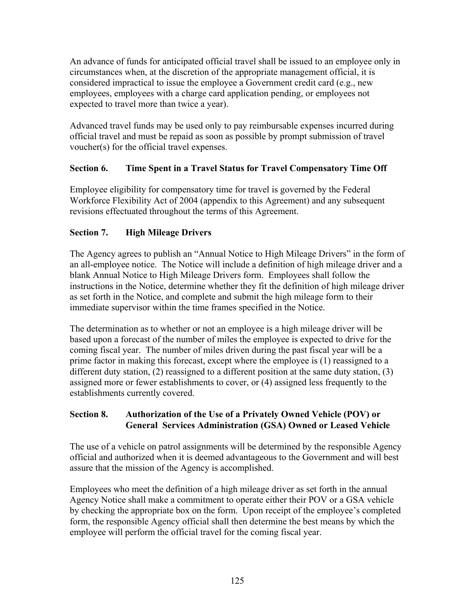An advance of funds for anticipated official travel shall be issued to an employee only in circumstances when, at the discretion of the appropriate management official, it is considered impractical to issue the employee a Government credit card (e.g., new employees, employees with a charge card application pending, or employees not expected to travel more than twice a year).

Advanced travel funds may be used only to pay reimbursable expenses incurred during official travel and must be repaid as soon as possible by prompt submission of travel voucher(s) for the official travel expenses.

# **Section 6. Time Spent in a Travel Status for Travel Compensatory Time Off**

Employee eligibility for compensatory time for travel is governed by the Federal Workforce Flexibility Act of 2004 (appendix to this Agreement) and any subsequent revisions effectuated throughout the terms of this Agreement.

# **Section 7. High Mileage Drivers**

The Agency agrees to publish an "Annual Notice to High Mileage Drivers" in the form of an all-employee notice. The Notice will include a definition of high mileage driver and a blank Annual Notice to High Mileage Drivers form. Employees shall follow the instructions in the Notice, determine whether they fit the definition of high mileage driver as set forth in the Notice, and complete and submit the high mileage form to their immediate supervisor within the time frames specified in the Notice.

The determination as to whether or not an employee is a high mileage driver will be based upon a forecast of the number of miles the employee is expected to drive for the coming fiscal year. The number of miles driven during the past fiscal year will be a prime factor in making this forecast, except where the employee is (1) reassigned to a different duty station, (2) reassigned to a different position at the same duty station, (3) assigned more or fewer establishments to cover, or (4) assigned less frequently to the establishments currently covered.

# **Section 8. Authorization of the Use of a Privately Owned Vehicle (POV) or General Services Administration (GSA) Owned or Leased Vehicle**

The use of a vehicle on patrol assignments will be determined by the responsible Agency official and authorized when it is deemed advantageous to the Government and will best assure that the mission of the Agency is accomplished.

Employees who meet the definition of a high mileage driver as set forth in the annual Agency Notice shall make a commitment to operate either their POV or a GSA vehicle by checking the appropriate box on the form. Upon receipt of the employee's completed form, the responsible Agency official shall then determine the best means by which the employee will perform the official travel for the coming fiscal year.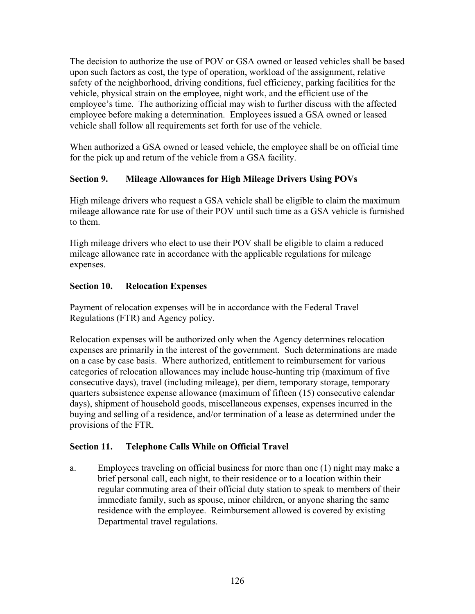The decision to authorize the use of POV or GSA owned or leased vehicles shall be based upon such factors as cost, the type of operation, workload of the assignment, relative safety of the neighborhood, driving conditions, fuel efficiency, parking facilities for the vehicle, physical strain on the employee, night work, and the efficient use of the employee's time. The authorizing official may wish to further discuss with the affected employee before making a determination. Employees issued a GSA owned or leased vehicle shall follow all requirements set forth for use of the vehicle.

When authorized a GSA owned or leased vehicle, the employee shall be on official time for the pick up and return of the vehicle from a GSA facility.

# **Section 9. Mileage Allowances for High Mileage Drivers Using POVs**

High mileage drivers who request a GSA vehicle shall be eligible to claim the maximum mileage allowance rate for use of their POV until such time as a GSA vehicle is furnished to them.

High mileage drivers who elect to use their POV shall be eligible to claim a reduced mileage allowance rate in accordance with the applicable regulations for mileage expenses.

# **Section 10. Relocation Expenses**

Payment of relocation expenses will be in accordance with the Federal Travel Regulations (FTR) and Agency policy.

Relocation expenses will be authorized only when the Agency determines relocation expenses are primarily in the interest of the government. Such determinations are made on a case by case basis. Where authorized, entitlement to reimbursement for various categories of relocation allowances may include house-hunting trip (maximum of five consecutive days), travel (including mileage), per diem, temporary storage, temporary quarters subsistence expense allowance (maximum of fifteen (15) consecutive calendar days), shipment of household goods, miscellaneous expenses, expenses incurred in the buying and selling of a residence, and/or termination of a lease as determined under the provisions of the FTR.

# **Section 11. Telephone Calls While on Official Travel**

a. Employees traveling on official business for more than one (1) night may make a brief personal call, each night, to their residence or to a location within their regular commuting area of their official duty station to speak to members of their immediate family, such as spouse, minor children, or anyone sharing the same residence with the employee. Reimbursement allowed is covered by existing Departmental travel regulations.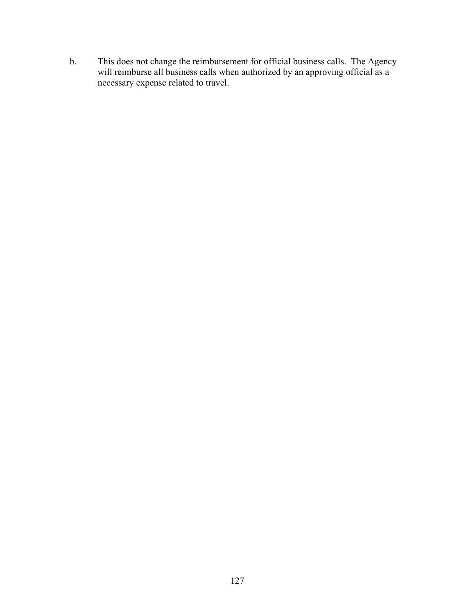b. This does not change the reimbursement for official business calls. The Agency will reimburse all business calls when authorized by an approving official as a necessary expense related to travel.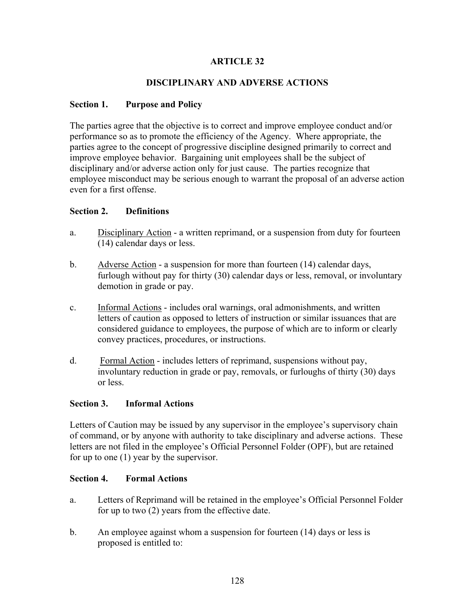# **DISCIPLINARY AND ADVERSE ACTIONS**

# **Section 1. Purpose and Policy**

The parties agree that the objective is to correct and improve employee conduct and/or performance so as to promote the efficiency of the Agency. Where appropriate, the parties agree to the concept of progressive discipline designed primarily to correct and improve employee behavior. Bargaining unit employees shall be the subject of disciplinary and/or adverse action only for just cause. The parties recognize that employee misconduct may be serious enough to warrant the proposal of an adverse action even for a first offense.

### **Section 2. Definitions**

- a. Disciplinary Action a written reprimand, or a suspension from duty for fourteen (14) calendar days or less.
- b. Adverse Action a suspension for more than fourteen (14) calendar days, furlough without pay for thirty (30) calendar days or less, removal, or involuntary demotion in grade or pay.
- c. Informal Actions includes oral warnings, oral admonishments, and written letters of caution as opposed to letters of instruction or similar issuances that are considered guidance to employees, the purpose of which are to inform or clearly convey practices, procedures, or instructions.
- d. Formal Action includes letters of reprimand, suspensions without pay, involuntary reduction in grade or pay, removals, or furloughs of thirty (30) days or less.

#### **Section 3. Informal Actions**

Letters of Caution may be issued by any supervisor in the employee's supervisory chain of command, or by anyone with authority to take disciplinary and adverse actions. These letters are not filed in the employee's Official Personnel Folder (OPF), but are retained for up to one (1) year by the supervisor.

#### **Section 4. Formal Actions**

- a. Letters of Reprimand will be retained in the employee's Official Personnel Folder for up to two (2) years from the effective date.
- b. An employee against whom a suspension for fourteen (14) days or less is proposed is entitled to: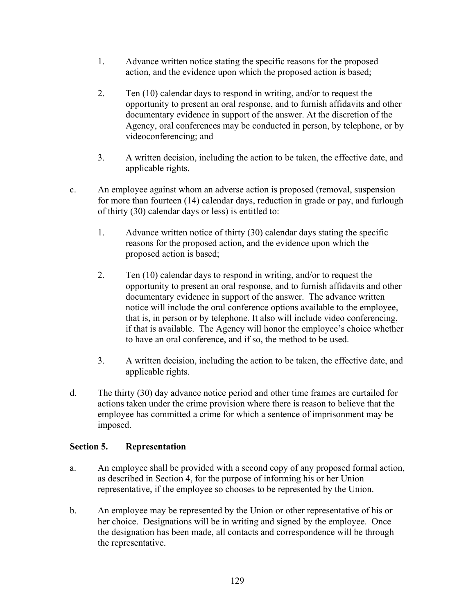- 1. Advance written notice stating the specific reasons for the proposed action, and the evidence upon which the proposed action is based;
- 2. Ten (10) calendar days to respond in writing, and/or to request the opportunity to present an oral response, and to furnish affidavits and other documentary evidence in support of the answer. At the discretion of the Agency, oral conferences may be conducted in person, by telephone, or by videoconferencing; and
- 3. A written decision, including the action to be taken, the effective date, and applicable rights.
- c. An employee against whom an adverse action is proposed (removal, suspension for more than fourteen (14) calendar days, reduction in grade or pay, and furlough of thirty (30) calendar days or less) is entitled to:
	- 1. Advance written notice of thirty (30) calendar days stating the specific reasons for the proposed action, and the evidence upon which the proposed action is based;
	- 2. Ten (10) calendar days to respond in writing, and/or to request the opportunity to present an oral response, and to furnish affidavits and other documentary evidence in support of the answer. The advance written notice will include the oral conference options available to the employee, that is, in person or by telephone. It also will include video conferencing, if that is available. The Agency will honor the employee's choice whether to have an oral conference, and if so, the method to be used.
	- 3. A written decision, including the action to be taken, the effective date, and applicable rights.
- d. The thirty (30) day advance notice period and other time frames are curtailed for actions taken under the crime provision where there is reason to believe that the employee has committed a crime for which a sentence of imprisonment may be imposed.

# **Section 5. Representation**

- a. An employee shall be provided with a second copy of any proposed formal action, as described in Section 4, for the purpose of informing his or her Union representative, if the employee so chooses to be represented by the Union.
- b. An employee may be represented by the Union or other representative of his or her choice. Designations will be in writing and signed by the employee. Once the designation has been made, all contacts and correspondence will be through the representative.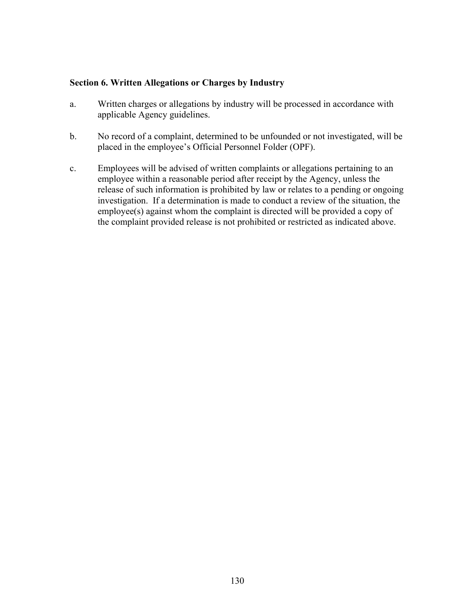#### **Section 6. Written Allegations or Charges by Industry**

- a. Written charges or allegations by industry will be processed in accordance with applicable Agency guidelines.
- b. No record of a complaint, determined to be unfounded or not investigated, will be placed in the employee's Official Personnel Folder (OPF).
- c. Employees will be advised of written complaints or allegations pertaining to an employee within a reasonable period after receipt by the Agency, unless the release of such information is prohibited by law or relates to a pending or ongoing investigation. If a determination is made to conduct a review of the situation, the employee(s) against whom the complaint is directed will be provided a copy of the complaint provided release is not prohibited or restricted as indicated above.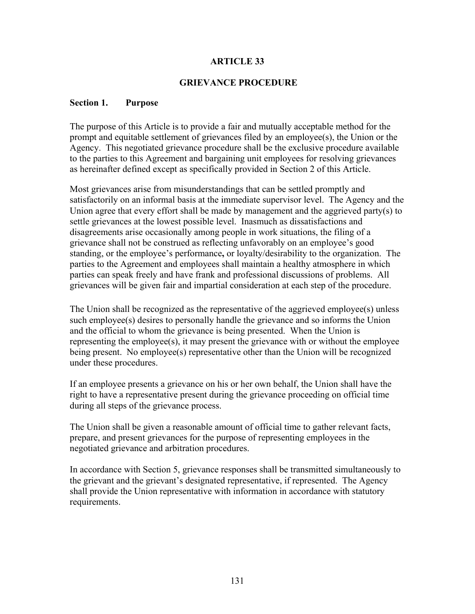#### **GRIEVANCE PROCEDURE**

#### **Section 1. Purpose**

The purpose of this Article is to provide a fair and mutually acceptable method for the prompt and equitable settlement of grievances filed by an employee(s), the Union or the Agency. This negotiated grievance procedure shall be the exclusive procedure available to the parties to this Agreement and bargaining unit employees for resolving grievances as hereinafter defined except as specifically provided in Section 2 of this Article.

Most grievances arise from misunderstandings that can be settled promptly and satisfactorily on an informal basis at the immediate supervisor level. The Agency and the Union agree that every effort shall be made by management and the aggrieved party(s) to settle grievances at the lowest possible level. Inasmuch as dissatisfactions and disagreements arise occasionally among people in work situations, the filing of a grievance shall not be construed as reflecting unfavorably on an employee's good standing, or the employee's performance**,** or loyalty/desirability to the organization. The parties to the Agreement and employees shall maintain a healthy atmosphere in which parties can speak freely and have frank and professional discussions of problems. All grievances will be given fair and impartial consideration at each step of the procedure.

The Union shall be recognized as the representative of the aggrieved employee(s) unless such employee(s) desires to personally handle the grievance and so informs the Union and the official to whom the grievance is being presented. When the Union is representing the employee(s), it may present the grievance with or without the employee being present. No employee(s) representative other than the Union will be recognized under these procedures.

If an employee presents a grievance on his or her own behalf, the Union shall have the right to have a representative present during the grievance proceeding on official time during all steps of the grievance process.

The Union shall be given a reasonable amount of official time to gather relevant facts, prepare, and present grievances for the purpose of representing employees in the negotiated grievance and arbitration procedures.

In accordance with Section 5, grievance responses shall be transmitted simultaneously to the grievant and the grievant's designated representative, if represented. The Agency shall provide the Union representative with information in accordance with statutory requirements.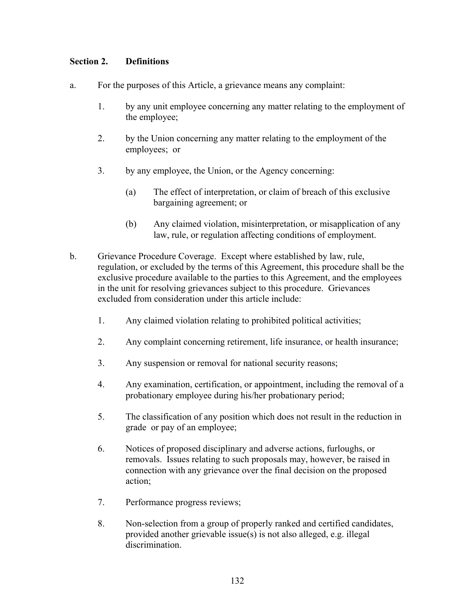# **Section 2. Definitions**

- a. For the purposes of this Article, a grievance means any complaint:
	- 1. by any unit employee concerning any matter relating to the employment of the employee;
	- 2. by the Union concerning any matter relating to the employment of the employees; or
	- 3. by any employee, the Union, or the Agency concerning:
		- (a) The effect of interpretation, or claim of breach of this exclusive bargaining agreement; or
		- (b) Any claimed violation, misinterpretation, or misapplication of any law, rule, or regulation affecting conditions of employment.
- b.Grievance Procedure Coverage.Except where established by law, rule, regulation, or excluded by the terms of this Agreement, this procedure shall be the exclusive procedure available to the parties to this Agreement, and the employees in the unit for resolving grievances subject to this procedure.Grievances excluded from consideration under this article include:
	- 1. Any claimed violation relating to prohibited political activities;
	- 2. Any complaint concerning retirement, life insurance, or health insurance;
	- 3. Any suspension or removal for national security reasons;
	- 4. Any examination, certification, or appointment, including the removal of a probationary employee during his/her probationary period;
	- 5. The classification of any position which does not result in the reduction in grade or pay of an employee;
	- 6. Notices of proposed disciplinary and adverse actions, furloughs, or removals. Issues relating to such proposals may, however, be raised in connection with any grievance over the final decision on the proposed action;
	- 7. Performance progress reviews;
	- 8. Non-selection from a group of properly ranked and certified candidates, provided another grievable issue(s) is not also alleged, e.g. illegal discrimination.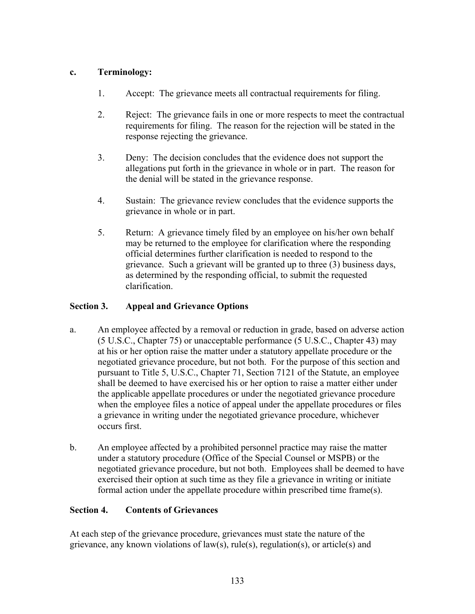# **c. Terminology:**

- 1. Accept: The grievance meets all contractual requirements for filing.
- 2. Reject: The grievance fails in one or more respects to meet the contractual requirements for filing. The reason for the rejection will be stated in the response rejecting the grievance.
- 3. Deny: The decision concludes that the evidence does not support the allegations put forth in the grievance in whole or in part. The reason for the denial will be stated in the grievance response.
- 4. Sustain: The grievance review concludes that the evidence supports the grievance in whole or in part.
- 5. Return: A grievance timely filed by an employee on his/her own behalf may be returned to the employee for clarification where the responding official determines further clarification is needed to respond to the grievance. Such a grievant will be granted up to three (3) business days, as determined by the responding official, to submit the requested clarification.

# **Section 3. Appeal and Grievance Options**

- a. An employee affected by a removal or reduction in grade, based on adverse action (5 U.S.C., Chapter 75) or unacceptable performance (5 U.S.C., Chapter 43) may at his or her option raise the matter under a statutory appellate procedure or the negotiated grievance procedure, but not both. For the purpose of this section and pursuant to Title 5, U.S.C., Chapter 71, Section 7121 of the Statute, an employee shall be deemed to have exercised his or her option to raise a matter either under the applicable appellate procedures or under the negotiated grievance procedure when the employee files a notice of appeal under the appellate procedures or files a grievance in writing under the negotiated grievance procedure, whichever occurs first.
- b. An employee affected by a prohibited personnel practice may raise the matter under a statutory procedure (Office of the Special Counsel or MSPB) or the negotiated grievance procedure, but not both. Employees shall be deemed to have exercised their option at such time as they file a grievance in writing or initiate formal action under the appellate procedure within prescribed time frame(s).

# **Section 4. Contents of Grievances**

At each step of the grievance procedure, grievances must state the nature of the grievance, any known violations of law(s), rule(s), regulation(s), or article(s) and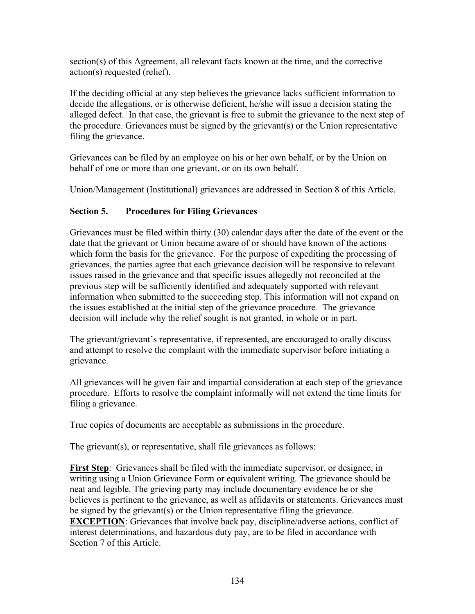section(s) of this Agreement, all relevant facts known at the time, and the corrective action(s) requested (relief).

If the deciding official at any step believes the grievance lacks sufficient information to decide the allegations, or is otherwise deficient, he/she will issue a decision stating the alleged defect. In that case, the grievant is free to submit the grievance to the next step of the procedure. Grievances must be signed by the grievant(s) or the Union representative filing the grievance.

Grievances can be filed by an employee on his or her own behalf, or by the Union on behalf of one or more than one grievant, or on its own behalf.

Union/Management (Institutional) grievances are addressed in Section 8 of this Article.

# **Section 5. Procedures for Filing Grievances**

Grievances must be filed within thirty (30) calendar days after the date of the event or the date that the grievant or Union became aware of or should have known of the actions which form the basis for the grievance. For the purpose of expediting the processing of grievances, the parties agree that each grievance decision will be responsive to relevant issues raised in the grievance and that specific issues allegedly not reconciled at the previous step will be sufficiently identified and adequately supported with relevant information when submitted to the succeeding step. This information will not expand on the issues established at the initial step of the grievance procedure*.* The grievance decision will include why the relief sought is not granted, in whole or in part.

The grievant/grievant's representative, if represented, are encouraged to orally discuss and attempt to resolve the complaint with the immediate supervisor before initiating a grievance.

All grievances will be given fair and impartial consideration at each step of the grievance procedure. Efforts to resolve the complaint informally will not extend the time limits for filing a grievance.

True copies of documents are acceptable as submissions in the procedure.

The grievant(s), or representative, shall file grievances as follows:

**First Step**: Grievances shall be filed with the immediate supervisor, or designee, in writing using a Union Grievance Form or equivalent writing. The grievance should be neat and legible. The grieving party may include documentary evidence he or she believes is pertinent to the grievance, as well as affidavits or statements. Grievances must be signed by the grievant(s) or the Union representative filing the grievance. **EXCEPTION**: Grievances that involve back pay, discipline/adverse actions, conflict of interest determinations, and hazardous duty pay, are to be filed in accordance with Section 7 of this Article.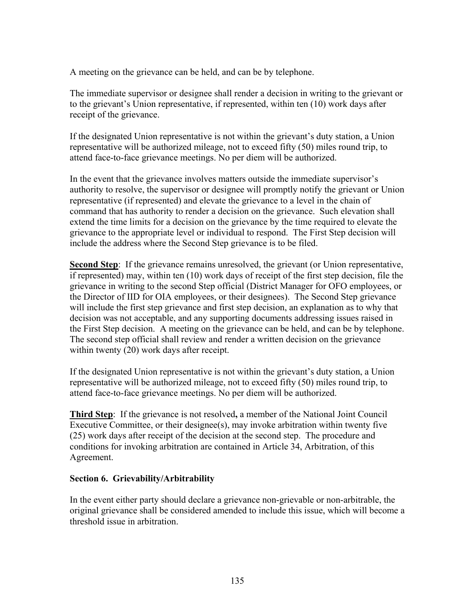A meeting on the grievance can be held, and can be by telephone.

The immediate supervisor or designee shall render a decision in writing to the grievant or to the grievant's Union representative, if represented, within ten (10) work days after receipt of the grievance.

If the designated Union representative is not within the grievant's duty station, a Union representative will be authorized mileage, not to exceed fifty (50) miles round trip, to attend face-to-face grievance meetings. No per diem will be authorized.

In the event that the grievance involves matters outside the immediate supervisor's authority to resolve, the supervisor or designee will promptly notify the grievant or Union representative (if represented) and elevate the grievance to a level in the chain of command that has authority to render a decision on the grievance. Such elevation shall extend the time limits for a decision on the grievance by the time required to elevate the grievance to the appropriate level or individual to respond. The First Step decision will include the address where the Second Step grievance is to be filed.

**Second Step**: If the grievance remains unresolved, the grievant (or Union representative, if represented) may, within ten (10) work days of receipt of the first step decision, file the grievance in writing to the second Step official (District Manager for OFO employees, or the Director of IID for OIA employees, or their designees). The Second Step grievance will include the first step grievance and first step decision, an explanation as to why that decision was not acceptable, and any supporting documents addressing issues raised in the First Step decision. A meeting on the grievance can be held, and can be by telephone. The second step official shall review and render a written decision on the grievance within twenty (20) work days after receipt.

If the designated Union representative is not within the grievant's duty station, a Union representative will be authorized mileage, not to exceed fifty (50) miles round trip, to attend face-to-face grievance meetings. No per diem will be authorized.

**Third Step**:If the grievance is not resolved**,** a member of the National Joint Council Executive Committee, or their designee(s), may invoke arbitration within twenty five (25) work days after receipt of the decision at the second step.The procedure and conditions for invoking arbitration are contained in Article 34, Arbitration, of this Agreement.

# **Section 6. Grievability/Arbitrability**

In the event either party should declare a grievance non-grievable or non-arbitrable, the original grievance shall be considered amended to include this issue, which will become a threshold issue in arbitration.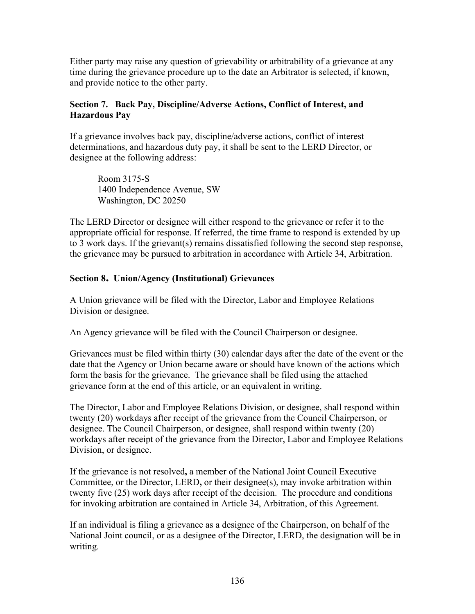Either party may raise any question of grievability or arbitrability of a grievance at any time during the grievance procedure up to the date an Arbitrator is selected, if known, and provide notice to the other party.

# **Section 7. Back Pay, Discipline/Adverse Actions, Conflict of Interest, and Hazardous Pay**

If a grievance involves back pay, discipline/adverse actions, conflict of interest determinations, and hazardous duty pay, it shall be sent to the LERD Director, or designee at the following address:

Room 3175-S 1400 Independence Avenue, SW Washington, DC 20250

The LERD Director or designee will either respond to the grievance or refer it to the appropriate official for response. If referred, the time frame to respond is extended by up to 3 work days. If the grievant(s) remains dissatisfied following the second step response, the grievance may be pursued to arbitration in accordance with Article 34, Arbitration.

# **Section 8. Union/Agency (Institutional) Grievances**

A Union grievance will be filed with the Director, Labor and Employee Relations Division or designee.

An Agency grievance will be filed with the Council Chairperson or designee.

Grievances must be filed within thirty (30) calendar days after the date of the event or the date that the Agency or Union became aware or should have known of the actions which form the basis for the grievance. The grievance shall be filed using the attached grievance form at the end of this article, or an equivalent in writing.

The Director, Labor and Employee Relations Division, or designee, shall respond within twenty (20) workdays after receipt of the grievance from the Council Chairperson, or designee. The Council Chairperson, or designee, shall respond within twenty (20) workdays after receipt of the grievance from the Director, Labor and Employee Relations Division, or designee.

If the grievance is not resolved**,** a member of the National Joint Council Executive Committee, or the Director, LERD**,** or their designee(s), may invoke arbitration within twenty five (25) work days after receipt of the decision.The procedure and conditions for invoking arbitration are contained in Article 34, Arbitration, of this Agreement.

If an individual is filing a grievance as a designee of the Chairperson, on behalf of the National Joint council, or as a designee of the Director, LERD, the designation will be in writing.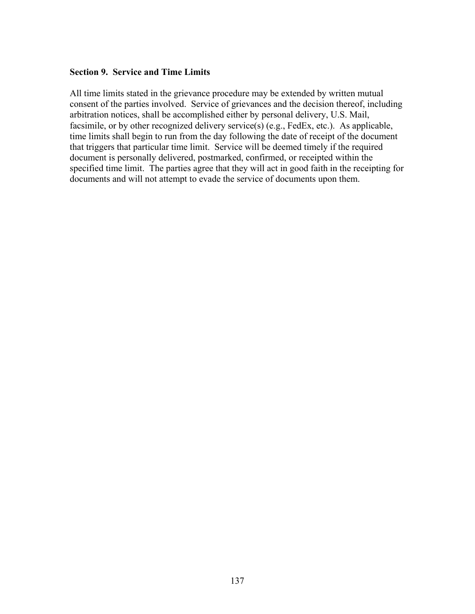#### **Section 9. Service and Time Limits**

All time limits stated in the grievance procedure may be extended by written mutual consent of the parties involved. Service of grievances and the decision thereof, including arbitration notices, shall be accomplished either by personal delivery, U.S. Mail, facsimile, or by other recognized delivery service(s) (e.g., FedEx, etc.). As applicable, time limits shall begin to run from the day following the date of receipt of the document that triggers that particular time limit. Service will be deemed timely if the required document is personally delivered, postmarked, confirmed, or receipted within the specified time limit. The parties agree that they will act in good faith in the receipting for documents and will not attempt to evade the service of documents upon them.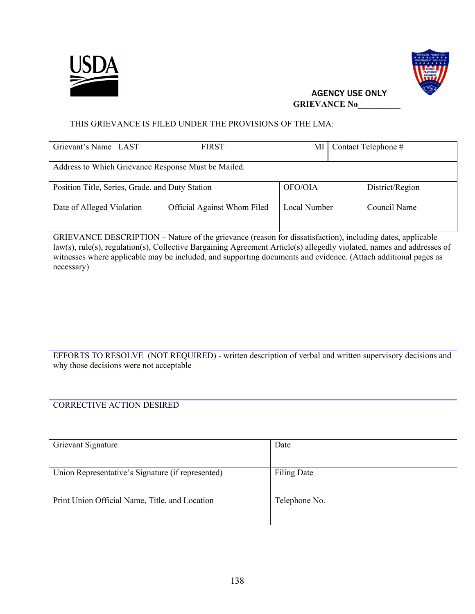



#### AGENCY USE ONLY **GRIEVANCE No\_\_\_\_\_\_\_\_\_\_**

### THIS GRIEVANCE IS FILED UNDER THE PROVISIONS OF THE LMA:

| Grievant's Name LAST                                | <b>FIRST</b>                | MI I                         | Contact Telephone # |  |
|-----------------------------------------------------|-----------------------------|------------------------------|---------------------|--|
| Address to Which Grievance Response Must be Mailed. |                             |                              |                     |  |
| Position Title, Series, Grade, and Duty Station     |                             | OFO/OIA                      | District/Region     |  |
| Date of Alleged Violation                           | Official Against Whom Filed | Local Number<br>Council Name |                     |  |

GRIEVANCE DESCRIPTION – Nature of the grievance (reason for dissatisfaction), including dates, applicable law(s), rule(s), regulation(s), Collective Bargaining Agreement Article(s) allegedly violated, names and addresses of witnesses where applicable may be included, and supporting documents and evidence. (Attach additional pages as necessary)

EFFORTS TO RESOLVE (NOT REQUIRED) - written description of verbal and written supervisory decisions and why those decisions were not acceptable

#### CORRECTIVE ACTION DESIRED

| Grievant Signature                                | Date          |  |
|---------------------------------------------------|---------------|--|
| Union Representative's Signature (if represented) | Filing Date   |  |
| Print Union Official Name, Title, and Location    | Telephone No. |  |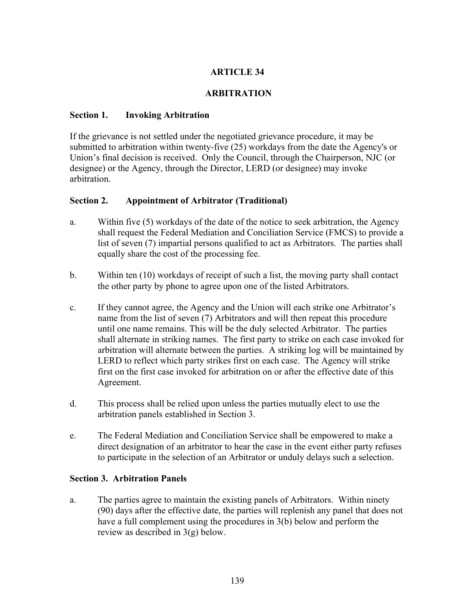### **ARBITRATION**

### **Section 1. Invoking Arbitration**

If the grievance is not settled under the negotiated grievance procedure, it may be submitted to arbitration within twenty-five (25) workdays from the date the Agency's or Union's final decision is received. Only the Council, through the Chairperson, NJC (or designee) or the Agency, through the Director, LERD (or designee) may invoke arbitration.

### **Section 2. Appointment of Arbitrator (Traditional)**

- a. Within five (5) workdays of the date of the notice to seek arbitration, the Agency shall request the Federal Mediation and Conciliation Service (FMCS) to provide a list of seven (7) impartial persons qualified to act as Arbitrators. The parties shall equally share the cost of the processing fee.
- b. Within ten (10) workdays of receipt of such a list, the moving party shall contact the other party by phone to agree upon one of the listed Arbitrators.
- c. If they cannot agree, the Agency and the Union will each strike one Arbitrator's name from the list of seven (7) Arbitrators and will then repeat this procedure until one name remains. This will be the duly selected Arbitrator. The parties shall alternate in striking names. The first party to strike on each case invoked for arbitration will alternate between the parties. A striking log will be maintained by LERD to reflect which party strikes first on each case. The Agency will strike first on the first case invoked for arbitration on or after the effective date of this Agreement.
- d. This process shall be relied upon unless the parties mutually elect to use the arbitration panels established in Section 3.
- e. The Federal Mediation and Conciliation Service shall be empowered to make a direct designation of an arbitrator to hear the case in the event either party refuses to participate in the selection of an Arbitrator or unduly delays such a selection.

#### **Section 3. Arbitration Panels**

a. The parties agree to maintain the existing panels of Arbitrators. Within ninety (90) days after the effective date, the parties will replenish any panel that does not have a full complement using the procedures in 3(b) below and perform the review as described in 3(g) below.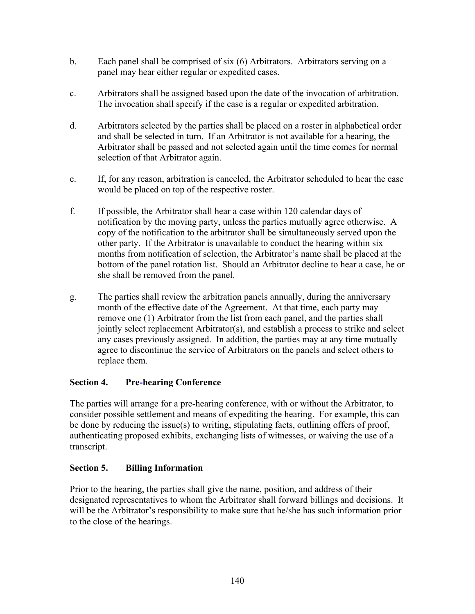- b. Each panel shall be comprised of six (6) Arbitrators.Arbitrators serving on a panel may hear either regular or expedited cases.
- c. Arbitrators shall be assigned based upon the date of the invocation of arbitration. The invocation shall specify if the case is a regular or expedited arbitration.
- d. Arbitrators selected by the parties shall be placed on a roster in alphabetical order and shall be selected in turn. If an Arbitrator is not available for a hearing, the Arbitrator shall be passed and not selected again until the time comes for normal selection of that Arbitrator again.
- e. If, for any reason, arbitration is canceled, the Arbitrator scheduled to hear the case would be placed on top of the respective roster.
- f. If possible, the Arbitrator shall hear a case within 120 calendar days of notification by the moving party, unless the parties mutually agree otherwise. A copy of the notification to the arbitrator shall be simultaneously served upon the other party. If the Arbitrator is unavailable to conduct the hearing within six months from notification of selection, the Arbitrator's name shall be placed at the bottom of the panel rotation list. Should an Arbitrator decline to hear a case, he or she shall be removed from the panel.
- g. The parties shall review the arbitration panels annually, during the anniversary month of the effective date of the Agreement. At that time, each party may remove one (1) Arbitrator from the list from each panel, and the parties shall jointly select replacement Arbitrator(s), and establish a process to strike and select any cases previously assigned. In addition, the parties may at any time mutually agree to discontinue the service of Arbitrators on the panels and select others to replace them.

# **Section 4. Pre-hearing Conference**

The parties will arrange for a pre-hearing conference, with or without the Arbitrator, to consider possible settlement and means of expediting the hearing. For example, this can be done by reducing the issue(s) to writing, stipulating facts, outlining offers of proof, authenticating proposed exhibits, exchanging lists of witnesses, or waiving the use of a transcript.

# **Section 5. Billing Information**

Prior to the hearing, the parties shall give the name, position, and address of their designated representatives to whom the Arbitrator shall forward billings and decisions. It will be the Arbitrator's responsibility to make sure that he/she has such information prior to the close of the hearings.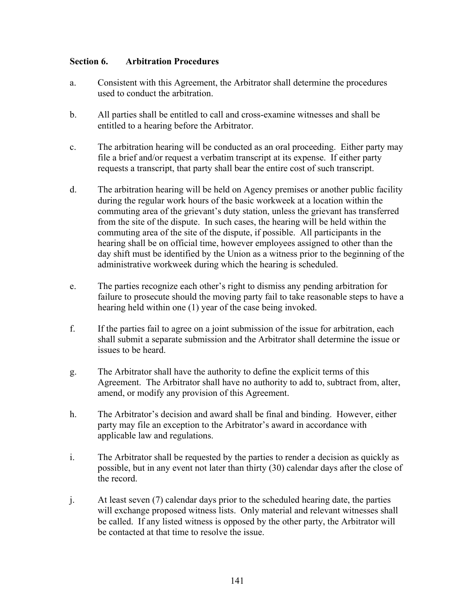### **Section 6. Arbitration Procedures**

- a. Consistent with this Agreement, the Arbitrator shall determine the procedures used to conduct the arbitration.
- b. All parties shall be entitled to call and cross-examine witnesses and shall be entitled to a hearing before the Arbitrator.
- c. The arbitration hearing will be conducted as an oral proceeding. Either party may file a brief and/or request a verbatim transcript at its expense. If either party requests a transcript, that party shall bear the entire cost of such transcript.
- d. The arbitration hearing will be held on Agency premises or another public facility during the regular work hours of the basic workweek at a location within the commuting area of the grievant's duty station, unless the grievant has transferred from the site of the dispute. In such cases, the hearing will be held within the commuting area of the site of the dispute, if possible. All participants in the hearing shall be on official time, however employees assigned to other than the day shift must be identified by the Union as a witness prior to the beginning of the administrative workweek during which the hearing is scheduled.
- e. The parties recognize each other's right to dismiss any pending arbitration for failure to prosecute should the moving party fail to take reasonable steps to have a hearing held within one (1) year of the case being invoked.
- f. If the parties fail to agree on a joint submission of the issue for arbitration, each shall submit a separate submission and the Arbitrator shall determine the issue or issues to be heard.
- g. The Arbitrator shall have the authority to define the explicit terms of this Agreement. The Arbitrator shall have no authority to add to, subtract from, alter, amend, or modify any provision of this Agreement.
- h. The Arbitrator's decision and award shall be final and binding. However, either party may file an exception to the Arbitrator's award in accordance with applicable law and regulations.
- i. The Arbitrator shall be requested by the parties to render a decision as quickly as possible, but in any event not later than thirty (30) calendar days after the close of the record.
- j. At least seven (7) calendar days prior to the scheduled hearing date, the parties will exchange proposed witness lists. Only material and relevant witnesses shall be called. If any listed witness is opposed by the other party, the Arbitrator will be contacted at that time to resolve the issue.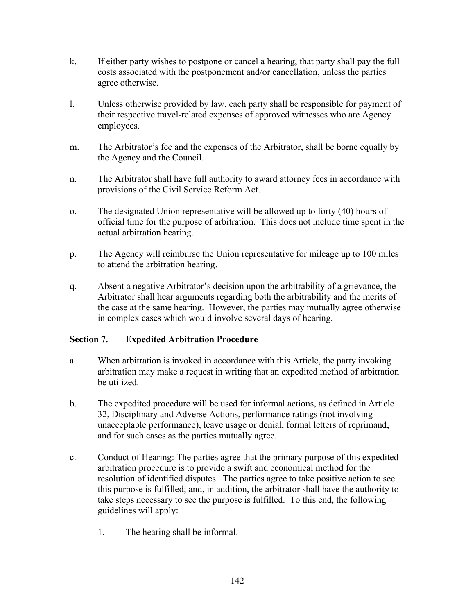- k. If either party wishes to postpone or cancel a hearing, that party shall pay the full costs associated with the postponement and/or cancellation, unless the parties agree otherwise.
- l. Unless otherwise provided by law, each party shall be responsible for payment of their respective travel-related expenses of approved witnesses who are Agency employees.
- m. The Arbitrator's fee and the expenses of the Arbitrator, shall be borne equally by the Agency and the Council.
- n. The Arbitrator shall have full authority to award attorney fees in accordance with provisions of the Civil Service Reform Act.
- o. The designated Union representative will be allowed up to forty (40) hours of official time for the purpose of arbitration. This does not include time spent in the actual arbitration hearing.
- p. The Agency will reimburse the Union representative for mileage up to 100 miles to attend the arbitration hearing.
- q. Absent a negative Arbitrator's decision upon the arbitrability of a grievance, the Arbitrator shall hear arguments regarding both the arbitrability and the merits of the case at the same hearing. However, the parties may mutually agree otherwise in complex cases which would involve several days of hearing.

# **Section 7. Expedited Arbitration Procedure**

- a. When arbitration is invoked in accordance with this Article, the party invoking arbitration may make a request in writing that an expedited method of arbitration be utilized.
- b. The expedited procedure will be used for informal actions, as defined in Article 32, Disciplinary and Adverse Actions, performance ratings (not involving unacceptable performance), leave usage or denial, formal letters of reprimand, and for such cases as the parties mutually agree.
- c. Conduct of Hearing: The parties agree that the primary purpose of this expedited arbitration procedure is to provide a swift and economical method for the resolution of identified disputes. The parties agree to take positive action to see this purpose is fulfilled; and, in addition, the arbitrator shall have the authority to take steps necessary to see the purpose is fulfilled. To this end, the following guidelines will apply:
	- 1. The hearing shall be informal.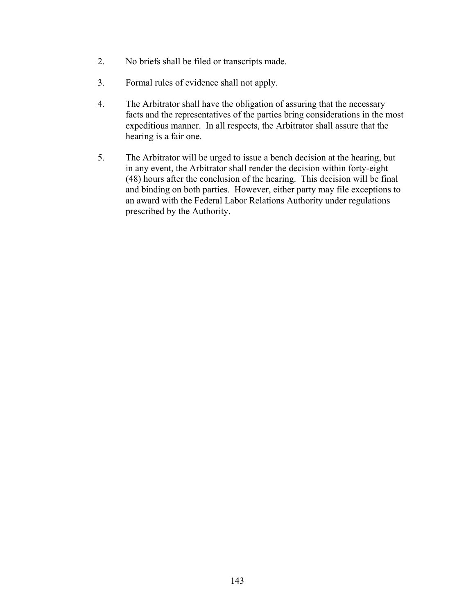- 2. No briefs shall be filed or transcripts made.
- 3. Formal rules of evidence shall not apply.
- 4. The Arbitrator shall have the obligation of assuring that the necessary facts and the representatives of the parties bring considerations in the most expeditious manner. In all respects, the Arbitrator shall assure that the hearing is a fair one.
- 5. The Arbitrator will be urged to issue a bench decision at the hearing, but in any event, the Arbitrator shall render the decision within forty-eight (48) hours after the conclusion of the hearing. This decision will be final and binding on both parties. However, either party may file exceptions to an award with the Federal Labor Relations Authority under regulations prescribed by the Authority.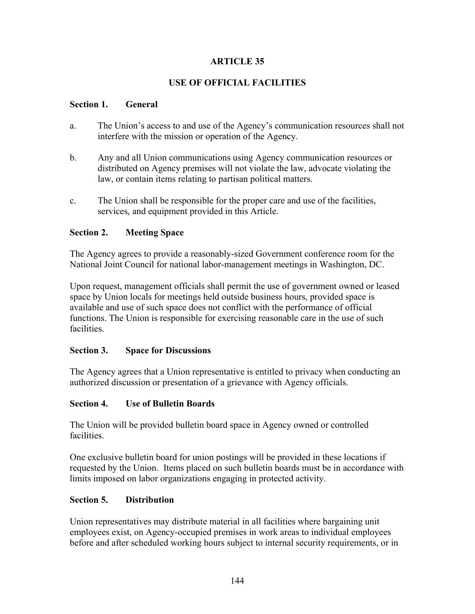# **USE OF OFFICIAL FACILITIES**

### **Section 1. General**

- a. The Union's access to and use of the Agency's communication resources shall not interfere with the mission or operation of the Agency.
- b. Any and all Union communications using Agency communication resources or distributed on Agency premises will not violate the law, advocate violating the law, or contain items relating to partisan political matters.
- c. The Union shall be responsible for the proper care and use of the facilities, services, and equipment provided in this Article.

### **Section 2. Meeting Space**

The Agency agrees to provide a reasonably-sized Government conference room for the National Joint Council for national labor-management meetings in Washington, DC.

Upon request, management officials shall permit the use of government owned or leased space by Union locals for meetings held outside business hours, provided space is available and use of such space does not conflict with the performance of official functions. The Union is responsible for exercising reasonable care in the use of such facilities.

# **Section 3. Space for Discussions**

The Agency agrees that a Union representative is entitled to privacy when conducting an authorized discussion or presentation of a grievance with Agency officials.

# **Section 4. Use of Bulletin Boards**

The Union will be provided bulletin board space in Agency owned or controlled facilities.

One exclusive bulletin board for union postings will be provided in these locations if requested by the Union. Items placed on such bulletin boards must be in accordance with limits imposed on labor organizations engaging in protected activity.

#### **Section 5. Distribution**

Union representatives may distribute material in all facilities where bargaining unit employees exist, on Agency-occupied premises in work areas to individual employees before and after scheduled working hours subject to internal security requirements, or in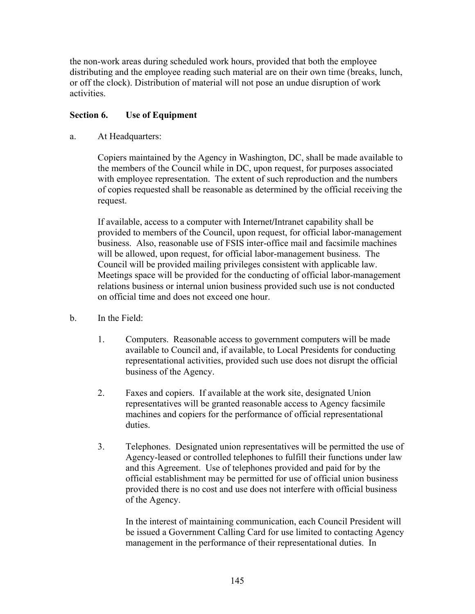the non-work areas during scheduled work hours, provided that both the employee distributing and the employee reading such material are on their own time (breaks, lunch, or off the clock). Distribution of material will not pose an undue disruption of work activities.

# **Section 6. Use of Equipment**

a. At Headquarters:

 Copiers maintained by the Agency in Washington, DC, shall be made available to the members of the Council while in DC, upon request, for purposes associated with employee representation. The extent of such reproduction and the numbers of copies requested shall be reasonable as determined by the official receiving the request.

 If available, access to a computer with Internet**/**Intranet capability shall be provided to members of the Council, upon request, for official labor-management business. Also, reasonable use of FSIS inter-office mail and facsimile machines will be allowed, upon request, for official labor-management business. The Council will be provided mailing privileges consistent with applicable law. Meetings space will be provided for the conducting of official labor-management relations business or internal union business provided such use is not conducted on official time and does not exceed one hour.

- b. In the Field:
	- 1. Computers. Reasonable access to government computers will be made available to Council and, if available, to Local Presidents for conducting representational activities, provided such use does not disrupt the official business of the Agency.
	- 2. Faxes and copiers. If available at the work site, designated Union representatives will be granted reasonable access to Agency facsimile machines and copiers for the performance of official representational duties.
	- 3. Telephones. Designated union representatives will be permitted the use of Agency-leased or controlled telephones to fulfill their functions under law and this Agreement.Use of telephones provided and paid for by the official establishment may be permitted for use of official union business provided there is no cost and use does not interfere with official business of the Agency.

 In the interest of maintaining communication, each Council President will be issued a Government Calling Card for use limited to contacting Agency management in the performance of their representational duties. In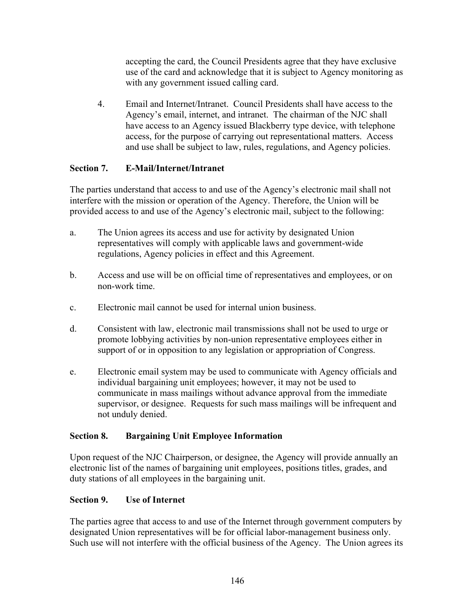accepting the card, the Council Presidents agree that they have exclusive use of the card and acknowledge that it is subject to Agency monitoring as with any government issued calling card.

4. Email and Internet/Intranet. Council Presidents shall have access to the Agency's email, internet, and intranet. The chairman of the NJC shall have access to an Agency issued Blackberry type device, with telephone access, for the purpose of carrying out representational matters. Access and use shall be subject to law, rules, regulations, and Agency policies.

# **Section 7. E-Mail/Internet/Intranet**

The parties understand that access to and use of the Agency's electronic mail shall not interfere with the mission or operation of the Agency. Therefore, the Union will be provided access to and use of the Agency's electronic mail, subject to the following:

- a. The Union agrees its access and use for activity by designated Union representatives will comply with applicable laws and government-wide regulations, Agency policies in effect and this Agreement.
- b. Access and use will be on official time of representatives and employees, or on non-work time.
- c. Electronic mail cannot be used for internal union business.
- d. Consistent with law, electronic mail transmissions shall not be used to urge or promote lobbying activities by non-union representative employees either in support of or in opposition to any legislation or appropriation of Congress.
- e. Electronic email system may be used to communicate with Agency officials and individual bargaining unit employees; however, it may not be used to communicate in mass mailings without advance approval from the immediate supervisor, or designee. Requests for such mass mailings will be infrequent and not unduly denied.

# **Section 8. Bargaining Unit Employee Information**

Upon request of the NJC Chairperson, or designee, the Agency will provide annually an electronic list of the names of bargaining unit employees, positions titles, grades, and duty stations of all employees in the bargaining unit.

# **Section 9. Use of Internet**

The parties agree that access to and use of the Internet through government computers by designated Union representatives will be for official labor-management business only. Such use will not interfere with the official business of the Agency. The Union agrees its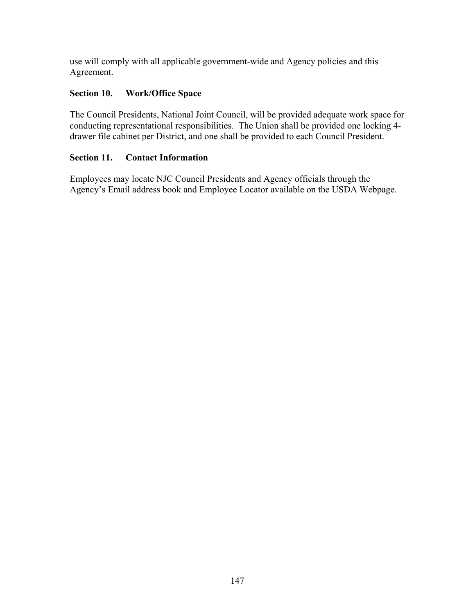use will comply with all applicable government-wide and Agency policies and this Agreement.

# **Section 10. Work/Office Space**

The Council Presidents, National Joint Council, will be provided adequate work space for conducting representational responsibilities. The Union shall be provided one locking 4 drawer file cabinet per District, and one shall be provided to each Council President.

# **Section 11. Contact Information**

Employees may locate NJC Council Presidents and Agency officials through the Agency's Email address book and Employee Locator available on the USDA Webpage.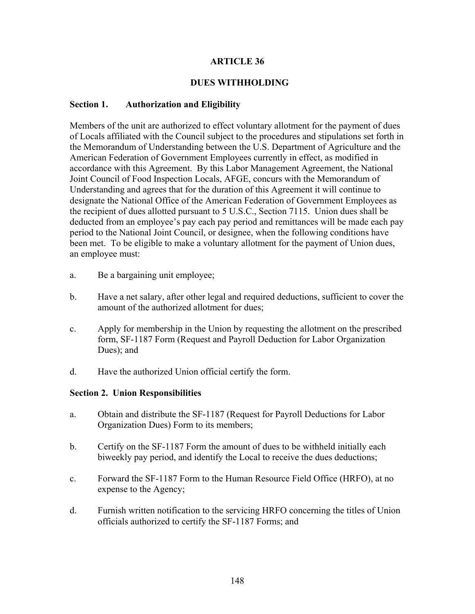# **ARTICLE 36**

# **DUES WITHHOLDING**

### **Section 1. Authorization and Eligibility**

Members of the unit are authorized to effect voluntary allotment for the payment of dues of Locals affiliated with the Council subject to the procedures and stipulations set forth in the Memorandum of Understanding between the U.S. Department of Agriculture and the American Federation of Government Employees currently in effect, as modified in accordance with this Agreement. By this Labor Management Agreement, the National Joint Council of Food Inspection Locals, AFGE, concurs with the Memorandum of Understanding and agrees that for the duration of this Agreement it will continue to designate the National Office of the American Federation of Government Employees as the recipient of dues allotted pursuant to 5 U.S.C., Section 7115. Union dues shall be deducted from an employee's pay each pay period and remittances will be made each pay period to the National Joint Council, or designee, when the following conditions have been met. To be eligible to make a voluntary allotment for the payment of Union dues, an employee must:

- a. Be a bargaining unit employee;
- b. Have a net salary, after other legal and required deductions, sufficient to cover the amount of the authorized allotment for dues;
- c. Apply for membership in the Union by requesting the allotment on the prescribed form, SF-1187 Form (Request and Payroll Deduction for Labor Organization Dues); and
- d. Have the authorized Union official certify the form.

#### **Section 2. Union Responsibilities**

- a. Obtain and distribute the SF-1187 (Request for Payroll Deductions for Labor Organization Dues) Form to its members;
- b. Certify on the SF-1187 Form the amount of dues to be withheld initially each biweekly pay period, and identify the Local to receive the dues deductions;
- c. Forward the SF-1187 Form to the Human Resource Field Office (HRFO), at no expense to the Agency;
- d. Furnish written notification to the servicing HRFO concerning the titles of Union officials authorized to certify the SF-1187 Forms; and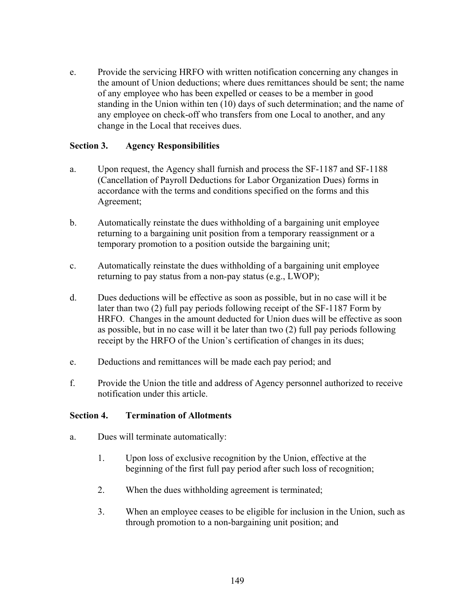e. Provide the servicing HRFO with written notification concerning any changes in the amount of Union deductions; where dues remittances should be sent; the name of any employee who has been expelled or ceases to be a member in good standing in the Union within ten (10) days of such determination; and the name of any employee on check-off who transfers from one Local to another, and any change in the Local that receives dues.

# **Section 3. Agency Responsibilities**

- a. Upon request, the Agency shall furnish and process the SF-1187 and SF-1188 (Cancellation of Payroll Deductions for Labor Organization Dues) forms in accordance with the terms and conditions specified on the forms and this Agreement;
- b. Automatically reinstate the dues withholding of a bargaining unit employee returning to a bargaining unit position from a temporary reassignment or a temporary promotion to a position outside the bargaining unit;
- c. Automatically reinstate the dues withholding of a bargaining unit employee returning to pay status from a non-pay status (e.g., LWOP);
- d. Dues deductions will be effective as soon as possible, but in no case will it be later than two (2) full pay periods following receipt of the SF-1187 Form by HRFO. Changes in the amount deducted for Union dues will be effective as soon as possible, but in no case will it be later than two (2) full pay periods following receipt by the HRFO of the Union's certification of changes in its dues;
- e. Deductions and remittances will be made each pay period; and
- f. Provide the Union the title and address of Agency personnel authorized to receive notification under this article.

#### **Section 4. Termination of Allotments**

- a. Dues will terminate automatically:
	- 1. Upon loss of exclusive recognition by the Union, effective at the beginning of the first full pay period after such loss of recognition;
	- 2. When the dues withholding agreement is terminated;
	- 3. When an employee ceases to be eligible for inclusion in the Union, such as through promotion to a non-bargaining unit position; and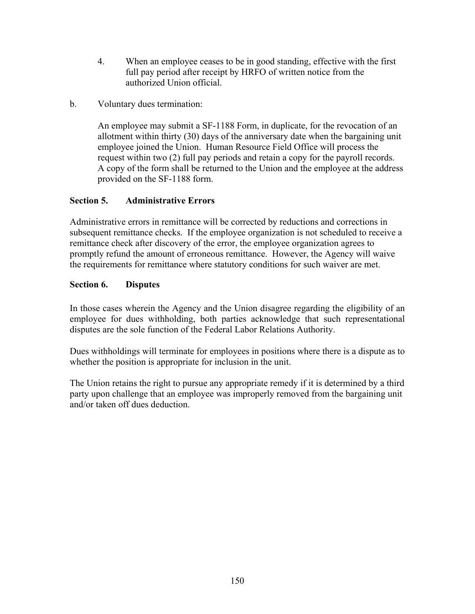- 4. When an employee ceases to be in good standing, effective with the first full pay period after receipt by HRFO of written notice from the authorized Union official.
- b. Voluntary dues termination:

An employee may submit a SF-1188 Form, in duplicate, for the revocation of an allotment within thirty (30) days of the anniversary date when the bargaining unit employee joined the Union. Human Resource Field Office will process the request within two (2) full pay periods and retain a copy for the payroll records. A copy of the form shall be returned to the Union and the employee at the address provided on the SF-1188 form.

# **Section 5. Administrative Errors**

Administrative errors in remittance will be corrected by reductions and corrections in subsequent remittance checks. If the employee organization is not scheduled to receive a remittance check after discovery of the error, the employee organization agrees to promptly refund the amount of erroneous remittance. However, the Agency will waive the requirements for remittance where statutory conditions for such waiver are met.

#### **Section 6. Disputes**

In those cases wherein the Agency and the Union disagree regarding the eligibility of an employee for dues withholding, both parties acknowledge that such representational disputes are the sole function of the Federal Labor Relations Authority.

Dues withholdings will terminate for employees in positions where there is a dispute as to whether the position is appropriate for inclusion in the unit.

The Union retains the right to pursue any appropriate remedy if it is determined by a third party upon challenge that an employee was improperly removed from the bargaining unit and/or taken off dues deduction.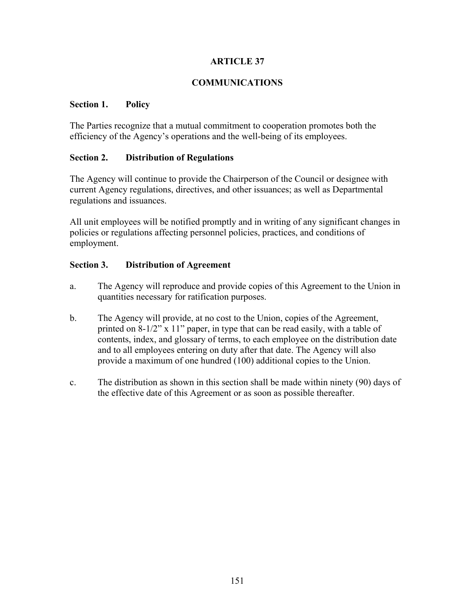# **ARTICLE 37**

### **COMMUNICATIONS**

#### **Section 1. Policy**

The Parties recognize that a mutual commitment to cooperation promotes both the efficiency of the Agency's operations and the well-being of its employees.

### **Section 2. Distribution of Regulations**

The Agency will continue to provide the Chairperson of the Council or designee with current Agency regulations, directives, and other issuances; as well as Departmental regulations and issuances.

All unit employees will be notified promptly and in writing of any significant changes in policies or regulations affecting personnel policies, practices, and conditions of employment.

### **Section 3. Distribution of Agreement**

- a. The Agency will reproduce and provide copies of this Agreement to the Union in quantities necessary for ratification purposes.
- b. The Agency will provide, at no cost to the Union, copies of the Agreement, printed on 8-1/2" x 11" paper, in type that can be read easily, with a table of contents, index, and glossary of terms, to each employee on the distribution date and to all employees entering on duty after that date. The Agency will also provide a maximum of one hundred (100) additional copies to the Union.
- c. The distribution as shown in this section shall be made within ninety (90) days of the effective date of this Agreement or as soon as possible thereafter.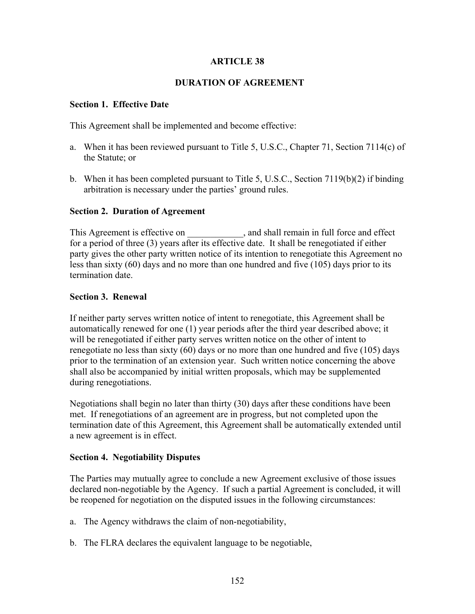### **ARTICLE 38**

### **DURATION OF AGREEMENT**

#### **Section 1. Effective Date**

This Agreement shall be implemented and become effective:

- a. When it has been reviewed pursuant to Title 5, U.S.C., Chapter 71, Section 7114(c) of the Statute; or
- b. When it has been completed pursuant to Title 5, U.S.C., Section 7119(b)(2) if binding arbitration is necessary under the parties' ground rules.

#### **Section 2. Duration of Agreement**

This Agreement is effective on \_\_\_\_\_\_\_\_\_\_\_\_, and shall remain in full force and effect for a period of three (3) years after its effective date. It shall be renegotiated if either party gives the other party written notice of its intention to renegotiate this Agreement no less than sixty (60) days and no more than one hundred and five (105) days prior to its termination date.

#### **Section 3. Renewal**

If neither party serves written notice of intent to renegotiate, this Agreement shall be automatically renewed for one (1) year periods after the third year described above; it will be renegotiated if either party serves written notice on the other of intent to renegotiate no less than sixty (60) days or no more than one hundred and five (105) days prior to the termination of an extension year. Such written notice concerning the above shall also be accompanied by initial written proposals, which may be supplemented during renegotiations.

Negotiations shall begin no later than thirty (30) days after these conditions have been met. If renegotiations of an agreement are in progress, but not completed upon the termination date of this Agreement, this Agreement shall be automatically extended until a new agreement is in effect.

#### **Section 4. Negotiability Disputes**

The Parties may mutually agree to conclude a new Agreement exclusive of those issues declared non-negotiable by the Agency. If such a partial Agreement is concluded, it will be reopened for negotiation on the disputed issues in the following circumstances:

- a. The Agency withdraws the claim of non-negotiability,
- b. The FLRA declares the equivalent language to be negotiable,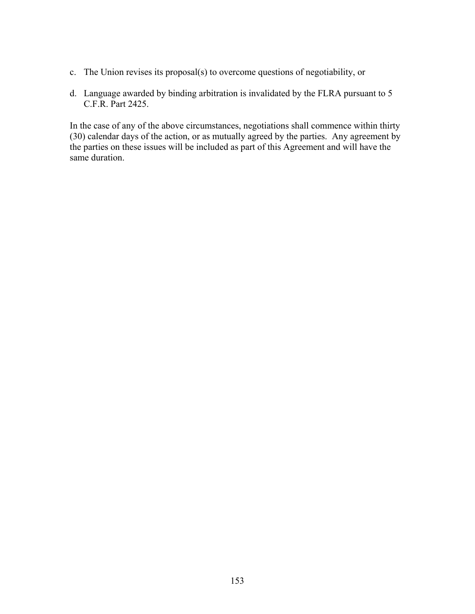- c. The Union revises its proposal(s) to overcome questions of negotiability, or
- d. Language awarded by binding arbitration is invalidated by the FLRA pursuant to 5 C.F.R. Part 2425.

In the case of any of the above circumstances, negotiations shall commence within thirty (30) calendar days of the action, or as mutually agreed by the parties. Any agreement by the parties on these issues will be included as part of this Agreement and will have the same duration.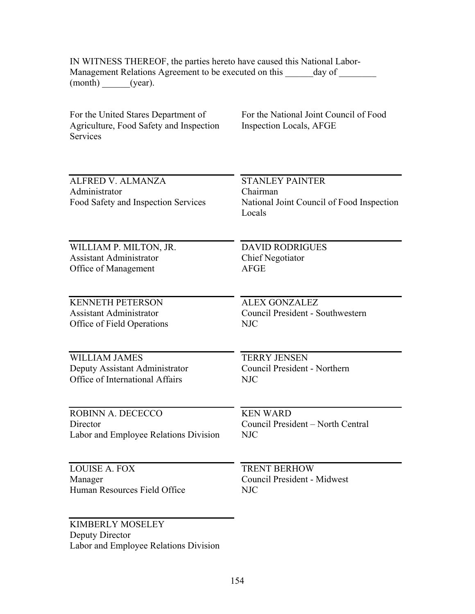| IN WITNESS THEREOF, the parties hereto have caused this National Labor-<br>Management Relations Agreement to be executed on this ______ day of _____<br>(month) (year). |                                                                                           |
|-------------------------------------------------------------------------------------------------------------------------------------------------------------------------|-------------------------------------------------------------------------------------------|
| For the United Stares Department of<br>Agriculture, Food Safety and Inspection<br><b>Services</b>                                                                       | For the National Joint Council of Food<br>Inspection Locals, AFGE                         |
| ALFRED V. ALMANZA<br>Administrator<br>Food Safety and Inspection Services                                                                                               | <b>STANLEY PAINTER</b><br>Chairman<br>National Joint Council of Food Inspection<br>Locals |
| WILLIAM P. MILTON, JR.                                                                                                                                                  | <b>DAVID RODRIGUES</b>                                                                    |
| <b>Assistant Administrator</b>                                                                                                                                          | <b>Chief Negotiator</b>                                                                   |
| Office of Management                                                                                                                                                    | <b>AFGE</b>                                                                               |
| <b>KENNETH PETERSON</b>                                                                                                                                                 | <b>ALEX GONZALEZ</b>                                                                      |
| <b>Assistant Administrator</b>                                                                                                                                          | Council President - Southwestern                                                          |
| Office of Field Operations                                                                                                                                              | <b>NJC</b>                                                                                |
| <b>WILLIAM JAMES</b>                                                                                                                                                    | <b>TERRY JENSEN</b>                                                                       |
| Deputy Assistant Administrator                                                                                                                                          | Council President - Northern                                                              |
| Office of International Affairs                                                                                                                                         | <b>NJC</b>                                                                                |
| ROBINN A. DECECCO                                                                                                                                                       | <b>KEN WARD</b>                                                                           |
| Director                                                                                                                                                                | Council President – North Central                                                         |
| Labor and Employee Relations Division                                                                                                                                   | <b>NJC</b>                                                                                |
| <b>LOUISE A. FOX</b>                                                                                                                                                    | <b>TRENT BERHOW</b>                                                                       |
| Manager                                                                                                                                                                 | Council President - Midwest                                                               |
| Human Resources Field Office                                                                                                                                            | <b>NJC</b>                                                                                |
| <b>KIMBERLY MOSELEY</b><br>Deputy Director                                                                                                                              |                                                                                           |

Labor and Employee Relations Division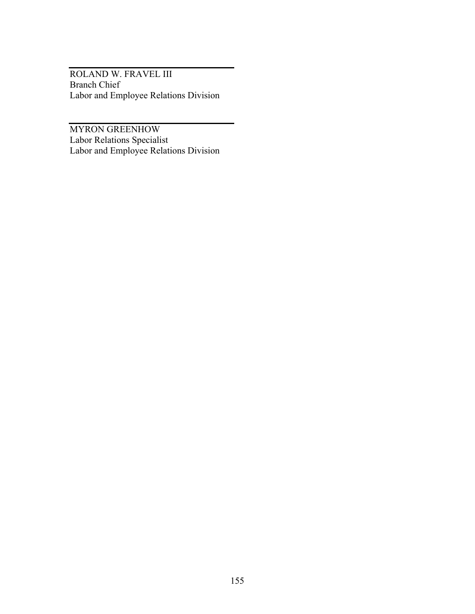ROLAND W. FRAVEL III Branch Chief Labor and Employee Relations Division

MYRON GREENHOW Labor Relations Specialist Labor and Employee Relations Division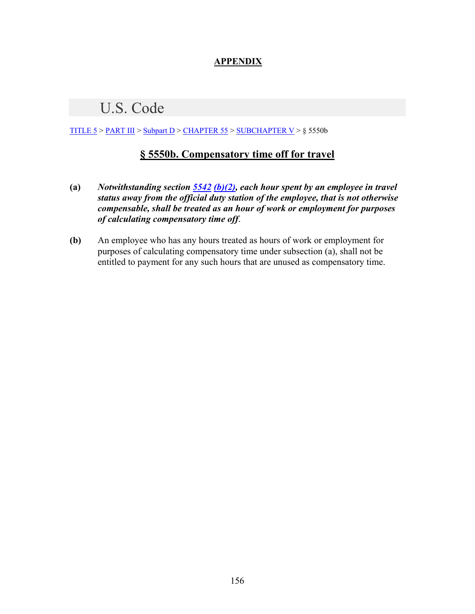# **APPENDIX**

# U.S. Code

#### TITLE  $5$  > PART III > Subpart D > CHAPTER  $55$  > SUBCHAPTER V > § 5550b

# **§ 5550b. Compensatory time off for travel**

- **(a)** *Notwithstanding section 5542 (b)(2), each hour spent by an employee in travel status away from the official duty station of the employee, that is not otherwise compensable, shall be treated as an hour of work or employment for purposes of calculating compensatory time off*.
- **(b)** An employee who has any hours treated as hours of work or employment for purposes of calculating compensatory time under subsection (a), shall not be entitled to payment for any such hours that are unused as compensatory time.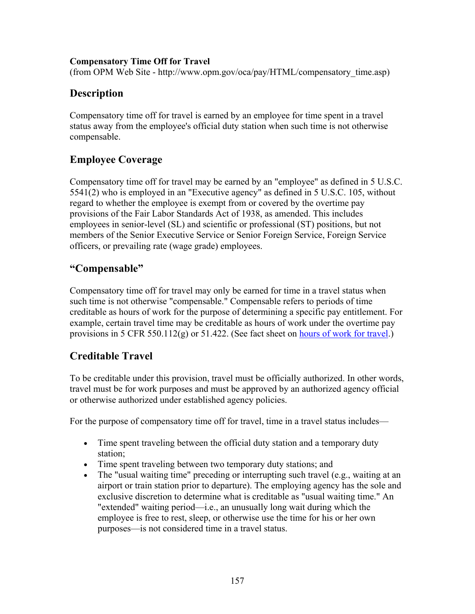# **Compensatory Time Off for Travel**

(from OPM Web Site - http://www.opm.gov/oca/pay/HTML/compensatory\_time.asp)

# **Description**

Compensatory time off for travel is earned by an employee for time spent in a travel status away from the employee's official duty station when such time is not otherwise compensable.

# **Employee Coverage**

Compensatory time off for travel may be earned by an "employee" as defined in 5 U.S.C. 5541(2) who is employed in an "Executive agency" as defined in 5 U.S.C. 105, without regard to whether the employee is exempt from or covered by the overtime pay provisions of the Fair Labor Standards Act of 1938, as amended. This includes employees in senior-level (SL) and scientific or professional (ST) positions, but not members of the Senior Executive Service or Senior Foreign Service, Foreign Service officers, or prevailing rate (wage grade) employees.

# **"Compensable"**

Compensatory time off for travel may only be earned for time in a travel status when such time is not otherwise "compensable." Compensable refers to periods of time creditable as hours of work for the purpose of determining a specific pay entitlement. For example, certain travel time may be creditable as hours of work under the overtime pay provisions in 5 CFR 550.112(g) or 51.422. (See fact sheet on hours of work for travel.)

# **Creditable Travel**

To be creditable under this provision, travel must be officially authorized. In other words, travel must be for work purposes and must be approved by an authorized agency official or otherwise authorized under established agency policies.

For the purpose of compensatory time off for travel, time in a travel status includes—

- Time spent traveling between the official duty station and a temporary duty station;
- Time spent traveling between two temporary duty stations; and
- The "usual waiting time" preceding or interrupting such travel (e.g., waiting at an airport or train station prior to departure). The employing agency has the sole and exclusive discretion to determine what is creditable as "usual waiting time." An "extended" waiting period—i.e., an unusually long wait during which the employee is free to rest, sleep, or otherwise use the time for his or her own purposes—is not considered time in a travel status.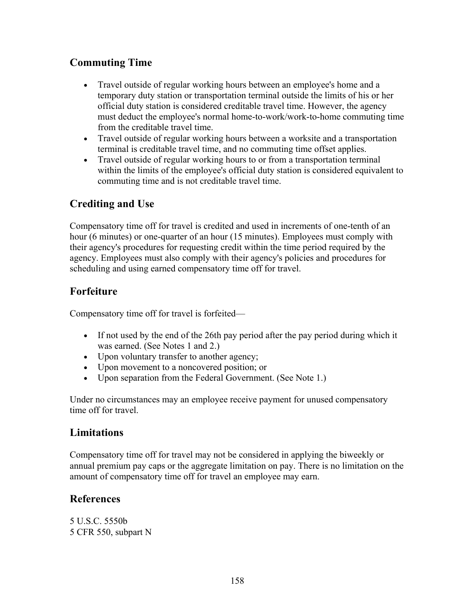# **Commuting Time**

- Travel outside of regular working hours between an employee's home and a temporary duty station or transportation terminal outside the limits of his or her official duty station is considered creditable travel time. However, the agency must deduct the employee's normal home-to-work/work-to-home commuting time from the creditable travel time.
- Travel outside of regular working hours between a worksite and a transportation terminal is creditable travel time, and no commuting time offset applies.
- Travel outside of regular working hours to or from a transportation terminal within the limits of the employee's official duty station is considered equivalent to commuting time and is not creditable travel time.

# **Crediting and Use**

Compensatory time off for travel is credited and used in increments of one-tenth of an hour (6 minutes) or one-quarter of an hour (15 minutes). Employees must comply with their agency's procedures for requesting credit within the time period required by the agency. Employees must also comply with their agency's policies and procedures for scheduling and using earned compensatory time off for travel.

# **Forfeiture**

Compensatory time off for travel is forfeited—

- If not used by the end of the 26th pay period after the pay period during which it was earned. (See Notes 1 and 2.)
- Upon voluntary transfer to another agency;
- Upon movement to a noncovered position; or
- Upon separation from the Federal Government. (See Note 1.)

Under no circumstances may an employee receive payment for unused compensatory time off for travel.

# **Limitations**

Compensatory time off for travel may not be considered in applying the biweekly or annual premium pay caps or the aggregate limitation on pay. There is no limitation on the amount of compensatory time off for travel an employee may earn.

# **References**

5 U.S.C. 5550b 5 CFR 550, subpart N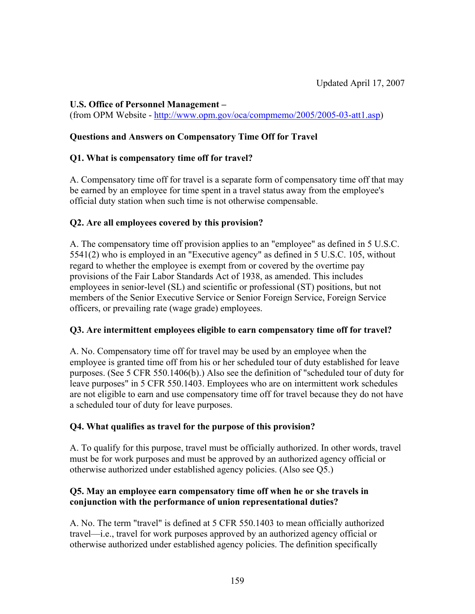### **U.S. Office of Personnel Management –**

(from OPM Website - http://www.opm.gov/oca/compmemo/2005/2005-03-att1.asp)

### **Questions and Answers on Compensatory Time Off for Travel**

### **Q1. What is compensatory time off for travel?**

A. Compensatory time off for travel is a separate form of compensatory time off that may be earned by an employee for time spent in a travel status away from the employee's official duty station when such time is not otherwise compensable.

### **Q2. Are all employees covered by this provision?**

A. The compensatory time off provision applies to an "employee" as defined in 5 U.S.C. 5541(2) who is employed in an "Executive agency" as defined in 5 U.S.C. 105, without regard to whether the employee is exempt from or covered by the overtime pay provisions of the Fair Labor Standards Act of 1938, as amended. This includes employees in senior-level (SL) and scientific or professional (ST) positions, but not members of the Senior Executive Service or Senior Foreign Service, Foreign Service officers, or prevailing rate (wage grade) employees.

#### **Q3. Are intermittent employees eligible to earn compensatory time off for travel?**

A. No. Compensatory time off for travel may be used by an employee when the employee is granted time off from his or her scheduled tour of duty established for leave purposes. (See 5 CFR 550.1406(b).) Also see the definition of "scheduled tour of duty for leave purposes" in 5 CFR 550.1403. Employees who are on intermittent work schedules are not eligible to earn and use compensatory time off for travel because they do not have a scheduled tour of duty for leave purposes.

#### **Q4. What qualifies as travel for the purpose of this provision?**

A. To qualify for this purpose, travel must be officially authorized. In other words, travel must be for work purposes and must be approved by an authorized agency official or otherwise authorized under established agency policies. (Also see Q5.)

### **Q5. May an employee earn compensatory time off when he or she travels in conjunction with the performance of union representational duties?**

A. No. The term "travel" is defined at 5 CFR 550.1403 to mean officially authorized travel—i.e., travel for work purposes approved by an authorized agency official or otherwise authorized under established agency policies. The definition specifically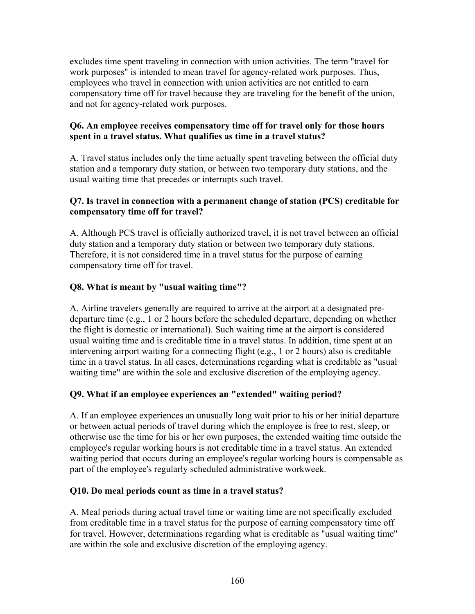excludes time spent traveling in connection with union activities. The term "travel for work purposes" is intended to mean travel for agency-related work purposes. Thus, employees who travel in connection with union activities are not entitled to earn compensatory time off for travel because they are traveling for the benefit of the union, and not for agency-related work purposes.

# **Q6. An employee receives compensatory time off for travel only for those hours spent in a travel status. What qualifies as time in a travel status?**

A. Travel status includes only the time actually spent traveling between the official duty station and a temporary duty station, or between two temporary duty stations, and the usual waiting time that precedes or interrupts such travel.

# **Q7. Is travel in connection with a permanent change of station (PCS) creditable for compensatory time off for travel?**

A. Although PCS travel is officially authorized travel, it is not travel between an official duty station and a temporary duty station or between two temporary duty stations. Therefore, it is not considered time in a travel status for the purpose of earning compensatory time off for travel.

# **Q8. What is meant by "usual waiting time"?**

A. Airline travelers generally are required to arrive at the airport at a designated predeparture time (e.g., 1 or 2 hours before the scheduled departure, depending on whether the flight is domestic or international). Such waiting time at the airport is considered usual waiting time and is creditable time in a travel status. In addition, time spent at an intervening airport waiting for a connecting flight (e.g., 1 or 2 hours) also is creditable time in a travel status. In all cases, determinations regarding what is creditable as "usual waiting time" are within the sole and exclusive discretion of the employing agency.

# **Q9. What if an employee experiences an "extended" waiting period?**

A. If an employee experiences an unusually long wait prior to his or her initial departure or between actual periods of travel during which the employee is free to rest, sleep, or otherwise use the time for his or her own purposes, the extended waiting time outside the employee's regular working hours is not creditable time in a travel status. An extended waiting period that occurs during an employee's regular working hours is compensable as part of the employee's regularly scheduled administrative workweek.

# **Q10. Do meal periods count as time in a travel status?**

A. Meal periods during actual travel time or waiting time are not specifically excluded from creditable time in a travel status for the purpose of earning compensatory time off for travel. However, determinations regarding what is creditable as "usual waiting time" are within the sole and exclusive discretion of the employing agency.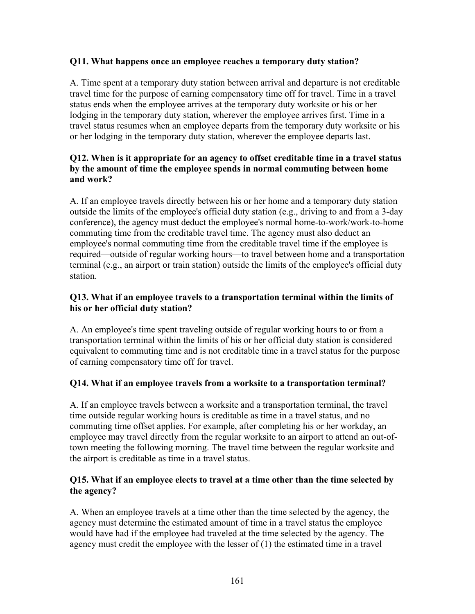# **Q11. What happens once an employee reaches a temporary duty station?**

A. Time spent at a temporary duty station between arrival and departure is not creditable travel time for the purpose of earning compensatory time off for travel. Time in a travel status ends when the employee arrives at the temporary duty worksite or his or her lodging in the temporary duty station, wherever the employee arrives first. Time in a travel status resumes when an employee departs from the temporary duty worksite or his or her lodging in the temporary duty station, wherever the employee departs last.

### **Q12. When is it appropriate for an agency to offset creditable time in a travel status by the amount of time the employee spends in normal commuting between home and work?**

A. If an employee travels directly between his or her home and a temporary duty station outside the limits of the employee's official duty station (e.g., driving to and from a 3-day conference), the agency must deduct the employee's normal home-to-work/work-to-home commuting time from the creditable travel time. The agency must also deduct an employee's normal commuting time from the creditable travel time if the employee is required—outside of regular working hours—to travel between home and a transportation terminal (e.g., an airport or train station) outside the limits of the employee's official duty station.

### **Q13. What if an employee travels to a transportation terminal within the limits of his or her official duty station?**

A. An employee's time spent traveling outside of regular working hours to or from a transportation terminal within the limits of his or her official duty station is considered equivalent to commuting time and is not creditable time in a travel status for the purpose of earning compensatory time off for travel.

# **Q14. What if an employee travels from a worksite to a transportation terminal?**

A. If an employee travels between a worksite and a transportation terminal, the travel time outside regular working hours is creditable as time in a travel status, and no commuting time offset applies. For example, after completing his or her workday, an employee may travel directly from the regular worksite to an airport to attend an out-oftown meeting the following morning. The travel time between the regular worksite and the airport is creditable as time in a travel status.

### **Q15. What if an employee elects to travel at a time other than the time selected by the agency?**

A. When an employee travels at a time other than the time selected by the agency, the agency must determine the estimated amount of time in a travel status the employee would have had if the employee had traveled at the time selected by the agency. The agency must credit the employee with the lesser of (1) the estimated time in a travel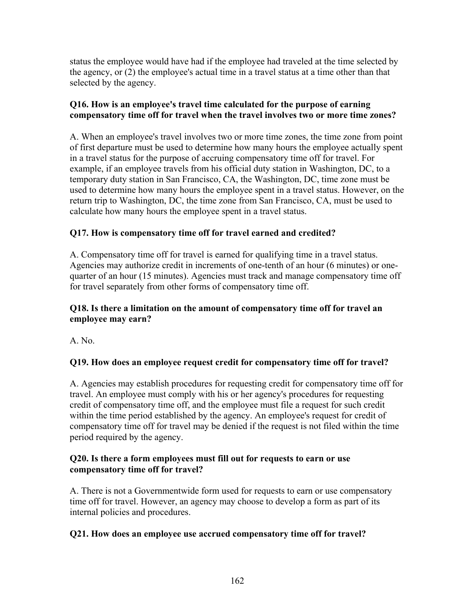status the employee would have had if the employee had traveled at the time selected by the agency, or (2) the employee's actual time in a travel status at a time other than that selected by the agency.

# **Q16. How is an employee's travel time calculated for the purpose of earning compensatory time off for travel when the travel involves two or more time zones?**

A. When an employee's travel involves two or more time zones, the time zone from point of first departure must be used to determine how many hours the employee actually spent in a travel status for the purpose of accruing compensatory time off for travel. For example, if an employee travels from his official duty station in Washington, DC, to a temporary duty station in San Francisco, CA, the Washington, DC, time zone must be used to determine how many hours the employee spent in a travel status. However, on the return trip to Washington, DC, the time zone from San Francisco, CA, must be used to calculate how many hours the employee spent in a travel status.

# **Q17. How is compensatory time off for travel earned and credited?**

A. Compensatory time off for travel is earned for qualifying time in a travel status. Agencies may authorize credit in increments of one-tenth of an hour (6 minutes) or onequarter of an hour (15 minutes). Agencies must track and manage compensatory time off for travel separately from other forms of compensatory time off.

# **Q18. Is there a limitation on the amount of compensatory time off for travel an employee may earn?**

A. No.

# **Q19. How does an employee request credit for compensatory time off for travel?**

A. Agencies may establish procedures for requesting credit for compensatory time off for travel. An employee must comply with his or her agency's procedures for requesting credit of compensatory time off, and the employee must file a request for such credit within the time period established by the agency. An employee's request for credit of compensatory time off for travel may be denied if the request is not filed within the time period required by the agency.

# **Q20. Is there a form employees must fill out for requests to earn or use compensatory time off for travel?**

A. There is not a Governmentwide form used for requests to earn or use compensatory time off for travel. However, an agency may choose to develop a form as part of its internal policies and procedures.

# **Q21. How does an employee use accrued compensatory time off for travel?**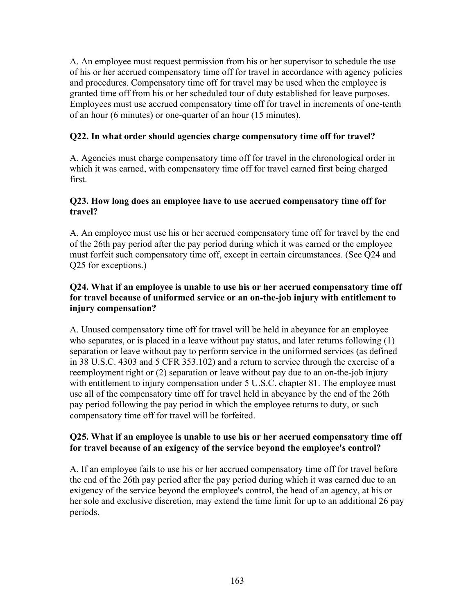A. An employee must request permission from his or her supervisor to schedule the use of his or her accrued compensatory time off for travel in accordance with agency policies and procedures. Compensatory time off for travel may be used when the employee is granted time off from his or her scheduled tour of duty established for leave purposes. Employees must use accrued compensatory time off for travel in increments of one-tenth of an hour (6 minutes) or one-quarter of an hour (15 minutes).

# **Q22. In what order should agencies charge compensatory time off for travel?**

A. Agencies must charge compensatory time off for travel in the chronological order in which it was earned, with compensatory time off for travel earned first being charged first.

# **Q23. How long does an employee have to use accrued compensatory time off for travel?**

A. An employee must use his or her accrued compensatory time off for travel by the end of the 26th pay period after the pay period during which it was earned or the employee must forfeit such compensatory time off, except in certain circumstances. (See Q24 and Q25 for exceptions.)

# **Q24. What if an employee is unable to use his or her accrued compensatory time off for travel because of uniformed service or an on-the-job injury with entitlement to injury compensation?**

A. Unused compensatory time off for travel will be held in abeyance for an employee who separates, or is placed in a leave without pay status, and later returns following (1) separation or leave without pay to perform service in the uniformed services (as defined in 38 U.S.C. 4303 and 5 CFR 353.102) and a return to service through the exercise of a reemployment right or (2) separation or leave without pay due to an on-the-job injury with entitlement to injury compensation under 5 U.S.C. chapter 81. The employee must use all of the compensatory time off for travel held in abeyance by the end of the 26th pay period following the pay period in which the employee returns to duty, or such compensatory time off for travel will be forfeited.

# **Q25. What if an employee is unable to use his or her accrued compensatory time off for travel because of an exigency of the service beyond the employee's control?**

A. If an employee fails to use his or her accrued compensatory time off for travel before the end of the 26th pay period after the pay period during which it was earned due to an exigency of the service beyond the employee's control, the head of an agency, at his or her sole and exclusive discretion, may extend the time limit for up to an additional 26 pay periods.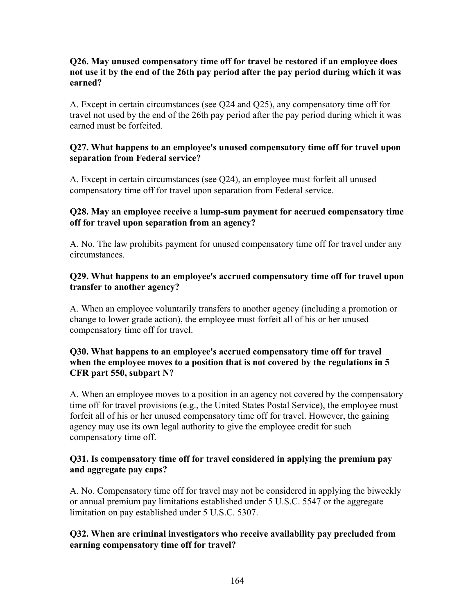### **Q26. May unused compensatory time off for travel be restored if an employee does not use it by the end of the 26th pay period after the pay period during which it was earned?**

A. Except in certain circumstances (see Q24 and Q25), any compensatory time off for travel not used by the end of the 26th pay period after the pay period during which it was earned must be forfeited.

### **Q27. What happens to an employee's unused compensatory time off for travel upon separation from Federal service?**

A. Except in certain circumstances (see Q24), an employee must forfeit all unused compensatory time off for travel upon separation from Federal service.

### **Q28. May an employee receive a lump-sum payment for accrued compensatory time off for travel upon separation from an agency?**

A. No. The law prohibits payment for unused compensatory time off for travel under any circumstances.

# **Q29. What happens to an employee's accrued compensatory time off for travel upon transfer to another agency?**

A. When an employee voluntarily transfers to another agency (including a promotion or change to lower grade action), the employee must forfeit all of his or her unused compensatory time off for travel.

# **Q30. What happens to an employee's accrued compensatory time off for travel when the employee moves to a position that is not covered by the regulations in 5 CFR part 550, subpart N?**

A. When an employee moves to a position in an agency not covered by the compensatory time off for travel provisions (e.g., the United States Postal Service), the employee must forfeit all of his or her unused compensatory time off for travel. However, the gaining agency may use its own legal authority to give the employee credit for such compensatory time off.

# **Q31. Is compensatory time off for travel considered in applying the premium pay and aggregate pay caps?**

A. No. Compensatory time off for travel may not be considered in applying the biweekly or annual premium pay limitations established under 5 U.S.C. 5547 or the aggregate limitation on pay established under 5 U.S.C. 5307.

# **Q32. When are criminal investigators who receive availability pay precluded from earning compensatory time off for travel?**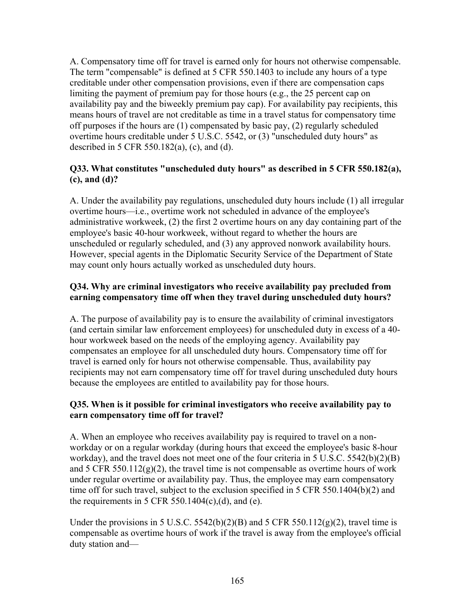A. Compensatory time off for travel is earned only for hours not otherwise compensable. The term "compensable" is defined at 5 CFR 550.1403 to include any hours of a type creditable under other compensation provisions, even if there are compensation caps limiting the payment of premium pay for those hours (e.g., the 25 percent cap on availability pay and the biweekly premium pay cap). For availability pay recipients, this means hours of travel are not creditable as time in a travel status for compensatory time off purposes if the hours are (1) compensated by basic pay, (2) regularly scheduled overtime hours creditable under 5 U.S.C. 5542, or (3) "unscheduled duty hours" as described in 5 CFR 550.182(a), (c), and (d).

# **Q33. What constitutes "unscheduled duty hours" as described in 5 CFR 550.182(a), (c), and (d)?**

A. Under the availability pay regulations, unscheduled duty hours include (1) all irregular overtime hours—i.e., overtime work not scheduled in advance of the employee's administrative workweek, (2) the first 2 overtime hours on any day containing part of the employee's basic 40-hour workweek, without regard to whether the hours are unscheduled or regularly scheduled, and (3) any approved nonwork availability hours. However, special agents in the Diplomatic Security Service of the Department of State may count only hours actually worked as unscheduled duty hours.

# **Q34. Why are criminal investigators who receive availability pay precluded from earning compensatory time off when they travel during unscheduled duty hours?**

A. The purpose of availability pay is to ensure the availability of criminal investigators (and certain similar law enforcement employees) for unscheduled duty in excess of a 40 hour workweek based on the needs of the employing agency. Availability pay compensates an employee for all unscheduled duty hours. Compensatory time off for travel is earned only for hours not otherwise compensable. Thus, availability pay recipients may not earn compensatory time off for travel during unscheduled duty hours because the employees are entitled to availability pay for those hours.

# **Q35. When is it possible for criminal investigators who receive availability pay to earn compensatory time off for travel?**

A. When an employee who receives availability pay is required to travel on a nonworkday or on a regular workday (during hours that exceed the employee's basic 8-hour workday), and the travel does not meet one of the four criteria in 5 U.S.C. 5542(b)(2)(B) and 5 CFR 550.112 $(g)(2)$ , the travel time is not compensable as overtime hours of work under regular overtime or availability pay. Thus, the employee may earn compensatory time off for such travel, subject to the exclusion specified in 5 CFR 550.1404(b)(2) and the requirements in 5 CFR 550.1404 $(c)$ , (d), and  $(e)$ .

Under the provisions in 5 U.S.C. 5542(b)(2)(B) and 5 CFR 550.112(g)(2), travel time is compensable as overtime hours of work if the travel is away from the employee's official duty station and—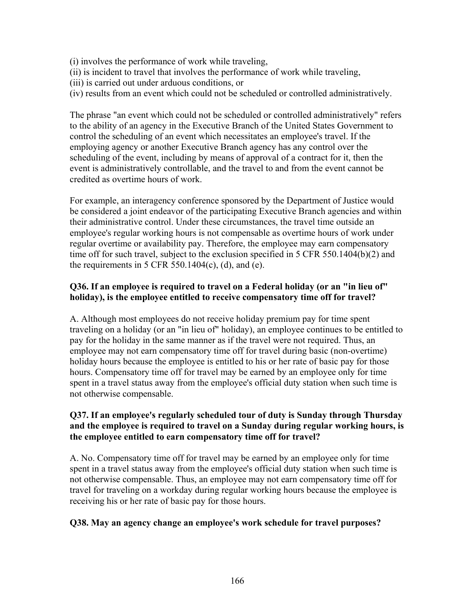- (i) involves the performance of work while traveling,
- (ii) is incident to travel that involves the performance of work while traveling,
- (iii) is carried out under arduous conditions, or
- (iv) results from an event which could not be scheduled or controlled administratively.

The phrase "an event which could not be scheduled or controlled administratively" refers to the ability of an agency in the Executive Branch of the United States Government to control the scheduling of an event which necessitates an employee's travel. If the employing agency or another Executive Branch agency has any control over the scheduling of the event, including by means of approval of a contract for it, then the event is administratively controllable, and the travel to and from the event cannot be credited as overtime hours of work.

For example, an interagency conference sponsored by the Department of Justice would be considered a joint endeavor of the participating Executive Branch agencies and within their administrative control. Under these circumstances, the travel time outside an employee's regular working hours is not compensable as overtime hours of work under regular overtime or availability pay. Therefore, the employee may earn compensatory time off for such travel, subject to the exclusion specified in 5 CFR 550.1404(b)(2) and the requirements in 5 CFR 550.1404 $(c)$ ,  $(d)$ , and  $(e)$ .

# **Q36. If an employee is required to travel on a Federal holiday (or an "in lieu of" holiday), is the employee entitled to receive compensatory time off for travel?**

A. Although most employees do not receive holiday premium pay for time spent traveling on a holiday (or an "in lieu of" holiday), an employee continues to be entitled to pay for the holiday in the same manner as if the travel were not required. Thus, an employee may not earn compensatory time off for travel during basic (non-overtime) holiday hours because the employee is entitled to his or her rate of basic pay for those hours. Compensatory time off for travel may be earned by an employee only for time spent in a travel status away from the employee's official duty station when such time is not otherwise compensable.

### **Q37. If an employee's regularly scheduled tour of duty is Sunday through Thursday and the employee is required to travel on a Sunday during regular working hours, is the employee entitled to earn compensatory time off for travel?**

A. No. Compensatory time off for travel may be earned by an employee only for time spent in a travel status away from the employee's official duty station when such time is not otherwise compensable. Thus, an employee may not earn compensatory time off for travel for traveling on a workday during regular working hours because the employee is receiving his or her rate of basic pay for those hours.

# **Q38. May an agency change an employee's work schedule for travel purposes?**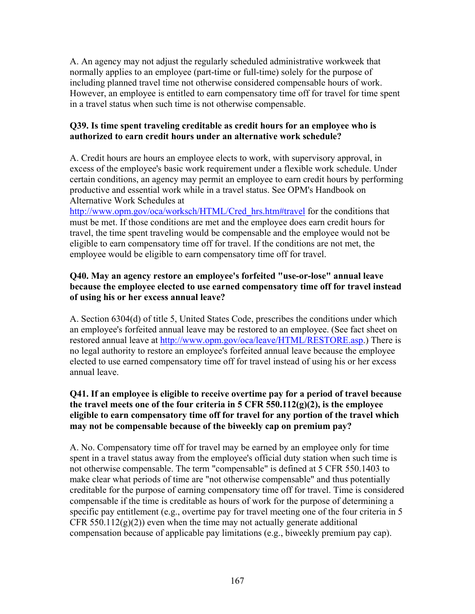A. An agency may not adjust the regularly scheduled administrative workweek that normally applies to an employee (part-time or full-time) solely for the purpose of including planned travel time not otherwise considered compensable hours of work. However, an employee is entitled to earn compensatory time off for travel for time spent in a travel status when such time is not otherwise compensable.

# **Q39. Is time spent traveling creditable as credit hours for an employee who is authorized to earn credit hours under an alternative work schedule?**

A. Credit hours are hours an employee elects to work, with supervisory approval, in excess of the employee's basic work requirement under a flexible work schedule. Under certain conditions, an agency may permit an employee to earn credit hours by performing productive and essential work while in a travel status. See OPM's Handbook on Alternative Work Schedules at

http://www.opm.gov/oca/worksch/HTML/Cred\_hrs.htm#travel for the conditions that must be met. If those conditions are met and the employee does earn credit hours for travel, the time spent traveling would be compensable and the employee would not be eligible to earn compensatory time off for travel. If the conditions are not met, the employee would be eligible to earn compensatory time off for travel.

# **Q40. May an agency restore an employee's forfeited "use-or-lose" annual leave because the employee elected to use earned compensatory time off for travel instead of using his or her excess annual leave?**

A. Section 6304(d) of title 5, United States Code, prescribes the conditions under which an employee's forfeited annual leave may be restored to an employee. (See fact sheet on restored annual leave at http://www.opm.gov/oca/leave/HTML/RESTORE.asp.) There is no legal authority to restore an employee's forfeited annual leave because the employee elected to use earned compensatory time off for travel instead of using his or her excess annual leave.

# **Q41. If an employee is eligible to receive overtime pay for a period of travel because the travel meets one of the four criteria in 5 CFR 550.112(g)(2), is the employee eligible to earn compensatory time off for travel for any portion of the travel which may not be compensable because of the biweekly cap on premium pay?**

A. No. Compensatory time off for travel may be earned by an employee only for time spent in a travel status away from the employee's official duty station when such time is not otherwise compensable. The term "compensable" is defined at 5 CFR 550.1403 to make clear what periods of time are "not otherwise compensable" and thus potentially creditable for the purpose of earning compensatory time off for travel. Time is considered compensable if the time is creditable as hours of work for the purpose of determining a specific pay entitlement (e.g., overtime pay for travel meeting one of the four criteria in 5 CFR 550.112( $g(2)$ ) even when the time may not actually generate additional compensation because of applicable pay limitations (e.g., biweekly premium pay cap).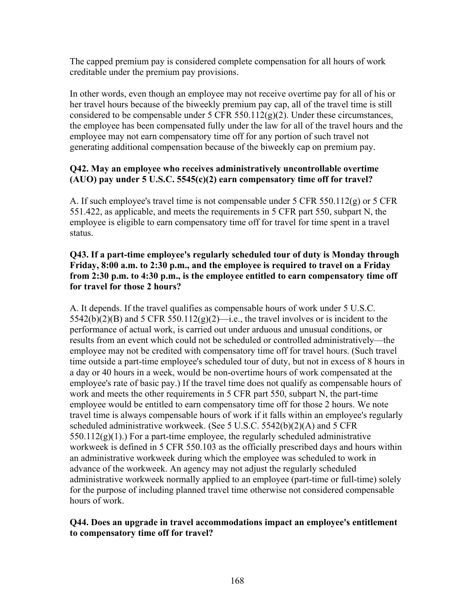The capped premium pay is considered complete compensation for all hours of work creditable under the premium pay provisions.

In other words, even though an employee may not receive overtime pay for all of his or her travel hours because of the biweekly premium pay cap, all of the travel time is still considered to be compensable under 5 CFR 550.112(g)(2). Under these circumstances, the employee has been compensated fully under the law for all of the travel hours and the employee may not earn compensatory time off for any portion of such travel not generating additional compensation because of the biweekly cap on premium pay.

# **Q42. May an employee who receives administratively uncontrollable overtime (AUO) pay under 5 U.S.C. 5545(c)(2) earn compensatory time off for travel?**

A. If such employee's travel time is not compensable under 5 CFR 550.112(g) or 5 CFR 551.422, as applicable, and meets the requirements in 5 CFR part 550, subpart N, the employee is eligible to earn compensatory time off for travel for time spent in a travel status.

### **Q43. If a part-time employee's regularly scheduled tour of duty is Monday through Friday, 8:00 a.m. to 2:30 p.m., and the employee is required to travel on a Friday from 2:30 p.m. to 4:30 p.m., is the employee entitled to earn compensatory time off for travel for those 2 hours?**

A. It depends. If the travel qualifies as compensable hours of work under 5 U.S.C.  $5542(b)(2)(B)$  and  $5 \text{ CFR } 550.112(g)(2)$ —i.e., the travel involves or is incident to the performance of actual work, is carried out under arduous and unusual conditions, or results from an event which could not be scheduled or controlled administratively—the employee may not be credited with compensatory time off for travel hours. (Such travel time outside a part-time employee's scheduled tour of duty, but not in excess of 8 hours in a day or 40 hours in a week, would be non-overtime hours of work compensated at the employee's rate of basic pay.) If the travel time does not qualify as compensable hours of work and meets the other requirements in 5 CFR part 550, subpart N, the part-time employee would be entitled to earn compensatory time off for those 2 hours. We note travel time is always compensable hours of work if it falls within an employee's regularly scheduled administrative workweek. (See 5 U.S.C. 5542(b)(2)(A) and 5 CFR  $550.112(g)(1)$ .) For a part-time employee, the regularly scheduled administrative workweek is defined in 5 CFR 550.103 as the officially prescribed days and hours within an administrative workweek during which the employee was scheduled to work in advance of the workweek. An agency may not adjust the regularly scheduled administrative workweek normally applied to an employee (part-time or full-time) solely for the purpose of including planned travel time otherwise not considered compensable hours of work.

# **Q44. Does an upgrade in travel accommodations impact an employee's entitlement to compensatory time off for travel?**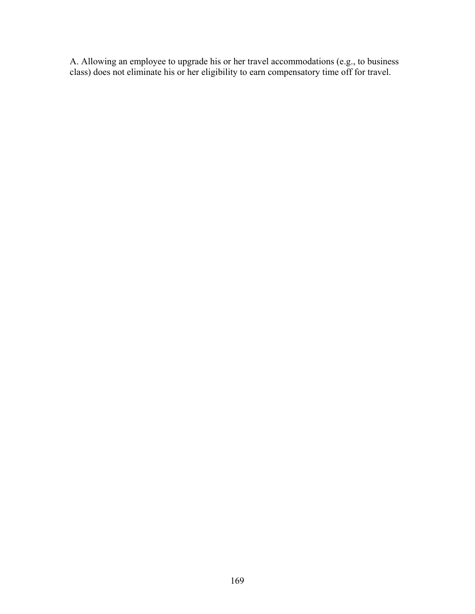A. Allowing an employee to upgrade his or her travel accommodations (e.g., to business class) does not eliminate his or her eligibility to earn compensatory time off for travel.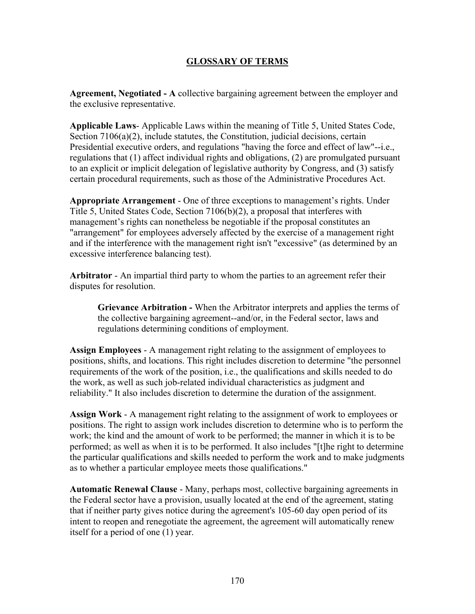# **GLOSSARY OF TERMS**

**Agreement, Negotiated - A** collective bargaining agreement between the employer and the exclusive representative.

**Applicable Laws**- Applicable Laws within the meaning of Title 5, United States Code, Section 7106(a)(2), include statutes, the Constitution, judicial decisions, certain Presidential executive orders, and regulations "having the force and effect of law"--i.e., regulations that (1) affect individual rights and obligations, (2) are promulgated pursuant to an explicit or implicit delegation of legislative authority by Congress, and (3) satisfy certain procedural requirements, such as those of the Administrative Procedures Act.

**Appropriate Arrangement** - One of three exceptions to management's rights. Under Title 5, United States Code, Section 7106(b)(2), a proposal that interferes with management's rights can nonetheless be negotiable if the proposal constitutes an "arrangement" for employees adversely affected by the exercise of a management right and if the interference with the management right isn't "excessive" (as determined by an excessive interference balancing test).

**Arbitrator** - An impartial third party to whom the parties to an agreement refer their disputes for resolution.

**Grievance Arbitration -** When the Arbitrator interprets and applies the terms of the collective bargaining agreement--and/or, in the Federal sector, laws and regulations determining conditions of employment.

**Assign Employees** - A management right relating to the assignment of employees to positions, shifts, and locations. This right includes discretion to determine "the personnel requirements of the work of the position, i.e., the qualifications and skills needed to do the work, as well as such job-related individual characteristics as judgment and reliability." It also includes discretion to determine the duration of the assignment.

**Assign Work** - A management right relating to the assignment of work to employees or positions. The right to assign work includes discretion to determine who is to perform the work; the kind and the amount of work to be performed; the manner in which it is to be performed; as well as when it is to be performed. It also includes "[t]he right to determine the particular qualifications and skills needed to perform the work and to make judgments as to whether a particular employee meets those qualifications."

**Automatic Renewal Clause** - Many, perhaps most, collective bargaining agreements in the Federal sector have a provision, usually located at the end of the agreement, stating that if neither party gives notice during the agreement's 105-60 day open period of its intent to reopen and renegotiate the agreement, the agreement will automatically renew itself for a period of one (1) year.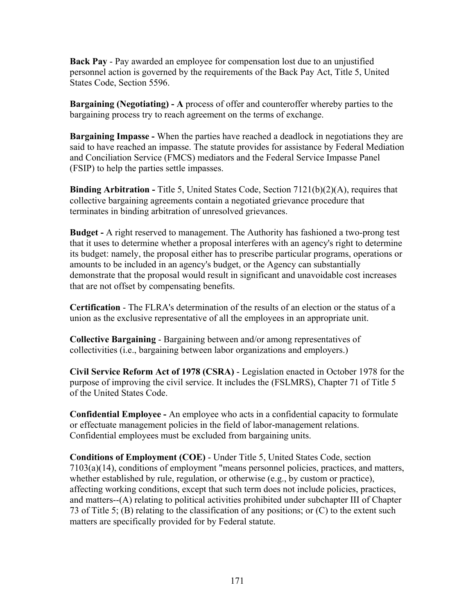**Back Pay** - Pay awarded an employee for compensation lost due to an unjustified personnel action is governed by the requirements of the Back Pay Act, Title 5, United States Code, Section 5596.

**Bargaining (Negotiating) - A** process of offer and counteroffer whereby parties to the bargaining process try to reach agreement on the terms of exchange.

**Bargaining Impasse -** When the parties have reached a deadlock in negotiations they are said to have reached an impasse. The statute provides for assistance by Federal Mediation and Conciliation Service (FMCS) mediators and the Federal Service Impasse Panel (FSIP) to help the parties settle impasses.

**Binding Arbitration - Title 5, United States Code, Section 7121(b)(2)(A), requires that** collective bargaining agreements contain a negotiated grievance procedure that terminates in binding arbitration of unresolved grievances.

**Budget -** A right reserved to management. The Authority has fashioned a two-prong test that it uses to determine whether a proposal interferes with an agency's right to determine its budget: namely, the proposal either has to prescribe particular programs, operations or amounts to be included in an agency's budget, or the Agency can substantially demonstrate that the proposal would result in significant and unavoidable cost increases that are not offset by compensating benefits.

**Certification** - The FLRA's determination of the results of an election or the status of a union as the exclusive representative of all the employees in an appropriate unit.

**Collective Bargaining** - Bargaining between and/or among representatives of collectivities (i.e., bargaining between labor organizations and employers.)

**Civil Service Reform Act of 1978 (CSRA)** - Legislation enacted in October 1978 for the purpose of improving the civil service. It includes the (FSLMRS), Chapter 71 of Title 5 of the United States Code.

**Confidential Employee -** An employee who acts in a confidential capacity to formulate or effectuate management policies in the field of labor-management relations. Confidential employees must be excluded from bargaining units.

**Conditions of Employment (COE)** - Under Title 5, United States Code, section 7103(a)(14), conditions of employment "means personnel policies, practices, and matters, whether established by rule, regulation, or otherwise (e.g., by custom or practice), affecting working conditions, except that such term does not include policies, practices, and matters--(A) relating to political activities prohibited under subchapter III of Chapter 73 of Title 5; (B) relating to the classification of any positions; or (C) to the extent such matters are specifically provided for by Federal statute.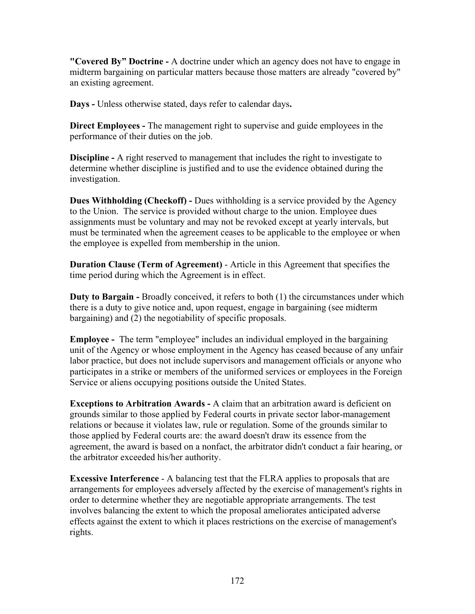**"Covered By" Doctrine -** A doctrine under which an agency does not have to engage in midterm bargaining on particular matters because those matters are already "covered by" an existing agreement.

**Days -** Unless otherwise stated, days refer to calendar days**.** 

**Direct Employees -** The management right to supervise and guide employees in the performance of their duties on the job.

**Discipline -** A right reserved to management that includes the right to investigate to determine whether discipline is justified and to use the evidence obtained during the investigation.

**Dues Withholding (Checkoff) -** Dues withholding is a service provided by the Agency to the Union. The service is provided without charge to the union. Employee dues assignments must be voluntary and may not be revoked except at yearly intervals, but must be terminated when the agreement ceases to be applicable to the employee or when the employee is expelled from membership in the union.

**Duration Clause (Term of Agreement)** - Article in this Agreement that specifies the time period during which the Agreement is in effect.

**Duty to Bargain -** Broadly conceived, it refers to both (1) the circumstances under which there is a duty to give notice and, upon request, engage in bargaining (see midterm bargaining) and (2) the negotiability of specific proposals.

**Employee -** The term "employee" includes an individual employed in the bargaining unit of the Agency or whose employment in the Agency has ceased because of any unfair labor practice, but does not include supervisors and management officials or anyone who participates in a strike or members of the uniformed services or employees in the Foreign Service or aliens occupying positions outside the United States.

**Exceptions to Arbitration Awards -** A claim that an arbitration award is deficient on grounds similar to those applied by Federal courts in private sector labor-management relations or because it violates law, rule or regulation. Some of the grounds similar to those applied by Federal courts are: the award doesn't draw its essence from the agreement, the award is based on a nonfact, the arbitrator didn't conduct a fair hearing, or the arbitrator exceeded his/her authority.

**Excessive Interference** - A balancing test that the FLRA applies to proposals that are arrangements for employees adversely affected by the exercise of management's rights in order to determine whether they are negotiable appropriate arrangements. The test involves balancing the extent to which the proposal ameliorates anticipated adverse effects against the extent to which it places restrictions on the exercise of management's rights.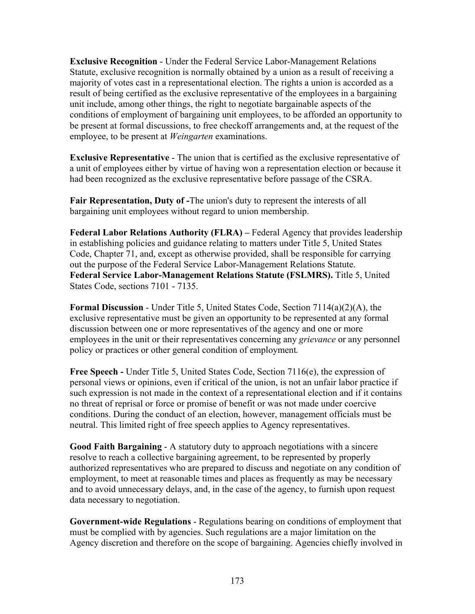**Exclusive Recognition** - Under the Federal Service Labor-Management Relations Statute, exclusive recognition is normally obtained by a union as a result of receiving a majority of votes cast in a representational election. The rights a union is accorded as a result of being certified as the exclusive representative of the employees in a bargaining unit include, among other things, the right to negotiate bargainable aspects of the conditions of employment of bargaining unit employees, to be afforded an opportunity to be present at formal discussions, to free checkoff arrangements and, at the request of the employee, to be present at *Weingarten* examinations.

**Exclusive Representative** - The union that is certified as the exclusive representative of a unit of employees either by virtue of having won a representation election or because it had been recognized as the exclusive representative before passage of the CSRA.

**Fair Representation, Duty of -**The union's duty to represent the interests of all bargaining unit employees without regard to union membership.

**Federal Labor Relations Authority (FLRA) –** Federal Agency that provides leadership in establishing policies and guidance relating to matters under Title 5, United States Code, Chapter 71, and, except as otherwise provided, shall be responsible for carrying out the purpose of the Federal Service Labor-Management Relations Statute. **Federal Service Labor-Management Relations Statute (FSLMRS).** Title 5, United States Code, sections 7101 - 7135.

**Formal Discussion** - Under Title 5, United States Code, Section 7114(a)(2)(A), the exclusive representative must be given an opportunity to be represented at any formal discussion between one or more representatives of the agency and one or more employees in the unit or their representatives concerning any *grievance* or any personnel policy or practices or other general condition of employment*.*

**Free Speech -** Under Title 5, United States Code, Section 7116(e), the expression of personal views or opinions, even if critical of the union, is not an unfair labor practice if such expression is not made in the context of a representational election and if it contains no threat of reprisal or force or promise of benefit or was not made under coercive conditions. During the conduct of an election, however, management officials must be neutral. This limited right of free speech applies to Agency representatives.

**Good Faith Bargaining** - A statutory duty to approach negotiations with a sincere resolve to reach a collective bargaining agreement, to be represented by properly authorized representatives who are prepared to discuss and negotiate on any condition of employment, to meet at reasonable times and places as frequently as may be necessary and to avoid unnecessary delays, and, in the case of the agency, to furnish upon request data necessary to negotiation.

**Government-wide Regulations** - Regulations bearing on conditions of employment that must be complied with by agencies. Such regulations are a major limitation on the Agency discretion and therefore on the scope of bargaining. Agencies chiefly involved in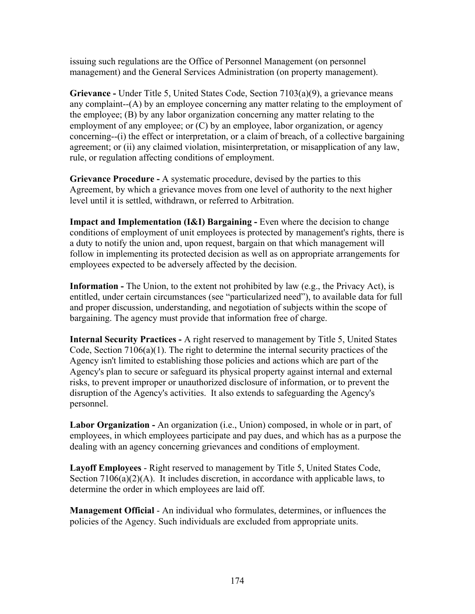issuing such regulations are the Office of Personnel Management (on personnel management) and the General Services Administration (on property management).

**Grievance -** Under Title 5, United States Code, Section 7103(a)(9), a grievance means any complaint--(A) by an employee concerning any matter relating to the employment of the employee; (B) by any labor organization concerning any matter relating to the employment of any employee; or (C) by an employee, labor organization, or agency concerning--(i) the effect or interpretation, or a claim of breach, of a collective bargaining agreement; or (ii) any claimed violation, misinterpretation, or misapplication of any law, rule, or regulation affecting conditions of employment.

**Grievance Procedure -** A systematic procedure, devised by the parties to this Agreement, by which a grievance moves from one level of authority to the next higher level until it is settled, withdrawn, or referred to Arbitration.

**Impact and Implementation (I&I) Bargaining -** Even where the decision to change conditions of employment of unit employees is protected by management's rights, there is a duty to notify the union and, upon request, bargain on that which management will follow in implementing its protected decision as well as on appropriate arrangements for employees expected to be adversely affected by the decision.

**Information -** The Union, to the extent not prohibited by law (e.g., the Privacy Act), is entitled, under certain circumstances (see "particularized need"), to available data for full and proper discussion, understanding, and negotiation of subjects within the scope of bargaining. The agency must provide that information free of charge.

**Internal Security Practices -** A right reserved to management by Title 5, United States Code, Section 7106(a)(1). The right to determine the internal security practices of the Agency isn't limited to establishing those policies and actions which are part of the Agency's plan to secure or safeguard its physical property against internal and external risks, to prevent improper or unauthorized disclosure of information, or to prevent the disruption of the Agency's activities. It also extends to safeguarding the Agency's personnel.

**Labor Organization -** An organization (i.e., Union) composed, in whole or in part, of employees, in which employees participate and pay dues, and which has as a purpose the dealing with an agency concerning grievances and conditions of employment.

**Layoff Employees** - Right reserved to management by Title 5, United States Code, Section 7106(a)(2)(A). It includes discretion, in accordance with applicable laws, to determine the order in which employees are laid off.

**Management Official** - An individual who formulates, determines, or influences the policies of the Agency. Such individuals are excluded from appropriate units.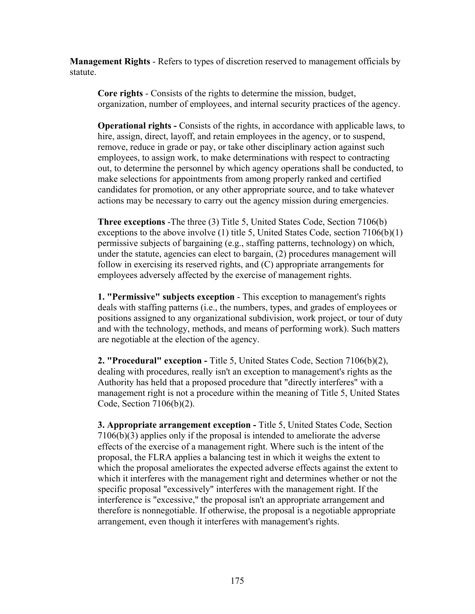**Management Rights** - Refers to types of discretion reserved to management officials by statute.

**Core rights** - Consists of the rights to determine the mission, budget, organization, number of employees, and internal security practices of the agency.

**Operational rights -** Consists of the rights, in accordance with applicable laws, to hire, assign, direct, layoff, and retain employees in the agency, or to suspend, remove, reduce in grade or pay, or take other disciplinary action against such employees, to assign work, to make determinations with respect to contracting out, to determine the personnel by which agency operations shall be conducted, to make selections for appointments from among properly ranked and certified candidates for promotion, or any other appropriate source, and to take whatever actions may be necessary to carry out the agency mission during emergencies.

**Three exceptions** -The three (3) Title 5, United States Code, Section 7106(b) exceptions to the above involve (1) title 5, United States Code, section 7106(b)(1) permissive subjects of bargaining (e.g., staffing patterns, technology) on which, under the statute, agencies can elect to bargain, (2) procedures management will follow in exercising its reserved rights, and (C) appropriate arrangements for employees adversely affected by the exercise of management rights.

**1. "Permissive" subjects exception** - This exception to management's rights deals with staffing patterns (i.e., the numbers, types, and grades of employees or positions assigned to any organizational subdivision, work project, or tour of duty and with the technology, methods, and means of performing work). Such matters are negotiable at the election of the agency.

**2. "Procedural" exception -** Title 5, United States Code, Section 7106(b)(2), dealing with procedures, really isn't an exception to management's rights as the Authority has held that a proposed procedure that "directly interferes" with a management right is not a procedure within the meaning of Title 5, United States Code, Section 7106(b)(2).

**3. Appropriate arrangement exception -** Title 5, United States Code, Section 7106(b)(3) applies only if the proposal is intended to ameliorate the adverse effects of the exercise of a management right. Where such is the intent of the proposal, the FLRA applies a balancing test in which it weighs the extent to which the proposal ameliorates the expected adverse effects against the extent to which it interferes with the management right and determines whether or not the specific proposal "excessively" interferes with the management right. If the interference is "excessive," the proposal isn't an appropriate arrangement and therefore is nonnegotiable. If otherwise, the proposal is a negotiable appropriate arrangement, even though it interferes with management's rights.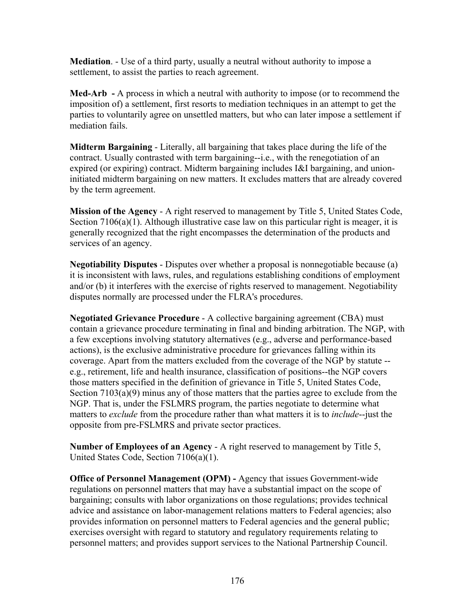**Mediation**. - Use of a third party, usually a neutral without authority to impose a settlement, to assist the parties to reach agreement.

**Med-Arb -** A process in which a neutral with authority to impose (or to recommend the imposition of) a settlement, first resorts to mediation techniques in an attempt to get the parties to voluntarily agree on unsettled matters, but who can later impose a settlement if mediation fails.

**Midterm Bargaining** - Literally, all bargaining that takes place during the life of the contract. Usually contrasted with term bargaining--i.e., with the renegotiation of an expired (or expiring) contract. Midterm bargaining includes I&I bargaining, and unioninitiated midterm bargaining on new matters. It excludes matters that are already covered by the term agreement.

**Mission of the Agency** - A right reserved to management by Title 5, United States Code, Section 7106(a)(1). Although illustrative case law on this particular right is meager, it is generally recognized that the right encompasses the determination of the products and services of an agency.

**Negotiability Disputes** - Disputes over whether a proposal is nonnegotiable because (a) it is inconsistent with laws, rules, and regulations establishing conditions of employment and/or (b) it interferes with the exercise of rights reserved to management. Negotiability disputes normally are processed under the FLRA's procedures.

**Negotiated Grievance Procedure** - A collective bargaining agreement (CBA) must contain a grievance procedure terminating in final and binding arbitration. The NGP, with a few exceptions involving statutory alternatives (e.g., adverse and performance-based actions), is the exclusive administrative procedure for grievances falling within its coverage. Apart from the matters excluded from the coverage of the NGP by statute - e.g., retirement, life and health insurance, classification of positions--the NGP covers those matters specified in the definition of grievance in Title 5, United States Code, Section 7103(a)(9) minus any of those matters that the parties agree to exclude from the NGP. That is, under the FSLMRS program, the parties negotiate to determine what matters to *exclude* from the procedure rather than what matters it is to *include*--just the opposite from pre-FSLMRS and private sector practices.

**Number of Employees of an Agency** - A right reserved to management by Title 5, United States Code, Section 7106(a)(1).

**Office of Personnel Management (OPM) -** Agency that issues Government-wide regulations on personnel matters that may have a substantial impact on the scope of bargaining; consults with labor organizations on those regulations; provides technical advice and assistance on labor-management relations matters to Federal agencies; also provides information on personnel matters to Federal agencies and the general public; exercises oversight with regard to statutory and regulatory requirements relating to personnel matters; and provides support services to the National Partnership Council.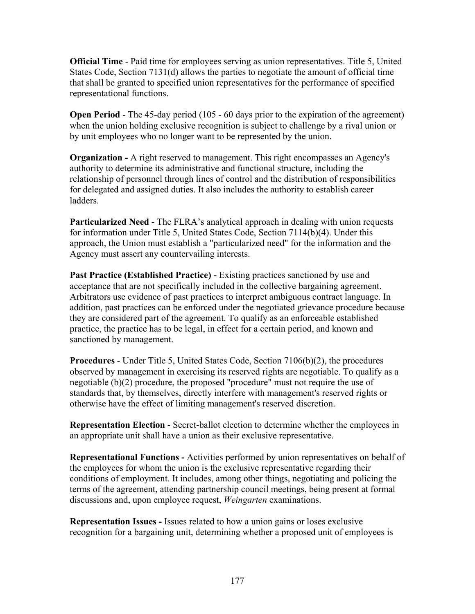**Official Time** - Paid time for employees serving as union representatives. Title 5, United States Code, Section 7131(d) allows the parties to negotiate the amount of official time that shall be granted to specified union representatives for the performance of specified representational functions.

**Open Period** - The 45-day period (105 - 60 days prior to the expiration of the agreement) when the union holding exclusive recognition is subject to challenge by a rival union or by unit employees who no longer want to be represented by the union.

**Organization - A right reserved to management. This right encompasses an Agency's** authority to determine its administrative and functional structure, including the relationship of personnel through lines of control and the distribution of responsibilities for delegated and assigned duties. It also includes the authority to establish career ladders.

**Particularized Need** - The FLRA's analytical approach in dealing with union requests for information under Title 5, United States Code, Section 7114(b)(4). Under this approach, the Union must establish a "particularized need" for the information and the Agency must assert any countervailing interests.

**Past Practice (Established Practice) -** Existing practices sanctioned by use and acceptance that are not specifically included in the collective bargaining agreement. Arbitrators use evidence of past practices to interpret ambiguous contract language. In addition, past practices can be enforced under the negotiated grievance procedure because they are considered part of the agreement. To qualify as an enforceable established practice, the practice has to be legal, in effect for a certain period, and known and sanctioned by management.

**Procedures** - Under Title 5, United States Code, Section 7106(b)(2), the procedures observed by management in exercising its reserved rights are negotiable. To qualify as a negotiable (b)(2) procedure, the proposed "procedure" must not require the use of standards that, by themselves, directly interfere with management's reserved rights or otherwise have the effect of limiting management's reserved discretion.

**Representation Election** - Secret-ballot election to determine whether the employees in an appropriate unit shall have a union as their exclusive representative.

**Representational Functions -** Activities performed by union representatives on behalf of the employees for whom the union is the exclusive representative regarding their conditions of employment. It includes, among other things, negotiating and policing the terms of the agreement, attending partnership council meetings, being present at formal discussions and, upon employee request, *Weingarten* examinations.

**Representation Issues -** Issues related to how a union gains or loses exclusive recognition for a bargaining unit, determining whether a proposed unit of employees is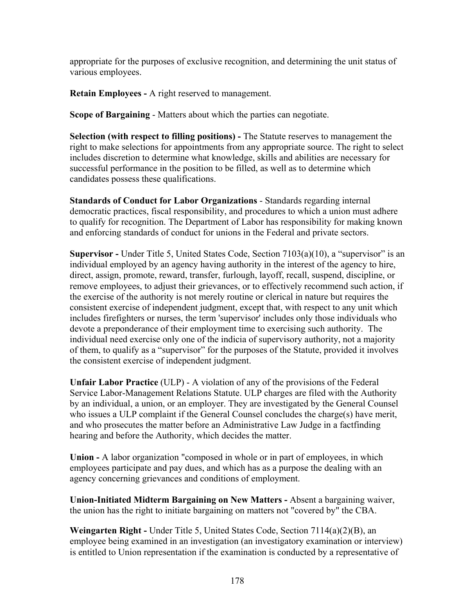appropriate for the purposes of exclusive recognition, and determining the unit status of various employees.

**Retain Employees -** A right reserved to management.

**Scope of Bargaining** - Matters about which the parties can negotiate.

**Selection (with respect to filling positions) -** The Statute reserves to management the right to make selections for appointments from any appropriate source. The right to select includes discretion to determine what knowledge, skills and abilities are necessary for successful performance in the position to be filled, as well as to determine which candidates possess these qualifications.

**Standards of Conduct for Labor Organizations** - Standards regarding internal democratic practices, fiscal responsibility, and procedures to which a union must adhere to qualify for recognition. The Department of Labor has responsibility for making known and enforcing standards of conduct for unions in the Federal and private sectors.

**Supervisor -** Under Title 5, United States Code, Section 7103(a)(10), a "supervisor" is an individual employed by an agency having authority in the interest of the agency to hire, direct, assign, promote, reward, transfer, furlough, layoff, recall, suspend, discipline, or remove employees, to adjust their grievances, or to effectively recommend such action, if the exercise of the authority is not merely routine or clerical in nature but requires the consistent exercise of independent judgment, except that, with respect to any unit which includes firefighters or nurses, the term 'supervisor' includes only those individuals who devote a preponderance of their employment time to exercising such authority. The individual need exercise only one of the indicia of supervisory authority, not a majority of them, to qualify as a "supervisor" for the purposes of the Statute, provided it involves the consistent exercise of independent judgment.

**Unfair Labor Practice** (ULP) - A violation of any of the provisions of the Federal Service Labor-Management Relations Statute. ULP charges are filed with the Authority by an individual, a union, or an employer. They are investigated by the General Counsel who issues a ULP complaint if the General Counsel concludes the charge(s) have merit, and who prosecutes the matter before an Administrative Law Judge in a factfinding hearing and before the Authority, which decides the matter.

**Union -** A labor organization "composed in whole or in part of employees, in which employees participate and pay dues, and which has as a purpose the dealing with an agency concerning grievances and conditions of employment.

**Union-Initiated Midterm Bargaining on New Matters -** Absent a bargaining waiver, the union has the right to initiate bargaining on matters not "covered by" the CBA.

**Weingarten Right -** Under Title 5, United States Code, Section 7114(a)(2)(B), an employee being examined in an investigation (an investigatory examination or interview) is entitled to Union representation if the examination is conducted by a representative of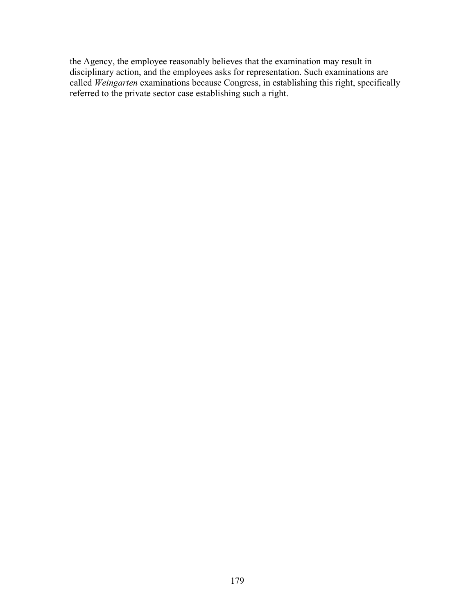the Agency, the employee reasonably believes that the examination may result in disciplinary action, and the employees asks for representation. Such examinations are called *Weingarten* examinations because Congress, in establishing this right, specifically referred to the private sector case establishing such a right.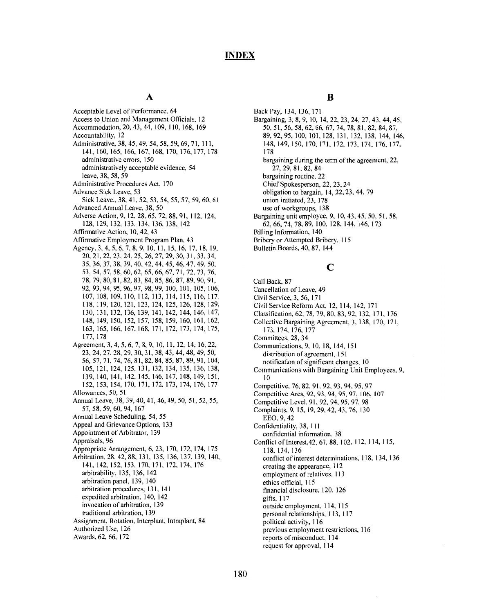#### **INDEX**

#### $\blacktriangle$

Acceptable Level of Performance, 64 Access to Union and Management Officials, 12 Accommodation, 20, 43, 44, 109, 110, 168, 169 Accountability, 12 Administrative, 38, 45, 49, 54, 58, 59, 69, 71, 111, 141, 160, 165, 166, 167, 168, 170, 176, 177, 178 administrative errors, 150 administratively acceptable evidence, 54 leave, 38, 58, 59 Administrative Procedures Act, 170 Advance Sick Leave, 53 Sick Leave., 38, 41, 52, 53, 54, 55, 57, 59, 60, 61 Advanced Annual Leave, 38, 50 Adverse Action, 9, 12, 28, 65, 72, 88, 91, 112, 124, 128, 129, 132, 133, 134, 136, 138, 142 Affirmative Action, 10, 42, 43 Affirmative Employment Program Plan, 43 Agency, 3, 4, 5, 6, 7, 8, 9, 10, 11, 15, 16, 17, 18, 19, 20, 21, 22, 23, 24, 25, 26, 27, 29, 30, 31, 33, 34, 35, 36, 37, 38, 39, 40, 42, 44, 45, 46, 47, 49, 50, 53, 54, 57, 58, 60, 62, 65, 66, 67, 71, 72, 73, 76, 78, 79, 80, 81, 82, 83, 84, 85, 86, 87, 89, 90, 91, 92, 93, 94, 95, 96, 97, 98, 99, 100, 101, 105, 106, 107, 108, 109, 110, 112, 113, 114, 115, 116, 117, 118, 119, 120, 121, 123, 124, 125, 126, 128, 129, 130, 131, 132, 136, 139, 141, 142, 144, 146, 147, 148, 149, 150, 152, 157, 158, 159, 160, 161, 162, 163, 165, 166, 167, 168, 171, 172, 173, 174, 175, 177, 178 Agreement, 3, 4, 5, 6, 7, 8, 9, 10, 11, 12, 14, 16, 22, 23, 24, 27, 28, 29, 30, 31, 38, 43, 44, 48, 49, 50, 56, 57, 71, 74, 76, 81, 82, 84, 85, 87, 89, 91, 104, 105, 121, 124, 125, 131, 132, 134, 135, 136, 138, 139, 140, 141, 142, 145, 146, 147, 148, 149, 151, 152, 153, 154, 170, 171, 172, 173, 174, 176, 177 Allowances, 50, 51 Annual Leave, 38, 39, 40, 41, 46, 49, 50, 51, 52, 55, 57, 58, 59, 60, 94, 167 Annual Leave Scheduling, 54, 55 Appeal and Grievance Options, 133 Appointment of Arbitrator, 139 Appraisals, 96 Appropriate Arrangement, 6, 23, 170, 172, 174, 175 Arbitration, 28, 42, 88, 131, 135, 136, 137, 139, 140, 141, 142, 152, 153, 170, 171, 172, 174, 176 arbitrability, 135, 136, 142 arbitration panel, 139, 140 arbitration procedures, 131, 141 expedited arbitration, 140, 142 invocation of arbitration, 139 traditional arbitration, 139 Assignment, Rotation, Interplant, Intraplant, 84 Authorized Use, 126 Awards, 62, 66, 172

#### $\bf{B}$

Back Pav. 134, 136, 171 Bargaining, 3, 8, 9, 10, 14, 22, 23, 24, 27, 43, 44, 45, 50, 51, 56, 58, 62, 66, 67, 74, 78, 81, 82, 84, 87, 89, 92, 95, 100, 101, 128, 131, 132, 138, 144, 146, 148, 149, 150, 170, 171, 172, 173, 174, 176, 177, 178 bargaining during the term of the agreement, 22, 27, 29, 81, 82, 84 bargaining routine, 22 Chief Spokesperson, 22, 23, 24 obligation to bargain, 14, 22, 23, 44, 79 union initiated, 23, 178 use of workgroups, 138 Bargaining unit employee, 9, 10, 43, 45, 50, 51, 58, 62, 66, 74, 78, 89, 100, 128, 144, 146, 173 Billing Information, 140 Bribery or Attempted Bribery, 115 Bulletin Boards, 40, 87, 144

# $\mathbf C$

Call Back, 87 Cancellation of Leave, 49 Civil Service, 3, 56, 171 Civil Service Reform Act, 12, 114, 142, 171 Classification, 62, 78, 79, 80, 83, 92, 132, 171, 176 Collective Bargaining Agreement, 3, 138, 170, 171, 173, 174, 176, 177 Committees, 28, 34 Communications, 9, 10, 18, 144, 151 distribution of agreement, 151 notification of significant changes, 10 Communications with Bargaining Unit Employees, 9, 10 Competitive, 76, 82, 91, 92, 93, 94, 95, 97 Competitive Area, 92, 93, 94, 95, 97, 106, 107 Competitive Level, 91, 92, 94, 95, 97, 98 Complaints, 9, 15, 19, 29, 42, 43, 76, 130 EEO, 9, 42 Confidentiality, 38, 111 confidential information, 38 Conflict of Interest, 42, 67, 88, 102, 112, 114, 115, 118, 134, 136 conflict of interest determinations, 118, 134, 136 creating the appearance, 112 employment of relatives, 113 ethics official, 115 financial disclosure, 120, 126 gifts,  $117$ outside employment, 114, 115 personal relationships, 113, 117 political activity, 116 previous employment restrictions, 116 reports of misconduct, 114 request for approval, 114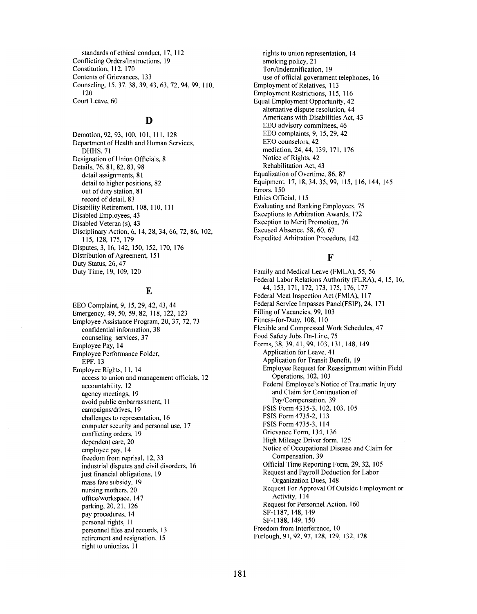standards of ethical conduct, 17, 112 Conflicting Orders/Instructions, 19 Constitution, 112, 170 Contents of Grievances, 133 Counseling, 15, 37, 38, 39, 43, 63, 72, 94, 99, 110, 120 Court Leave, 60

### D

Demotion, 92, 93, 100, 101, 111, 128 Department of Health and Human Services, DHHS, 71 Designation of Union Officials, 8 Details, 76, 81, 82, 83, 98 detail assignments, 81 detail to higher positions, 82 out of duty station, 81 record of detail, 83 Disability Retirement, 108, 110, 111 Disabled Employees, 43 Disabled Veteran (s), 43 Disciplinary Action, 6, 14, 28, 34, 66, 72, 86, 102, 115, 128, 175, 179 Disputes, 3, 16, 142, 150, 152, 170, 176 Distribution of Agreement, 151 Duty Status, 26, 47 Duty Time, 19, 109, 120

#### $\mathbf{F}$

EEO Complaint, 9, 15, 29, 42, 43, 44 Emergency, 49, 50, 59, 82, 118, 122, 123 Employee Assistance Program, 20, 37, 72, 73 confidential information, 38 counseling services, 37 Employee Pay, 14 Employee Performance Folder, EPF, 13 Employee Rights, 11, 14 access to union and management officials, 12 accountability, 12 agency meetings, 19 avoid public embarrassment, 11 campaigns/drives, 19 challenges to representation, 16 computer security and personal use, 17 conflicting orders, 19 dependent care, 20 employee pay, 14 freedom from reprisal, 12, 33 industrial disputes and civil disorders, 16 just financial obligations, 19 mass fare subsidy, 19 nursing mothers, 20 office/workspace, 147 parking, 20, 21, 126 pay procedures, 14 personal rights, 11 personnel files and records, 13 retirement and resignation, 15 right to unionize, 11

rights to union representation. 14 smoking policy,  $21$ Tort/Indemnification, 19 use of official government telephones, 16 Employment of Relatives, 113 Employment Restrictions, 115, 116 Equal Employment Opportunity, 42 alternative dispute resolution, 44 Americans with Disabilities Act. 43 EEO advisory committees, 46 EEO complaints, 9, 15, 29, 42 EEO counselors, 42 mediation, 24, 44, 139, 171, 176 Notice of Rights, 42 Rehabilitation Act, 43 Equalization of Overtime, 86, 87 Equipment, 17, 18, 34, 35, 99, 115, 116, 144, 145 Errors, 150 Ethics Official, 115 Evaluating and Ranking Employees, 75 Exceptions to Arbitration Awards, 172 Exception to Merit Promotion, 76 Excused Absence, 58, 60, 67 **Expedited Arbitration Procedure, 142** 

#### F

Family and Medical Leave (FMLA), 55, 56 Federal Labor Relations Authority (FLRA), 4, 15, 16, 44, 153, 171, 172, 173, 175, 176, 177 Federal Meat Inspection Act (FMIA), 117 Federal Service Impasses Panel(FSIP), 24, 171 Filling of Vacancies, 99, 103 Fitness-for-Duty, 108, 110 Flexible and Compressed Work Schedules, 47 Food Safety Jobs On-Line, 75 Forms, 38, 39, 41, 99, 103, 131, 148, 149 Application for Leave, 41 Application for Transit Benefit, 19 Employee Request for Reassignment within Field Operations, 102, 103 Federal Employee's Notice of Traumatic Injury and Claim for Continuation of Pav/Compensation, 39 FSIS Form 4335-3, 102, 103, 105 FSIS Form 4735-2, 113 FSIS Form 4735-3, 114 Grievance Form, 134, 136 High Mileage Driver form, 125 Notice of Occupational Disease and Claim for Compensation, 39 Official Time Reporting Form, 29, 32, 105 Request and Payroll Deduction for Labor Organization Dues, 148 Request For Approval Of Outside Employment or Activity, 114 Request for Personnel Action, 160 SF-1187, 148, 149 SF-1188, 149, 150 Freedom from Interference, 10 Furlough, 91, 92, 97, 128, 129, 132, 178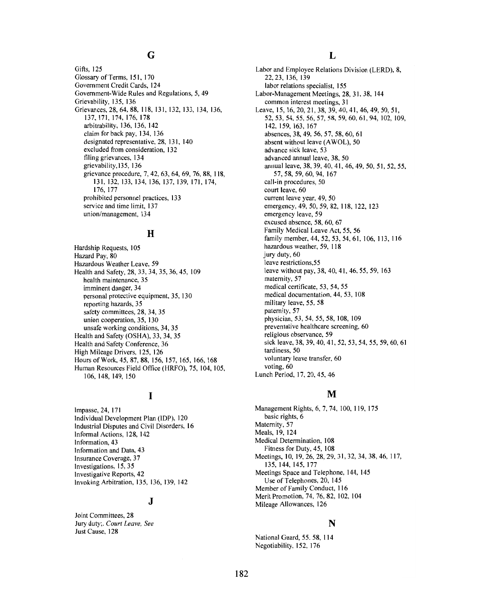# G

Gifts, 125 Glossary of Terms, 151, 170 Government Credit Cards, 124 Government-Wide Rules and Regulations, 5, 49 Grievability, 135, 136 Grievances, 28, 64, 88, 118, 131, 132, 133, 134, 136, 137, 171, 174, 176, 178 arbitrability, 136, 136, 142 claim for back pay, 134, 136 designated representative, 28, 131, 140 excluded from consideration, 132 filing grievances, 134 grievability, 135, 136 grievance procedure, 7, 42, 63, 64, 69, 76, 88, 118, 131, 132, 133, 134, 136, 137, 139, 171, 174, 176, 177 prohibited personnel practices, 133 service and time limit, 137 union/management, 134

#### $\mathbf H$

Hardship Requests, 105 Hazard Pav. 80 Hazardous Weather Leave, 59 Health and Safety, 28, 33, 34, 35, 36, 45, 109 health maintenance, 35 imminent danger, 34 personal protective equipment, 35, 130 reporting hazards, 35 safety committees, 28, 34, 35 union cooperation, 35, 130 unsafe working conditions, 34, 35 Health and Safety (OSHA), 33, 34, 35 Health and Safety Conference, 36 High Mileage Drivers, 125, 126 Hours of Work, 45, 87, 88, 156, 157, 165, 166, 168 Human Resources Field Office (HRFO), 75, 104, 105, 106, 148, 149, 150

# I

Impasse, 24, 171 Individual Development Plan (IDP), 120 Industrial Disputes and Civil Disorders, 16 Informal Actions, 128, 142 Information, 43 Information and Data, 43 Insurance Coverage, 37 Investigations, 15, 35 Investigative Reports, 42 Invoking Arbitration, 135, 136, 139, 142

#### $\mathbf I$

Joint Committees, 28 Jury duty:, Court Leave, See Just Cause, 128

# L

Labor and Employee Relations Division (LERD), 8. 22, 23, 136, 139 labor relations specialist, 155 Labor-Management Meetings, 28, 31, 38, 144 common interest meetings, 31 Leave, 15, 16, 20, 21, 38, 39, 40, 41, 46, 49, 50, 51, 52, 53, 54, 55, 56, 57, 58, 59, 60, 61, 94, 102, 109, 142, 159, 163, 167 absences, 38, 49, 56, 57, 58, 60, 61 absent without leave (AWOL), 50 advance sick leave 53 advanced annual leave, 38, 50 annual leave, 38, 39, 40, 41, 46, 49, 50, 51, 52, 55, 57, 58, 59, 60, 94, 167 call-in procedures, 50 court leave, 60 current leave year, 49, 50 emergency, 49, 50, 59, 82, 118, 122, 123 emergency leave, 59 excused absence, 58, 60, 67 Family Medical Leave Act, 55, 56 family member, 44, 52, 53, 54, 61, 106, 113, 116 hazardous weather, 59, 118 jury duty, 60 leave restrictions, 55 leave without pay, 38, 40, 41, 46, 55, 59, 163 maternity, 57 medical certificate, 53, 54, 55 medical documentation, 44, 53, 108 military leave, 55, 58 paternity, 57 physician, 53, 54, 55, 58, 108, 109 preventative healthcare screening, 60 religious observance, 59 sick leave, 38, 39, 40, 41, 52, 53, 54, 55, 59, 60, 61 tardiness. 50 voluntary leave transfer, 60 voting, 60 Lunch Period, 17, 20, 45, 46

### M

Management Rights, 6, 7, 74, 100, 119, 175 basic rights, 6 Maternity, 57 Meals, 19, 124 Medical Determination, 108 Fitness for Duty, 45, 108 Meetings, 10, 19, 26, 28, 29, 31, 32, 34, 38, 46, 117, 135, 144, 145, 177 Meetings Space and Telephone, 144, 145 Use of Telephones, 20, 145 Member of Family Conduct, 116 Merit Promotion, 74, 76, 82, 102, 104 Mileage Allowances, 126

### N

National Guard, 55, 58, 114 Negotiability, 152, 176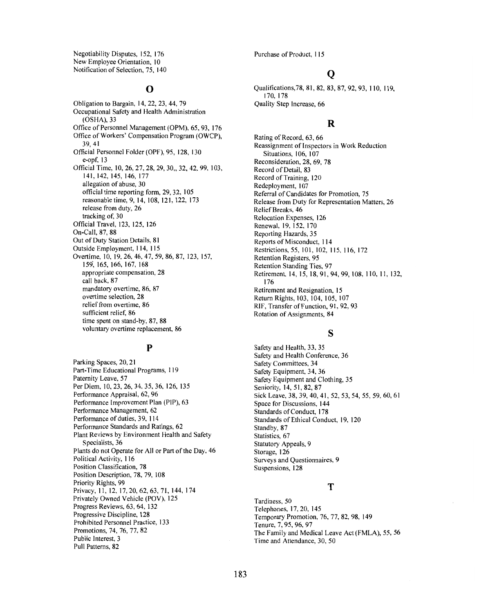Negotiability Disputes, 152, 176 New Employee Orientation, 10 Notification of Selection, 75, 140

## $\mathbf 0$

Obligation to Bargain, 14, 22, 23, 44, 79 Occupational Safety and Health Administration  $(OSHA)$ , 33 Office of Personnel Management (OPM), 65, 93, 176 Office of Workers' Compensation Program (OWCP), 39.41 Official Personnel Folder (OPF), 95, 128, 130 e-opf, 13 Official Time, 10, 26, 27, 28, 29, 30,, 32, 42, 99, 103, 141, 142, 145, 146, 177 allegation of abuse, 30 official time reporting form, 29, 32, 105 reasonable time, 9, 14, 108, 121, 122, 173 release from duty, 26 tracking of, 30 Official Travel, 123, 125, 126 On-Call, 87, 88 Out of Duty Station Details, 81 Outside Employment, 114, 115 Overtime, 10, 19, 26, 46, 47, 59, 86, 87, 123, 157, 159, 165, 166, 167, 168 appropriate compensation, 28 call back, 87 mandatory overtime, 86, 87 overtime selection, 28 relief from overtime, 86 sufficient relief, 86 time spent on stand-by, 87, 88 voluntary overtime replacement, 86

## P

Parking Spaces, 20, 21 Part-Time Educational Programs, 119 Paternity Leave, 57 Per Diem, 10, 23, 26, 34, 35, 36, 126, 135 Performance Appraisal, 62, 96 Performance Improvement Plan (PIP), 63 Performance Management, 62 Performance of duties, 39, 114 Performance Standards and Ratings, 62 Plant Reviews by Environment Health and Safety Specialists, 36 Plants do not Operate for All or Part of the Day, 46 Political Activity, 116 Position Classification, 78 Position Description, 78, 79, 108 Priority Rights, 99 Privacy, 11, 12, 17, 20, 62, 63, 71, 144, 174 Privately Owned Vehicle (POV), 125 Progress Reviews, 63, 64, 132 Progressive Discipline, 128 Prohibited Personnel Practice, 133 Promotions, 74, 76, 77, 82 Public Interest, 3 Pull Patterns, 82

Purchase of Product, 115

# O

Qualifications, 78, 81, 82, 83, 87, 92, 93, 110, 119, 170, 178 Quality Step Increase, 66

# $\mathbf R$

Rating of Record, 63, 66 Reassignment of Inspectors in Work Reduction Situations, 106, 107 Reconsideration, 28, 69, 78 Record of Detail, 83 Record of Training, 120 Redeployment, 107 Referral of Candidates for Promotion, 75 Release from Duty for Representation Matters, 26 Relief Breaks, 46 Relocation Expenses, 126 Renewal, 19, 152, 170 Reporting Hazards, 35 Reports of Misconduct, 114 Restrictions, 55, 101, 102, 115, 116, 172 Retention Registers, 95 Retention Standing Ties, 97 Retirement, 14, 15, 18, 91, 94, 99, 108, 110, 11, 132, 176 Retirement and Resignation, 15 Return Rights, 103, 104, 105, 107 RIF, Transfer of Function, 91, 92, 93 Rotation of Assignments, 84

# $\mathbf S$

Safety and Health, 33, 35 Safety and Health Conference, 36 Safety Committees, 34 Safety Equipment, 34, 36 Safety Equipment and Clothing, 35 Seniority, 14, 51, 82, 87 Sick Leave, 38, 39, 40, 41, 52, 53, 54, 55, 59, 60, 61 Space for Discussions, 144 Standards of Conduct, 178 Standards of Ethical Conduct, 19, 120 Standby, 87 Statistics, 67 Statutory Appeals, 9 Storage, 126 Surveys and Questionnaires, 9 Suspensions, 128

# T

Tardiness, 50 Telephones, 17, 20, 145 Temporary Promotion, 76, 77, 82, 98, 149 Tenure, 7, 95, 96, 97 The Family and Medical Leave Act (FMLA), 55, 56 Time and Attendance, 30, 50